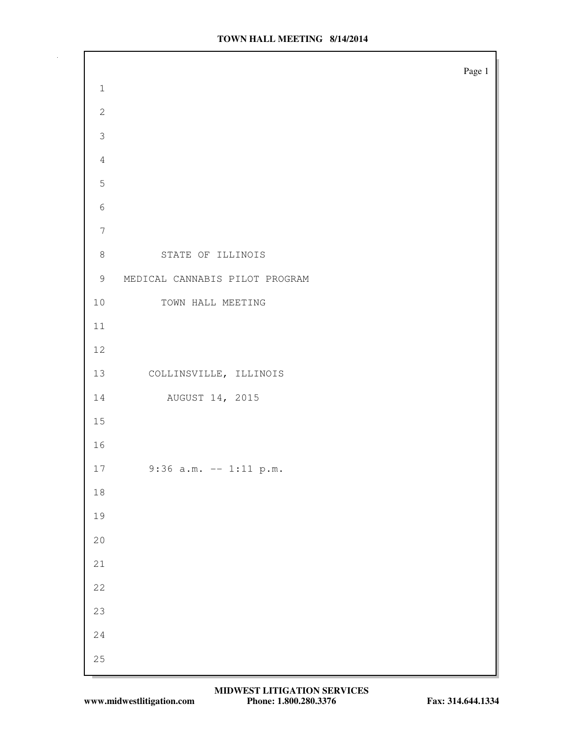|                  | Page 1                         |
|------------------|--------------------------------|
| $\,1\,$          |                                |
| $\mathbf{2}$     |                                |
| 3                |                                |
| $\sqrt{4}$       |                                |
| 5                |                                |
| $\epsilon$       |                                |
| $\boldsymbol{7}$ |                                |
| $8\,$            | STATE OF ILLINOIS              |
| 9                | MEDICAL CANNABIS PILOT PROGRAM |
| $10$             | TOWN HALL MEETING              |
| 11               |                                |
| $12$             |                                |
| 13               | COLLINSVILLE, ILLINOIS         |
| 14               | AUGUST 14, 2015                |
| 15               |                                |
| 16               |                                |
| 17               | $9:36$ a.m. -- 1:11 p.m.       |
| $1\,8$           |                                |
| 19               |                                |
| $2\,0$           |                                |
| $21\,$           |                                |
| $2\sqrt{2}$      |                                |
| 23               |                                |
| $2\,4$           |                                |
| 25               |                                |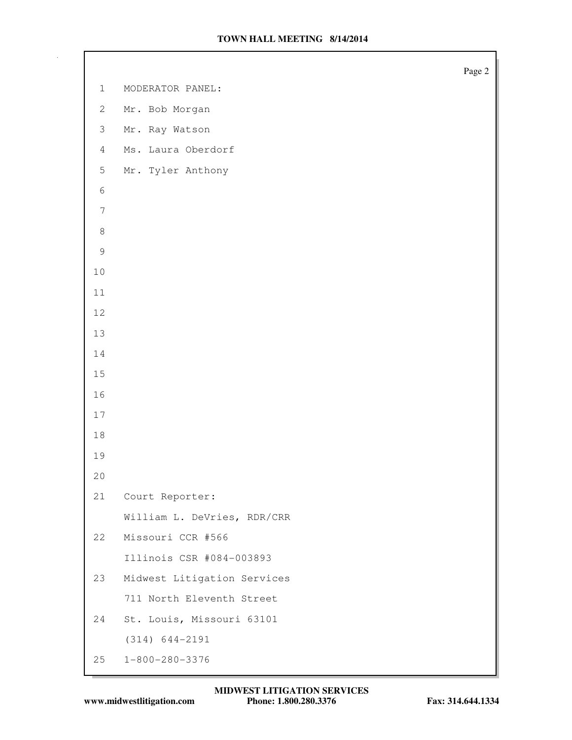|                |                             | Page 2 |
|----------------|-----------------------------|--------|
| $\mathbf{1}$   | MODERATOR PANEL:            |        |
| $\mathbf{2}$   | Mr. Bob Morgan              |        |
| $\mathfrak{Z}$ | Mr. Ray Watson              |        |
| $\overline{4}$ | Ms. Laura Oberdorf          |        |
| 5              | Mr. Tyler Anthony           |        |
| $\epsilon$     |                             |        |
| $\overline{7}$ |                             |        |
| $\,8\,$        |                             |        |
| $\mathsf 9$    |                             |        |
| $10$           |                             |        |
| $11$           |                             |        |
| $12$           |                             |        |
| 13             |                             |        |
| $1\,4$         |                             |        |
| $15$           |                             |        |
| 16             |                             |        |
| $17$           |                             |        |
| $1\,8$         |                             |        |
| 19             |                             |        |
| 20             |                             |        |
| 21             | Court Reporter:             |        |
|                | William L. DeVries, RDR/CRR |        |
| 22             | Missouri CCR #566           |        |
|                | Illinois CSR #084-003893    |        |
| 23             | Midwest Litigation Services |        |
|                | 711 North Eleventh Street   |        |
| 24             | St. Louis, Missouri 63101   |        |
|                | $(314) 644 - 2191$          |        |
| 25             | $1 - 800 - 280 - 3376$      |        |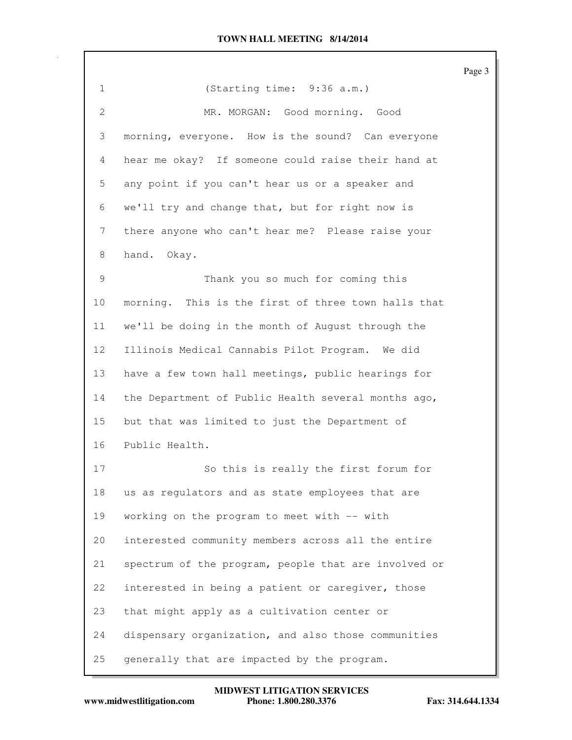|                 |                                                      | Page 3 |
|-----------------|------------------------------------------------------|--------|
| 1               | (Starting time: 9:36 a.m.)                           |        |
| $\mathbf{2}$    | MR. MORGAN: Good morning. Good                       |        |
| 3               | morning, everyone. How is the sound? Can everyone    |        |
| 4               | hear me okay? If someone could raise their hand at   |        |
| 5               | any point if you can't hear us or a speaker and      |        |
| 6               | we'll try and change that, but for right now is      |        |
| 7               | there anyone who can't hear me? Please raise your    |        |
| 8               | hand. Okay.                                          |        |
| 9               | Thank you so much for coming this                    |        |
| 10              | morning. This is the first of three town halls that  |        |
| 11              | we'll be doing in the month of August through the    |        |
| 12 <sup>°</sup> | Illinois Medical Cannabis Pilot Program. We did      |        |
| 13              | have a few town hall meetings, public hearings for   |        |
| 14              | the Department of Public Health several months ago,  |        |
| 15              | but that was limited to just the Department of       |        |
| 16              | Public Health.                                       |        |
| 17              | So this is really the first forum for                |        |
| 18              | us as regulators and as state employees that are     |        |
| 19              | working on the program to meet with -- with          |        |
| 20              | interested community members across all the entire   |        |
| 21              | spectrum of the program, people that are involved or |        |
| 22              | interested in being a patient or caregiver, those    |        |
| 23              | that might apply as a cultivation center or          |        |
| 24              | dispensary organization, and also those communities  |        |
| 25              | generally that are impacted by the program.          |        |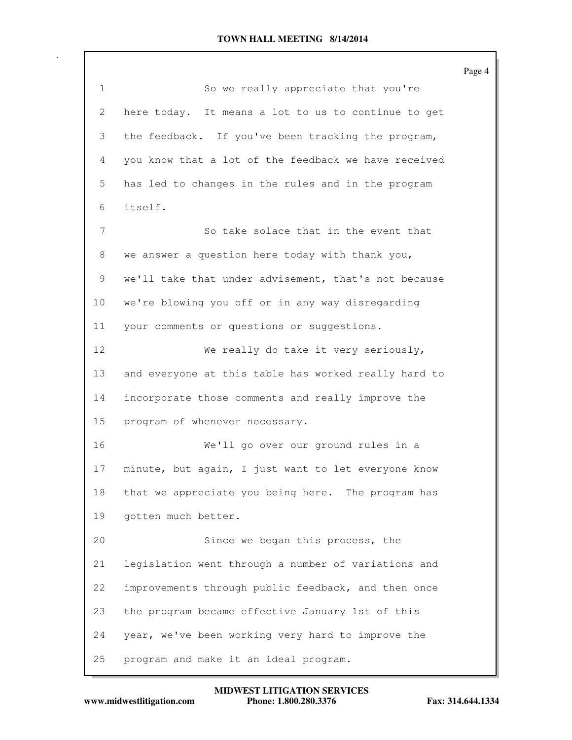Page 4 1 So we really appreciate that you're 2 here today. It means a lot to us to continue to get 3 the feedback. If you've been tracking the program, 4 you know that a lot of the feedback we have received 5 has led to changes in the rules and in the program 6 itself. 7 So take solace that in the event that 8 we answer a question here today with thank you, 9 we'll take that under advisement, that's not because 10 we're blowing you off or in any way disregarding 11 your comments or questions or suggestions. 12 We really do take it very seriously, 13 and everyone at this table has worked really hard to 14 incorporate those comments and really improve the 15 program of whenever necessary. 16 We'll go over our ground rules in a 17 minute, but again, I just want to let everyone know 18 that we appreciate you being here. The program has 19 gotten much better. 20 Since we began this process, the 21 legislation went through a number of variations and 22 improvements through public feedback, and then once 23 the program became effective January 1st of this 24 year, we've been working very hard to improve the 25 program and make it an ideal program.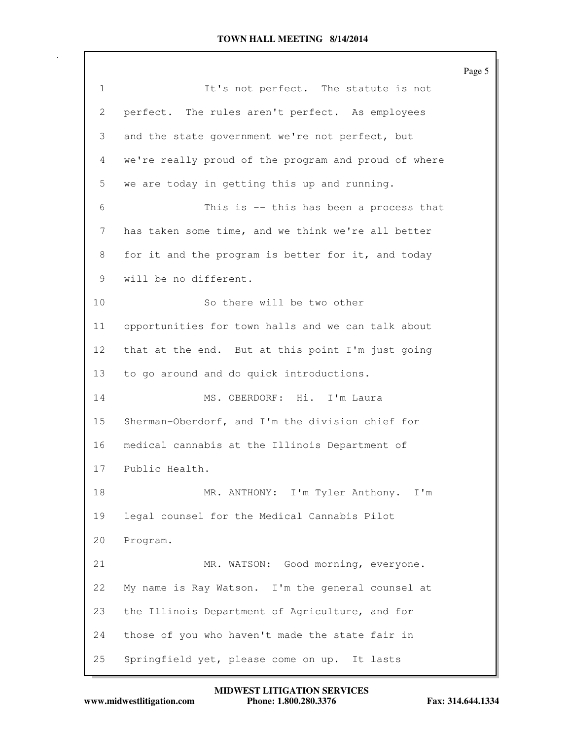Page 5 1 1 It's not perfect. The statute is not 2 perfect. The rules aren't perfect. As employees 3 and the state government we're not perfect, but 4 we're really proud of the program and proud of where 5 we are today in getting this up and running. 6 This is -- this has been a process that 7 has taken some time, and we think we're all better 8 for it and the program is better for it, and today 9 will be no different. 10 So there will be two other 11 opportunities for town halls and we can talk about 12 that at the end. But at this point I'm just going 13 to go around and do quick introductions. 14 MS. OBERDORF: Hi. I'm Laura 15 Sherman-Oberdorf, and I'm the division chief for 16 medical cannabis at the Illinois Department of 17 Public Health. 18 MR. ANTHONY: I'm Tyler Anthony. I'm 19 legal counsel for the Medical Cannabis Pilot 20 Program. 21 MR. WATSON: Good morning, everyone. 22 My name is Ray Watson. I'm the general counsel at 23 the Illinois Department of Agriculture, and for 24 those of you who haven't made the state fair in 25 Springfield yet, please come on up. It lasts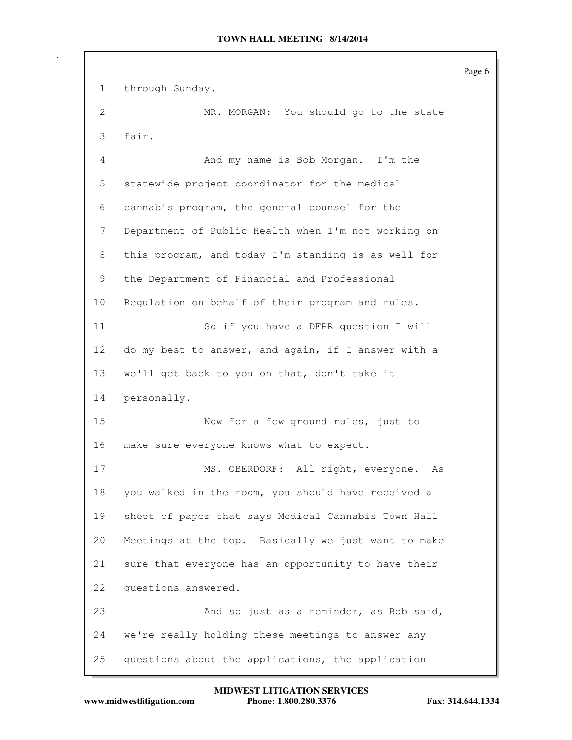Page 6 1 through Sunday. 2 MR. MORGAN: You should go to the state 3 fair. 4 And my name is Bob Morgan. I'm the 5 statewide project coordinator for the medical 6 cannabis program, the general counsel for the 7 Department of Public Health when I'm not working on 8 this program, and today I'm standing is as well for 9 the Department of Financial and Professional 10 Regulation on behalf of their program and rules. 11 So if you have a DFPR question I will 12 do my best to answer, and again, if I answer with a 13 we'll get back to you on that, don't take it 14 personally. 15 Now for a few ground rules, just to 16 make sure everyone knows what to expect. 17 MS. OBERDORF: All right, everyone. As 18 you walked in the room, you should have received a 19 sheet of paper that says Medical Cannabis Town Hall 20 Meetings at the top. Basically we just want to make 21 sure that everyone has an opportunity to have their 22 questions answered. 23 And so just as a reminder, as Bob said, 24 we're really holding these meetings to answer any 25 questions about the applications, the application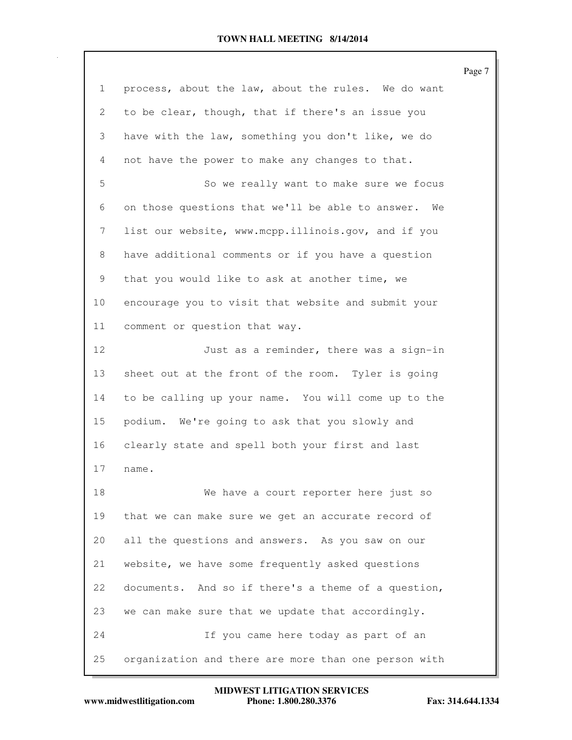|                 |                                                      | Page 7 |
|-----------------|------------------------------------------------------|--------|
| $\mathbf{1}$    | process, about the law, about the rules. We do want  |        |
| 2               | to be clear, though, that if there's an issue you    |        |
| 3               | have with the law, something you don't like, we do   |        |
| 4               | not have the power to make any changes to that.      |        |
| 5               | So we really want to make sure we focus              |        |
| 6               | on those questions that we'll be able to answer. We  |        |
| 7               | list our website, www.mcpp.illinois.gov, and if you  |        |
| 8               | have additional comments or if you have a question   |        |
| 9               | that you would like to ask at another time, we       |        |
| 10 <sub>o</sub> | encourage you to visit that website and submit your  |        |
| 11              | comment or question that way.                        |        |
| 12              | Just as a reminder, there was a sign-in              |        |
| 13              | sheet out at the front of the room. Tyler is going   |        |
| 14              | to be calling up your name. You will come up to the  |        |
| 15              | podium. We're going to ask that you slowly and       |        |
| 16              | clearly state and spell both your first and last     |        |
| 17              | name.                                                |        |
| 18              | We have a court reporter here just so                |        |
| 19              | that we can make sure we get an accurate record of   |        |
| 20              | all the questions and answers. As you saw on our     |        |
| 21              | website, we have some frequently asked questions     |        |
| 22              | documents. And so if there's a theme of a question,  |        |
| 23              | we can make sure that we update that accordingly.    |        |
| 24              | If you came here today as part of an                 |        |
| 25              | organization and there are more than one person with |        |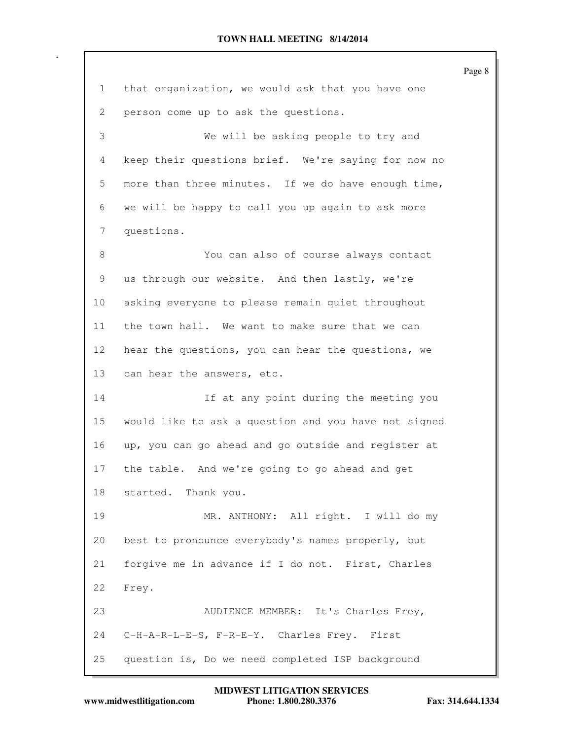|    |                                                      | Page 8 |
|----|------------------------------------------------------|--------|
| 1  | that organization, we would ask that you have one    |        |
| 2  | person come up to ask the questions.                 |        |
| 3  | We will be asking people to try and                  |        |
| 4  | keep their questions brief. We're saying for now no  |        |
| 5  | more than three minutes. If we do have enough time,  |        |
| 6  | we will be happy to call you up again to ask more    |        |
| 7  | questions.                                           |        |
| 8  | You can also of course always contact                |        |
| 9  | us through our website. And then lastly, we're       |        |
| 10 | asking everyone to please remain quiet throughout    |        |
| 11 | the town hall. We want to make sure that we can      |        |
| 12 | hear the questions, you can hear the questions, we   |        |
| 13 | can hear the answers, etc.                           |        |
| 14 | If at any point during the meeting you               |        |
| 15 | would like to ask a question and you have not signed |        |
| 16 | up, you can go ahead and go outside and register at  |        |
| 17 | the table. And we're going to go ahead and get       |        |
| 18 | started. Thank you.                                  |        |
| 19 | MR. ANTHONY: All right. I will do my                 |        |
| 20 | best to pronounce everybody's names properly, but    |        |
| 21 | forgive me in advance if I do not. First, Charles    |        |
| 22 | Frey.                                                |        |
| 23 | AUDIENCE MEMBER: It's Charles Frey,                  |        |
| 24 | C-H-A-R-L-E-S, F-R-E-Y. Charles Frey. First          |        |
| 25 | question is, Do we need completed ISP background     |        |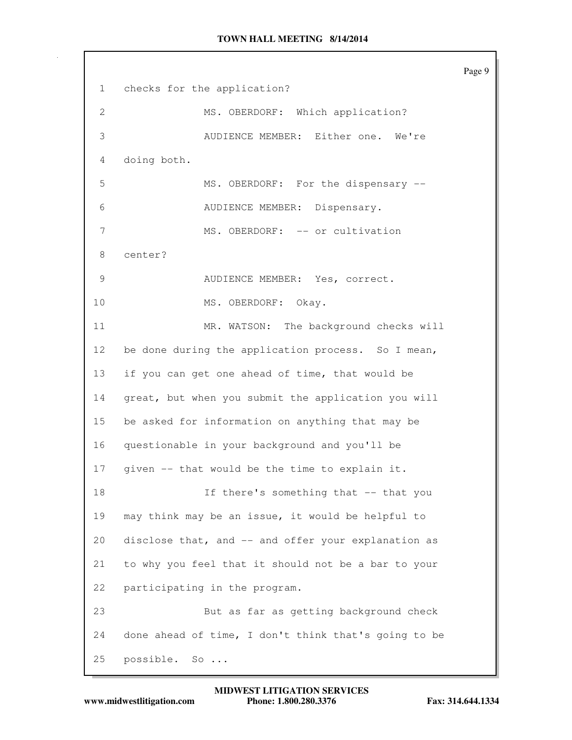Page 9 1 checks for the application? 2 MS. OBERDORF: Which application? 3 AUDIENCE MEMBER: Either one. We're 4 doing both. 5 MS. OBERDORF: For the dispensary -- 6 AUDIENCE MEMBER: Dispensary. 7 MS. OBERDORF: -- or cultivation 8 center? 9 AUDIENCE MEMBER: Yes, correct. 10 MS. OBERDORF: Okay. 11 MR. WATSON: The background checks will 12 be done during the application process. So I mean, 13 if you can get one ahead of time, that would be 14 great, but when you submit the application you will 15 be asked for information on anything that may be 16 questionable in your background and you'll be 17 given -- that would be the time to explain it. 18 If there's something that -- that you 19 may think may be an issue, it would be helpful to 20 disclose that, and -- and offer your explanation as 21 to why you feel that it should not be a bar to your 22 participating in the program. 23 But as far as getting background check 24 done ahead of time, I don't think that's going to be 25 possible. So ...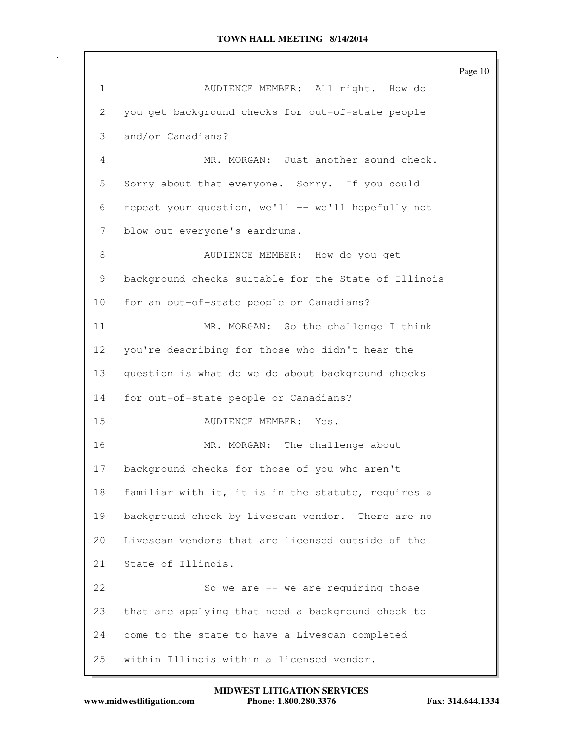Page 10 1 AUDIENCE MEMBER: All right. How do 2 you get background checks for out-of-state people 3 and/or Canadians? 4 MR. MORGAN: Just another sound check. 5 Sorry about that everyone. Sorry. If you could 6 repeat your question, we'll -- we'll hopefully not 7 blow out everyone's eardrums. 8 AUDIENCE MEMBER: How do you get 9 background checks suitable for the State of Illinois 10 for an out-of-state people or Canadians? 11 MR. MORGAN: So the challenge I think 12 you're describing for those who didn't hear the 13 question is what do we do about background checks 14 for out-of-state people or Canadians? 15 AUDIENCE MEMBER: Yes. 16 MR. MORGAN: The challenge about 17 background checks for those of you who aren't 18 familiar with it, it is in the statute, requires a 19 background check by Livescan vendor. There are no 20 Livescan vendors that are licensed outside of the 21 State of Illinois. 22 So we are -- we are requiring those 23 that are applying that need a background check to 24 come to the state to have a Livescan completed 25 within Illinois within a licensed vendor.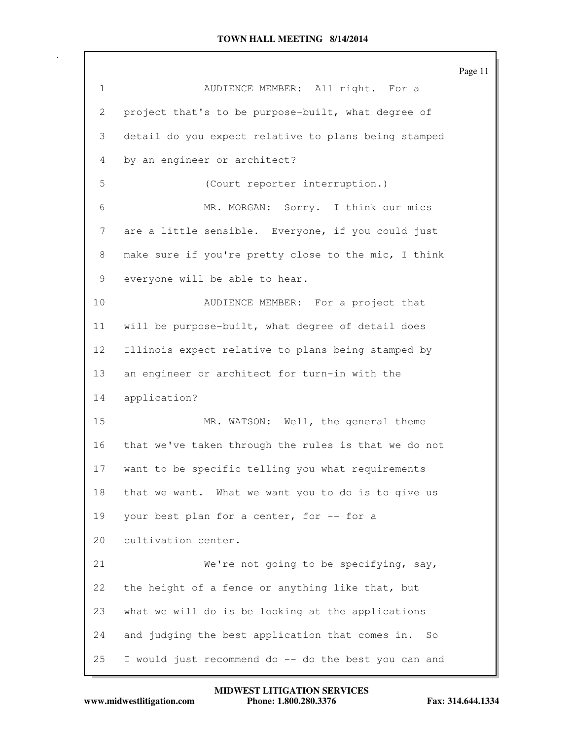|                 |                                                       | Page 11 |
|-----------------|-------------------------------------------------------|---------|
| $\mathbf{1}$    | AUDIENCE MEMBER: All right. For a                     |         |
| 2               | project that's to be purpose-built, what degree of    |         |
| 3               | detail do you expect relative to plans being stamped  |         |
| 4               | by an engineer or architect?                          |         |
| 5               | (Court reporter interruption.)                        |         |
| 6               | MR. MORGAN: Sorry. I think our mics                   |         |
| 7               | are a little sensible. Everyone, if you could just    |         |
| 8               | make sure if you're pretty close to the mic, I think  |         |
| 9               | everyone will be able to hear.                        |         |
| 10              | AUDIENCE MEMBER: For a project that                   |         |
| 11              | will be purpose-built, what degree of detail does     |         |
| 12 <sup>°</sup> | Illinois expect relative to plans being stamped by    |         |
| 13              | an engineer or architect for turn-in with the         |         |
| 14              | application?                                          |         |
| 15              | MR. WATSON: Well, the general theme                   |         |
| 16              | that we've taken through the rules is that we do not  |         |
| 17              | want to be specific telling you what requirements     |         |
| 18              | that we want. What we want you to do is to give us    |         |
| 19              | your best plan for a center, for -- for a             |         |
| 20              | cultivation center.                                   |         |
| 21              | We're not going to be specifying, say,                |         |
| 22              | the height of a fence or anything like that, but      |         |
| 23              | what we will do is be looking at the applications     |         |
| 24              | and judging the best application that comes in.<br>So |         |
| 25              | I would just recommend do -- do the best you can and  |         |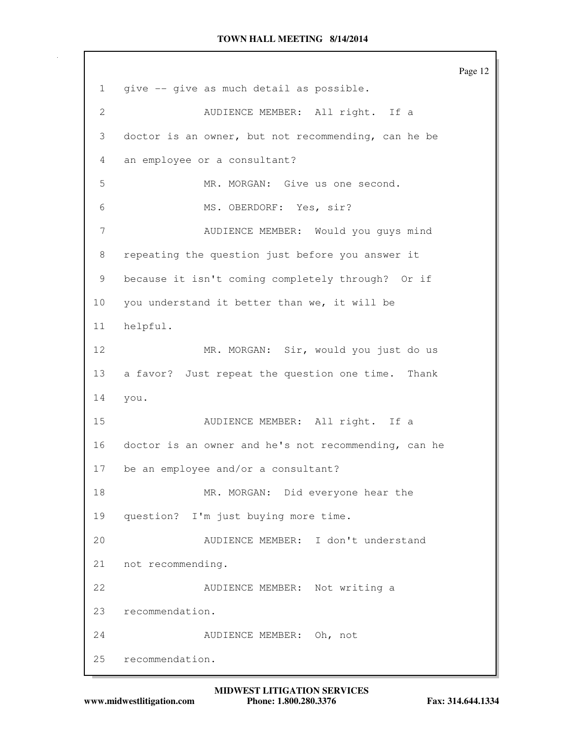Page 12 1 give -- give as much detail as possible. 2 AUDIENCE MEMBER: All right. If a 3 doctor is an owner, but not recommending, can he be 4 an employee or a consultant? 5 MR. MORGAN: Give us one second. 6 MS. OBERDORF: Yes, sir? 7 AUDIENCE MEMBER: Would you guys mind 8 repeating the question just before you answer it 9 because it isn't coming completely through? Or if 10 you understand it better than we, it will be 11 helpful. 12 MR. MORGAN: Sir, would you just do us 13 a favor? Just repeat the question one time. Thank 14 you. 15 AUDIENCE MEMBER: All right. If a 16 doctor is an owner and he's not recommending, can he 17 be an employee and/or a consultant? 18 MR. MORGAN: Did everyone hear the 19 question? I'm just buying more time. 20 AUDIENCE MEMBER: I don't understand 21 not recommending. 22 AUDIENCE MEMBER: Not writing a 23 recommendation. 24 AUDIENCE MEMBER: Oh, not 25 recommendation.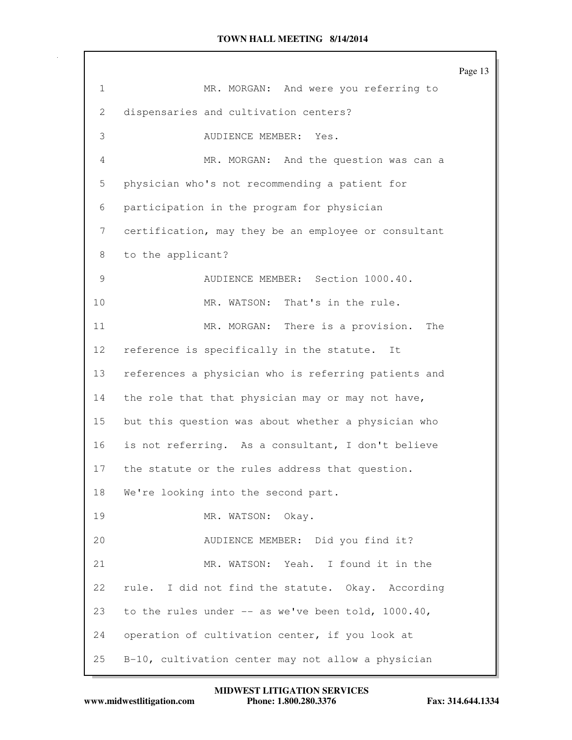|                 |                                                      | Page 13 |
|-----------------|------------------------------------------------------|---------|
| $\mathbf{1}$    | MR. MORGAN: And were you referring to                |         |
| 2               | dispensaries and cultivation centers?                |         |
| 3               | AUDIENCE MEMBER:<br>Yes.                             |         |
| 4               | MR. MORGAN: And the question was can a               |         |
| 5               | physician who's not recommending a patient for       |         |
| 6               | participation in the program for physician           |         |
| 7               | certification, may they be an employee or consultant |         |
| 8               | to the applicant?                                    |         |
| 9               | AUDIENCE MEMBER: Section 1000.40.                    |         |
| 10              | MR. WATSON: That's in the rule.                      |         |
| 11              | MR. MORGAN: There is a provision.<br>The             |         |
| 12 <sup>°</sup> | reference is specifically in the statute.<br>It      |         |
| 13              | references a physician who is referring patients and |         |
| 14              | the role that that physician may or may not have,    |         |
| 15              | but this question was about whether a physician who  |         |
| 16              | is not referring. As a consultant, I don't believe   |         |
| 17              | the statute or the rules address that question.      |         |
| 18              | We're looking into the second part.                  |         |
| 19              | MR. WATSON: Okay.                                    |         |
| 20              | AUDIENCE MEMBER: Did you find it?                    |         |
| 21              | MR. WATSON: Yeah. I found it in the                  |         |
| 22              | rule. I did not find the statute. Okay. According    |         |
| 23              | to the rules under $--$ as we've been told, 1000.40, |         |
| 24              | operation of cultivation center, if you look at      |         |
| 25              | B-10, cultivation center may not allow a physician   |         |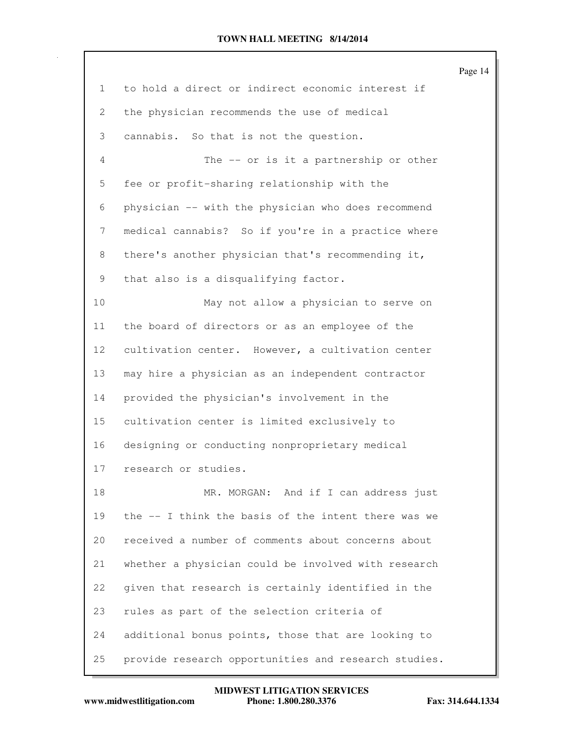|    |                                                      | Page 14 |
|----|------------------------------------------------------|---------|
| 1  | to hold a direct or indirect economic interest if    |         |
| 2  | the physician recommends the use of medical          |         |
| 3  | cannabis. So that is not the question.               |         |
| 4  | The -- or is it a partnership or other               |         |
| 5  | fee or profit-sharing relationship with the          |         |
| 6  | physician -- with the physician who does recommend   |         |
| 7  | medical cannabis? So if you're in a practice where   |         |
| 8  | there's another physician that's recommending it,    |         |
| 9  | that also is a disqualifying factor.                 |         |
| 10 | May not allow a physician to serve on                |         |
| 11 | the board of directors or as an employee of the      |         |
| 12 | cultivation center. However, a cultivation center    |         |
| 13 | may hire a physician as an independent contractor    |         |
| 14 | provided the physician's involvement in the          |         |
| 15 | cultivation center is limited exclusively to         |         |
| 16 | designing or conducting nonproprietary medical       |         |
| 17 | research or studies.                                 |         |
| 18 | MR. MORGAN: And if I can address just                |         |
| 19 | the -- I think the basis of the intent there was we  |         |
| 20 | received a number of comments about concerns about   |         |
| 21 | whether a physician could be involved with research  |         |
| 22 | given that research is certainly identified in the   |         |
| 23 | rules as part of the selection criteria of           |         |
| 24 | additional bonus points, those that are looking to   |         |
| 25 | provide research opportunities and research studies. |         |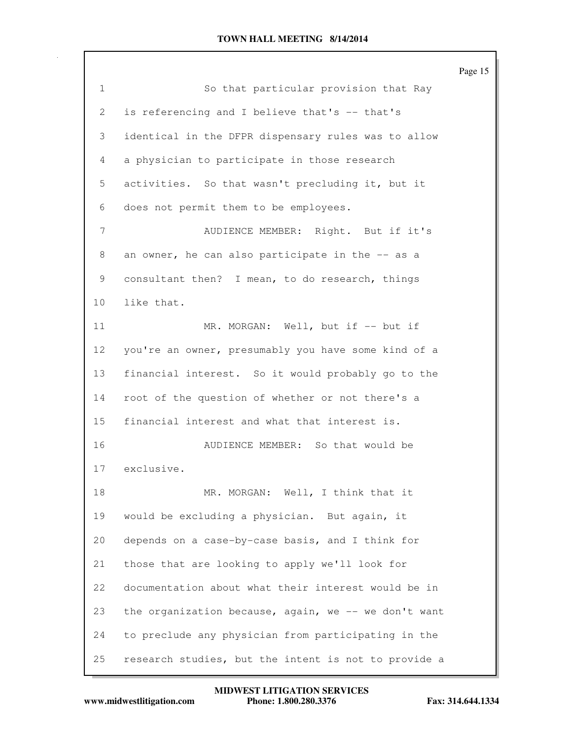|                 |                                                      | Page 15 |
|-----------------|------------------------------------------------------|---------|
| $\mathbf{1}$    | So that particular provision that Ray                |         |
| 2               | is referencing and I believe that's -- that's        |         |
| 3               | identical in the DFPR dispensary rules was to allow  |         |
| 4               | a physician to participate in those research         |         |
| 5               | activities. So that wasn't precluding it, but it     |         |
| 6               | does not permit them to be employees.                |         |
| 7               | AUDIENCE MEMBER: Right. But if it's                  |         |
| 8               | an owner, he can also participate in the -- as a     |         |
| 9               | consultant then? I mean, to do research, things      |         |
| 10              | like that.                                           |         |
| 11              | MR. MORGAN: Well, but if -- but if                   |         |
| 12 <sub>2</sub> | you're an owner, presumably you have some kind of a  |         |
| 13              | financial interest. So it would probably go to the   |         |
| 14              | root of the question of whether or not there's a     |         |
| 15              | financial interest and what that interest is.        |         |
| 16              | AUDIENCE MEMBER: So that would be                    |         |
| 17              | exclusive.                                           |         |
| 18              | MR. MORGAN: Well, I think that it                    |         |
| 19              | would be excluding a physician. But again, it        |         |
| 20              | depends on a case-by-case basis, and I think for     |         |
| 21              | those that are looking to apply we'll look for       |         |
| 22              | documentation about what their interest would be in  |         |
| 23              | the organization because, again, we -- we don't want |         |
| 24              | to preclude any physician from participating in the  |         |
| 25              | research studies, but the intent is not to provide a |         |

**MIDWEST LITIGATION SERVICES**

**www.midwestlitigation.com Phone: 1.800.280.3376 Fax: 314.644.1334**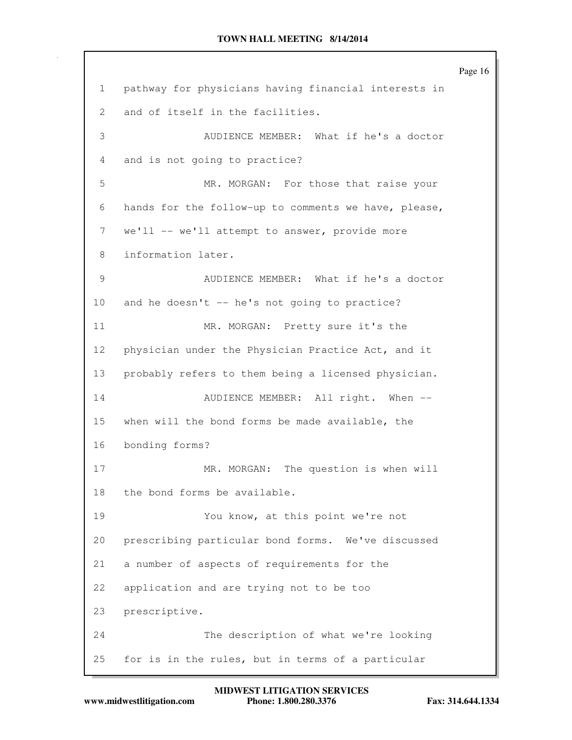Page 16 1 pathway for physicians having financial interests in 2 and of itself in the facilities. 3 AUDIENCE MEMBER: What if he's a doctor 4 and is not going to practice? 5 MR. MORGAN: For those that raise your 6 hands for the follow-up to comments we have, please, 7 we'll -- we'll attempt to answer, provide more 8 information later. 9 AUDIENCE MEMBER: What if he's a doctor 10 and he doesn't -- he's not going to practice? 11 MR. MORGAN: Pretty sure it's the 12 physician under the Physician Practice Act, and it 13 probably refers to them being a licensed physician. 14 AUDIENCE MEMBER: All right. When --15 when will the bond forms be made available, the 16 bonding forms? 17 MR. MORGAN: The question is when will 18 the bond forms be available. 19 You know, at this point we're not 20 prescribing particular bond forms. We've discussed 21 a number of aspects of requirements for the 22 application and are trying not to be too 23 prescriptive. 24 The description of what we're looking 25 for is in the rules, but in terms of a particular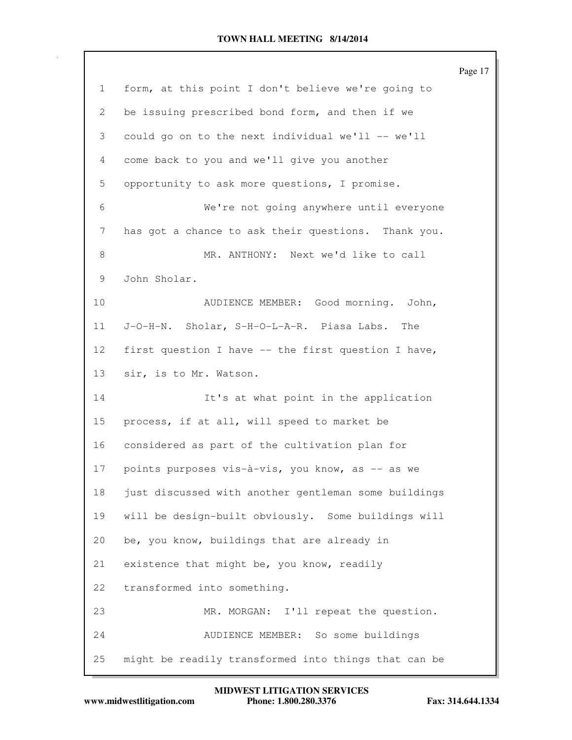|    |                                                      | Page 17 |
|----|------------------------------------------------------|---------|
| 1  | form, at this point I don't believe we're going to   |         |
| 2  | be issuing prescribed bond form, and then if we      |         |
| 3  | could go on to the next individual we'll -- we'll    |         |
| 4  | come back to you and we'll give you another          |         |
| 5  | opportunity to ask more questions, I promise.        |         |
| 6  | We're not going anywhere until everyone              |         |
| 7  | has got a chance to ask their questions. Thank you.  |         |
| 8  | MR. ANTHONY: Next we'd like to call                  |         |
| 9  | John Sholar.                                         |         |
| 10 | AUDIENCE MEMBER: Good morning. John,                 |         |
| 11 | J-O-H-N. Sholar, S-H-O-L-A-R. Piasa Labs.<br>The     |         |
| 12 | first question I have -- the first question I have,  |         |
| 13 | sir, is to Mr. Watson.                               |         |
| 14 | It's at what point in the application                |         |
| 15 | process, if at all, will speed to market be          |         |
| 16 | considered as part of the cultivation plan for       |         |
| 17 | points purposes vis-à-vis, you know, as -- as we     |         |
| 18 | just discussed with another gentleman some buildings |         |
| 19 | will be design-built obviously. Some buildings will  |         |
| 20 | be, you know, buildings that are already in          |         |
| 21 | existence that might be, you know, readily           |         |
| 22 | transformed into something.                          |         |
| 23 | MR. MORGAN:<br>I'll repeat the question.             |         |
| 24 | AUDIENCE MEMBER: So some buildings                   |         |
| 25 | might be readily transformed into things that can be |         |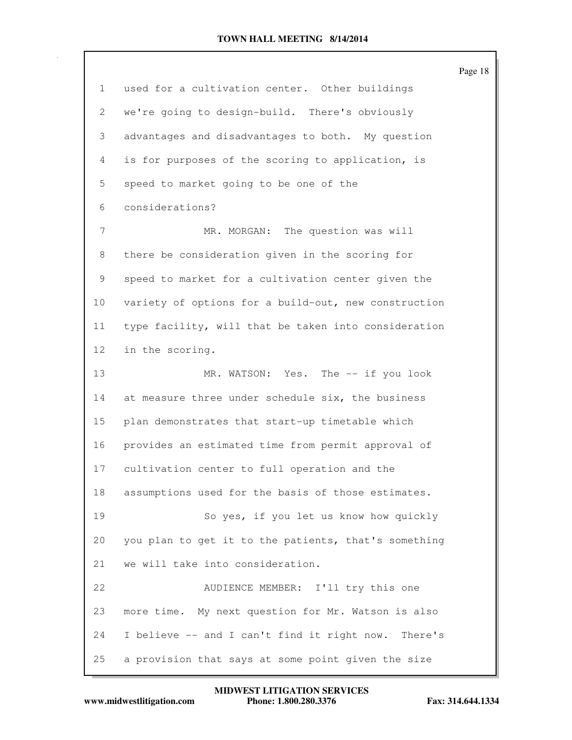|                 |                                                      | Page 18 |
|-----------------|------------------------------------------------------|---------|
| 1               | used for a cultivation center. Other buildings       |         |
| 2               | we're going to design-build. There's obviously       |         |
| 3               | advantages and disadvantages to both. My question    |         |
| 4               | is for purposes of the scoring to application, is    |         |
| 5               | speed to market going to be one of the               |         |
| 6               | considerations?                                      |         |
| 7               | MR. MORGAN: The question was will                    |         |
| 8               | there be consideration given in the scoring for      |         |
| 9               | speed to market for a cultivation center given the   |         |
| 10              | variety of options for a build-out, new construction |         |
| 11              | type facility, will that be taken into consideration |         |
| 12 <sup>°</sup> | in the scoring.                                      |         |
| 13              | MR. WATSON: Yes. The -- if you look                  |         |
| 14              | at measure three under schedule six, the business    |         |
| 15              | plan demonstrates that start-up timetable which      |         |
| 16              | provides an estimated time from permit approval of   |         |
| 17              | cultivation center to full operation and the         |         |
| 18              | assumptions used for the basis of those estimates.   |         |
| 19              | So yes, if you let us know how quickly               |         |
| 20              | you plan to get it to the patients, that's something |         |
| 21              | we will take into consideration.                     |         |
| 22              | AUDIENCE MEMBER: I'll try this one                   |         |
| 23              | more time. My next question for Mr. Watson is also   |         |
| 24              | I believe -- and I can't find it right now. There's  |         |
| 25              | a provision that says at some point given the size   |         |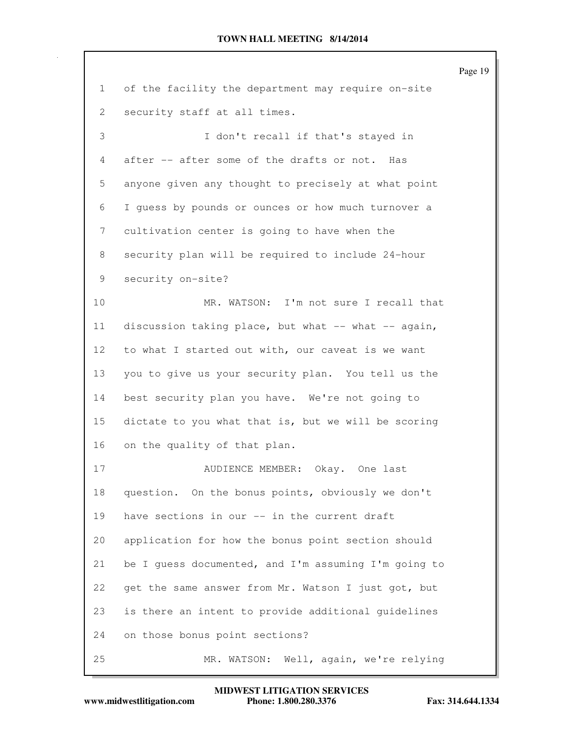|                 |                                                      | Page 19 |
|-----------------|------------------------------------------------------|---------|
| 1               | of the facility the department may require on-site   |         |
| 2               | security staff at all times.                         |         |
| 3               | I don't recall if that's stayed in                   |         |
| 4               | after -- after some of the drafts or not. Has        |         |
| 5               | anyone given any thought to precisely at what point  |         |
| 6               | I quess by pounds or ounces or how much turnover a   |         |
| 7               | cultivation center is going to have when the         |         |
| 8               | security plan will be required to include 24-hour    |         |
| 9               | security on-site?                                    |         |
| 10              | MR. WATSON: I'm not sure I recall that               |         |
| 11              | discussion taking place, but what -- what -- again,  |         |
| 12 <sup>°</sup> | to what I started out with, our caveat is we want    |         |
| 13              | you to give us your security plan. You tell us the   |         |
| 14              | best security plan you have. We're not going to      |         |
| 15              | dictate to you what that is, but we will be scoring  |         |
| 16              | on the quality of that plan.                         |         |
| 17              | AUDIENCE MEMBER: Okay. One last                      |         |
| 18              | question. On the bonus points, obviously we don't    |         |
| 19              | have sections in our -- in the current draft         |         |
| 20              | application for how the bonus point section should   |         |
| 21              | be I guess documented, and I'm assuming I'm going to |         |
| 22              | get the same answer from Mr. Watson I just got, but  |         |
| 23              | is there an intent to provide additional guidelines  |         |
| 24              | on those bonus point sections?                       |         |
| 25              | MR. WATSON: Well, again, we're relying               |         |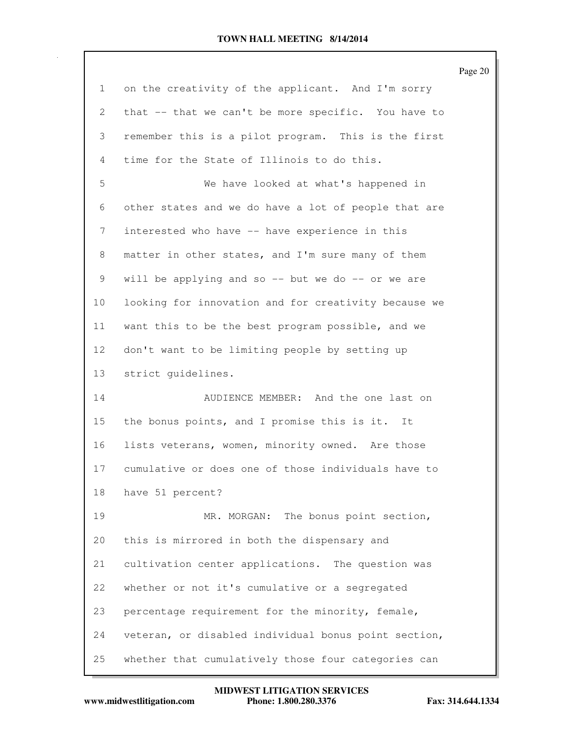|                 |                                                      | Page 20 |
|-----------------|------------------------------------------------------|---------|
| $\mathbf{1}$    | on the creativity of the applicant. And I'm sorry    |         |
| 2               | that -- that we can't be more specific. You have to  |         |
| 3               | remember this is a pilot program. This is the first  |         |
| 4               | time for the State of Illinois to do this.           |         |
| 5               | We have looked at what's happened in                 |         |
| 6               | other states and we do have a lot of people that are |         |
| 7               | interested who have -- have experience in this       |         |
| 8               | matter in other states, and I'm sure many of them    |         |
| 9               | will be applying and so $-$ but we do $-$ or we are  |         |
| 10              | looking for innovation and for creativity because we |         |
| 11              | want this to be the best program possible, and we    |         |
| 12 <sup>°</sup> | don't want to be limiting people by setting up       |         |
| 13              | strict quidelines.                                   |         |
| 14              | AUDIENCE MEMBER: And the one last on                 |         |
| 15              | the bonus points, and I promise this is it. It       |         |
| 16              | lists veterans, women, minority owned. Are those     |         |
| 17              | cumulative or does one of those individuals have to  |         |
| 18              | have 51 percent?                                     |         |
| 19              | MR. MORGAN: The bonus point section,                 |         |
| 20              | this is mirrored in both the dispensary and          |         |
| 21              | cultivation center applications. The question was    |         |
| 22              | whether or not it's cumulative or a segregated       |         |
| 23              | percentage requirement for the minority, female,     |         |
| 24              | veteran, or disabled individual bonus point section, |         |
| 25              | whether that cumulatively those four categories can  |         |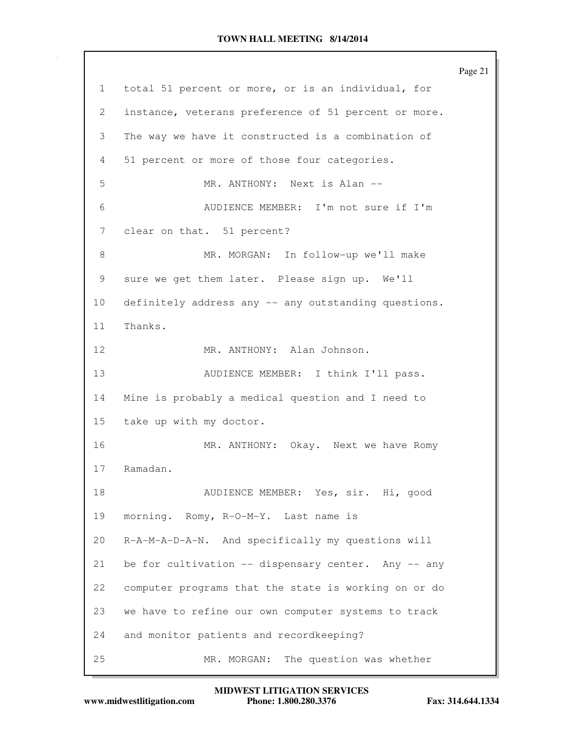Page 21 1 total 51 percent or more, or is an individual, for 2 instance, veterans preference of 51 percent or more. 3 The way we have it constructed is a combination of 4 51 percent or more of those four categories. 5 MR. ANTHONY: Next is Alan -- 6 AUDIENCE MEMBER: I'm not sure if I'm 7 clear on that. 51 percent? 8 MR. MORGAN: In follow-up we'll make 9 sure we get them later. Please sign up. We'll 10 definitely address any -- any outstanding questions. 11 Thanks. 12 MR. ANTHONY: Alan Johnson. 13 AUDIENCE MEMBER: I think I'll pass. 14 Mine is probably a medical question and I need to 15 take up with my doctor. 16 MR. ANTHONY: Okay. Next we have Romy 17 Ramadan. 18 AUDIENCE MEMBER: Yes, sir. Hi, good 19 morning. Romy, R-O-M-Y. Last name is 20 R-A-M-A-D-A-N. And specifically my questions will 21 be for cultivation -- dispensary center. Any -- any 22 computer programs that the state is working on or do 23 we have to refine our own computer systems to track 24 and monitor patients and recordkeeping? 25 MR. MORGAN: The question was whether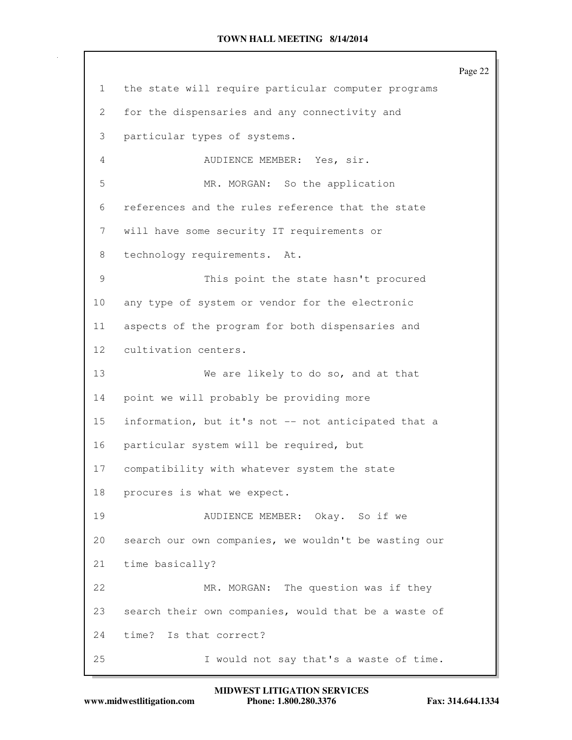Page 22 1 the state will require particular computer programs 2 for the dispensaries and any connectivity and 3 particular types of systems. 4 AUDIENCE MEMBER: Yes, sir. 5 MR. MORGAN: So the application 6 references and the rules reference that the state 7 will have some security IT requirements or 8 technology requirements. At. 9 This point the state hasn't procured 10 any type of system or vendor for the electronic 11 aspects of the program for both dispensaries and 12 cultivation centers. 13 We are likely to do so, and at that 14 point we will probably be providing more 15 information, but it's not -- not anticipated that a 16 particular system will be required, but 17 compatibility with whatever system the state 18 procures is what we expect. 19 AUDIENCE MEMBER: Okay. So if we 20 search our own companies, we wouldn't be wasting our 21 time basically? 22 MR. MORGAN: The question was if they 23 search their own companies, would that be a waste of 24 time? Is that correct? 25 I would not say that's a waste of time.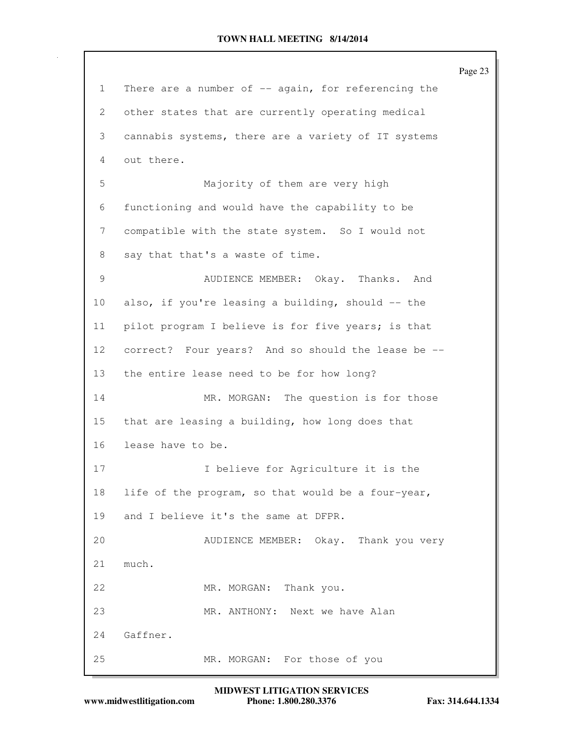```
Page 23
1 There are a number of -- again, for referencing the
2 other states that are currently operating medical
3 cannabis systems, there are a variety of IT systems
4 out there.
5 Majority of them are very high
6 functioning and would have the capability to be
7 compatible with the state system. So I would not
8 say that that's a waste of time.
9 AUDIENCE MEMBER: Okay. Thanks. And
10 also, if you're leasing a building, should -- the
11 pilot program I believe is for five years; is that
12 correct? Four years? And so should the lease be --
13 the entire lease need to be for how long?
14 MR. MORGAN: The question is for those
15 that are leasing a building, how long does that
16 lease have to be.
17 I believe for Agriculture it is the
18 life of the program, so that would be a four-year,
19 and I believe it's the same at DFPR.
20 AUDIENCE MEMBER: Okay. Thank you very
21 much.
22 MR. MORGAN: Thank you.
23 MR. ANTHONY: Next we have Alan
24 Gaffner.
25 MR. MORGAN: For those of you
```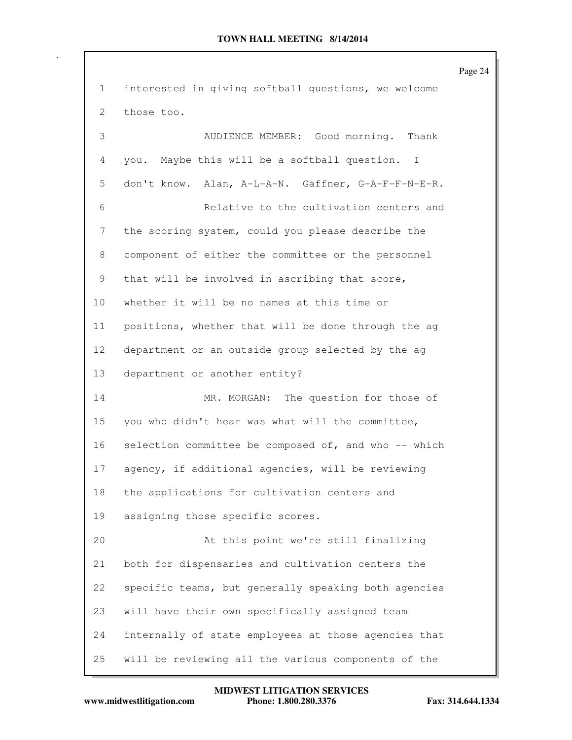Page 24 1 interested in giving softball questions, we welcome 2 those too. 3 AUDIENCE MEMBER: Good morning. Thank 4 you. Maybe this will be a softball question. I 5 don't know. Alan, A-L-A-N. Gaffner, G-A-F-F-N-E-R. 6 Relative to the cultivation centers and 7 the scoring system, could you please describe the 8 component of either the committee or the personnel 9 that will be involved in ascribing that score, 10 whether it will be no names at this time or 11 positions, whether that will be done through the ag 12 department or an outside group selected by the ag 13 department or another entity? 14 MR. MORGAN: The question for those of 15 you who didn't hear was what will the committee, 16 selection committee be composed of, and who -- which 17 agency, if additional agencies, will be reviewing 18 the applications for cultivation centers and 19 assigning those specific scores. 20 At this point we're still finalizing 21 both for dispensaries and cultivation centers the 22 specific teams, but generally speaking both agencies 23 will have their own specifically assigned team 24 internally of state employees at those agencies that 25 will be reviewing all the various components of the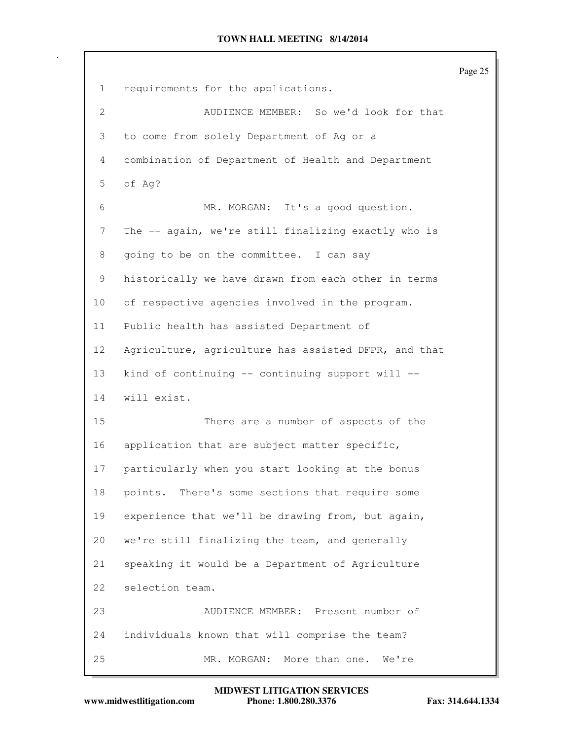Page 25 1 requirements for the applications. 2 AUDIENCE MEMBER: So we'd look for that 3 to come from solely Department of Ag or a 4 combination of Department of Health and Department 5 of Ag? 6 MR. MORGAN: It's a good question. 7 The -- again, we're still finalizing exactly who is 8 going to be on the committee. I can say 9 historically we have drawn from each other in terms 10 of respective agencies involved in the program. 11 Public health has assisted Department of 12 Agriculture, agriculture has assisted DFPR, and that 13 kind of continuing -- continuing support will -- 14 will exist. 15 There are a number of aspects of the 16 application that are subject matter specific, 17 particularly when you start looking at the bonus 18 points. There's some sections that require some 19 experience that we'll be drawing from, but again, 20 we're still finalizing the team, and generally 21 speaking it would be a Department of Agriculture 22 selection team. 23 AUDIENCE MEMBER: Present number of 24 individuals known that will comprise the team? 25 MR. MORGAN: More than one. We're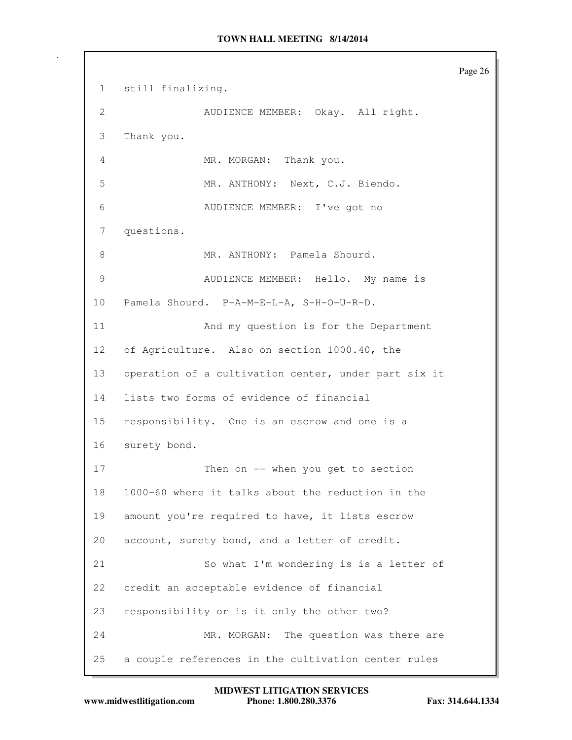Page 26 1 still finalizing. 2 AUDIENCE MEMBER: Okay. All right. 3 Thank you. 4 MR. MORGAN: Thank you. 5 MR. ANTHONY: Next, C.J. Biendo. 6 AUDIENCE MEMBER: I've got no 7 questions. 8 MR. ANTHONY: Pamela Shourd. 9 AUDIENCE MEMBER: Hello. My name is 10 Pamela Shourd. P-A-M-E-L-A, S-H-O-U-R-D. 11 And my question is for the Department 12 of Agriculture. Also on section 1000.40, the 13 operation of a cultivation center, under part six it 14 lists two forms of evidence of financial 15 responsibility. One is an escrow and one is a 16 surety bond. 17 Then on -- when you get to section 18 1000-60 where it talks about the reduction in the 19 amount you're required to have, it lists escrow 20 account, surety bond, and a letter of credit. 21 So what I'm wondering is is a letter of 22 credit an acceptable evidence of financial 23 responsibility or is it only the other two? 24 MR. MORGAN: The question was there are 25 a couple references in the cultivation center rules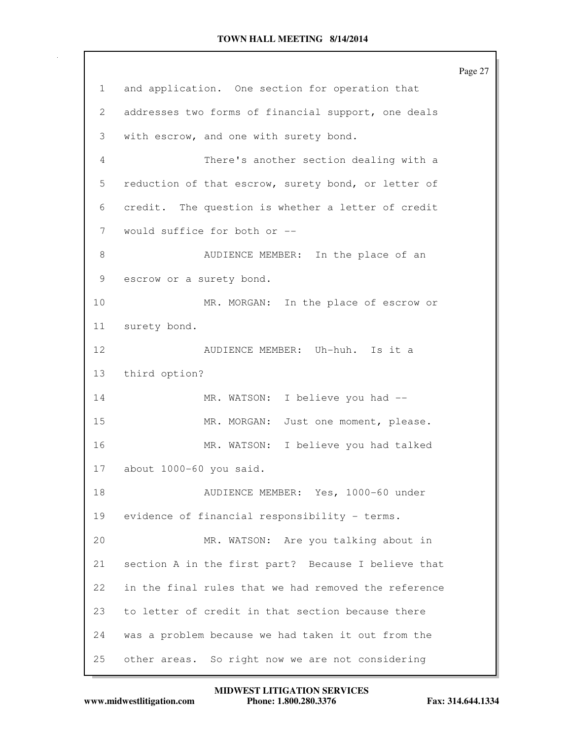|              | Page 27                                              |
|--------------|------------------------------------------------------|
| $\mathbf{1}$ | and application. One section for operation that      |
| 2            | addresses two forms of financial support, one deals  |
| 3            | with escrow, and one with surety bond.               |
| 4            | There's another section dealing with a               |
| 5            | reduction of that escrow, surety bond, or letter of  |
| 6            | credit. The question is whether a letter of credit   |
| 7            | would suffice for both or --                         |
| 8            | AUDIENCE MEMBER: In the place of an                  |
| 9            | escrow or a surety bond.                             |
| 10           | MR. MORGAN: In the place of escrow or                |
| 11           | surety bond.                                         |
| 12           | AUDIENCE MEMBER: Uh-huh. Is it a                     |
| 13           | third option?                                        |
| 14           | MR. WATSON: I believe you had --                     |
| 15           | MR. MORGAN: Just one moment, please.                 |
| 16           | MR. WATSON: I believe you had talked                 |
| 17           | about 1000-60 you said.                              |
| 18           | AUDIENCE MEMBER: Yes, 1000-60 under                  |
| 19           | evidence of financial responsibility - terms.        |
| 20           | MR. WATSON: Are you talking about in                 |
| 21           | section A in the first part? Because I believe that  |
| 22           | in the final rules that we had removed the reference |
| 23           | to letter of credit in that section because there    |
| 24           | was a problem because we had taken it out from the   |
| 25           | other areas. So right now we are not considering     |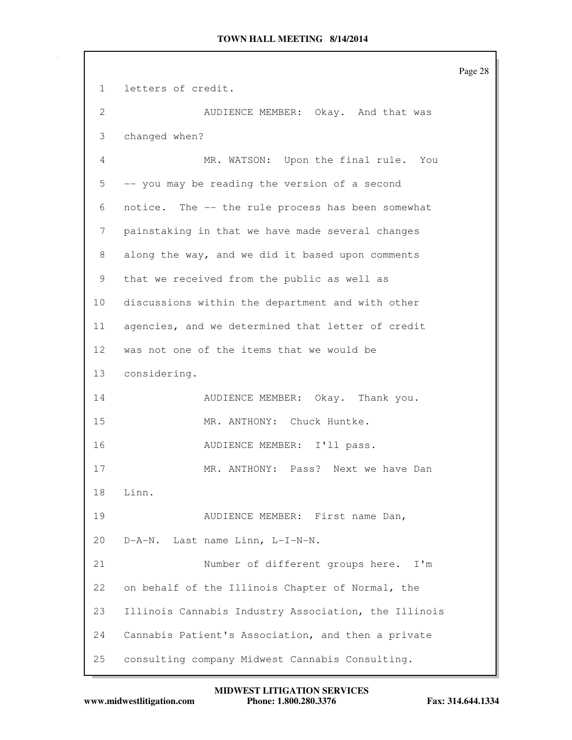Page 28 1 letters of credit. 2 AUDIENCE MEMBER: Okay. And that was 3 changed when? 4 MR. WATSON: Upon the final rule. You 5 -- you may be reading the version of a second 6 notice. The -- the rule process has been somewhat 7 painstaking in that we have made several changes 8 along the way, and we did it based upon comments 9 that we received from the public as well as 10 discussions within the department and with other 11 agencies, and we determined that letter of credit 12 was not one of the items that we would be 13 considering. 14 AUDIENCE MEMBER: Okay. Thank you. 15 MR. ANTHONY: Chuck Huntke. 16 AUDIENCE MEMBER: I'll pass. 17 MR. ANTHONY: Pass? Next we have Dan 18 Linn. 19 AUDIENCE MEMBER: First name Dan, 20 D-A-N. Last name Linn, L-I-N-N. 21 Number of different groups here. I'm 22 on behalf of the Illinois Chapter of Normal, the 23 Illinois Cannabis Industry Association, the Illinois 24 Cannabis Patient's Association, and then a private 25 consulting company Midwest Cannabis Consulting.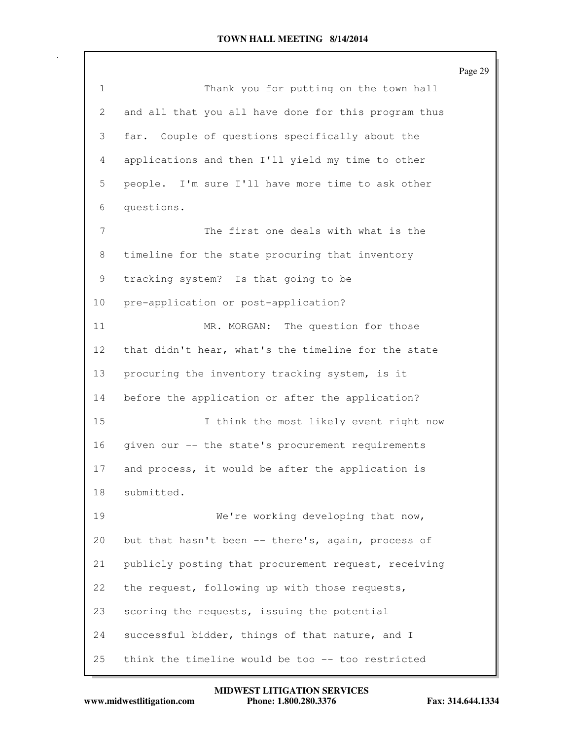|              |                                                      | Page 29 |
|--------------|------------------------------------------------------|---------|
| $\mathbf{1}$ | Thank you for putting on the town hall               |         |
| 2            | and all that you all have done for this program thus |         |
| 3            | far. Couple of questions specifically about the      |         |
| 4            | applications and then I'll yield my time to other    |         |
| 5            | people. I'm sure I'll have more time to ask other    |         |
| 6            | questions.                                           |         |
| 7            | The first one deals with what is the                 |         |
| 8            | timeline for the state procuring that inventory      |         |
| 9            | tracking system? Is that going to be                 |         |
| 10           | pre-application or post-application?                 |         |
| 11           | MR. MORGAN: The question for those                   |         |
| 12           | that didn't hear, what's the timeline for the state  |         |
| 13           | procuring the inventory tracking system, is it       |         |
| 14           | before the application or after the application?     |         |
| 15           | I think the most likely event right now              |         |
| 16           | given our -- the state's procurement requirements    |         |
| 17           | and process, it would be after the application is    |         |
| 18           | submitted.                                           |         |
| 19           | We're working developing that now,                   |         |
| 20           | but that hasn't been -- there's, again, process of   |         |
| 21           | publicly posting that procurement request, receiving |         |
| 22           | the request, following up with those requests,       |         |
| 23           | scoring the requests, issuing the potential          |         |
| 24           | successful bidder, things of that nature, and I      |         |
| 25           | think the timeline would be too -- too restricted    |         |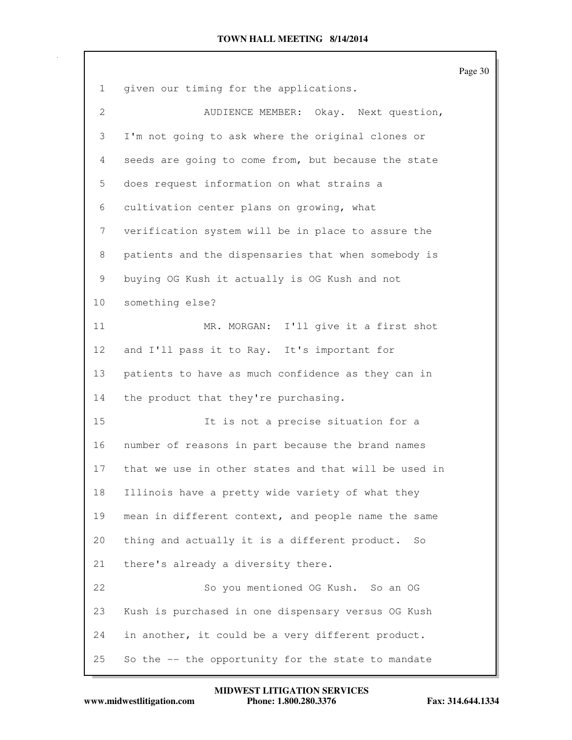|                 |                                                                  | Page 30 |
|-----------------|------------------------------------------------------------------|---------|
| $\mathbf{1}$    | given our timing for the applications.                           |         |
| 2               | AUDIENCE MEMBER: Okay. Next question,                            |         |
| 3               | I'm not going to ask where the original clones or                |         |
| 4               | seeds are going to come from, but because the state              |         |
| 5               | does request information on what strains a                       |         |
| 6               | cultivation center plans on growing, what                        |         |
| 7               | verification system will be in place to assure the               |         |
| 8               | patients and the dispensaries that when somebody is              |         |
| 9               | buying OG Kush it actually is OG Kush and not                    |         |
| 10              | something else?                                                  |         |
| 11              | MR. MORGAN: I'll give it a first shot                            |         |
| 12 <sup>°</sup> | and I'll pass it to Ray. It's important for                      |         |
| 13              | patients to have as much confidence as they can in               |         |
| 14              | the product that they're purchasing.                             |         |
| 15              | It is not a precise situation for a                              |         |
| 16              | number of reasons in part because the brand names                |         |
| 17              | that we use in other states and that will be used in             |         |
| 18              | Illinois have a pretty wide variety of what they                 |         |
| 19              | mean in different context, and people name the same              |         |
| 20              | thing and actually it is a different product.<br>SO <sub>2</sub> |         |
| 21              | there's already a diversity there.                               |         |
| 22              | So you mentioned OG Kush. So an OG                               |         |
| 23              | Kush is purchased in one dispensary versus OG Kush               |         |
| 24              | in another, it could be a very different product.                |         |
| 25              | So the -- the opportunity for the state to mandate               |         |

 $\Gamma$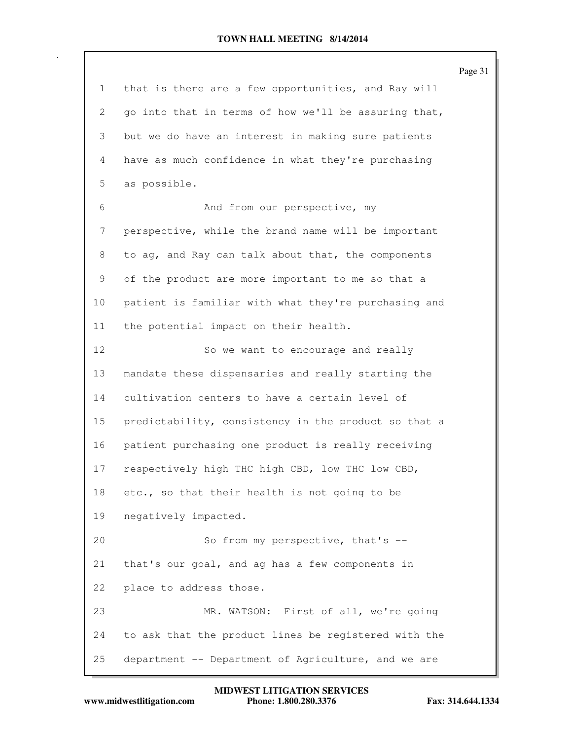Page 31 1 that is there are a few opportunities, and Ray will 2 go into that in terms of how we'll be assuring that, 3 but we do have an interest in making sure patients 4 have as much confidence in what they're purchasing 5 as possible. 6 And from our perspective, my 7 perspective, while the brand name will be important 8 to ag, and Ray can talk about that, the components 9 of the product are more important to me so that a 10 patient is familiar with what they're purchasing and 11 the potential impact on their health. 12 So we want to encourage and really 13 mandate these dispensaries and really starting the 14 cultivation centers to have a certain level of 15 predictability, consistency in the product so that a 16 patient purchasing one product is really receiving 17 respectively high THC high CBD, low THC low CBD, 18 etc., so that their health is not going to be 19 negatively impacted. 20 So from my perspective, that's --21 that's our goal, and ag has a few components in 22 place to address those. 23 MR. WATSON: First of all, we're going 24 to ask that the product lines be registered with the 25 department -- Department of Agriculture, and we are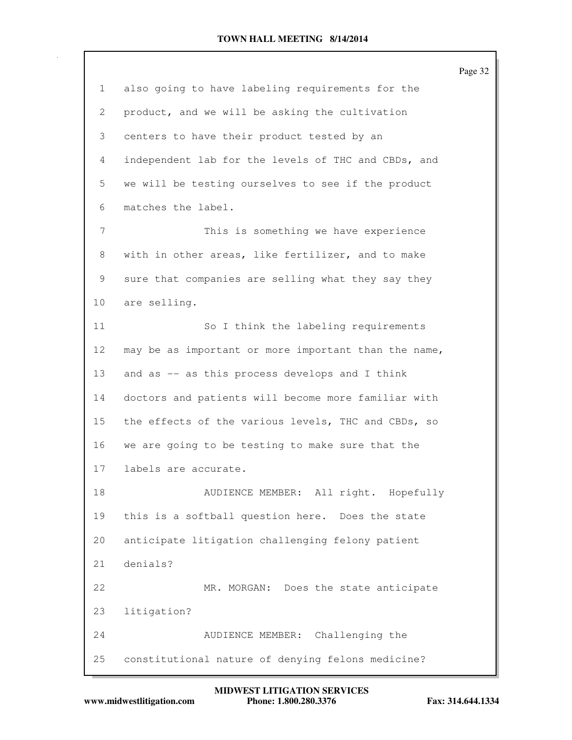|                 |                                                      | Page 32 |
|-----------------|------------------------------------------------------|---------|
| $\mathbf{1}$    | also going to have labeling requirements for the     |         |
| 2               | product, and we will be asking the cultivation       |         |
| 3               | centers to have their product tested by an           |         |
| 4               | independent lab for the levels of THC and CBDs, and  |         |
| 5               | we will be testing ourselves to see if the product   |         |
| 6               | matches the label.                                   |         |
| 7               | This is something we have experience                 |         |
| 8               | with in other areas, like fertilizer, and to make    |         |
| 9               | sure that companies are selling what they say they   |         |
| 10              | are selling.                                         |         |
| 11              | So I think the labeling requirements                 |         |
| 12 <sup>°</sup> | may be as important or more important than the name, |         |
| 13              | and as -- as this process develops and I think       |         |
| 14              | doctors and patients will become more familiar with  |         |
| 15              | the effects of the various levels, THC and CBDs, so  |         |
| 16              | we are going to be testing to make sure that the     |         |
| 17              | labels are accurate.                                 |         |
| 18              | AUDIENCE MEMBER: All right. Hopefully                |         |
| 19              | this is a softball question here. Does the state     |         |
| 20              | anticipate litigation challenging felony patient     |         |
| 21              | denials?                                             |         |
| 22              | MR. MORGAN: Does the state anticipate                |         |
| 23              | litigation?                                          |         |
| 24              | Challenging the<br>AUDIENCE MEMBER:                  |         |
| 25              | constitutional nature of denying felons medicine?    |         |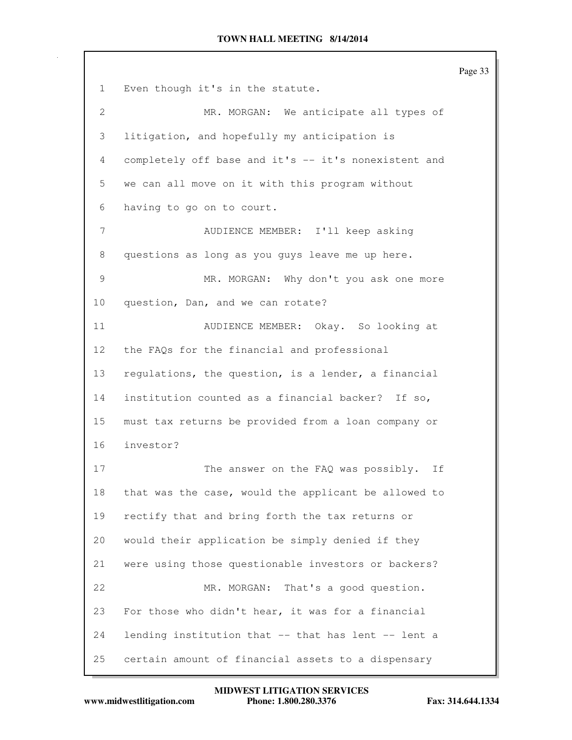Page 33 1 Even though it's in the statute. 2 MR. MORGAN: We anticipate all types of 3 litigation, and hopefully my anticipation is 4 completely off base and it's -- it's nonexistent and 5 we can all move on it with this program without 6 having to go on to court. 7 AUDIENCE MEMBER: I'll keep asking 8 questions as long as you guys leave me up here. 9 MR. MORGAN: Why don't you ask one more 10 question, Dan, and we can rotate? 11 AUDIENCE MEMBER: Okay. So looking at 12 the FAQs for the financial and professional 13 regulations, the question, is a lender, a financial 14 institution counted as a financial backer? If so, 15 must tax returns be provided from a loan company or 16 investor? 17 The answer on the FAO was possibly. If 18 that was the case, would the applicant be allowed to 19 rectify that and bring forth the tax returns or 20 would their application be simply denied if they 21 were using those questionable investors or backers? 22 MR. MORGAN: That's a good question. 23 For those who didn't hear, it was for a financial 24 lending institution that -- that has lent -- lent a 25 certain amount of financial assets to a dispensary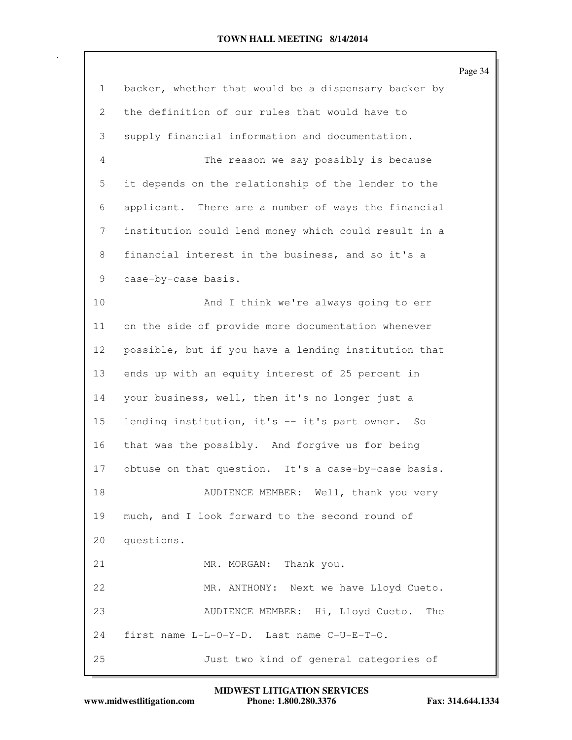|                 |                                                      | Page 34 |
|-----------------|------------------------------------------------------|---------|
| $\mathbf{1}$    | backer, whether that would be a dispensary backer by |         |
| 2               | the definition of our rules that would have to       |         |
| 3               | supply financial information and documentation.      |         |
| 4               | The reason we say possibly is because                |         |
| 5               | it depends on the relationship of the lender to the  |         |
| 6               | applicant. There are a number of ways the financial  |         |
| 7               | institution could lend money which could result in a |         |
| 8               | financial interest in the business, and so it's a    |         |
| 9               | case-by-case basis.                                  |         |
| 10              | And I think we're always going to err                |         |
| 11              | on the side of provide more documentation whenever   |         |
| 12              | possible, but if you have a lending institution that |         |
| 13              | ends up with an equity interest of 25 percent in     |         |
| 14              | your business, well, then it's no longer just a      |         |
| 15 <sub>2</sub> | lending institution, it's -- it's part owner. So     |         |
| 16              | that was the possibly. And forgive us for being      |         |
| 17              | obtuse on that question. It's a case-by-case basis.  |         |
| 18              | AUDIENCE MEMBER: Well, thank you very                |         |
| 19              | much, and I look forward to the second round of      |         |
| 20              | questions.                                           |         |
| 21              | MR. MORGAN: Thank you.                               |         |
| 22              | MR. ANTHONY: Next we have Lloyd Cueto.               |         |
| 23              | AUDIENCE MEMBER: Hi, Lloyd Cueto.<br>The             |         |
| 24              | first name L-L-O-Y-D. Last name C-U-E-T-O.           |         |
| 25              | Just two kind of general categories of               |         |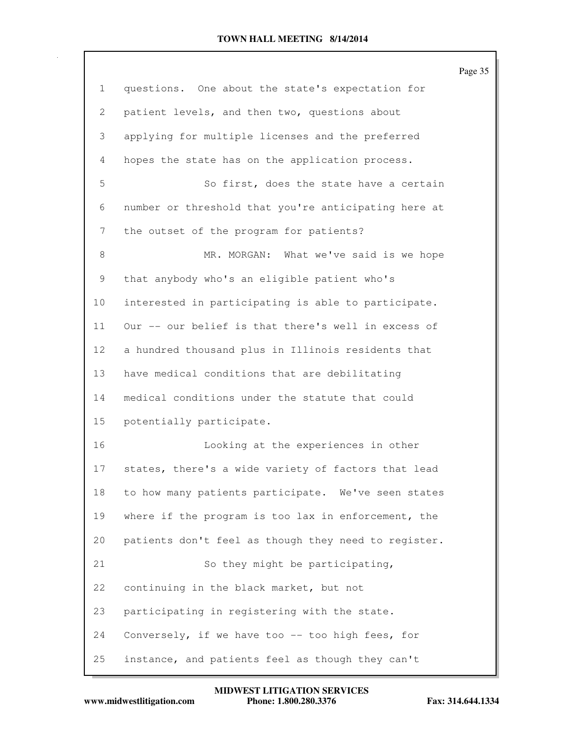|                 |                                                      | Page 35 |
|-----------------|------------------------------------------------------|---------|
| 1               | questions. One about the state's expectation for     |         |
| 2               | patient levels, and then two, questions about        |         |
| 3               | applying for multiple licenses and the preferred     |         |
| 4               | hopes the state has on the application process.      |         |
| 5               | So first, does the state have a certain              |         |
| 6               | number or threshold that you're anticipating here at |         |
| 7               | the outset of the program for patients?              |         |
| 8               | MR. MORGAN: What we've said is we hope               |         |
| 9               | that anybody who's an eligible patient who's         |         |
| 10              | interested in participating is able to participate.  |         |
| 11              | Our -- our belief is that there's well in excess of  |         |
| 12 <sup>°</sup> | a hundred thousand plus in Illinois residents that   |         |
| 13              | have medical conditions that are debilitating        |         |
| 14              | medical conditions under the statute that could      |         |
| 15              | potentially participate.                             |         |
| 16              | Looking at the experiences in other                  |         |
| 17              | states, there's a wide variety of factors that lead  |         |
| 18              | to how many patients participate. We've seen states  |         |
| 19              | where if the program is too lax in enforcement, the  |         |
| 20              | patients don't feel as though they need to register. |         |
| 21              | So they might be participating,                      |         |
| 22              | continuing in the black market, but not              |         |
| 23              | participating in registering with the state.         |         |
| 24              | Conversely, if we have too -- too high fees, for     |         |
| 25              | instance, and patients feel as though they can't     |         |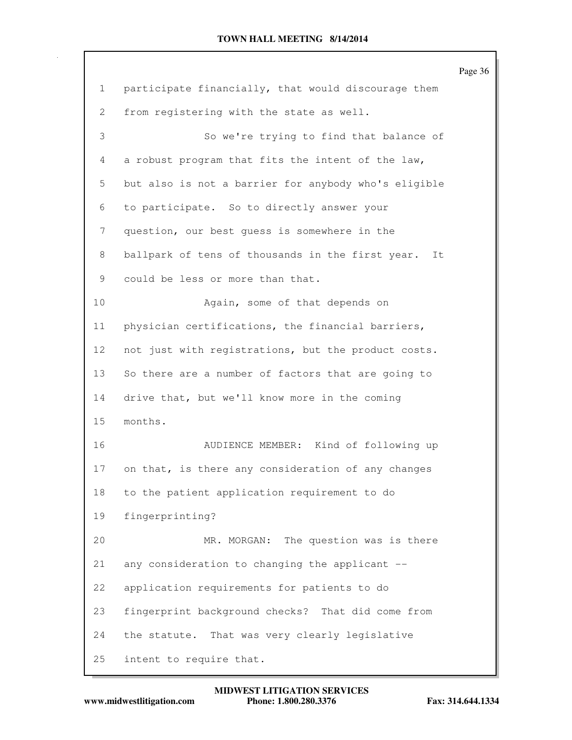|                 |                                                        | Page 36 |
|-----------------|--------------------------------------------------------|---------|
| $\mathbf{1}$    | participate financially, that would discourage them    |         |
| 2               | from registering with the state as well.               |         |
| 3               | So we're trying to find that balance of                |         |
| 4               | a robust program that fits the intent of the law,      |         |
| 5               | but also is not a barrier for anybody who's eligible   |         |
| 6               | to participate. So to directly answer your             |         |
| 7               | question, our best quess is somewhere in the           |         |
| 8               | ballpark of tens of thousands in the first year.<br>It |         |
| 9               | could be less or more than that.                       |         |
| 10              | Again, some of that depends on                         |         |
| 11              | physician certifications, the financial barriers,      |         |
| 12 <sup>°</sup> | not just with registrations, but the product costs.    |         |
| 13              | So there are a number of factors that are going to     |         |
| 14              | drive that, but we'll know more in the coming          |         |
| 15              | months.                                                |         |
| 16              | AUDIENCE MEMBER: Kind of following up                  |         |
| 17              | on that, is there any consideration of any changes     |         |
| 18              | to the patient application requirement to do           |         |
| 19              | fingerprinting?                                        |         |
| 20              | MR. MORGAN: The question was is there                  |         |
| 21              | any consideration to changing the applicant --         |         |
| 22              | application requirements for patients to do            |         |
| 23              | fingerprint background checks? That did come from      |         |
| 24              | the statute. That was very clearly legislative         |         |
| 25              | intent to require that.                                |         |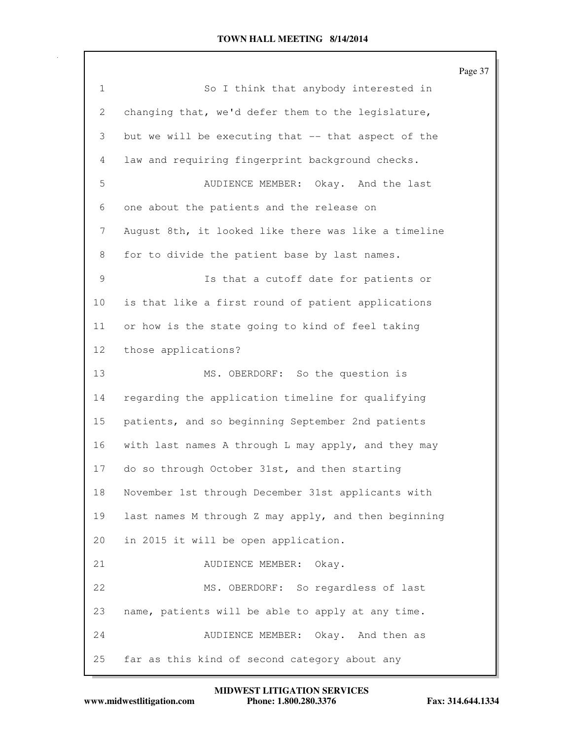|                 |                                                      | Page 37 |
|-----------------|------------------------------------------------------|---------|
| $\mathbf{1}$    | So I think that anybody interested in                |         |
| $\mathbf{2}$    | changing that, we'd defer them to the legislature,   |         |
| 3               | but we will be executing that -- that aspect of the  |         |
| 4               | law and requiring fingerprint background checks.     |         |
| 5               | AUDIENCE MEMBER: Okay. And the last                  |         |
| 6               | one about the patients and the release on            |         |
| 7               | August 8th, it looked like there was like a timeline |         |
| 8               | for to divide the patient base by last names.        |         |
| 9               | Is that a cutoff date for patients or                |         |
| 10              | is that like a first round of patient applications   |         |
| 11              | or how is the state going to kind of feel taking     |         |
| 12 <sub>2</sub> | those applications?                                  |         |
| 13              | MS. OBERDORF: So the question is                     |         |
| 14              | regarding the application timeline for qualifying    |         |
| 15              | patients, and so beginning September 2nd patients    |         |
| 16              | with last names A through L may apply, and they may  |         |
| 17              | do so through October 31st, and then starting        |         |
| 18              | November 1st through December 31st applicants with   |         |
| 19              | last names M through Z may apply, and then beginning |         |
| 20              | in 2015 it will be open application.                 |         |
| 21              | AUDIENCE MEMBER:<br>Okay.                            |         |
| 22              | MS. OBERDORF: So regardless of last                  |         |
| 23              | name, patients will be able to apply at any time.    |         |
| 24              | AUDIENCE MEMBER: Okay. And then as                   |         |
| 25              | far as this kind of second category about any        |         |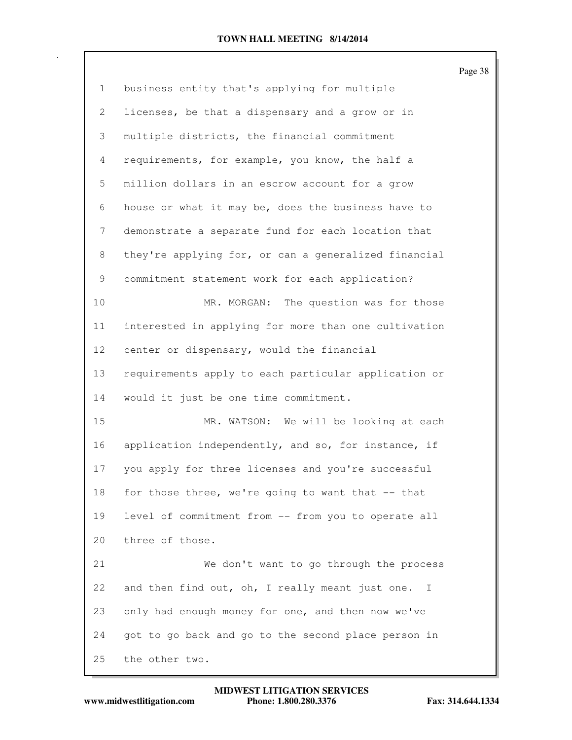|                 |                                                                 | Page 38 |
|-----------------|-----------------------------------------------------------------|---------|
| $\mathbf{1}$    | business entity that's applying for multiple                    |         |
| 2               | licenses, be that a dispensary and a grow or in                 |         |
| 3               | multiple districts, the financial commitment                    |         |
| $\overline{4}$  | requirements, for example, you know, the half a                 |         |
| 5               | million dollars in an escrow account for a grow                 |         |
| 6               | house or what it may be, does the business have to              |         |
| 7               | demonstrate a separate fund for each location that              |         |
| 8               | they're applying for, or can a generalized financial            |         |
| 9               | commitment statement work for each application?                 |         |
| 10              | MR. MORGAN: The question was for those                          |         |
| 11              | interested in applying for more than one cultivation            |         |
| 12 <sup>°</sup> | center or dispensary, would the financial                       |         |
| 13              | requirements apply to each particular application or            |         |
| 14              | would it just be one time commitment.                           |         |
| 15              | MR. WATSON: We will be looking at each                          |         |
| 16              | application independently, and so, for instance, if             |         |
| 17              | you apply for three licenses and you're successful              |         |
| 18              | for those three, we're going to want that -- that               |         |
| 19              | level of commitment from -- from you to operate all             |         |
| 20              | three of those.                                                 |         |
| 21              | We don't want to go through the process                         |         |
| 22              | and then find out, oh, I really meant just one.<br>$\mathbb{I}$ |         |
| 23              | only had enough money for one, and then now we've               |         |
| 24              | got to go back and go to the second place person in             |         |
| 25              | the other two.                                                  |         |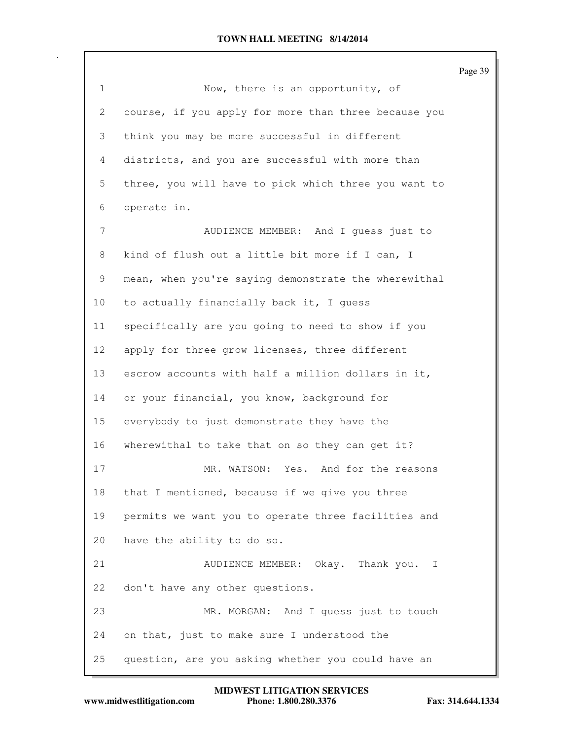|                 |                                                      | Page 39 |
|-----------------|------------------------------------------------------|---------|
| $\mathbf{1}$    | Now, there is an opportunity, of                     |         |
| 2               | course, if you apply for more than three because you |         |
| 3               | think you may be more successful in different        |         |
| 4               | districts, and you are successful with more than     |         |
| 5               | three, you will have to pick which three you want to |         |
| 6               | operate in.                                          |         |
| 7               | AUDIENCE MEMBER: And I guess just to                 |         |
| 8               | kind of flush out a little bit more if I can, I      |         |
| 9               | mean, when you're saying demonstrate the wherewithal |         |
| 10              | to actually financially back it, I guess             |         |
| 11              | specifically are you going to need to show if you    |         |
| 12 <sub>2</sub> | apply for three grow licenses, three different       |         |
| 13              | escrow accounts with half a million dollars in it,   |         |
| 14              | or your financial, you know, background for          |         |
| 15              | everybody to just demonstrate they have the          |         |
| 16              | wherewithal to take that on so they can get it?      |         |
| 17              | MR. WATSON: Yes. And for the reasons                 |         |
| 18              | that I mentioned, because if we give you three       |         |
| 19              | permits we want you to operate three facilities and  |         |
| 20              | have the ability to do so.                           |         |
| 21              | AUDIENCE MEMBER: Okay. Thank you. I                  |         |
| 22              | don't have any other questions.                      |         |
| 23              | MR. MORGAN: And I guess just to touch                |         |
| 24              | on that, just to make sure I understood the          |         |
| 25              | question, are you asking whether you could have an   |         |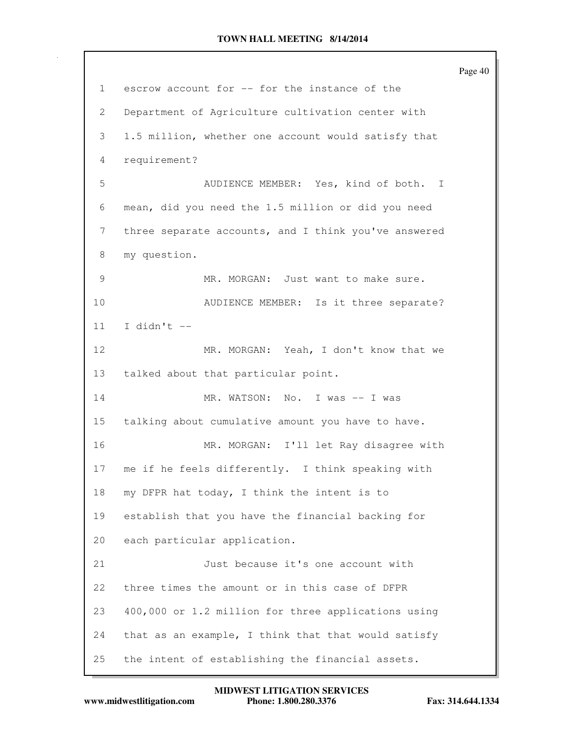Page 40 1 escrow account for -- for the instance of the 2 Department of Agriculture cultivation center with 3 1.5 million, whether one account would satisfy that 4 requirement? 5 AUDIENCE MEMBER: Yes, kind of both. I 6 mean, did you need the 1.5 million or did you need 7 three separate accounts, and I think you've answered 8 my question. 9 MR. MORGAN: Just want to make sure. 10 AUDIENCE MEMBER: Is it three separate? 11 I didn't  $-$ 12 MR. MORGAN: Yeah, I don't know that we 13 talked about that particular point. 14 MR. WATSON: No. I was -- I was 15 talking about cumulative amount you have to have. 16 MR. MORGAN: I'll let Ray disagree with 17 me if he feels differently. I think speaking with 18 my DFPR hat today, I think the intent is to 19 establish that you have the financial backing for 20 each particular application. 21 Just because it's one account with 22 three times the amount or in this case of DFPR 23 400,000 or 1.2 million for three applications using 24 that as an example, I think that that would satisfy 25 the intent of establishing the financial assets.

**www.midwestlitigation.com Phone: 1.800.280.3376 Fax: 314.644.1334 MIDWEST LITIGATION SERVICES**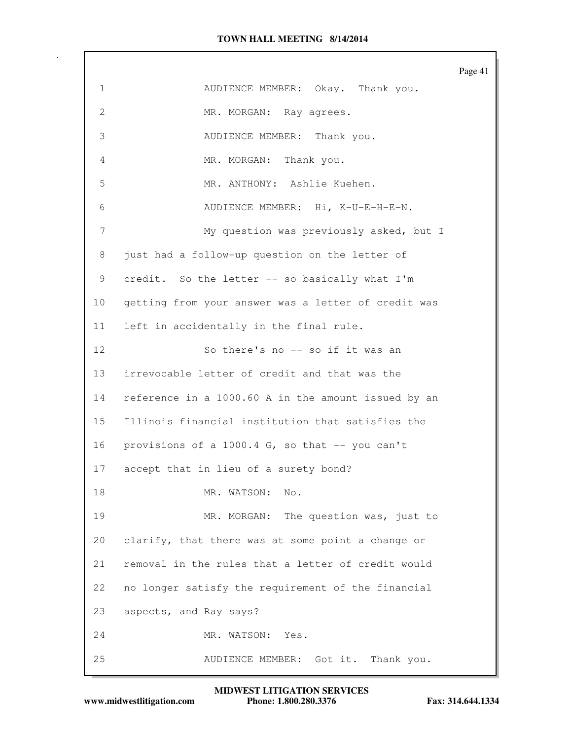Page 41 1 AUDIENCE MEMBER: Okay. Thank you. 2 MR. MORGAN: Ray agrees. 3 AUDIENCE MEMBER: Thank you. 4 MR. MORGAN: Thank you. 5 MR. ANTHONY: Ashlie Kuehen. 6 AUDIENCE MEMBER: Hi, K-U-E-H-E-N. 7 My question was previously asked, but I 8 just had a follow-up question on the letter of 9 credit. So the letter -- so basically what I'm 10 getting from your answer was a letter of credit was 11 left in accidentally in the final rule. 12 So there's no -- so if it was an 13 irrevocable letter of credit and that was the 14 reference in a 1000.60 A in the amount issued by an 15 Illinois financial institution that satisfies the 16 provisions of a 1000.4 G, so that -- you can't 17 accept that in lieu of a surety bond? 18 MR. WATSON: No. 19 MR. MORGAN: The question was, just to 20 clarify, that there was at some point a change or 21 removal in the rules that a letter of credit would 22 no longer satisfy the requirement of the financial 23 aspects, and Ray says? 24 MR. WATSON: Yes. 25 AUDIENCE MEMBER: Got it. Thank you.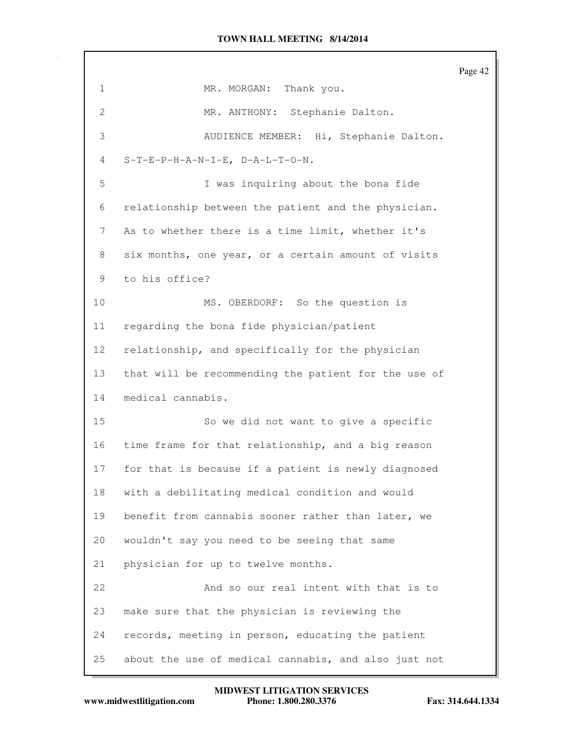Page 42 1 MR. MORGAN: Thank you. 2 MR. ANTHONY: Stephanie Dalton. 3 AUDIENCE MEMBER: Hi, Stephanie Dalton. 4 S-T-E-P-H-A-N-I-E, D-A-L-T-O-N. 5 I was inquiring about the bona fide 6 relationship between the patient and the physician. 7 As to whether there is a time limit, whether it's 8 six months, one year, or a certain amount of visits 9 to his office? 10 MS. OBERDORF: So the question is 11 regarding the bona fide physician/patient 12 relationship, and specifically for the physician 13 that will be recommending the patient for the use of 14 medical cannabis. 15 So we did not want to give a specific 16 time frame for that relationship, and a big reason 17 for that is because if a patient is newly diagnosed 18 with a debilitating medical condition and would 19 benefit from cannabis sooner rather than later, we 20 wouldn't say you need to be seeing that same 21 physician for up to twelve months. 22 And so our real intent with that is to 23 make sure that the physician is reviewing the 24 records, meeting in person, educating the patient 25 about the use of medical cannabis, and also just not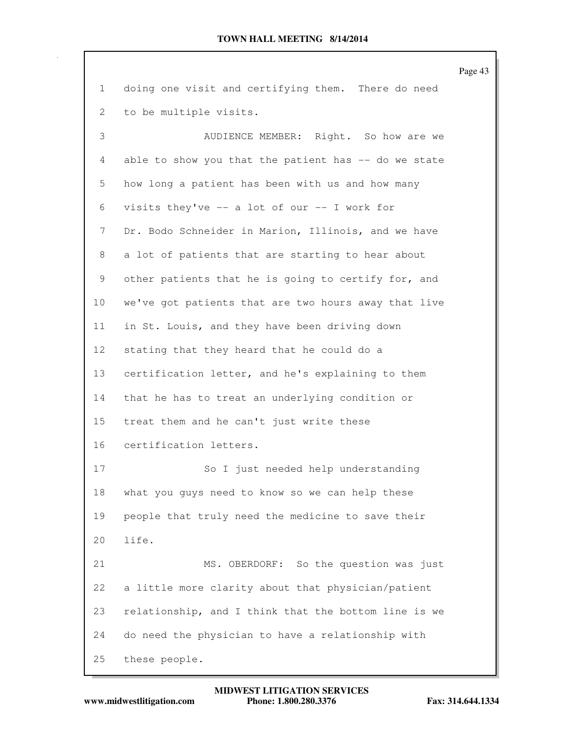Page 43 1 doing one visit and certifying them. There do need 2 to be multiple visits. 3 AUDIENCE MEMBER: Right. So how are we 4 able to show you that the patient has -- do we state 5 how long a patient has been with us and how many 6 visits they've -- a lot of our -- I work for 7 Dr. Bodo Schneider in Marion, Illinois, and we have 8 a lot of patients that are starting to hear about 9 other patients that he is going to certify for, and 10 we've got patients that are two hours away that live 11 in St. Louis, and they have been driving down 12 stating that they heard that he could do a 13 certification letter, and he's explaining to them 14 that he has to treat an underlying condition or 15 treat them and he can't just write these 16 certification letters. 17 So I just needed help understanding 18 what you guys need to know so we can help these 19 people that truly need the medicine to save their 20 life. 21 MS. OBERDORF: So the question was just 22 a little more clarity about that physician/patient 23 relationship, and I think that the bottom line is we 24 do need the physician to have a relationship with 25 these people.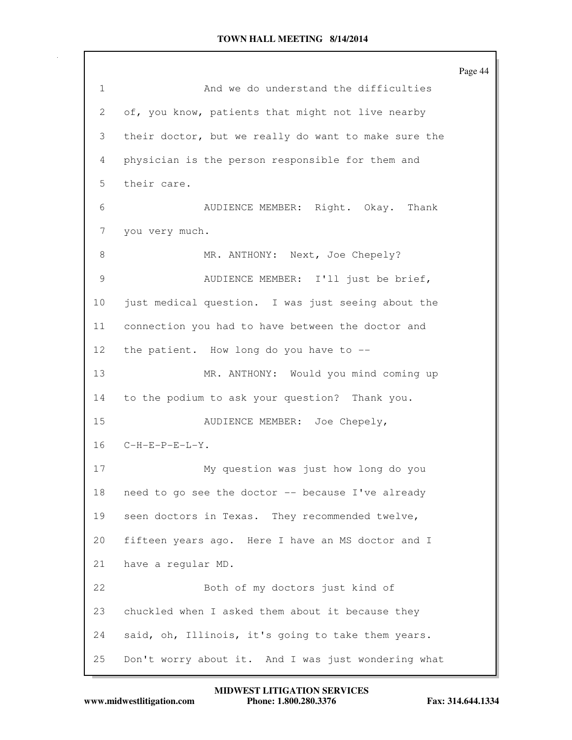|              |                                                      | Page 44 |
|--------------|------------------------------------------------------|---------|
| $\mathbf{1}$ | And we do understand the difficulties                |         |
| 2            | of, you know, patients that might not live nearby    |         |
| 3            | their doctor, but we really do want to make sure the |         |
| 4            | physician is the person responsible for them and     |         |
| 5            | their care.                                          |         |
| 6            | AUDIENCE MEMBER: Right. Okay. Thank                  |         |
| 7            | you very much.                                       |         |
| 8            | MR. ANTHONY: Next, Joe Chepely?                      |         |
| 9            | AUDIENCE MEMBER: I'll just be brief,                 |         |
| 10           | just medical question. I was just seeing about the   |         |
| 11           | connection you had to have between the doctor and    |         |
| 12           | the patient. How long do you have to --              |         |
| 13           | MR. ANTHONY: Would you mind coming up                |         |
| 14           | to the podium to ask your question? Thank you.       |         |
| 15           | AUDIENCE MEMBER: Joe Chepely,                        |         |
| 16           | $C-H-E-P-E-L-Y$ .                                    |         |
| 17           | My question was just how long do you                 |         |
| 18           | need to go see the doctor -- because I've already    |         |
| 19           | seen doctors in Texas. They recommended twelve,      |         |
| 20           | fifteen years ago. Here I have an MS doctor and I    |         |
| 21           | have a regular MD.                                   |         |
| 22           | Both of my doctors just kind of                      |         |
| 23           | chuckled when I asked them about it because they     |         |
| 24           | said, oh, Illinois, it's going to take them years.   |         |
| 25           | Don't worry about it. And I was just wondering what  |         |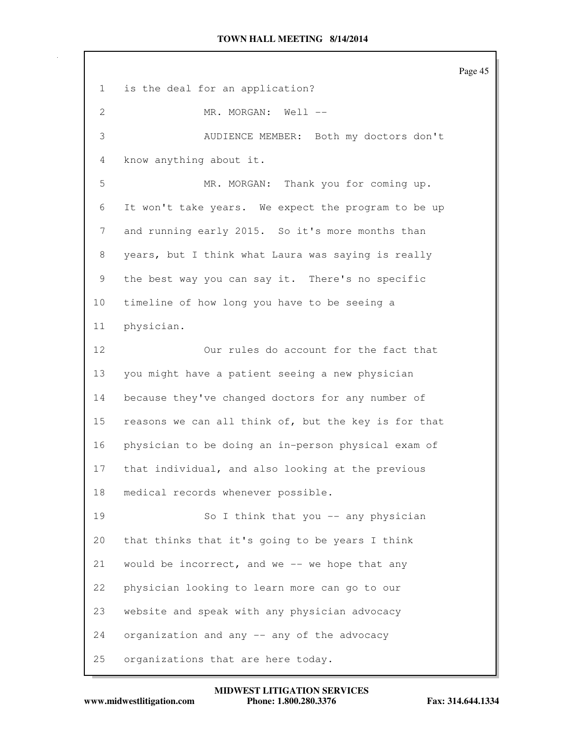Page 45 1 is the deal for an application? 2 MR. MORGAN: Well --3 AUDIENCE MEMBER: Both my doctors don't 4 know anything about it. 5 MR. MORGAN: Thank you for coming up. 6 It won't take years. We expect the program to be up 7 and running early 2015. So it's more months than 8 years, but I think what Laura was saying is really 9 the best way you can say it. There's no specific 10 timeline of how long you have to be seeing a 11 physician. 12 Our rules do account for the fact that 13 you might have a patient seeing a new physician 14 because they've changed doctors for any number of 15 reasons we can all think of, but the key is for that 16 physician to be doing an in-person physical exam of 17 that individual, and also looking at the previous 18 medical records whenever possible. 19 So I think that you -- any physician 20 that thinks that it's going to be years I think 21 would be incorrect, and we -- we hope that any 22 physician looking to learn more can go to our 23 website and speak with any physician advocacy 24 organization and any -- any of the advocacy 25 organizations that are here today.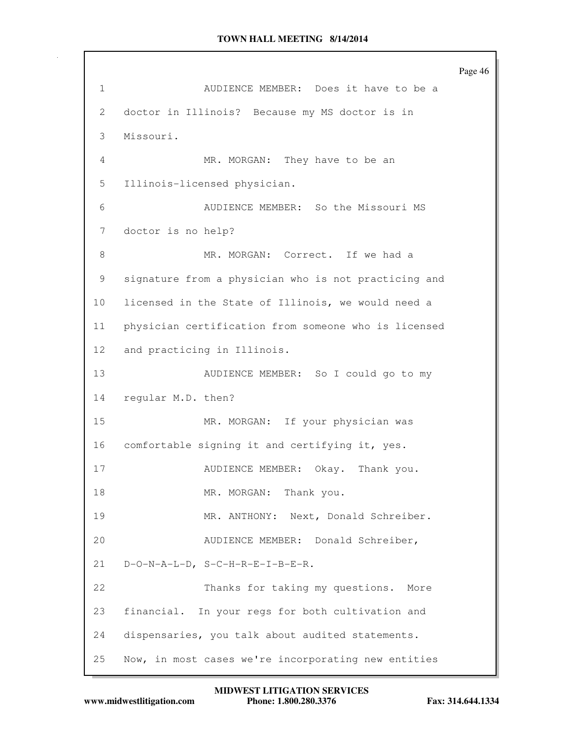Page 46 1 AUDIENCE MEMBER: Does it have to be a 2 doctor in Illinois? Because my MS doctor is in 3 Missouri. 4 MR. MORGAN: They have to be an 5 Illinois-licensed physician. 6 AUDIENCE MEMBER: So the Missouri MS 7 doctor is no help? 8 MR. MORGAN: Correct. If we had a 9 signature from a physician who is not practicing and 10 licensed in the State of Illinois, we would need a 11 physician certification from someone who is licensed 12 and practicing in Illinois. 13 AUDIENCE MEMBER: So I could go to my 14 regular M.D. then? 15 MR. MORGAN: If your physician was 16 comfortable signing it and certifying it, yes. 17 AUDIENCE MEMBER: Okay. Thank you. 18 MR. MORGAN: Thank you. 19 MR. ANTHONY: Next, Donald Schreiber. 20 AUDIENCE MEMBER: Donald Schreiber, 21 D-O-N-A-L-D, S-C-H-R-E-I-B-E-R. 22 Thanks for taking my questions. More 23 financial. In your regs for both cultivation and 24 dispensaries, you talk about audited statements. 25 Now, in most cases we're incorporating new entities

**www.midwestlitigation.com Phone: 1.800.280.3376 Fax: 314.644.1334 MIDWEST LITIGATION SERVICES**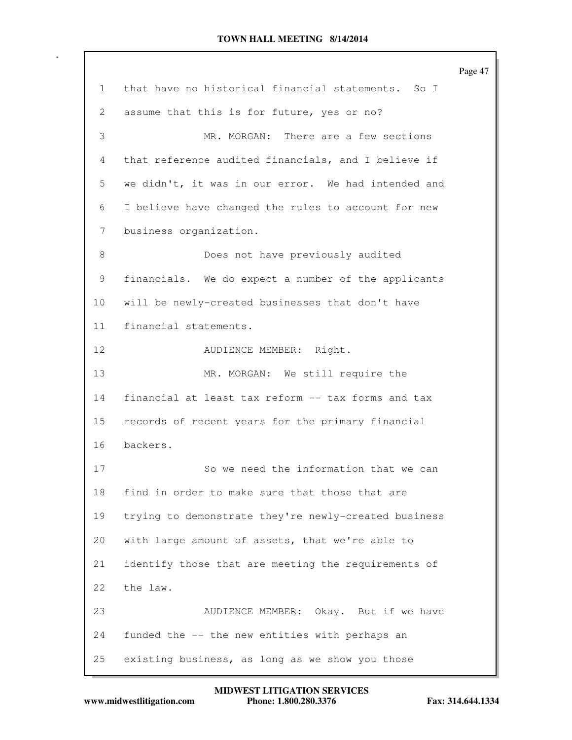|                 |                                                      | Page 47 |
|-----------------|------------------------------------------------------|---------|
| $\mathbf{1}$    | that have no historical financial statements. So I   |         |
| 2               | assume that this is for future, yes or no?           |         |
| 3               | MR. MORGAN: There are a few sections                 |         |
| 4               | that reference audited financials, and I believe if  |         |
| 5               | we didn't, it was in our error. We had intended and  |         |
| 6               | I believe have changed the rules to account for new  |         |
| 7               | business organization.                               |         |
| 8               | Does not have previously audited                     |         |
| 9               | financials. We do expect a number of the applicants  |         |
| 10              | will be newly-created businesses that don't have     |         |
| 11              | financial statements.                                |         |
| 12 <sub>2</sub> | AUDIENCE MEMBER: Right.                              |         |
| 13              | MR. MORGAN: We still require the                     |         |
| 14              | financial at least tax reform -- tax forms and tax   |         |
| 15              | records of recent years for the primary financial    |         |
| 16              | backers.                                             |         |
| 17              | So we need the information that we can               |         |
| 18              | find in order to make sure that those that are       |         |
| 19              | trying to demonstrate they're newly-created business |         |
| 20              | with large amount of assets, that we're able to      |         |
| 21              | identify those that are meeting the requirements of  |         |
| 22              | the law.                                             |         |
| 23              | AUDIENCE MEMBER: Okay. But if we have                |         |
| 24              | funded the -- the new entities with perhaps an       |         |
| 25              | existing business, as long as we show you those      |         |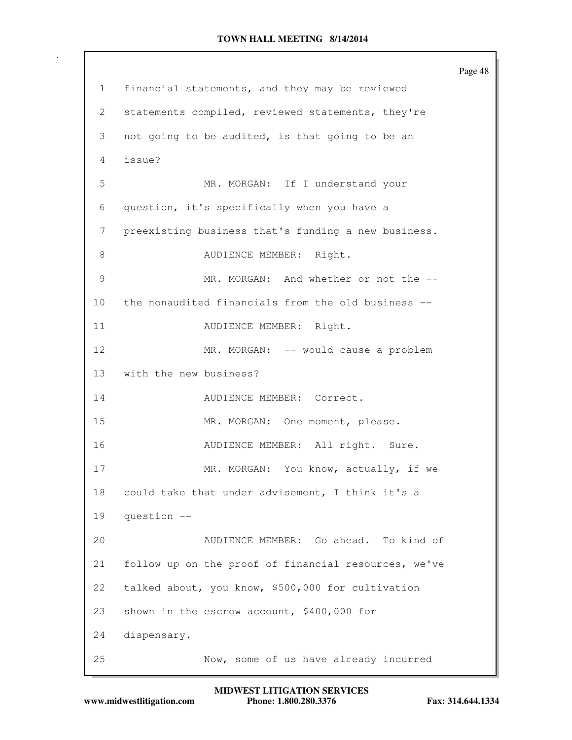Page 48 1 financial statements, and they may be reviewed 2 statements compiled, reviewed statements, they're 3 not going to be audited, is that going to be an 4 issue? 5 MR. MORGAN: If I understand your 6 question, it's specifically when you have a 7 preexisting business that's funding a new business. 8 AUDIENCE MEMBER: Right. 9 MR. MORGAN: And whether or not the -- 10 the nonaudited financials from the old business -- 11 AUDIENCE MEMBER: Right. 12 MR. MORGAN: -- would cause a problem 13 with the new business? 14 AUDIENCE MEMBER: Correct. 15 MR. MORGAN: One moment, please. 16 **AUDIENCE MEMBER:** All right. Sure. 17 MR. MORGAN: You know, actually, if we 18 could take that under advisement, I think it's a 19 question -- 20 AUDIENCE MEMBER: Go ahead. To kind of 21 follow up on the proof of financial resources, we've 22 talked about, you know, \$500,000 for cultivation 23 shown in the escrow account, \$400,000 for 24 dispensary. 25 Now, some of us have already incurred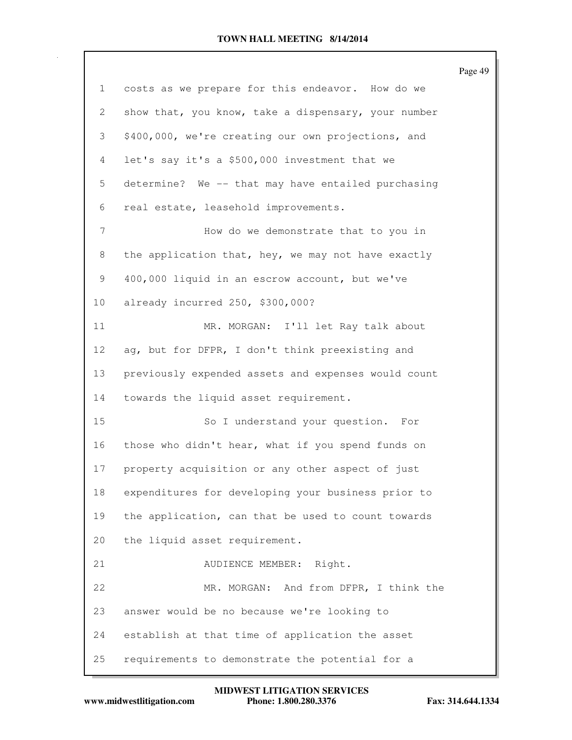|              |                                                     | Page 49 |
|--------------|-----------------------------------------------------|---------|
| $\mathbf{1}$ | costs as we prepare for this endeavor. How do we    |         |
| 2            | show that, you know, take a dispensary, your number |         |
| 3            | \$400,000, we're creating our own projections, and  |         |
| 4            | let's say it's a \$500,000 investment that we       |         |
| 5            | determine? We -- that may have entailed purchasing  |         |
| 6            | real estate, leasehold improvements.                |         |
| 7            | How do we demonstrate that to you in                |         |
| 8            | the application that, hey, we may not have exactly  |         |
| 9            | 400,000 liquid in an escrow account, but we've      |         |
| 10           | already incurred 250, \$300,000?                    |         |
| 11           | MR. MORGAN: I'll let Ray talk about                 |         |
| 12           | ag, but for DFPR, I don't think preexisting and     |         |
| 13           | previously expended assets and expenses would count |         |
| 14           | towards the liquid asset requirement.               |         |
| 15           | So I understand your question.<br>For               |         |
| 16           | those who didn't hear, what if you spend funds on   |         |
| 17           | property acquisition or any other aspect of just    |         |
| 18           | expenditures for developing your business prior to  |         |
| 19           | the application, can that be used to count towards  |         |
| 20           | the liquid asset requirement.                       |         |
| 21           | AUDIENCE MEMBER: Right.                             |         |
| 22           | MR. MORGAN: And from DFPR, I think the              |         |
| 23           | answer would be no because we're looking to         |         |
| 24           | establish at that time of application the asset     |         |
| 25           | requirements to demonstrate the potential for a     |         |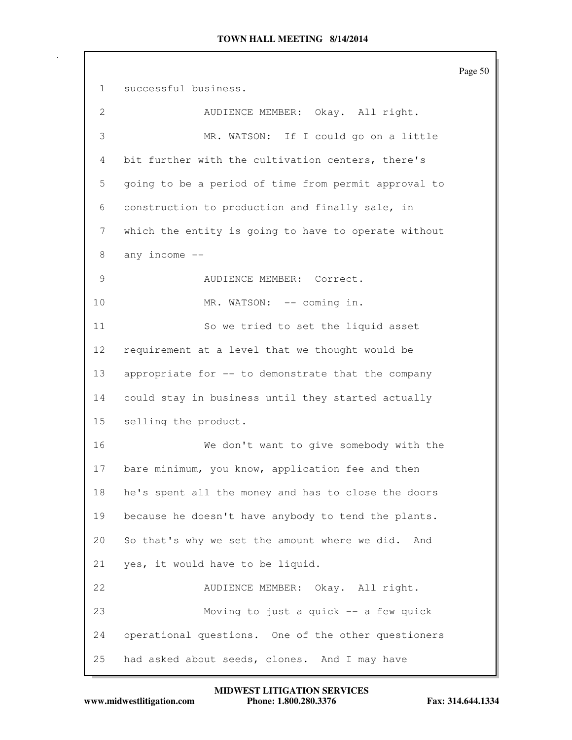Page 50 1 successful business. 2 AUDIENCE MEMBER: Okay. All right. 3 MR. WATSON: If I could go on a little 4 bit further with the cultivation centers, there's 5 going to be a period of time from permit approval to 6 construction to production and finally sale, in 7 which the entity is going to have to operate without 8 any income -- 9 AUDIENCE MEMBER: Correct. 10 MR. WATSON: -- coming in. 11 So we tried to set the liquid asset 12 requirement at a level that we thought would be 13 appropriate for -- to demonstrate that the company 14 could stay in business until they started actually 15 selling the product. 16 We don't want to give somebody with the 17 bare minimum, you know, application fee and then 18 he's spent all the money and has to close the doors 19 because he doesn't have anybody to tend the plants. 20 So that's why we set the amount where we did. And 21 yes, it would have to be liquid. 22 AUDIENCE MEMBER: Okay. All right. 23 Moving to just a quick -- a few quick 24 operational questions. One of the other questioners 25 had asked about seeds, clones. And I may have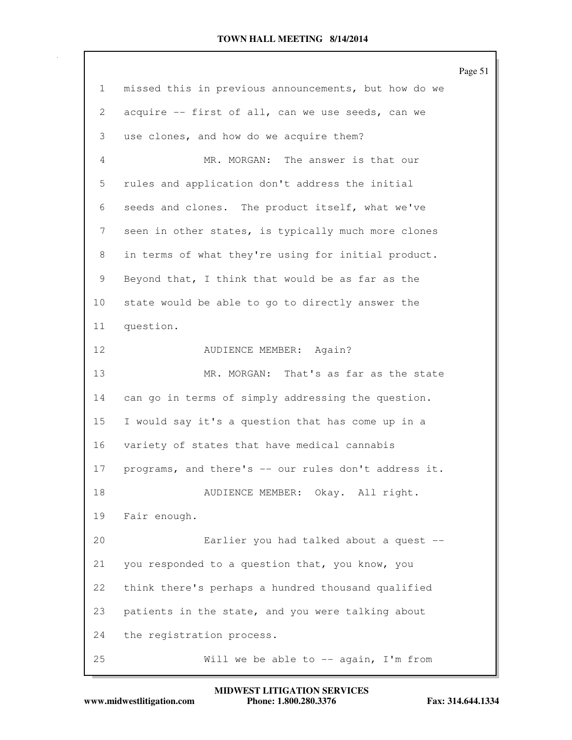Page 51 1 missed this in previous announcements, but how do we 2 acquire -- first of all, can we use seeds, can we 3 use clones, and how do we acquire them? 4 MR. MORGAN: The answer is that our 5 rules and application don't address the initial 6 seeds and clones. The product itself, what we've 7 seen in other states, is typically much more clones 8 in terms of what they're using for initial product. 9 Beyond that, I think that would be as far as the 10 state would be able to go to directly answer the 11 question. 12 AUDIENCE MEMBER: Again? 13 MR. MORGAN: That's as far as the state 14 can go in terms of simply addressing the question. 15 I would say it's a question that has come up in a 16 variety of states that have medical cannabis 17 programs, and there's -- our rules don't address it. 18 AUDIENCE MEMBER: Okay. All right. 19 Fair enough. 20 Earlier you had talked about a quest -- 21 you responded to a question that, you know, you 22 think there's perhaps a hundred thousand qualified 23 patients in the state, and you were talking about 24 the registration process. 25 Will we be able to -- again, I'm from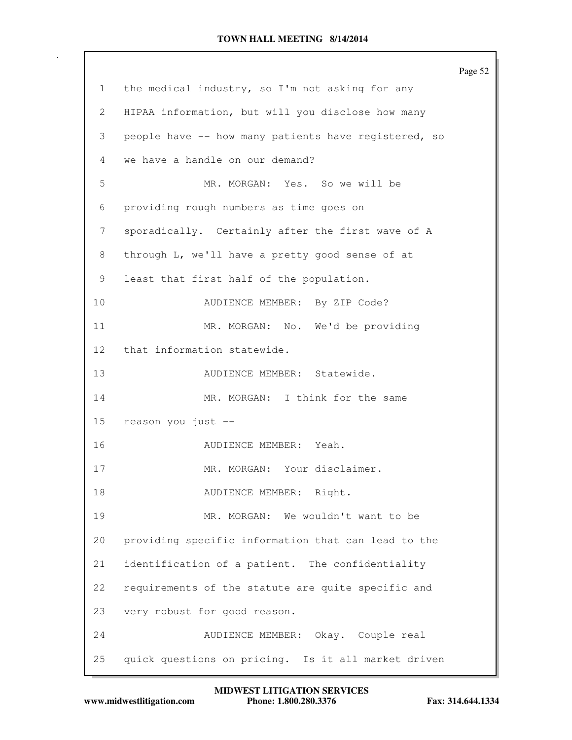|                 |                                                      | Page 52 |
|-----------------|------------------------------------------------------|---------|
| $\mathbf{1}$    | the medical industry, so I'm not asking for any      |         |
| 2               | HIPAA information, but will you disclose how many    |         |
| 3               | people have -- how many patients have registered, so |         |
| 4               | we have a handle on our demand?                      |         |
| 5               | MR. MORGAN: Yes. So we will be                       |         |
| 6               | providing rough numbers as time goes on              |         |
| 7               | sporadically. Certainly after the first wave of A    |         |
| 8               | through L, we'll have a pretty good sense of at      |         |
| 9               | least that first half of the population.             |         |
| 10              | AUDIENCE MEMBER: By ZIP Code?                        |         |
| 11              | MR. MORGAN: No. We'd be providing                    |         |
| 12 <sup>°</sup> | that information statewide.                          |         |
| 13              | AUDIENCE MEMBER: Statewide.                          |         |
| 14              | MR. MORGAN: I think for the same                     |         |
| 15 <sub>1</sub> | reason you just --                                   |         |
| 16              | AUDIENCE MEMBER: Yeah.                               |         |
| 17              | MR. MORGAN: Your disclaimer.                         |         |
| 18              | AUDIENCE MEMBER: Right.                              |         |
| 19              | MR. MORGAN: We wouldn't want to be                   |         |
| 20              | providing specific information that can lead to the  |         |
| 21              | identification of a patient. The confidentiality     |         |
| 22              | requirements of the statute are quite specific and   |         |
| 23              | very robust for good reason.                         |         |
| 24              | AUDIENCE MEMBER: Okay. Couple real                   |         |
| 25              | quick questions on pricing. Is it all market driven  |         |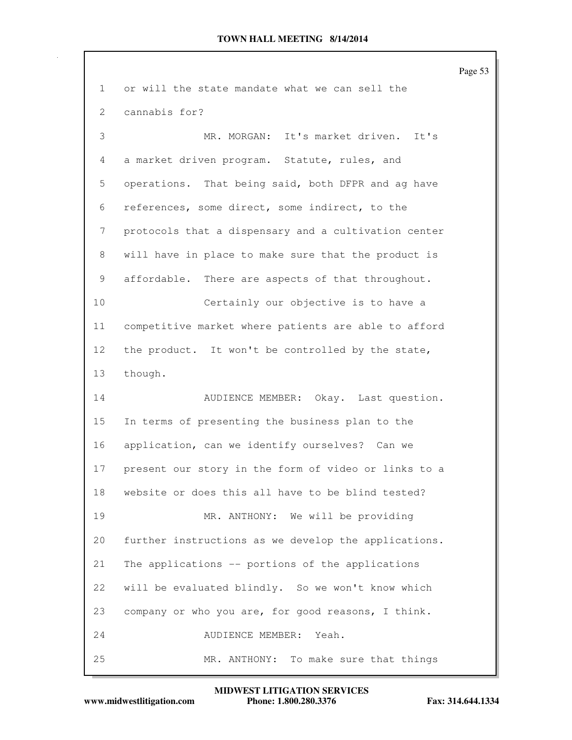Page 53 1 or will the state mandate what we can sell the 2 cannabis for? 3 MR. MORGAN: It's market driven. It's 4 a market driven program. Statute, rules, and 5 operations. That being said, both DFPR and ag have 6 references, some direct, some indirect, to the 7 protocols that a dispensary and a cultivation center 8 will have in place to make sure that the product is 9 affordable. There are aspects of that throughout. 10 Certainly our objective is to have a 11 competitive market where patients are able to afford 12 the product. It won't be controlled by the state, 13 though. 14 AUDIENCE MEMBER: Okay. Last question. 15 In terms of presenting the business plan to the 16 application, can we identify ourselves? Can we 17 present our story in the form of video or links to a 18 website or does this all have to be blind tested? 19 MR. ANTHONY: We will be providing 20 further instructions as we develop the applications. 21 The applications -- portions of the applications 22 will be evaluated blindly. So we won't know which 23 company or who you are, for good reasons, I think. 24 AUDIENCE MEMBER: Yeah. 25 MR. ANTHONY: To make sure that things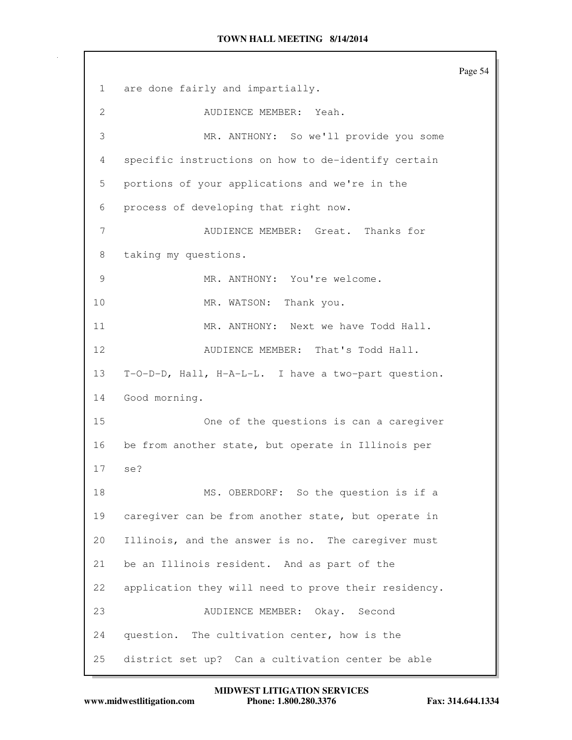Page 54 1 are done fairly and impartially. 2 AUDIENCE MEMBER: Yeah. 3 MR. ANTHONY: So we'll provide you some 4 specific instructions on how to de-identify certain 5 portions of your applications and we're in the 6 process of developing that right now. 7 AUDIENCE MEMBER: Great. Thanks for 8 taking my questions. 9 MR. ANTHONY: You're welcome. 10 MR. WATSON: Thank you. 11 MR. ANTHONY: Next we have Todd Hall. 12 AUDIENCE MEMBER: That's Todd Hall. 13 T-O-D-D, Hall, H-A-L-L. I have a two-part question. 14 Good morning. 15 One of the questions is can a caregiver 16 be from another state, but operate in Illinois per 17 se? 18 MS. OBERDORF: So the question is if a 19 caregiver can be from another state, but operate in 20 Illinois, and the answer is no. The caregiver must 21 be an Illinois resident. And as part of the 22 application they will need to prove their residency. 23 AUDIENCE MEMBER: Okay. Second 24 question. The cultivation center, how is the 25 district set up? Can a cultivation center be able

**www.midwestlitigation.com Phone: 1.800.280.3376 Fax: 314.644.1334 MIDWEST LITIGATION SERVICES**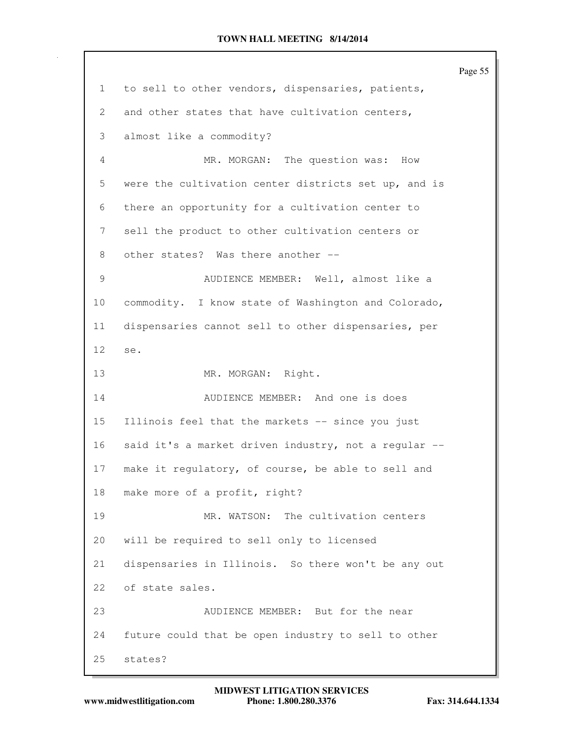Page 55 1 to sell to other vendors, dispensaries, patients, 2 and other states that have cultivation centers, 3 almost like a commodity? 4 MR. MORGAN: The question was: How 5 were the cultivation center districts set up, and is 6 there an opportunity for a cultivation center to 7 sell the product to other cultivation centers or 8 other states? Was there another --9 AUDIENCE MEMBER: Well, almost like a 10 commodity. I know state of Washington and Colorado, 11 dispensaries cannot sell to other dispensaries, per 12 se. 13 MR. MORGAN: Right. 14 AUDIENCE MEMBER: And one is does 15 Illinois feel that the markets -- since you just 16 said it's a market driven industry, not a regular -- 17 make it regulatory, of course, be able to sell and 18 make more of a profit, right? 19 MR. WATSON: The cultivation centers 20 will be required to sell only to licensed 21 dispensaries in Illinois. So there won't be any out 22 of state sales. 23 AUDIENCE MEMBER: But for the near 24 future could that be open industry to sell to other 25 states?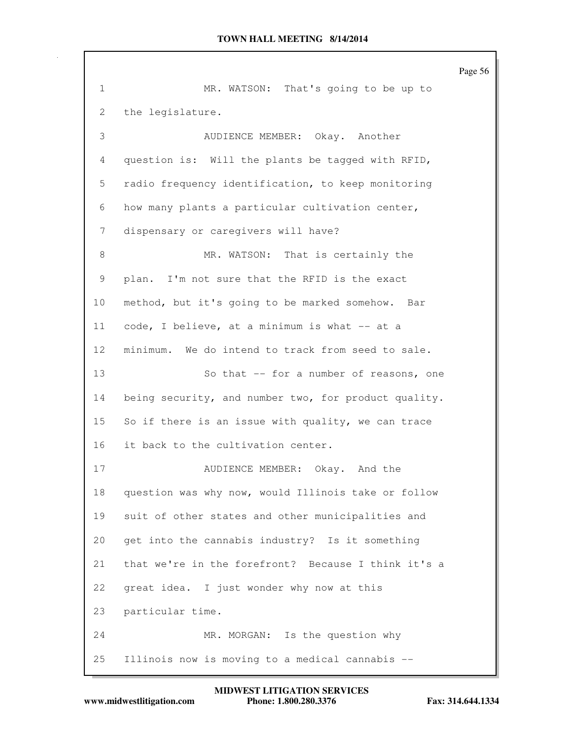Page 56 1 MR. WATSON: That's going to be up to 2 the legislature. 3 AUDIENCE MEMBER: Okay. Another 4 question is: Will the plants be tagged with RFID, 5 radio frequency identification, to keep monitoring 6 how many plants a particular cultivation center, 7 dispensary or caregivers will have? 8 MR. WATSON: That is certainly the 9 plan. I'm not sure that the RFID is the exact 10 method, but it's going to be marked somehow. Bar 11 code, I believe, at a minimum is what -- at a 12 minimum. We do intend to track from seed to sale. 13 So that -- for a number of reasons, one 14 being security, and number two, for product quality. 15 So if there is an issue with quality, we can trace 16 it back to the cultivation center. 17 AUDIENCE MEMBER: Okay. And the 18 question was why now, would Illinois take or follow 19 suit of other states and other municipalities and 20 get into the cannabis industry? Is it something 21 that we're in the forefront? Because I think it's a 22 great idea. I just wonder why now at this 23 particular time. 24 MR. MORGAN: Is the question why 25 Illinois now is moving to a medical cannabis --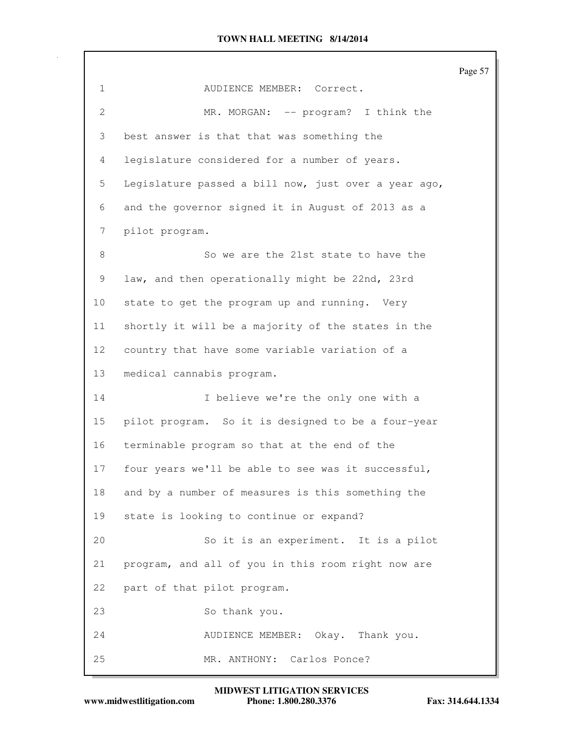Page 57 1 AUDIENCE MEMBER: Correct. 2 MR. MORGAN: -- program? I think the 3 best answer is that that was something the 4 legislature considered for a number of years. 5 Legislature passed a bill now, just over a year ago, 6 and the governor signed it in August of 2013 as a 7 pilot program. 8 So we are the 21st state to have the 9 law, and then operationally might be 22nd, 23rd 10 state to get the program up and running. Very 11 shortly it will be a majority of the states in the 12 country that have some variable variation of a 13 medical cannabis program. 14 I believe we're the only one with a 15 pilot program. So it is designed to be a four-year 16 terminable program so that at the end of the 17 four years we'll be able to see was it successful, 18 and by a number of measures is this something the 19 state is looking to continue or expand? 20 So it is an experiment. It is a pilot 21 program, and all of you in this room right now are 22 part of that pilot program. 23 So thank you. 24 AUDIENCE MEMBER: Okay. Thank you. 25 MR. ANTHONY: Carlos Ponce?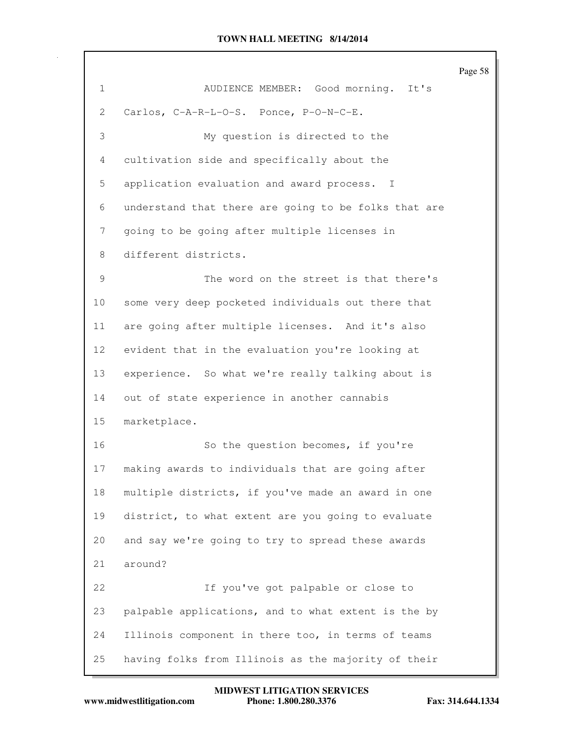|              |                                                      | Page |
|--------------|------------------------------------------------------|------|
| $\mathbf{1}$ | AUDIENCE MEMBER: Good morning.<br>It's               |      |
| 2            | Carlos, C-A-R-L-O-S. Ponce, P-O-N-C-E.               |      |
| 3            | My question is directed to the                       |      |
| 4            | cultivation side and specifically about the          |      |
| 5            | application evaluation and award process. I          |      |
| 6            | understand that there are going to be folks that are |      |
| 7            | going to be going after multiple licenses in         |      |
| 8            | different districts.                                 |      |
| 9            | The word on the street is that there's               |      |
| 10           | some very deep pocketed individuals out there that   |      |
| 11           | are going after multiple licenses. And it's also     |      |
| 12           | evident that in the evaluation you're looking at     |      |
| 13           | experience. So what we're really talking about is    |      |
| 14           | out of state experience in another cannabis          |      |
| 15           | marketplace.                                         |      |
| 16           | So the question becomes, if you're                   |      |
| 17           | making awards to individuals that are going after    |      |
| 18           | multiple districts, if you've made an award in one   |      |
| 19           | district, to what extent are you going to evaluate   |      |
| 20           | and say we're going to try to spread these awards    |      |
| 21           | around?                                              |      |
| 22           | If you've got palpable or close to                   |      |
| 23           | palpable applications, and to what extent is the by  |      |
| 24           | Illinois component in there too, in terms of teams   |      |
| 25           | having folks from Illinois as the majority of their  |      |

Page 58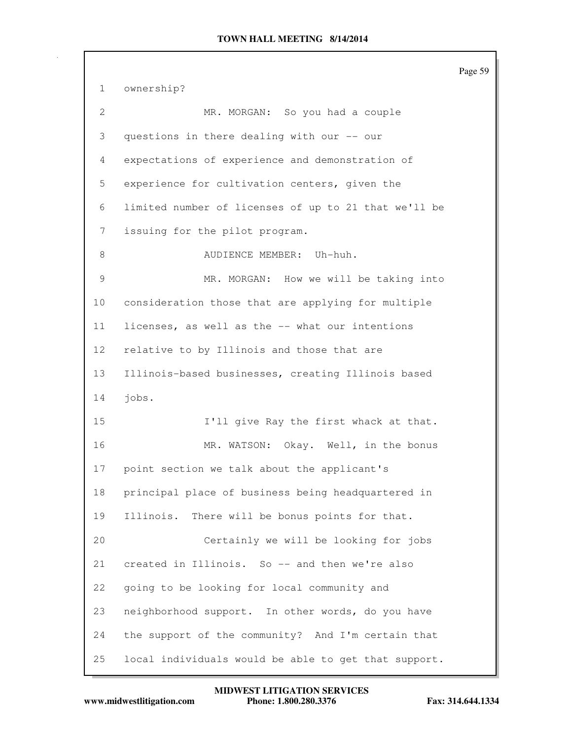Page 59 1 ownership? 2 MR. MORGAN: So you had a couple 3 questions in there dealing with our -- our 4 expectations of experience and demonstration of 5 experience for cultivation centers, given the 6 limited number of licenses of up to 21 that we'll be 7 issuing for the pilot program. 8 AUDIENCE MEMBER: Uh-huh. 9 MR. MORGAN: How we will be taking into 10 consideration those that are applying for multiple 11 licenses, as well as the -- what our intentions 12 relative to by Illinois and those that are 13 Illinois-based businesses, creating Illinois based 14 jobs. 15 I'll give Ray the first whack at that. 16 MR. WATSON: Okay. Well, in the bonus 17 point section we talk about the applicant's 18 principal place of business being headquartered in 19 Illinois. There will be bonus points for that. 20 Certainly we will be looking for jobs 21 created in Illinois. So -- and then we're also 22 going to be looking for local community and 23 neighborhood support. In other words, do you have 24 the support of the community? And I'm certain that 25 local individuals would be able to get that support.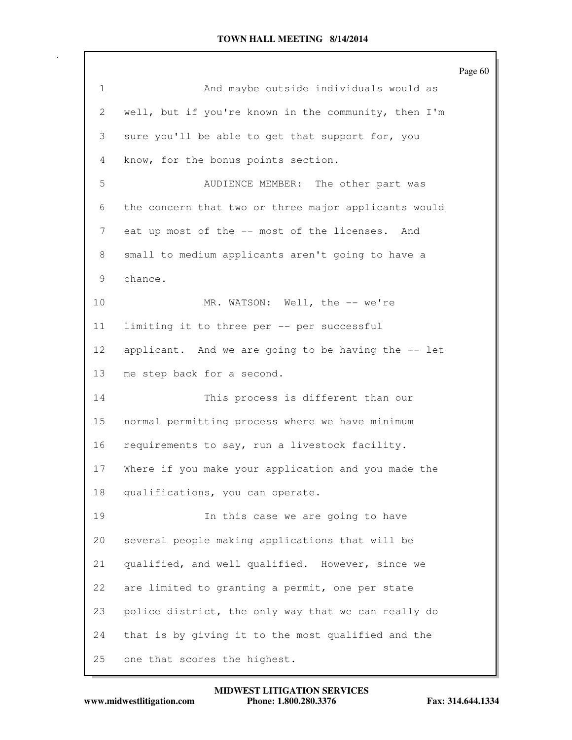Page 60 1 And maybe outside individuals would as 2 well, but if you're known in the community, then I'm 3 sure you'll be able to get that support for, you 4 know, for the bonus points section. 5 AUDIENCE MEMBER: The other part was 6 the concern that two or three major applicants would 7 eat up most of the -- most of the licenses. And 8 small to medium applicants aren't going to have a 9 chance. 10 MR. WATSON: Well, the -- we're 11 limiting it to three per -- per successful 12 applicant. And we are going to be having the -- let 13 me step back for a second. 14 This process is different than our 15 normal permitting process where we have minimum 16 requirements to say, run a livestock facility. 17 Where if you make your application and you made the 18 qualifications, you can operate. 19 In this case we are going to have 20 several people making applications that will be 21 qualified, and well qualified. However, since we 22 are limited to granting a permit, one per state 23 police district, the only way that we can really do 24 that is by giving it to the most qualified and the 25 one that scores the highest.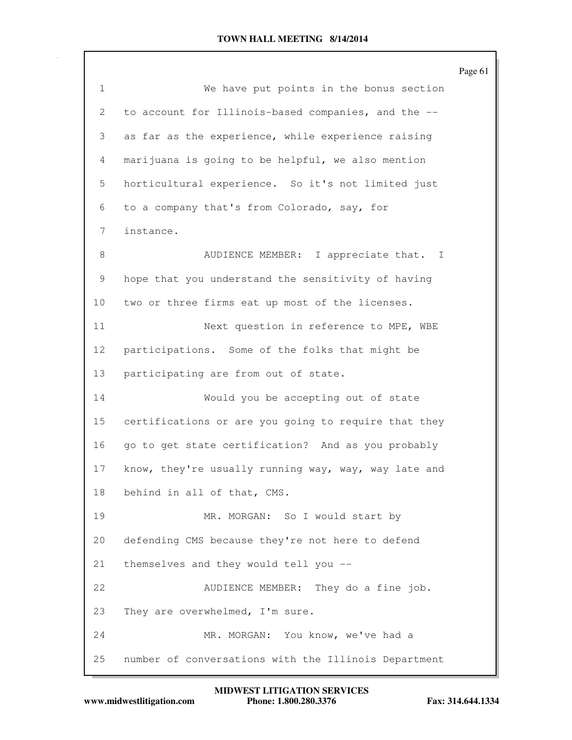|              |                                                      | Page 61 |
|--------------|------------------------------------------------------|---------|
| $\mathbf{1}$ | We have put points in the bonus section              |         |
| 2            | to account for Illinois-based companies, and the --  |         |
| 3            | as far as the experience, while experience raising   |         |
| 4            | marijuana is going to be helpful, we also mention    |         |
| 5            | horticultural experience. So it's not limited just   |         |
| 6            | to a company that's from Colorado, say, for          |         |
| 7            | instance.                                            |         |
| 8            | AUDIENCE MEMBER: I appreciate that. I                |         |
| 9            | hope that you understand the sensitivity of having   |         |
| 10           | two or three firms eat up most of the licenses.      |         |
| 11           | Next question in reference to MPE, WBE               |         |
| 12           | participations. Some of the folks that might be      |         |
| 13           | participating are from out of state.                 |         |
| 14           | Would you be accepting out of state                  |         |
| 15           | certifications or are you going to require that they |         |
| 16           | go to get state certification? And as you probably   |         |
| 17           | know, they're usually running way, way, way late and |         |
| 18           | behind in all of that, CMS.                          |         |
| 19           | MR. MORGAN: So I would start by                      |         |
| 20           | defending CMS because they're not here to defend     |         |
| 21           | themselves and they would tell you --                |         |
| 22           | AUDIENCE MEMBER: They do a fine job.                 |         |
| 23           | They are overwhelmed, I'm sure.                      |         |
| 24           | MR. MORGAN: You know, we've had a                    |         |
| 25           | number of conversations with the Illinois Department |         |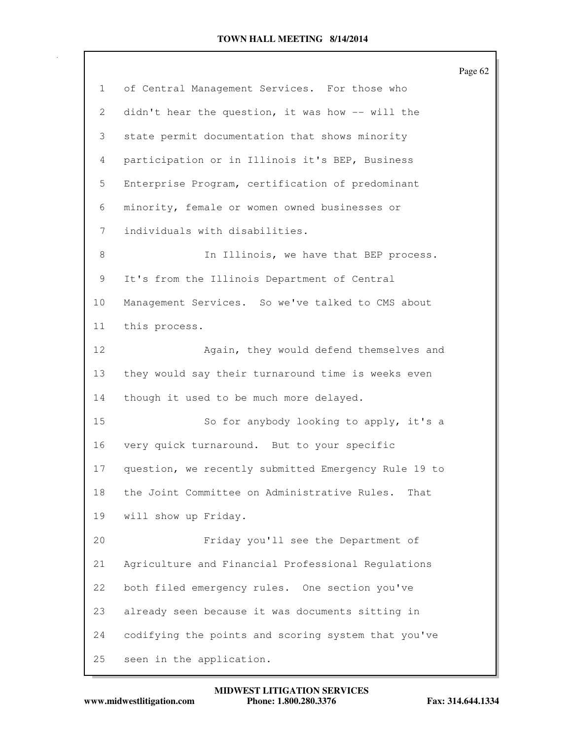|    |                                                      | Page 62 |
|----|------------------------------------------------------|---------|
| 1  | of Central Management Services. For those who        |         |
| 2  | didn't hear the question, it was how -- will the     |         |
| 3  | state permit documentation that shows minority       |         |
| 4  | participation or in Illinois it's BEP, Business      |         |
| 5  | Enterprise Program, certification of predominant     |         |
| 6  | minority, female or women owned businesses or        |         |
| 7  | individuals with disabilities.                       |         |
| 8  | In Illinois, we have that BEP process.               |         |
| 9  | It's from the Illinois Department of Central         |         |
| 10 | Management Services. So we've talked to CMS about    |         |
| 11 | this process.                                        |         |
| 12 | Again, they would defend themselves and              |         |
| 13 | they would say their turnaround time is weeks even   |         |
| 14 | though it used to be much more delayed.              |         |
| 15 | So for anybody looking to apply, it's a              |         |
| 16 | very quick turnaround. But to your specific          |         |
| 17 | question, we recently submitted Emergency Rule 19 to |         |
| 18 | the Joint Committee on Administrative Rules.<br>That |         |
| 19 | will show up Friday.                                 |         |
| 20 | Friday you'll see the Department of                  |         |
| 21 | Agriculture and Financial Professional Regulations   |         |
| 22 | both filed emergency rules. One section you've       |         |
| 23 | already seen because it was documents sitting in     |         |
| 24 | codifying the points and scoring system that you've  |         |
| 25 | seen in the application.                             |         |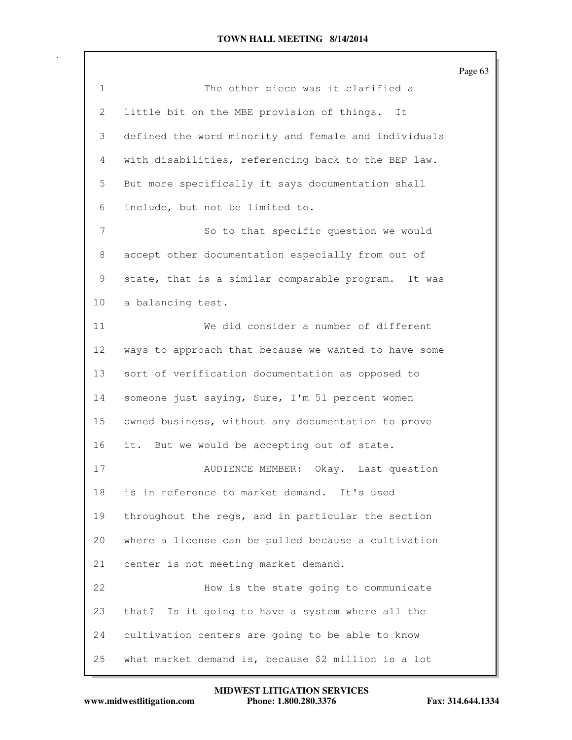|                 |                                                      | Page 63 |
|-----------------|------------------------------------------------------|---------|
| $\mathbf{1}$    | The other piece was it clarified a                   |         |
| 2               | little bit on the MBE provision of things.<br>It     |         |
| 3               | defined the word minority and female and individuals |         |
| 4               | with disabilities, referencing back to the BEP law.  |         |
| 5               | But more specifically it says documentation shall    |         |
| 6               | include, but not be limited to.                      |         |
| 7               | So to that specific question we would                |         |
| 8               | accept other documentation especially from out of    |         |
| 9               | state, that is a similar comparable program. It was  |         |
| 10              | a balancing test.                                    |         |
| 11              | We did consider a number of different                |         |
| 12 <sup>°</sup> | ways to approach that because we wanted to have some |         |
| 13              | sort of verification documentation as opposed to     |         |
| 14              | someone just saying, Sure, I'm 51 percent women      |         |
| 15              | owned business, without any documentation to prove   |         |
| 16              | it. But we would be accepting out of state.          |         |
| 17              | Okay. Last question<br>AUDIENCE MEMBER:              |         |
| 18              | is in reference to market demand. It's used          |         |
| 19              | throughout the regs, and in particular the section   |         |
| 20              | where a license can be pulled because a cultivation  |         |
| 21              | center is not meeting market demand.                 |         |
| 22              | How is the state going to communicate                |         |
| 23              | Is it going to have a system where all the<br>that?  |         |
| 24              | cultivation centers are going to be able to know     |         |
| 25              | what market demand is, because \$2 million is a lot  |         |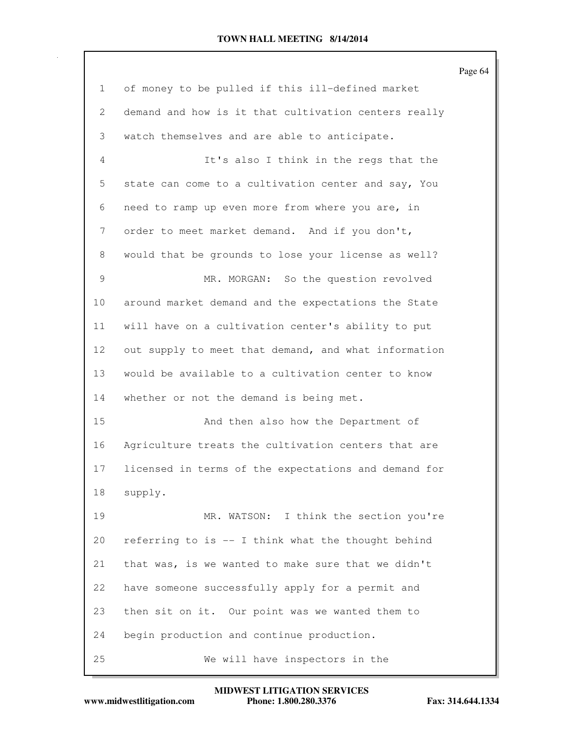|                 |                                                      | Page 64 |
|-----------------|------------------------------------------------------|---------|
| $\mathbf{1}$    | of money to be pulled if this ill-defined market     |         |
| 2               | demand and how is it that cultivation centers really |         |
| 3               | watch themselves and are able to anticipate.         |         |
| 4               | It's also I think in the regs that the               |         |
| 5               | state can come to a cultivation center and say, You  |         |
| 6               | need to ramp up even more from where you are, in     |         |
| 7               | order to meet market demand. And if you don't,       |         |
| 8               | would that be grounds to lose your license as well?  |         |
| 9               | MR. MORGAN: So the question revolved                 |         |
| 10              | around market demand and the expectations the State  |         |
| 11              | will have on a cultivation center's ability to put   |         |
| 12 <sub>2</sub> | out supply to meet that demand, and what information |         |
| 13              | would be available to a cultivation center to know   |         |
| 14              | whether or not the demand is being met.              |         |
| 15              | And then also how the Department of                  |         |
| 16              | Agriculture treats the cultivation centers that are  |         |
| 17              | licensed in terms of the expectations and demand for |         |
| 18              | supply.                                              |         |
| 19              | MR. WATSON: I think the section you're               |         |
| 20              | referring to is -- I think what the thought behind   |         |
| 21              | that was, is we wanted to make sure that we didn't   |         |
| 22              | have someone successfully apply for a permit and     |         |
| 23              | then sit on it. Our point was we wanted them to      |         |
| 24              | begin production and continue production.            |         |
| 25              | We will have inspectors in the                       |         |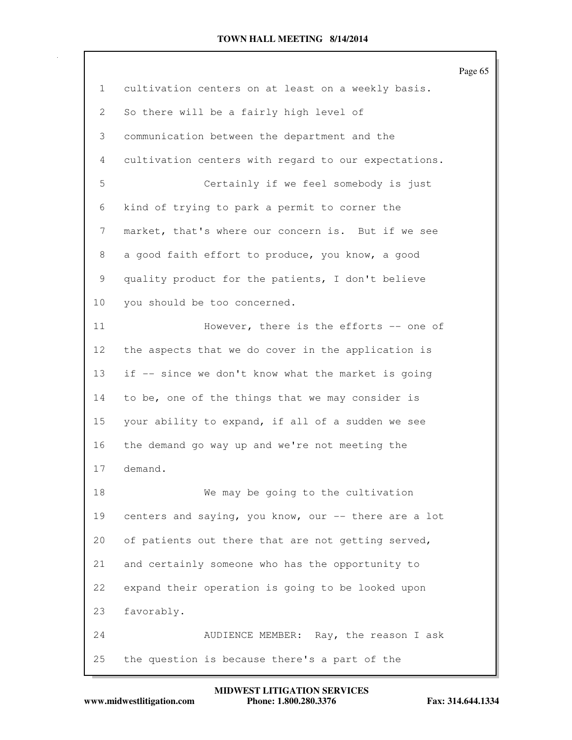|                 |                                                      | Page 65 |
|-----------------|------------------------------------------------------|---------|
| $\mathbf{1}$    | cultivation centers on at least on a weekly basis.   |         |
| 2               | So there will be a fairly high level of              |         |
| 3               | communication between the department and the         |         |
| 4               | cultivation centers with regard to our expectations. |         |
| 5               | Certainly if we feel somebody is just                |         |
| 6               | kind of trying to park a permit to corner the        |         |
| 7               | market, that's where our concern is. But if we see   |         |
| 8               | a good faith effort to produce, you know, a good     |         |
| 9               | quality product for the patients, I don't believe    |         |
| 10              | you should be too concerned.                         |         |
| 11              | However, there is the efforts -- one of              |         |
| 12 <sub>2</sub> | the aspects that we do cover in the application is   |         |
| 13              | if -- since we don't know what the market is going   |         |
| 14              | to be, one of the things that we may consider is     |         |
| 15              | your ability to expand, if all of a sudden we see    |         |
| 16              | the demand go way up and we're not meeting the       |         |
| 17              | demand.                                              |         |
| 18              | We may be going to the cultivation                   |         |
| 19              | centers and saying, you know, our -- there are a lot |         |
| 20              | of patients out there that are not getting served,   |         |
| 21              | and certainly someone who has the opportunity to     |         |
| 22              | expand their operation is going to be looked upon    |         |
| 23              | favorably.                                           |         |
| 24              | AUDIENCE MEMBER: Ray, the reason I ask               |         |
| 25              | the question is because there's a part of the        |         |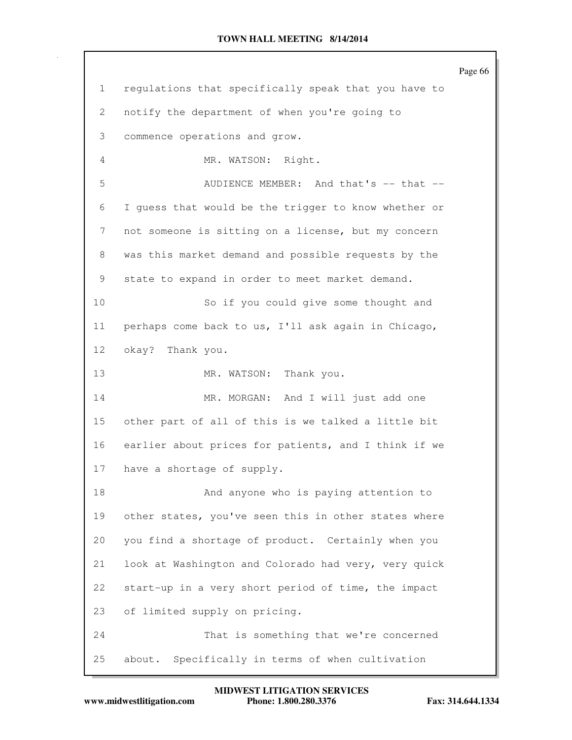Page 66 1 regulations that specifically speak that you have to 2 notify the department of when you're going to 3 commence operations and grow. 4 MR. WATSON: Right. 5 AUDIENCE MEMBER: And that's -- that --6 I guess that would be the trigger to know whether or 7 not someone is sitting on a license, but my concern 8 was this market demand and possible requests by the 9 state to expand in order to meet market demand. 10 So if you could give some thought and 11 perhaps come back to us, I'll ask again in Chicago, 12 okay? Thank you. 13 MR. WATSON: Thank you. 14 MR. MORGAN: And I will just add one 15 other part of all of this is we talked a little bit 16 earlier about prices for patients, and I think if we 17 have a shortage of supply. 18 And anyone who is paying attention to 19 other states, you've seen this in other states where 20 you find a shortage of product. Certainly when you 21 look at Washington and Colorado had very, very quick 22 start-up in a very short period of time, the impact 23 of limited supply on pricing. 24 That is something that we're concerned 25 about. Specifically in terms of when cultivation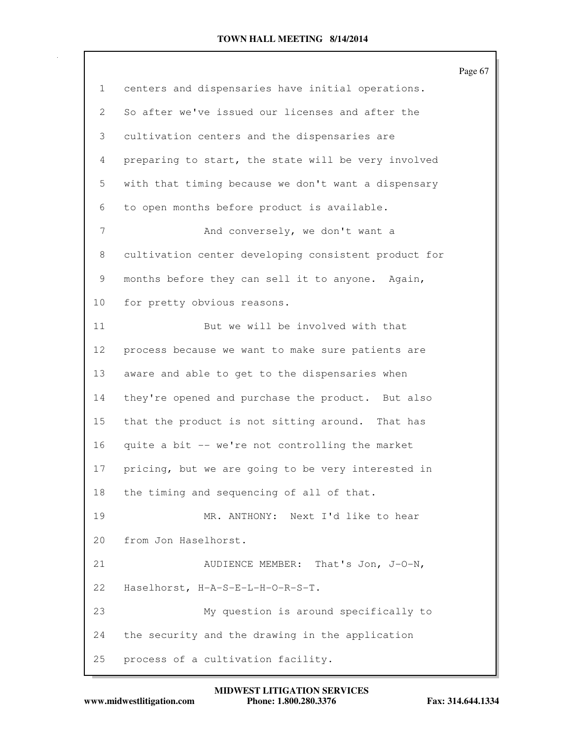|    |                                                      | Page 67 |
|----|------------------------------------------------------|---------|
| 1  | centers and dispensaries have initial operations.    |         |
| 2  | So after we've issued our licenses and after the     |         |
| 3  | cultivation centers and the dispensaries are         |         |
| 4  | preparing to start, the state will be very involved  |         |
| 5  | with that timing because we don't want a dispensary  |         |
| 6  | to open months before product is available.          |         |
| 7  | And conversely, we don't want a                      |         |
| 8  | cultivation center developing consistent product for |         |
| 9  | months before they can sell it to anyone. Again,     |         |
| 10 | for pretty obvious reasons.                          |         |
| 11 | But we will be involved with that                    |         |
| 12 | process because we want to make sure patients are    |         |
| 13 | aware and able to get to the dispensaries when       |         |
| 14 | they're opened and purchase the product. But also    |         |
| 15 | that the product is not sitting around. That has     |         |
| 16 | quite a bit -- we're not controlling the market      |         |
| 17 | pricing, but we are going to be very interested in   |         |
| 18 | the timing and sequencing of all of that.            |         |
| 19 | MR. ANTHONY: Next I'd like to hear                   |         |
| 20 | from Jon Haselhorst.                                 |         |
| 21 | That's Jon, J-O-N,<br>AUDIENCE MEMBER:               |         |
| 22 | Haselhorst, H-A-S-E-L-H-O-R-S-T.                     |         |
| 23 | My question is around specifically to                |         |
| 24 | the security and the drawing in the application      |         |
| 25 | process of a cultivation facility.                   |         |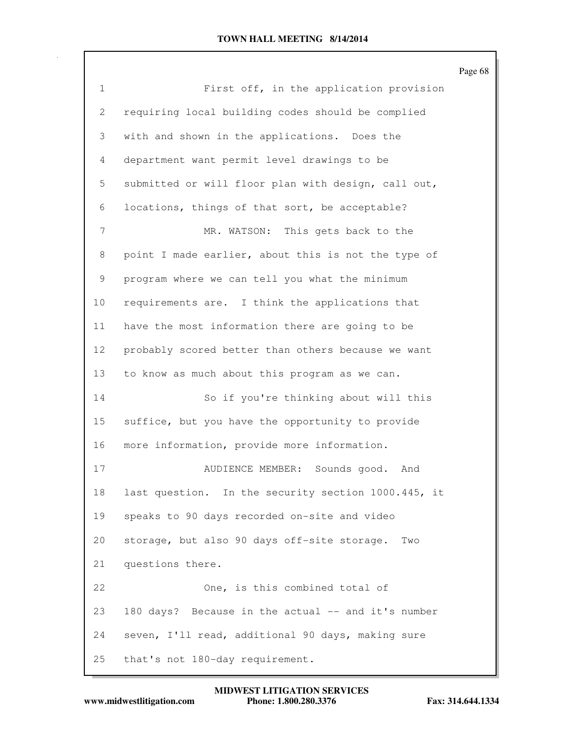|                |                                                     | Page 68 |
|----------------|-----------------------------------------------------|---------|
| $\mathbf{1}$   | First off, in the application provision             |         |
| 2              | requiring local building codes should be complied   |         |
| 3              | with and shown in the applications. Does the        |         |
| $\overline{4}$ | department want permit level drawings to be         |         |
| 5              | submitted or will floor plan with design, call out, |         |
| 6              | locations, things of that sort, be acceptable?      |         |
| 7              | MR. WATSON: This gets back to the                   |         |
| 8              | point I made earlier, about this is not the type of |         |
| 9              | program where we can tell you what the minimum      |         |
| 10             | requirements are. I think the applications that     |         |
| 11             | have the most information there are going to be     |         |
| 12             | probably scored better than others because we want  |         |
| 13             | to know as much about this program as we can.       |         |
| 14             | So if you're thinking about will this               |         |
| 15             | suffice, but you have the opportunity to provide    |         |
| 16             | more information, provide more information.         |         |
| 17             | AUDIENCE MEMBER:<br>Sounds good.<br>And             |         |
| 18             | last question. In the security section 1000.445, it |         |
| 19             | speaks to 90 days recorded on-site and video        |         |
| 20             | storage, but also 90 days off-site storage.<br>Two  |         |
| 21             | questions there.                                    |         |
| 22             | One, is this combined total of                      |         |
| 23             | 180 days? Because in the actual -- and it's number  |         |
| 24             | seven, I'll read, additional 90 days, making sure   |         |
| 25             | that's not 180-day requirement.                     |         |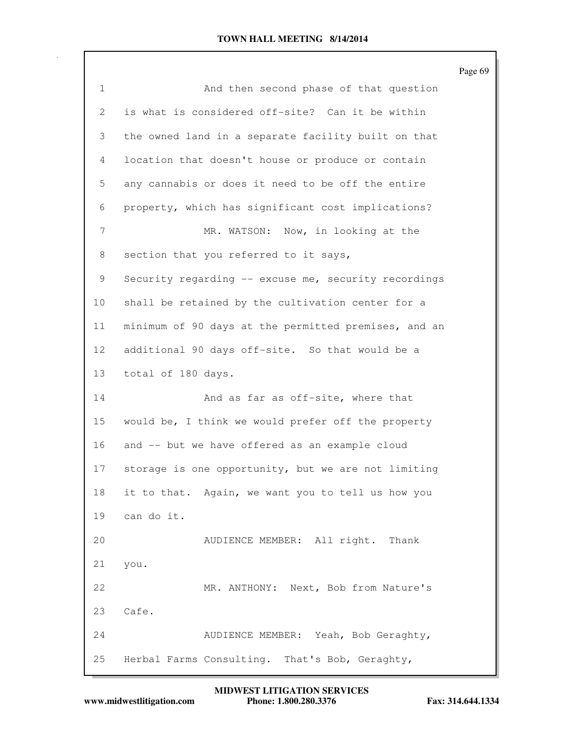|                 |                                                      | Page 69 |
|-----------------|------------------------------------------------------|---------|
| $\mathbf{1}$    | And then second phase of that question               |         |
| 2               | is what is considered off-site? Can it be within     |         |
| 3               | the owned land in a separate facility built on that  |         |
| 4               | location that doesn't house or produce or contain    |         |
| 5               | any cannabis or does it need to be off the entire    |         |
| 6               | property, which has significant cost implications?   |         |
| 7               | MR. WATSON: Now, in looking at the                   |         |
| 8               | section that you referred to it says,                |         |
| 9               | Security regarding -- excuse me, security recordings |         |
| 10              | shall be retained by the cultivation center for a    |         |
| 11              | minimum of 90 days at the permitted premises, and an |         |
| 12 <sup>°</sup> | additional 90 days off-site. So that would be a      |         |
| 13              | total of 180 days.                                   |         |
| 14              | And as far as off-site, where that                   |         |
| 15              | would be, I think we would prefer off the property   |         |
| 16              | and -- but we have offered as an example cloud       |         |
| 17              | storage is one opportunity, but we are not limiting  |         |
| 18              | it to that. Again, we want you to tell us how you    |         |
| 19              | can do it.                                           |         |
| 20              | AUDIENCE MEMBER: All right.<br>Thank                 |         |
| 21              | you.                                                 |         |
| 22              | MR. ANTHONY: Next, Bob from Nature's                 |         |
| 23              | Cafe.                                                |         |
| 24              | AUDIENCE MEMBER: Yeah, Bob Geraghty,                 |         |
| 25              | Herbal Farms Consulting. That's Bob, Geraghty,       |         |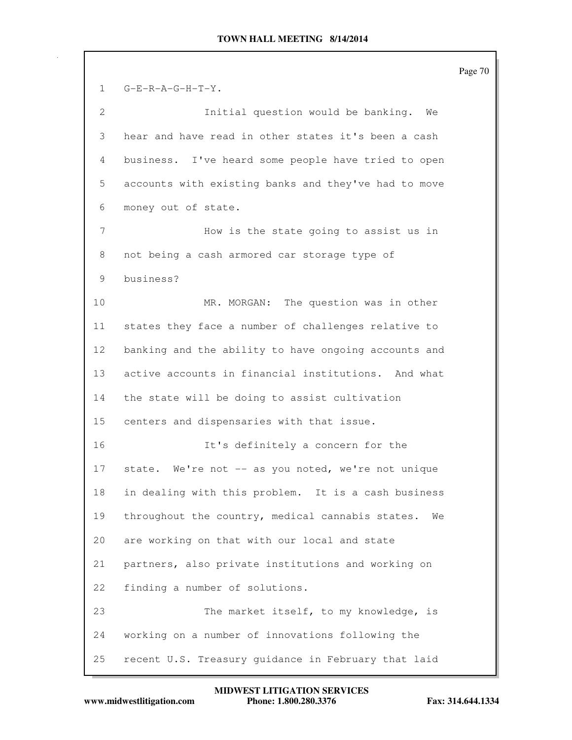Page 70 1 G-E-R-A-G-H-T-Y. 2 Initial question would be banking. We 3 hear and have read in other states it's been a cash 4 business. I've heard some people have tried to open 5 accounts with existing banks and they've had to move 6 money out of state. 7 How is the state going to assist us in 8 not being a cash armored car storage type of 9 business? 10 MR. MORGAN: The question was in other 11 states they face a number of challenges relative to 12 banking and the ability to have ongoing accounts and 13 active accounts in financial institutions. And what 14 the state will be doing to assist cultivation 15 centers and dispensaries with that issue. 16 It's definitely a concern for the 17 state. We're not -- as you noted, we're not unique 18 in dealing with this problem. It is a cash business 19 throughout the country, medical cannabis states. We 20 are working on that with our local and state 21 partners, also private institutions and working on 22 finding a number of solutions. 23 The market itself, to my knowledge, is 24 working on a number of innovations following the 25 recent U.S. Treasury guidance in February that laid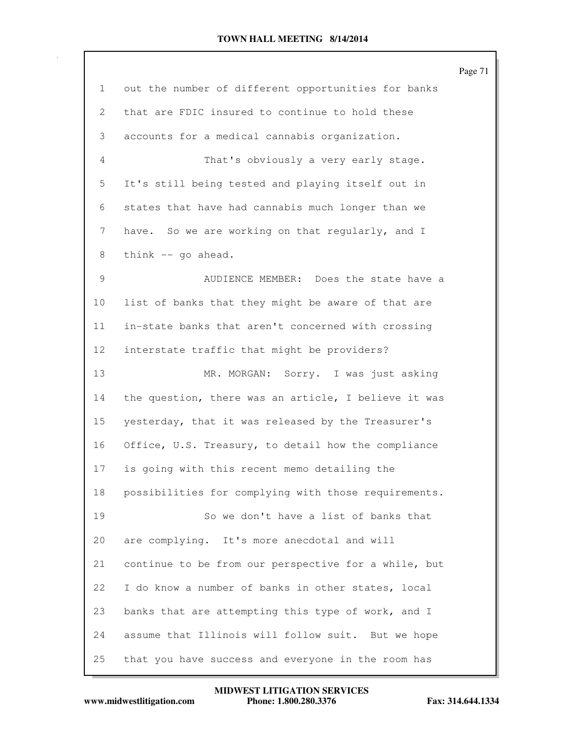|                 |                                                      | Page 71 |
|-----------------|------------------------------------------------------|---------|
| 1               | out the number of different opportunities for banks  |         |
| 2               | that are FDIC insured to continue to hold these      |         |
| 3               | accounts for a medical cannabis organization.        |         |
| 4               | That's obviously a very early stage.                 |         |
| 5               | It's still being tested and playing itself out in    |         |
| 6               | states that have had cannabis much longer than we    |         |
| 7               | have. So we are working on that regularly, and I     |         |
| 8               | think -- go ahead.                                   |         |
| 9               | AUDIENCE MEMBER: Does the state have a               |         |
| 10              | list of banks that they might be aware of that are   |         |
| 11              | in-state banks that aren't concerned with crossing   |         |
| 12 <sup>°</sup> | interstate traffic that might be providers?          |         |
| 13              | MR. MORGAN: Sorry. I was just asking                 |         |
| 14              | the question, there was an article, I believe it was |         |
| 15              | yesterday, that it was released by the Treasurer's   |         |
| 16              | Office, U.S. Treasury, to detail how the compliance  |         |
| 17              | is going with this recent memo detailing the         |         |
| 18              | possibilities for complying with those requirements. |         |
| 19              | So we don't have a list of banks that                |         |
| 20              | are complying. It's more anecdotal and will          |         |
| 21              | continue to be from our perspective for a while, but |         |
| 22              | I do know a number of banks in other states, local   |         |
| 23              | banks that are attempting this type of work, and I   |         |
| 24              | assume that Illinois will follow suit. But we hope   |         |
| 25              | that you have success and everyone in the room has   |         |

**www.midwestlitigation.com Phone: 1.800.280.3376 Fax: 314.644.1334 MIDWEST LITIGATION SERVICES**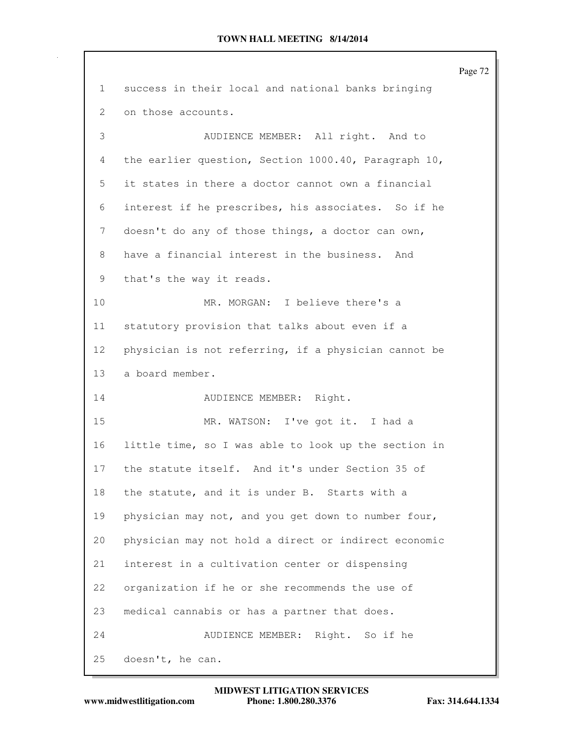|                 |                                                      | Page 72 |
|-----------------|------------------------------------------------------|---------|
| $\mathbf{1}$    | success in their local and national banks bringing   |         |
| 2               | on those accounts.                                   |         |
| 3               | AUDIENCE MEMBER: All right. And to                   |         |
| 4               | the earlier question, Section 1000.40, Paragraph 10, |         |
| 5               | it states in there a doctor cannot own a financial   |         |
| 6               | interest if he prescribes, his associates. So if he  |         |
| 7               | doesn't do any of those things, a doctor can own,    |         |
| 8               | have a financial interest in the business. And       |         |
| 9               | that's the way it reads.                             |         |
| 10              | MR. MORGAN: I believe there's a                      |         |
| 11              | statutory provision that talks about even if a       |         |
| 12 <sup>°</sup> | physician is not referring, if a physician cannot be |         |
| 13              | a board member.                                      |         |
| 14              | AUDIENCE MEMBER: Right.                              |         |
| 15              | MR. WATSON: I've got it. I had a                     |         |
| 16              | little time, so I was able to look up the section in |         |
| 17              | the statute itself. And it's under Section 35 of     |         |
| 18              | the statute, and it is under B. Starts with a        |         |
| 19              | physician may not, and you get down to number four,  |         |
| 20              | physician may not hold a direct or indirect economic |         |
| 21              | interest in a cultivation center or dispensing       |         |
| 22              | organization if he or she recommends the use of      |         |
| 23              | medical cannabis or has a partner that does.         |         |
| 24              | AUDIENCE MEMBER:<br>Right. So if he                  |         |
| 25              | doesn't, he can.                                     |         |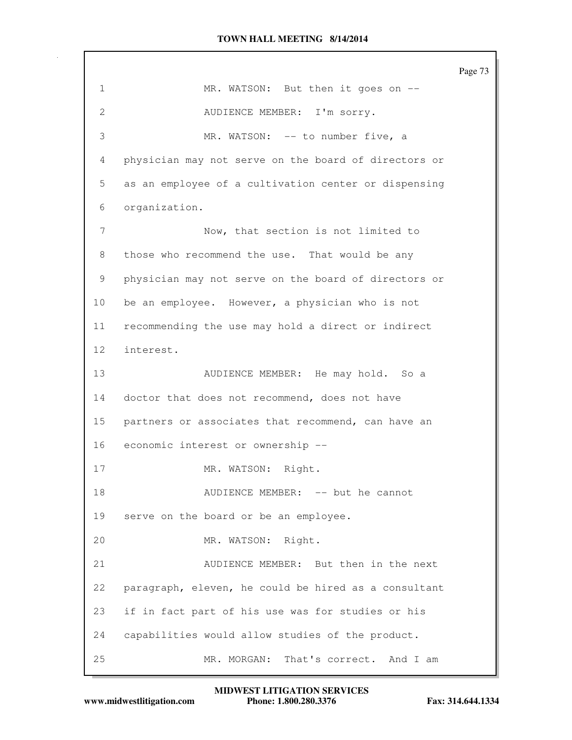|                 |                                                      | Page 73 |
|-----------------|------------------------------------------------------|---------|
| $\mathbf{1}$    | MR. WATSON: But then it goes on --                   |         |
| $\mathbf{2}$    | AUDIENCE MEMBER: I'm sorry.                          |         |
| 3               | MR. WATSON: -- to number five, a                     |         |
| 4               | physician may not serve on the board of directors or |         |
| 5               | as an employee of a cultivation center or dispensing |         |
| 6               | organization.                                        |         |
| 7               | Now, that section is not limited to                  |         |
| 8               | those who recommend the use. That would be any       |         |
| 9               | physician may not serve on the board of directors or |         |
| 10              | be an employee. However, a physician who is not      |         |
| 11              | recommending the use may hold a direct or indirect   |         |
| 12 <sup>°</sup> | interest.                                            |         |
| 13              | AUDIENCE MEMBER: He may hold. So a                   |         |
| 14              | doctor that does not recommend, does not have        |         |
| 15              | partners or associates that recommend, can have an   |         |
| 16              | economic interest or ownership --                    |         |
| 17              | Right.<br>MR. WATSON:                                |         |
| 18              | AUDIENCE MEMBER: -- but he cannot                    |         |
| 19              | serve on the board or be an employee.                |         |
| 20              | MR. WATSON: Right.                                   |         |
| 21              | AUDIENCE MEMBER: But then in the next                |         |
| 22              | paragraph, eleven, he could be hired as a consultant |         |
| 23              | if in fact part of his use was for studies or his    |         |
| 24              | capabilities would allow studies of the product.     |         |
| 25              | MR. MORGAN:<br>That's correct. And I am              |         |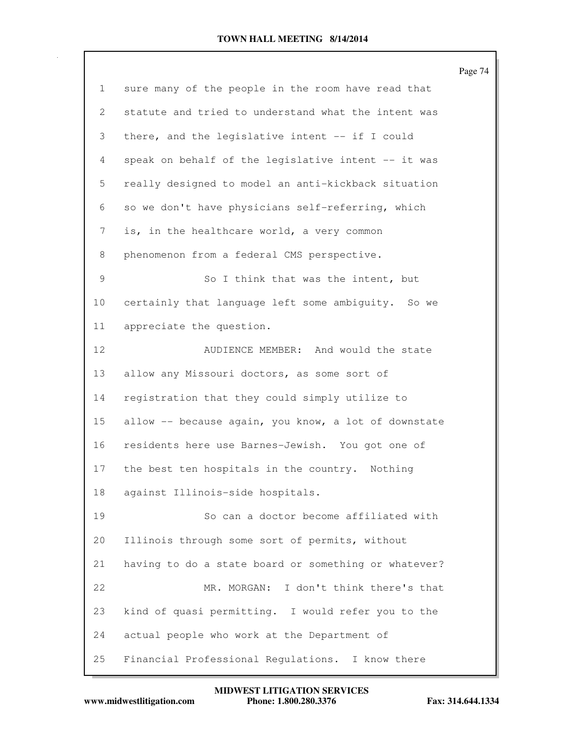|                           |                                                      | Page 74 |
|---------------------------|------------------------------------------------------|---------|
| $\mathbf{1}$              | sure many of the people in the room have read that   |         |
| $\mathbf{2}^{\mathsf{I}}$ | statute and tried to understand what the intent was  |         |
| 3                         | there, and the legislative intent -- if I could      |         |
| 4                         | speak on behalf of the legislative intent -- it was  |         |
| 5                         | really designed to model an anti-kickback situation  |         |
| 6                         | so we don't have physicians self-referring, which    |         |
| 7                         | is, in the healthcare world, a very common           |         |
| 8                         | phenomenon from a federal CMS perspective.           |         |
| 9                         | So I think that was the intent, but                  |         |
| 10                        | certainly that language left some ambiguity. So we   |         |
| 11                        | appreciate the question.                             |         |
| 12                        | AUDIENCE MEMBER: And would the state                 |         |
| 13                        | allow any Missouri doctors, as some sort of          |         |
| 14                        | registration that they could simply utilize to       |         |
| 15                        | allow -- because again, you know, a lot of downstate |         |
| 16                        | residents here use Barnes-Jewish. You got one of     |         |
| 17                        | the best ten hospitals in the country. Nothing       |         |
| 18                        | against Illinois-side hospitals.                     |         |
| 19                        | So can a doctor become affiliated with               |         |
| 20                        | Illinois through some sort of permits, without       |         |
| 21                        | having to do a state board or something or whatever? |         |
| 22                        | MR. MORGAN:<br>I don't think there's that            |         |
| 23                        | kind of quasi permitting. I would refer you to the   |         |
| 24                        | actual people who work at the Department of          |         |
| 25                        | Financial Professional Regulations. I know there     |         |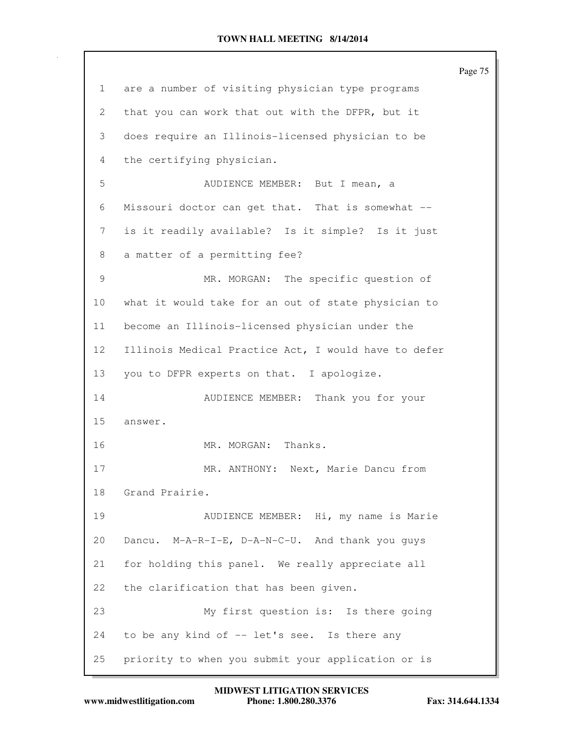|                 |                                                      | Page 75 |
|-----------------|------------------------------------------------------|---------|
| $\mathbf{1}$    | are a number of visiting physician type programs     |         |
| 2               | that you can work that out with the DFPR, but it     |         |
| 3               | does require an Illinois-licensed physician to be    |         |
| 4               | the certifying physician.                            |         |
| 5               | AUDIENCE MEMBER: But I mean, a                       |         |
| 6               | Missouri doctor can get that. That is somewhat --    |         |
| 7               | is it readily available? Is it simple? Is it just    |         |
| 8               | a matter of a permitting fee?                        |         |
| 9               | MR. MORGAN: The specific question of                 |         |
| $10 \,$         | what it would take for an out of state physician to  |         |
| 11              | become an Illinois-licensed physician under the      |         |
| 12 <sub>2</sub> | Illinois Medical Practice Act, I would have to defer |         |
| 13              | you to DFPR experts on that. I apologize.            |         |
| 14              | AUDIENCE MEMBER: Thank you for your                  |         |
| 15              | answer.                                              |         |
| 16              | MR. MORGAN: Thanks.                                  |         |
| 17              | MR. ANTHONY: Next, Marie Dancu from                  |         |
| 18              | Grand Prairie.                                       |         |
| 19              | AUDIENCE MEMBER: Hi, my name is Marie                |         |
| 20              | Dancu. M-A-R-I-E, D-A-N-C-U. And thank you guys      |         |
| 21              | for holding this panel. We really appreciate all     |         |
| 22              | the clarification that has been given.               |         |
| 23              | My first question is: Is there going                 |         |
| 24              | to be any kind of -- let's see. Is there any         |         |
| 25              | priority to when you submit your application or is   |         |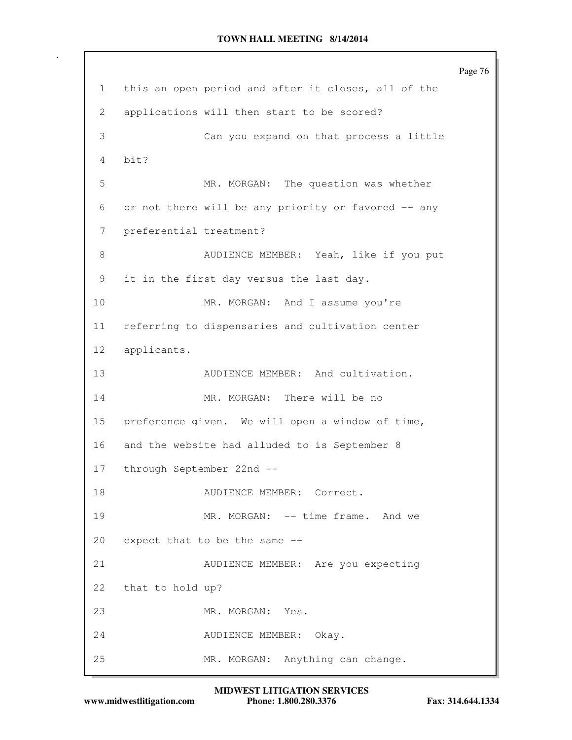Page 76 1 this an open period and after it closes, all of the 2 applications will then start to be scored? 3 Can you expand on that process a little 4 bit? 5 MR. MORGAN: The question was whether 6 or not there will be any priority or favored -- any 7 preferential treatment? 8 AUDIENCE MEMBER: Yeah, like if you put 9 it in the first day versus the last day. 10 MR. MORGAN: And I assume you're 11 referring to dispensaries and cultivation center 12 applicants. 13 AUDIENCE MEMBER: And cultivation. 14 MR. MORGAN: There will be no 15 preference given. We will open a window of time, 16 and the website had alluded to is September 8 17 through September 22nd -- 18 AUDIENCE MEMBER: Correct. 19 MR. MORGAN: -- time frame. And we 20 expect that to be the same -- 21 AUDIENCE MEMBER: Are you expecting 22 that to hold up? 23 MR. MORGAN: Yes. 24 AUDIENCE MEMBER: Okay. 25 MR. MORGAN: Anything can change.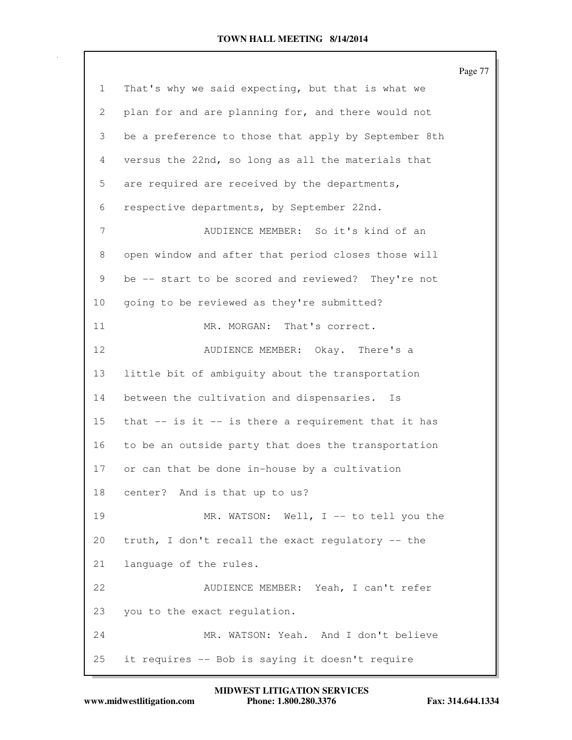|              |                                                       | Page 77 |
|--------------|-------------------------------------------------------|---------|
| $\mathbf{1}$ | That's why we said expecting, but that is what we     |         |
| 2            | plan for and are planning for, and there would not    |         |
| 3            | be a preference to those that apply by September 8th  |         |
| 4            | versus the 22nd, so long as all the materials that    |         |
| 5            | are required are received by the departments,         |         |
| 6            | respective departments, by September 22nd.            |         |
| 7            | AUDIENCE MEMBER: So it's kind of an                   |         |
| 8            | open window and after that period closes those will   |         |
| 9            | be -- start to be scored and reviewed? They're not    |         |
| 10           | going to be reviewed as they're submitted?            |         |
| 11           | MR. MORGAN:<br>That's correct.                        |         |
| 12           | AUDIENCE MEMBER: Okay. There's a                      |         |
| 13           | little bit of ambiguity about the transportation      |         |
| 14           | between the cultivation and dispensaries.<br>Is       |         |
| 15           | that $-$ is it $-$ is there a requirement that it has |         |
| 16           | to be an outside party that does the transportation   |         |
| 17           | or can that be done in-house by a cultivation         |         |
| 18           | center? And is that up to us?                         |         |
| 19           | MR. WATSON: Well, I -- to tell you the                |         |
| 20           | truth, I don't recall the exact regulatory -- the     |         |
| 21           | language of the rules.                                |         |
| 22           | AUDIENCE MEMBER: Yeah, I can't refer                  |         |
| 23           | you to the exact regulation.                          |         |
| 24           | MR. WATSON: Yeah. And I don't believe                 |         |
| 25           | it requires -- Bob is saying it doesn't require       |         |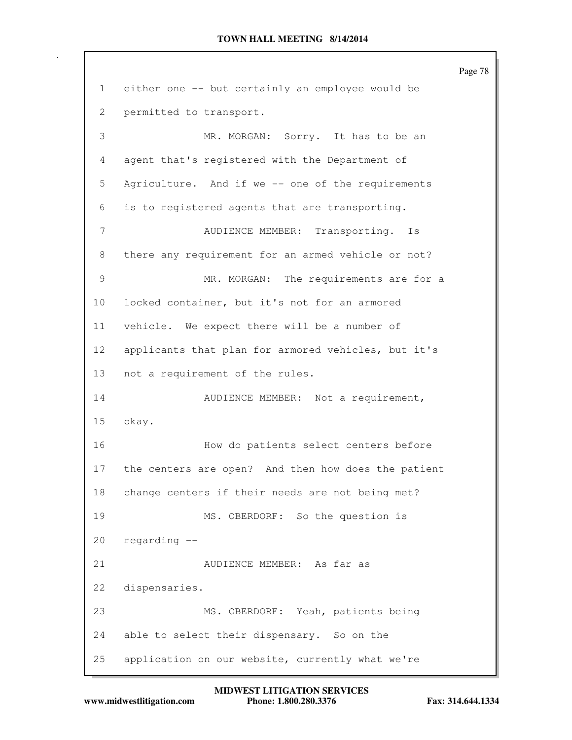Page 78 1 either one -- but certainly an employee would be 2 permitted to transport. 3 MR. MORGAN: Sorry. It has to be an 4 agent that's registered with the Department of 5 Agriculture. And if we -- one of the requirements 6 is to registered agents that are transporting. 7 AUDIENCE MEMBER: Transporting. Is 8 there any requirement for an armed vehicle or not? 9 MR. MORGAN: The requirements are for a 10 locked container, but it's not for an armored 11 vehicle. We expect there will be a number of 12 applicants that plan for armored vehicles, but it's 13 not a requirement of the rules. 14 AUDIENCE MEMBER: Not a requirement, 15 okay. 16 How do patients select centers before 17 the centers are open? And then how does the patient 18 change centers if their needs are not being met? 19 MS. OBERDORF: So the question is 20 regarding -- 21 AUDIENCE MEMBER: As far as 22 dispensaries. 23 MS. OBERDORF: Yeah, patients being 24 able to select their dispensary. So on the 25 application on our website, currently what we're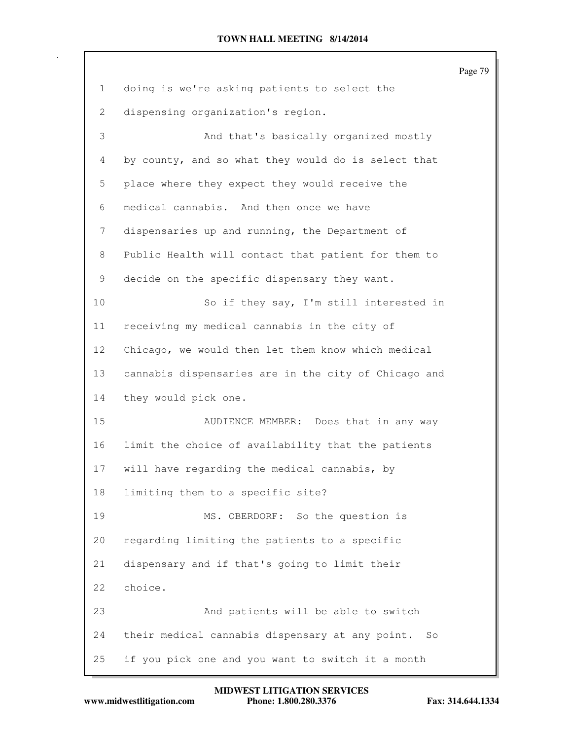|                       |                                                      | Page 79 |
|-----------------------|------------------------------------------------------|---------|
| 1                     | doing is we're asking patients to select the         |         |
| $\mathbf{2}^{\prime}$ | dispensing organization's region.                    |         |
| 3                     | And that's basically organized mostly                |         |
| 4                     | by county, and so what they would do is select that  |         |
| 5                     | place where they expect they would receive the       |         |
| 6                     | medical cannabis. And then once we have              |         |
| 7                     | dispensaries up and running, the Department of       |         |
| 8                     | Public Health will contact that patient for them to  |         |
| 9                     | decide on the specific dispensary they want.         |         |
| 10                    | So if they say, I'm still interested in              |         |
| 11                    | receiving my medical cannabis in the city of         |         |
| 12                    | Chicago, we would then let them know which medical   |         |
| 13                    | cannabis dispensaries are in the city of Chicago and |         |
| 14                    | they would pick one.                                 |         |
| 15                    | AUDIENCE MEMBER: Does that in any way                |         |
| 16                    | limit the choice of availability that the patients   |         |
| 17                    | will have regarding the medical cannabis, by         |         |
| 18                    | limiting them to a specific site?                    |         |
| 19                    | MS. OBERDORF: So the question is                     |         |
| 20                    | regarding limiting the patients to a specific        |         |
| 21                    | dispensary and if that's going to limit their        |         |
| 22                    | choice.                                              |         |
| 23                    | And patients will be able to switch                  |         |
| 24                    | their medical cannabis dispensary at any point. So   |         |
| 25                    | if you pick one and you want to switch it a month    |         |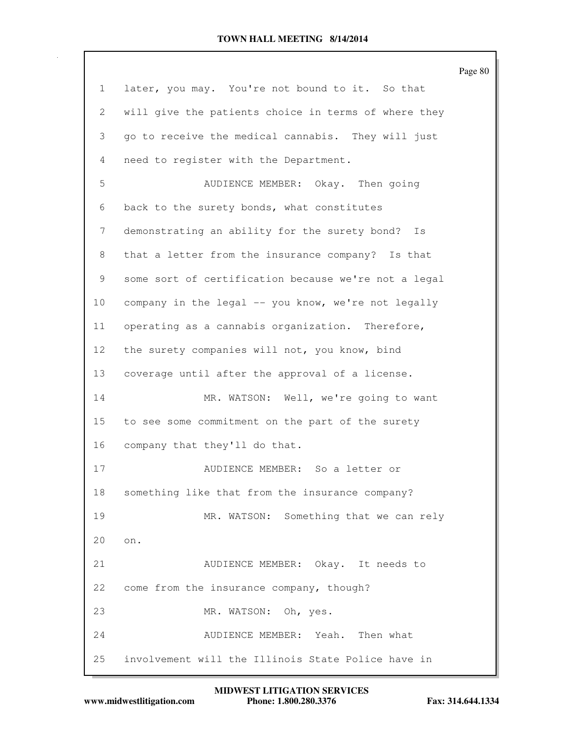|                 |                                                      | Page 80 |
|-----------------|------------------------------------------------------|---------|
| 1               | later, you may. You're not bound to it. So that      |         |
| 2               | will give the patients choice in terms of where they |         |
| 3               | go to receive the medical cannabis. They will just   |         |
| 4               | need to register with the Department.                |         |
| 5               | AUDIENCE MEMBER: Okay. Then going                    |         |
| 6               | back to the surety bonds, what constitutes           |         |
| 7               | demonstrating an ability for the surety bond?<br>Is  |         |
| 8               | that a letter from the insurance company? Is that    |         |
| 9               | some sort of certification because we're not a legal |         |
| 10              | company in the legal -- you know, we're not legally  |         |
| 11              | operating as a cannabis organization. Therefore,     |         |
| 12 <sup>°</sup> | the surety companies will not, you know, bind        |         |
| 13              | coverage until after the approval of a license.      |         |
| 14              | MR. WATSON: Well, we're going to want                |         |
| 15              | to see some commitment on the part of the surety     |         |
| 16              | company that they'll do that.                        |         |
| 17              | AUDIENCE MEMBER: So a letter or                      |         |
| 18              | something like that from the insurance company?      |         |
| 19              | MR. WATSON: Something that we can rely               |         |
| 20              | on.                                                  |         |
| 21              | AUDIENCE MEMBER: Okay. It needs to                   |         |
| 22              | come from the insurance company, though?             |         |
| 23              | MR. WATSON: Oh, yes.                                 |         |
| 24              | AUDIENCE MEMBER: Yeah. Then what                     |         |
| 25              | involvement will the Illinois State Police have in   |         |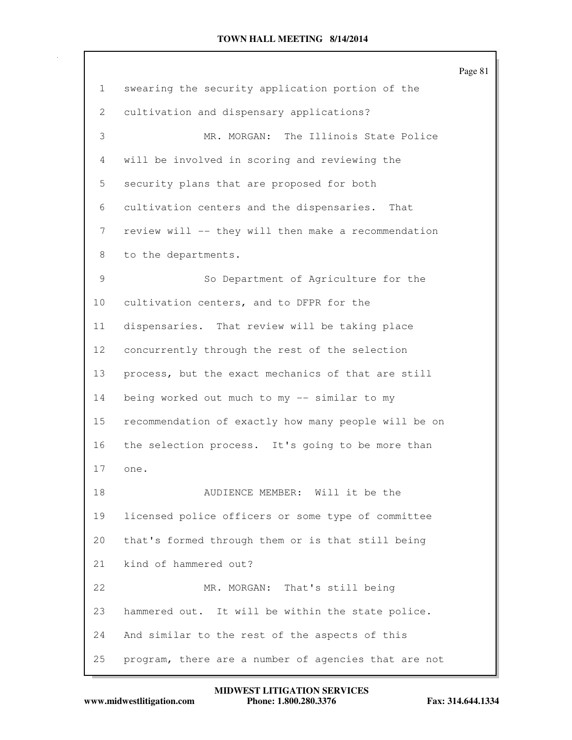|                 |                                                      | Page 81 |
|-----------------|------------------------------------------------------|---------|
| $\mathbf{1}$    | swearing the security application portion of the     |         |
| $\overline{2}$  | cultivation and dispensary applications?             |         |
| 3               | MR. MORGAN: The Illinois State Police                |         |
| 4               | will be involved in scoring and reviewing the        |         |
| 5               | security plans that are proposed for both            |         |
| 6               | cultivation centers and the dispensaries. That       |         |
| 7               | review will -- they will then make a recommendation  |         |
| 8               | to the departments.                                  |         |
| 9               | So Department of Agriculture for the                 |         |
| 10 <sub>o</sub> | cultivation centers, and to DFPR for the             |         |
| 11              | dispensaries. That review will be taking place       |         |
| 12              | concurrently through the rest of the selection       |         |
| 13              | process, but the exact mechanics of that are still   |         |
| 14              | being worked out much to my -- similar to my         |         |
| 15              | recommendation of exactly how many people will be on |         |
| 16              | the selection process. It's going to be more than    |         |
| 17              | one.                                                 |         |
| 18              | AUDIENCE MEMBER: Will it be the                      |         |
| 19              | licensed police officers or some type of committee   |         |
| 20              | that's formed through them or is that still being    |         |
| 21              | kind of hammered out?                                |         |
| 22              | MR. MORGAN: That's still being                       |         |
| 23              | hammered out. It will be within the state police.    |         |
| 24              | And similar to the rest of the aspects of this       |         |
| 25              | program, there are a number of agencies that are not |         |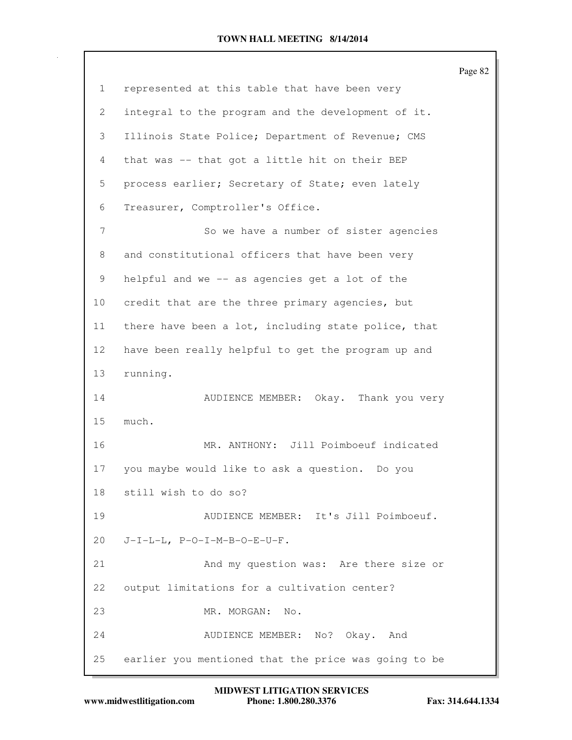|                 |                                                      | Page 82 |
|-----------------|------------------------------------------------------|---------|
| $\mathbf{1}$    | represented at this table that have been very        |         |
| 2               | integral to the program and the development of it.   |         |
| 3               | Illinois State Police; Department of Revenue; CMS    |         |
| 4               | that was -- that got a little hit on their BEP       |         |
| 5               | process earlier; Secretary of State; even lately     |         |
| 6               | Treasurer, Comptroller's Office.                     |         |
| 7               | So we have a number of sister agencies               |         |
| 8               | and constitutional officers that have been very      |         |
| 9               | helpful and we -- as agencies get a lot of the       |         |
| 10 <sub>o</sub> | credit that are the three primary agencies, but      |         |
| 11              | there have been a lot, including state police, that  |         |
| 12 <sup>°</sup> | have been really helpful to get the program up and   |         |
| 13              | running.                                             |         |
| 14              | Okay. Thank you very<br>AUDIENCE MEMBER:             |         |
| 15              | much.                                                |         |
| 16              | MR. ANTHONY: Jill Poimboeuf indicated                |         |
| 17              | you maybe would like to ask a question. Do you       |         |
| 18              | still wish to do so?                                 |         |
| 19              | AUDIENCE MEMBER: It's Jill Poimboeuf.                |         |
| 20              | $J-I-L-L$ , $P-O-I-M-B-O-E- U-F$ .                   |         |
| 21              | And my question was: Are there size or               |         |
| 22              | output limitations for a cultivation center?         |         |
| 23              | MR. MORGAN:<br>No.                                   |         |
| 24              | AUDIENCE MEMBER: No? Okay. And                       |         |
| 25              | earlier you mentioned that the price was going to be |         |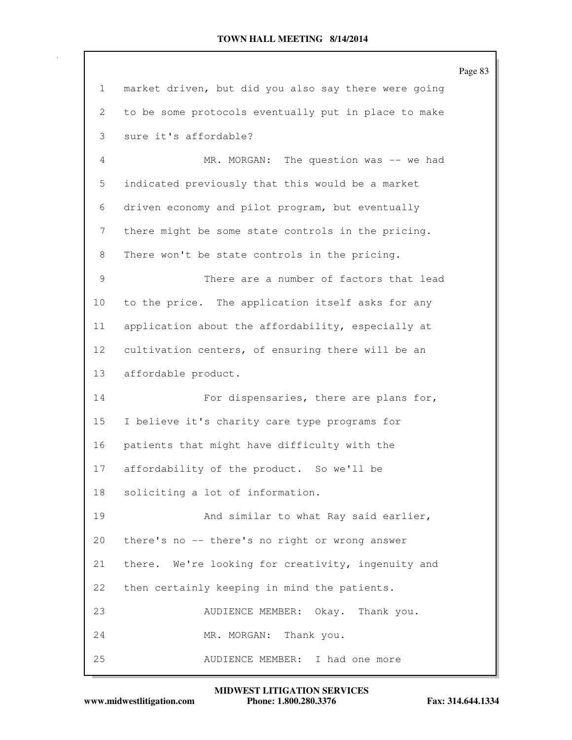|                 |                                                      | Page 83 |
|-----------------|------------------------------------------------------|---------|
| $\mathbf{1}$    | market driven, but did you also say there were going |         |
| 2               | to be some protocols eventually put in place to make |         |
| 3               | sure it's affordable?                                |         |
| 4               | MR. MORGAN: The question was -- we had               |         |
| 5               | indicated previously that this would be a market     |         |
| 6               | driven economy and pilot program, but eventually     |         |
| 7               | there might be some state controls in the pricing.   |         |
| 8               | There won't be state controls in the pricing.        |         |
| 9               | There are a number of factors that lead              |         |
| 10              | to the price. The application itself asks for any    |         |
| 11              | application about the affordability, especially at   |         |
| 12 <sub>2</sub> | cultivation centers, of ensuring there will be an    |         |
| 13              | affordable product.                                  |         |
| 14              | For dispensaries, there are plans for,               |         |
| 15              | I believe it's charity care type programs for        |         |
| 16              | patients that might have difficulty with the         |         |
| 17              | affordability of the product. So we'll be            |         |
| 18              | soliciting a lot of information.                     |         |
| 19              | And similar to what Ray said earlier,                |         |
| 20              | there's no -- there's no right or wrong answer       |         |
| 21              | there. We're looking for creativity, ingenuity and   |         |
| 22              | then certainly keeping in mind the patients.         |         |
| 23              | AUDIENCE MEMBER: Okay. Thank you.                    |         |
| 24              | MR. MORGAN: Thank you.                               |         |
| 25              | AUDIENCE MEMBER: I had one more                      |         |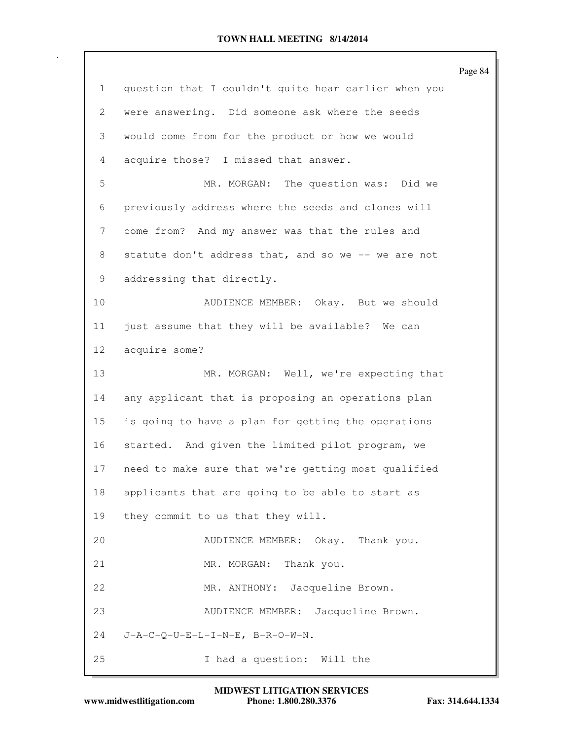|              |                                                      | Page 84 |
|--------------|------------------------------------------------------|---------|
| $\mathbf{1}$ | question that I couldn't quite hear earlier when you |         |
| 2            | were answering. Did someone ask where the seeds      |         |
| 3            | would come from for the product or how we would      |         |
| 4            | acquire those? I missed that answer.                 |         |
| 5            | MR. MORGAN: The question was: Did we                 |         |
| 6            | previously address where the seeds and clones will   |         |
| 7            | come from? And my answer was that the rules and      |         |
| 8            | statute don't address that, and so we -- we are not  |         |
| 9            | addressing that directly.                            |         |
| 10           | AUDIENCE MEMBER: Okay. But we should                 |         |
| 11           | just assume that they will be available? We can      |         |
| 12           | acquire some?                                        |         |
| 13           | MR. MORGAN: Well, we're expecting that               |         |
| 14           | any applicant that is proposing an operations plan   |         |
| 15           | is going to have a plan for getting the operations   |         |
| 16           | started. And given the limited pilot program, we     |         |
| 17           | need to make sure that we're getting most qualified  |         |
| 18           | applicants that are going to be able to start as     |         |
| 19           | they commit to us that they will.                    |         |
| 20           | AUDIENCE MEMBER: Okay. Thank you.                    |         |
| 21           | Thank you.<br>MR. MORGAN:                            |         |
| 22           | Jacqueline Brown.<br>MR. ANTHONY:                    |         |
| 23           | Jacqueline Brown.<br>AUDIENCE MEMBER:                |         |
| 24           | $J-A-C-Q-U-E-L-I-N-E$ , $B-R-O-W-N$ .                |         |
| 25           | I had a question: Will the                           |         |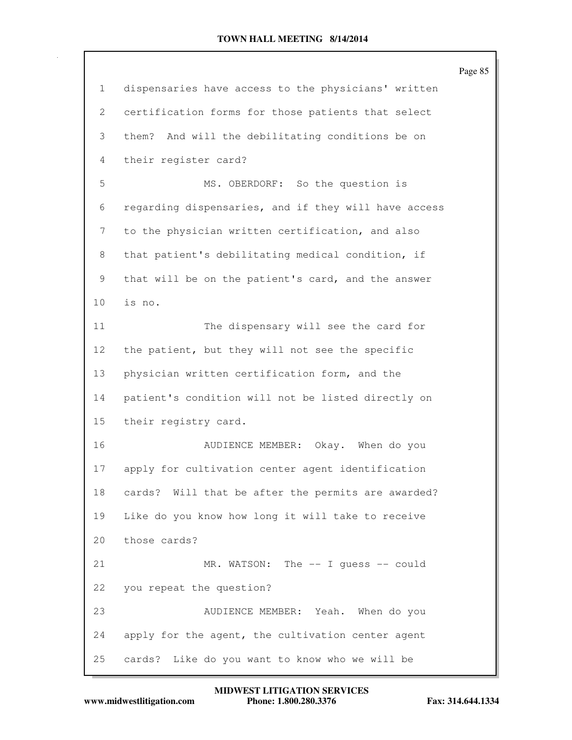|    |                                                      | Page 85 |
|----|------------------------------------------------------|---------|
| 1  | dispensaries have access to the physicians' written  |         |
| 2  | certification forms for those patients that select   |         |
| 3  | And will the debilitating conditions be on<br>them?  |         |
| 4  | their register card?                                 |         |
| 5  | MS. OBERDORF: So the question is                     |         |
| 6  | regarding dispensaries, and if they will have access |         |
| 7  | to the physician written certification, and also     |         |
| 8  | that patient's debilitating medical condition, if    |         |
| 9  | that will be on the patient's card, and the answer   |         |
| 10 | is no.                                               |         |
| 11 | The dispensary will see the card for                 |         |
| 12 | the patient, but they will not see the specific      |         |
| 13 | physician written certification form, and the        |         |
| 14 | patient's condition will not be listed directly on   |         |
| 15 | their registry card.                                 |         |
| 16 | AUDIENCE MEMBER: Okay. When do you                   |         |
| 17 | apply for cultivation center agent identification    |         |
| 18 | cards? Will that be after the permits are awarded?   |         |
| 19 | Like do you know how long it will take to receive    |         |
| 20 | those cards?                                         |         |
| 21 | The $--$ I quess $--$ could<br>MR. WATSON:           |         |
| 22 | you repeat the question?                             |         |
| 23 | AUDIENCE MEMBER: Yeah. When do you                   |         |
| 24 | apply for the agent, the cultivation center agent    |         |
| 25 | cards? Like do you want to know who we will be       |         |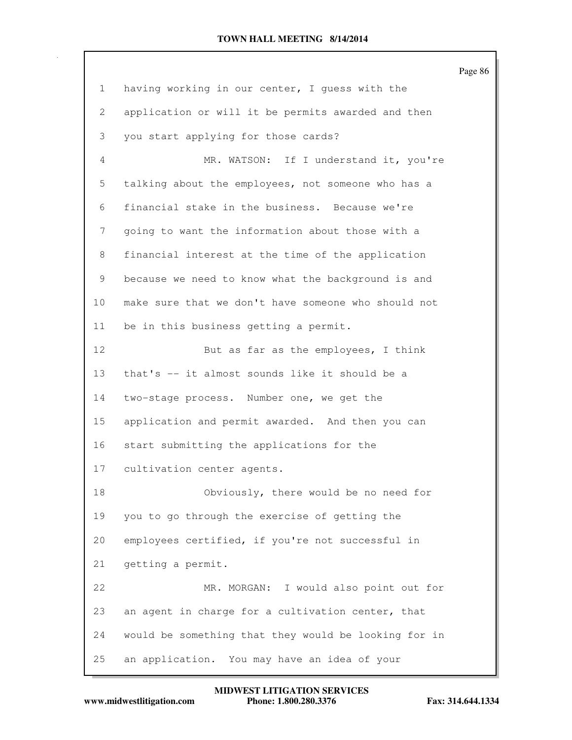|                 |                                                      | Page 86 |
|-----------------|------------------------------------------------------|---------|
| $\mathbf{1}$    | having working in our center, I quess with the       |         |
| $\mathbf{2}$    | application or will it be permits awarded and then   |         |
| 3               | you start applying for those cards?                  |         |
| $\overline{4}$  | MR. WATSON: If I understand it, you're               |         |
| 5               | talking about the employees, not someone who has a   |         |
| 6               | financial stake in the business. Because we're       |         |
| 7               | going to want the information about those with a     |         |
| 8               | financial interest at the time of the application    |         |
| 9               | because we need to know what the background is and   |         |
| 10 <sub>o</sub> | make sure that we don't have someone who should not  |         |
| 11              | be in this business getting a permit.                |         |
| 12              | But as far as the employees, I think                 |         |
| 13              | that's -- it almost sounds like it should be a       |         |
| 14              | two-stage process. Number one, we get the            |         |
| 15              | application and permit awarded. And then you can     |         |
| 16              | start submitting the applications for the            |         |
| 17              | cultivation center agents.                           |         |
| 18              | Obviously, there would be no need for                |         |
| 19              | you to go through the exercise of getting the        |         |
| 20              | employees certified, if you're not successful in     |         |
| 21              | getting a permit.                                    |         |
| 22              | MR. MORGAN: I would also point out for               |         |
| 23              | an agent in charge for a cultivation center, that    |         |
| 24              | would be something that they would be looking for in |         |
| 25              | an application. You may have an idea of your         |         |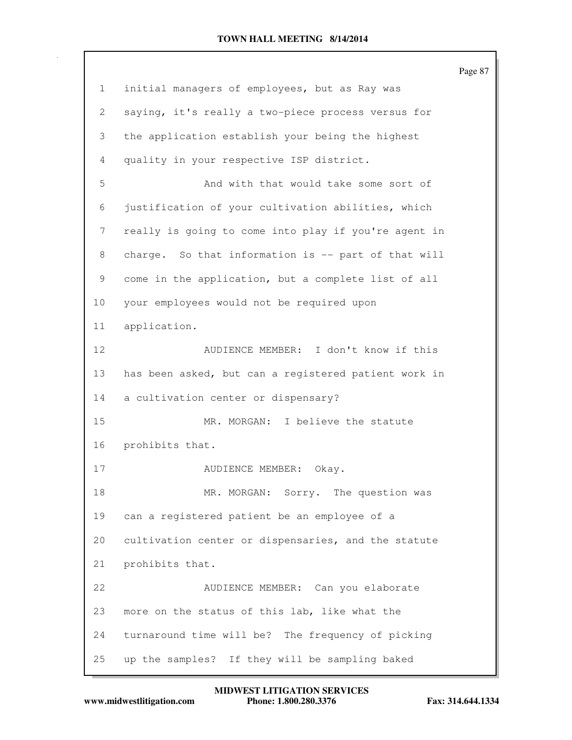Page 87 1 initial managers of employees, but as Ray was 2 saying, it's really a two-piece process versus for 3 the application establish your being the highest 4 quality in your respective ISP district. 5 And with that would take some sort of 6 justification of your cultivation abilities, which 7 really is going to come into play if you're agent in 8 charge. So that information is -- part of that will 9 come in the application, but a complete list of all 10 your employees would not be required upon 11 application. 12 AUDIENCE MEMBER: I don't know if this 13 has been asked, but can a registered patient work in 14 a cultivation center or dispensary? 15 MR. MORGAN: I believe the statute 16 prohibits that. 17 AUDIENCE MEMBER: Okay. 18 MR. MORGAN: Sorry. The question was 19 can a registered patient be an employee of a 20 cultivation center or dispensaries, and the statute 21 prohibits that. 22 AUDIENCE MEMBER: Can you elaborate 23 more on the status of this lab, like what the 24 turnaround time will be? The frequency of picking 25 up the samples? If they will be sampling baked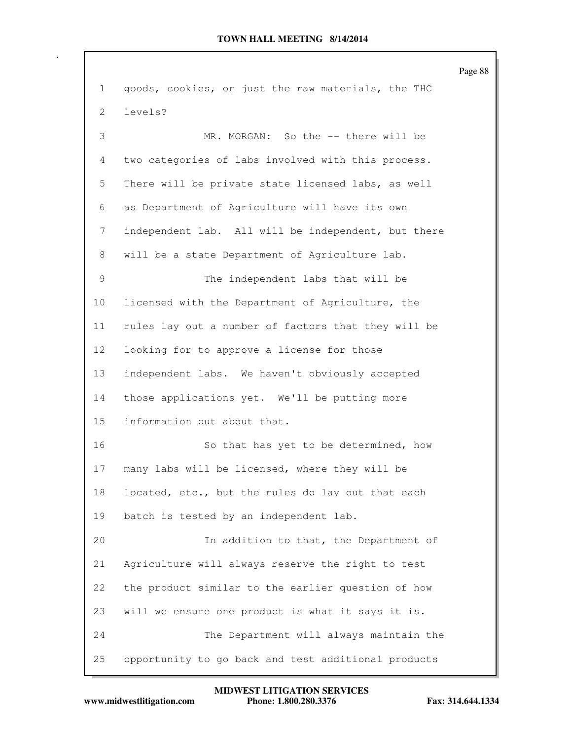Page 88 1 goods, cookies, or just the raw materials, the THC 2 levels? 3 MR. MORGAN: So the -- there will be 4 two categories of labs involved with this process. 5 There will be private state licensed labs, as well 6 as Department of Agriculture will have its own 7 independent lab. All will be independent, but there 8 will be a state Department of Agriculture lab. 9 The independent labs that will be 10 licensed with the Department of Agriculture, the 11 rules lay out a number of factors that they will be 12 looking for to approve a license for those 13 independent labs. We haven't obviously accepted 14 those applications yet. We'll be putting more 15 information out about that. 16 So that has yet to be determined, how 17 many labs will be licensed, where they will be 18 located, etc., but the rules do lay out that each 19 batch is tested by an independent lab. 20 In addition to that, the Department of 21 Agriculture will always reserve the right to test 22 the product similar to the earlier question of how 23 will we ensure one product is what it says it is. 24 The Department will always maintain the 25 opportunity to go back and test additional products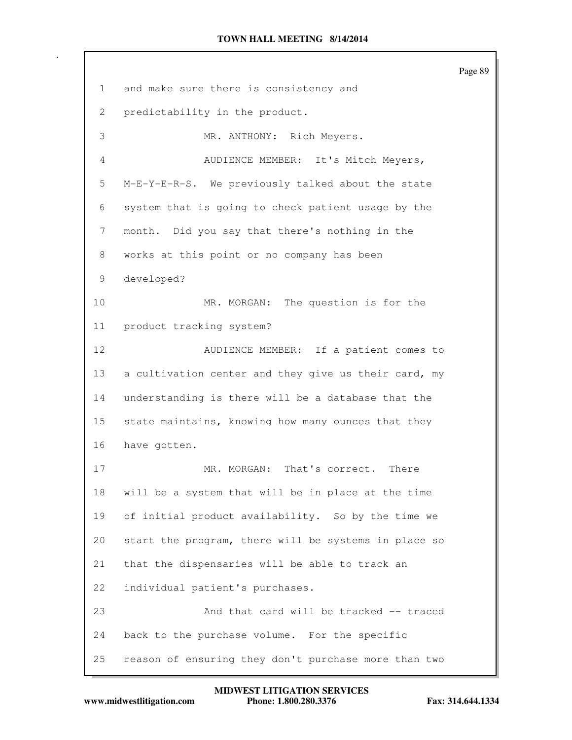Page 89 1 and make sure there is consistency and 2 predictability in the product. 3 MR. ANTHONY: Rich Meyers. 4 AUDIENCE MEMBER: It's Mitch Meyers, 5 M-E-Y-E-R-S. We previously talked about the state 6 system that is going to check patient usage by the 7 month. Did you say that there's nothing in the 8 works at this point or no company has been 9 developed? 10 MR. MORGAN: The question is for the 11 product tracking system? 12 AUDIENCE MEMBER: If a patient comes to 13 a cultivation center and they give us their card, my 14 understanding is there will be a database that the 15 state maintains, knowing how many ounces that they 16 have gotten. 17 MR. MORGAN: That's correct. There 18 will be a system that will be in place at the time 19 of initial product availability. So by the time we 20 start the program, there will be systems in place so 21 that the dispensaries will be able to track an 22 individual patient's purchases. 23 And that card will be tracked -- traced 24 back to the purchase volume. For the specific 25 reason of ensuring they don't purchase more than two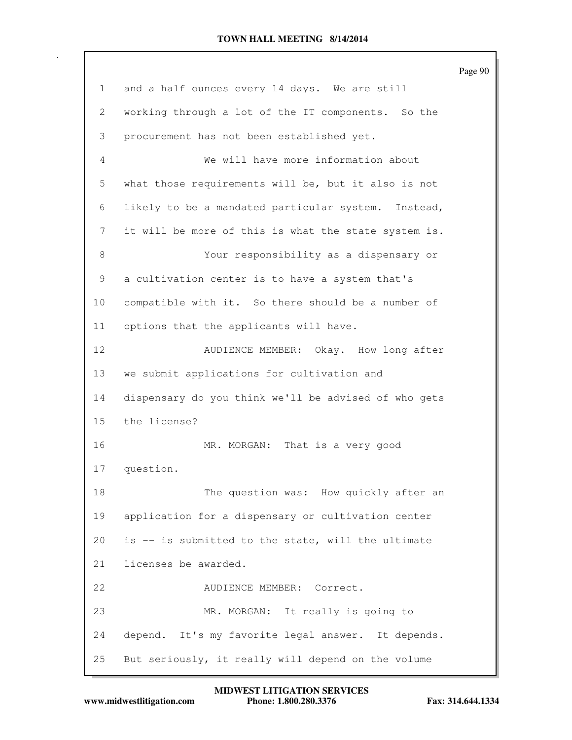|                |                                                      | Page 90 |
|----------------|------------------------------------------------------|---------|
| 1              | and a half ounces every 14 days. We are still        |         |
| $\overline{2}$ | working through a lot of the IT components. So the   |         |
| 3              | procurement has not been established yet.            |         |
| 4              | We will have more information about                  |         |
| 5              | what those requirements will be, but it also is not  |         |
| 6              | likely to be a mandated particular system. Instead,  |         |
| 7              | it will be more of this is what the state system is. |         |
| 8              | Your responsibility as a dispensary or               |         |
| 9              | a cultivation center is to have a system that's      |         |
| 10             | compatible with it. So there should be a number of   |         |
| 11             | options that the applicants will have.               |         |
| 12             | AUDIENCE MEMBER: Okay. How long after                |         |
| 13             | we submit applications for cultivation and           |         |
| 14             | dispensary do you think we'll be advised of who gets |         |
| 15             | the license?                                         |         |
| 16             | MR. MORGAN: That is a very good                      |         |
| 17             | question.                                            |         |
| 18             | The question was: How quickly after an               |         |
| 19             | application for a dispensary or cultivation center   |         |
| 20             | is -- is submitted to the state, will the ultimate   |         |
| 21             | licenses be awarded.                                 |         |
| 22             | AUDIENCE MEMBER: Correct.                            |         |
| 23             | MR. MORGAN: It really is going to                    |         |
| 24             | depend. It's my favorite legal answer. It depends.   |         |
| 25             | But seriously, it really will depend on the volume   |         |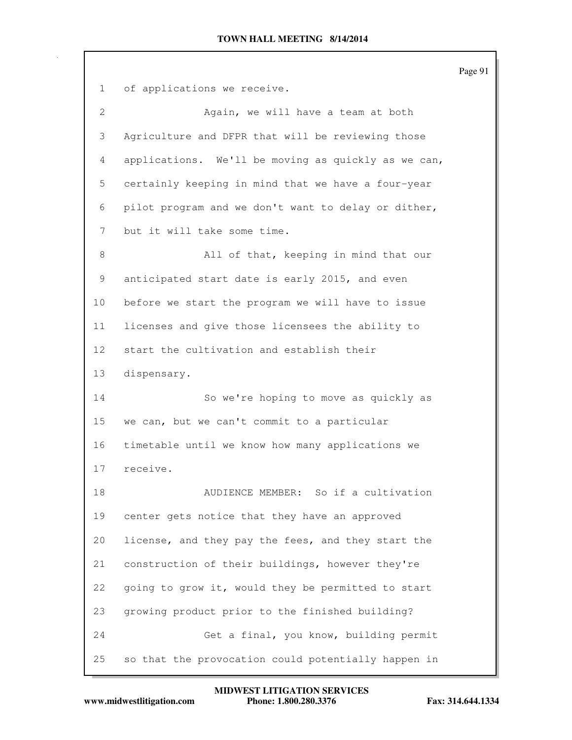|                 |                                                     | Page 91 |
|-----------------|-----------------------------------------------------|---------|
| $\mathbf{1}$    | of applications we receive.                         |         |
| $\mathbf{2}$    | Again, we will have a team at both                  |         |
| 3               | Agriculture and DFPR that will be reviewing those   |         |
| 4               | applications. We'll be moving as quickly as we can, |         |
| 5               | certainly keeping in mind that we have a four-year  |         |
| 6               | pilot program and we don't want to delay or dither, |         |
| 7               | but it will take some time.                         |         |
| 8               | All of that, keeping in mind that our               |         |
| 9               | anticipated start date is early 2015, and even      |         |
| 10              | before we start the program we will have to issue   |         |
| 11              | licenses and give those licensees the ability to    |         |
| 12 <sup>°</sup> | start the cultivation and establish their           |         |
| 13              | dispensary.                                         |         |
| 14              | So we're hoping to move as quickly as               |         |
| 15              | we can, but we can't commit to a particular         |         |
| 16              | timetable until we know how many applications we    |         |
| 17              | receive.                                            |         |
| 18              | AUDIENCE MEMBER: So if a cultivation                |         |
| 19              | center gets notice that they have an approved       |         |
| 20              | license, and they pay the fees, and they start the  |         |
| 21              | construction of their buildings, however they're    |         |
| 22              | going to grow it, would they be permitted to start  |         |
| 23              | growing product prior to the finished building?     |         |
| 24              | Get a final, you know, building permit              |         |
| 25              | so that the provocation could potentially happen in |         |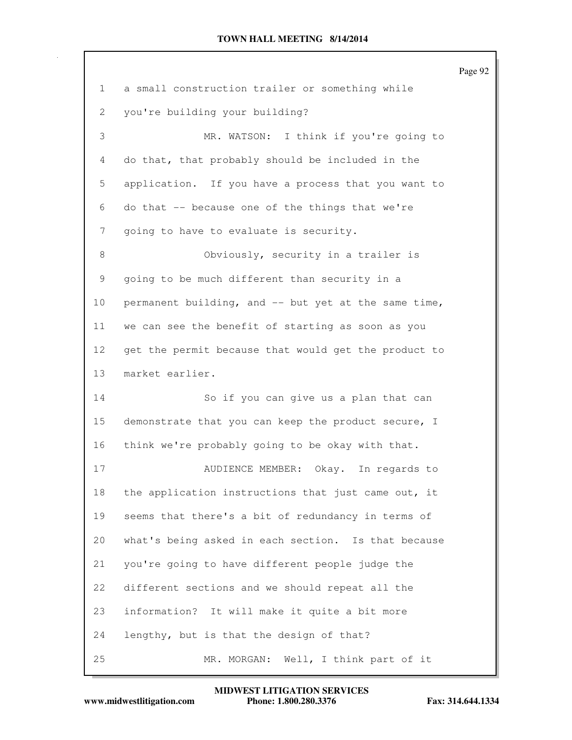|    |                                                      | Page 92 |
|----|------------------------------------------------------|---------|
| 1  | a small construction trailer or something while      |         |
| 2  | you're building your building?                       |         |
| 3  | MR. WATSON: I think if you're going to               |         |
| 4  | do that, that probably should be included in the     |         |
| 5  | application. If you have a process that you want to  |         |
| 6  | do that -- because one of the things that we're      |         |
| 7  | going to have to evaluate is security.               |         |
| 8  | Obviously, security in a trailer is                  |         |
| 9  | going to be much different than security in a        |         |
| 10 | permanent building, and -- but yet at the same time, |         |
| 11 | we can see the benefit of starting as soon as you    |         |
| 12 | get the permit because that would get the product to |         |
| 13 | market earlier.                                      |         |
| 14 | So if you can give us a plan that can                |         |
| 15 | demonstrate that you can keep the product secure, I  |         |
| 16 | think we're probably going to be okay with that.     |         |
| 17 | Okay. In regards to<br>AUDIENCE MEMBER:              |         |
| 18 | the application instructions that just came out, it  |         |
| 19 | seems that there's a bit of redundancy in terms of   |         |
| 20 | what's being asked in each section. Is that because  |         |
| 21 | you're going to have different people judge the      |         |
| 22 | different sections and we should repeat all the      |         |
| 23 | information? It will make it quite a bit more        |         |
| 24 | lengthy, but is that the design of that?             |         |
| 25 | Well, I think part of it<br>MR. MORGAN:              |         |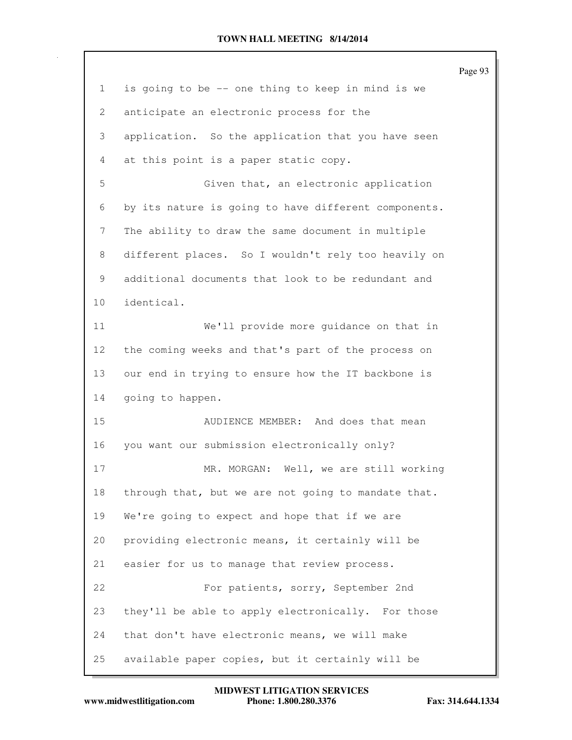|    |                                                      | Page 93 |
|----|------------------------------------------------------|---------|
| 1  | is going to be -- one thing to keep in mind is we    |         |
| 2  | anticipate an electronic process for the             |         |
| 3  | application. So the application that you have seen   |         |
| 4  | at this point is a paper static copy.                |         |
| 5  | Given that, an electronic application                |         |
| 6  | by its nature is going to have different components. |         |
| 7  | The ability to draw the same document in multiple    |         |
| 8  | different places. So I wouldn't rely too heavily on  |         |
| 9  | additional documents that look to be redundant and   |         |
| 10 | identical.                                           |         |
| 11 | We'll provide more guidance on that in               |         |
| 12 | the coming weeks and that's part of the process on   |         |
| 13 | our end in trying to ensure how the IT backbone is   |         |
| 14 | going to happen.                                     |         |
| 15 | AUDIENCE MEMBER: And does that mean                  |         |
| 16 | you want our submission electronically only?         |         |
| 17 | MR. MORGAN: Well, we are still working               |         |
| 18 | through that, but we are not going to mandate that.  |         |
| 19 | We're going to expect and hope that if we are        |         |
| 20 | providing electronic means, it certainly will be     |         |
| 21 | easier for us to manage that review process.         |         |
| 22 | For patients, sorry, September 2nd                   |         |
| 23 | they'll be able to apply electronically. For those   |         |
| 24 | that don't have electronic means, we will make       |         |
| 25 | available paper copies, but it certainly will be     |         |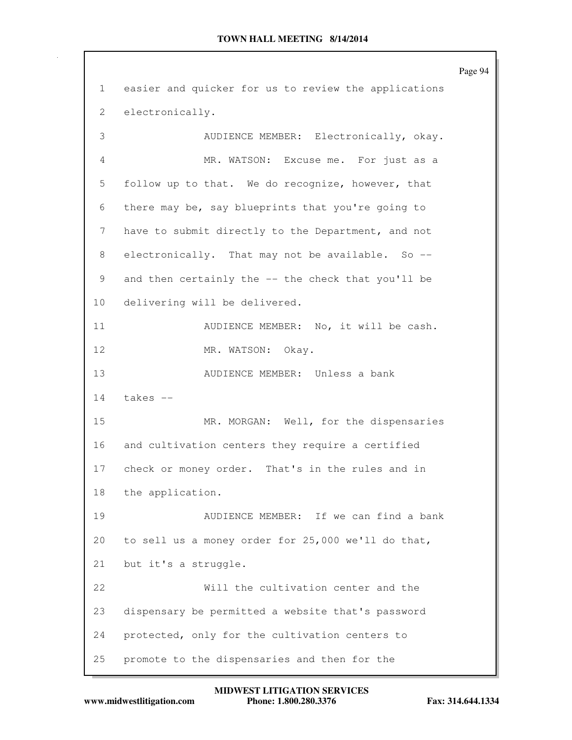Page 94 1 easier and quicker for us to review the applications 2 electronically. 3 AUDIENCE MEMBER: Electronically, okay. 4 MR. WATSON: Excuse me. For just as a 5 follow up to that. We do recognize, however, that 6 there may be, say blueprints that you're going to 7 have to submit directly to the Department, and not 8 electronically. That may not be available. So --9 and then certainly the -- the check that you'll be 10 delivering will be delivered. 11 AUDIENCE MEMBER: No, it will be cash. 12 MR. WATSON: Okay. 13 AUDIENCE MEMBER: Unless a bank 14 takes -- 15 MR. MORGAN: Well, for the dispensaries 16 and cultivation centers they require a certified 17 check or money order. That's in the rules and in 18 the application. 19 AUDIENCE MEMBER: If we can find a bank 20 to sell us a money order for 25,000 we'll do that, 21 but it's a struggle. 22 Will the cultivation center and the 23 dispensary be permitted a website that's password 24 protected, only for the cultivation centers to 25 promote to the dispensaries and then for the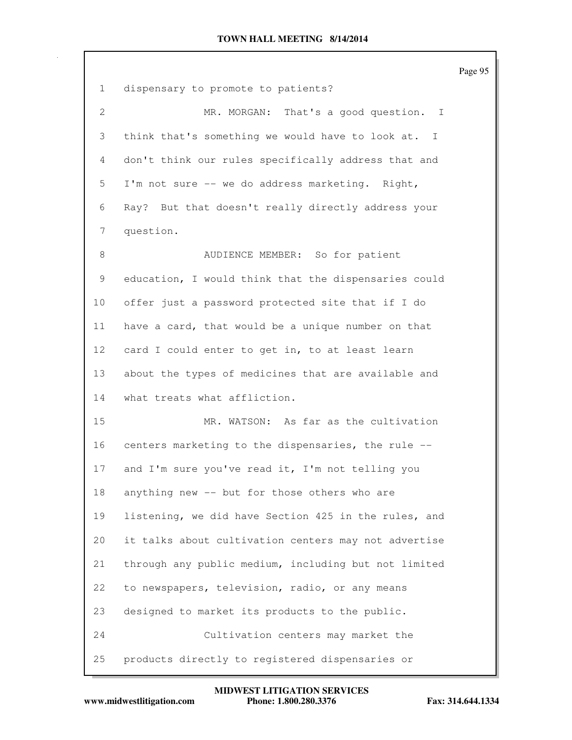|              |                                                      | Page 95 |
|--------------|------------------------------------------------------|---------|
| $\mathbf{1}$ | dispensary to promote to patients?                   |         |
| $\mathbf{2}$ | MR. MORGAN: That's a good question.<br>$\mathbf{I}$  |         |
| 3            | think that's something we would have to look at. I   |         |
| 4            | don't think our rules specifically address that and  |         |
| 5            | I'm not sure -- we do address marketing. Right,      |         |
| 6            | Ray? But that doesn't really directly address your   |         |
| 7            | question.                                            |         |
| $\,8\,$      | AUDIENCE MEMBER: So for patient                      |         |
| 9            | education, I would think that the dispensaries could |         |
| 10           | offer just a password protected site that if I do    |         |
| 11           | have a card, that would be a unique number on that   |         |
| 12           | card I could enter to get in, to at least learn      |         |
| 13           | about the types of medicines that are available and  |         |
| 14           | what treats what affliction.                         |         |
| 15           | MR. WATSON: As far as the cultivation                |         |
| 16           | centers marketing to the dispensaries, the rule --   |         |
| 17           | and I'm sure you've read it, I'm not telling you     |         |
| 18           | anything new -- but for those others who are         |         |
| 19           | listening, we did have Section 425 in the rules, and |         |
| 20           | it talks about cultivation centers may not advertise |         |
| 21           | through any public medium, including but not limited |         |
| 22           | to newspapers, television, radio, or any means       |         |
| 23           | designed to market its products to the public.       |         |
| 24           | Cultivation centers may market the                   |         |
| 25           | products directly to registered dispensaries or      |         |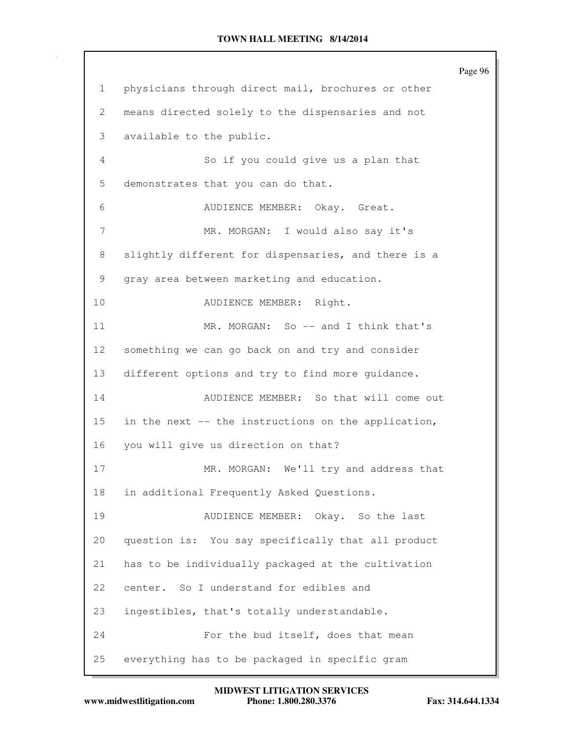Page 96 1 physicians through direct mail, brochures or other 2 means directed solely to the dispensaries and not 3 available to the public. 4 So if you could give us a plan that 5 demonstrates that you can do that. 6 AUDIENCE MEMBER: Okay. Great. 7 MR. MORGAN: I would also say it's 8 slightly different for dispensaries, and there is a 9 gray area between marketing and education. 10 AUDIENCE MEMBER: Right. 11 MR. MORGAN: So -- and I think that's 12 something we can go back on and try and consider 13 different options and try to find more guidance. 14 AUDIENCE MEMBER: So that will come out 15 in the next -- the instructions on the application, 16 you will give us direction on that? 17 MR. MORGAN: We'll try and address that 18 in additional Frequently Asked Questions. 19 AUDIENCE MEMBER: Okay. So the last 20 question is: You say specifically that all product 21 has to be individually packaged at the cultivation 22 center. So I understand for edibles and 23 ingestibles, that's totally understandable. 24 For the bud itself, does that mean 25 everything has to be packaged in specific gram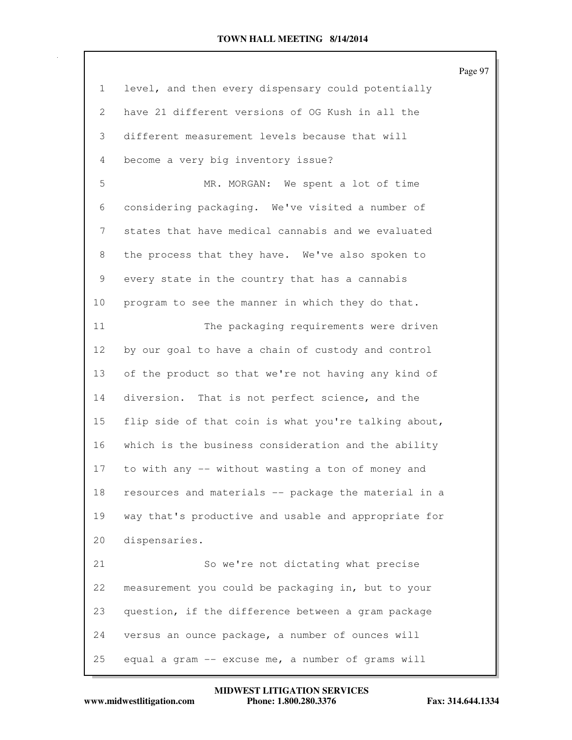|              |                                                      | Page 97 |
|--------------|------------------------------------------------------|---------|
| $\mathbf{1}$ | level, and then every dispensary could potentially   |         |
| 2            | have 21 different versions of OG Kush in all the     |         |
| 3            | different measurement levels because that will       |         |
| 4            | become a very big inventory issue?                   |         |
| 5            | MR. MORGAN: We spent a lot of time                   |         |
| 6            | considering packaging. We've visited a number of     |         |
| 7            | states that have medical cannabis and we evaluated   |         |
| 8            | the process that they have. We've also spoken to     |         |
| 9            | every state in the country that has a cannabis       |         |
| 10           | program to see the manner in which they do that.     |         |
| 11           | The packaging requirements were driven               |         |
| 12           | by our goal to have a chain of custody and control   |         |
| 13           | of the product so that we're not having any kind of  |         |
| 14           | diversion. That is not perfect science, and the      |         |
| 15           | flip side of that coin is what you're talking about, |         |
| 16           | which is the business consideration and the ability  |         |
| 17           | to with any -- without wasting a ton of money and    |         |
| 18           | resources and materials -- package the material in a |         |
| 19           | way that's productive and usable and appropriate for |         |
| 20           | dispensaries.                                        |         |
| 21           | So we're not dictating what precise                  |         |
| 22           | measurement you could be packaging in, but to your   |         |
| 23           | question, if the difference between a gram package   |         |
| 24           | versus an ounce package, a number of ounces will     |         |
| 25           | equal a gram -- excuse me, a number of grams will    |         |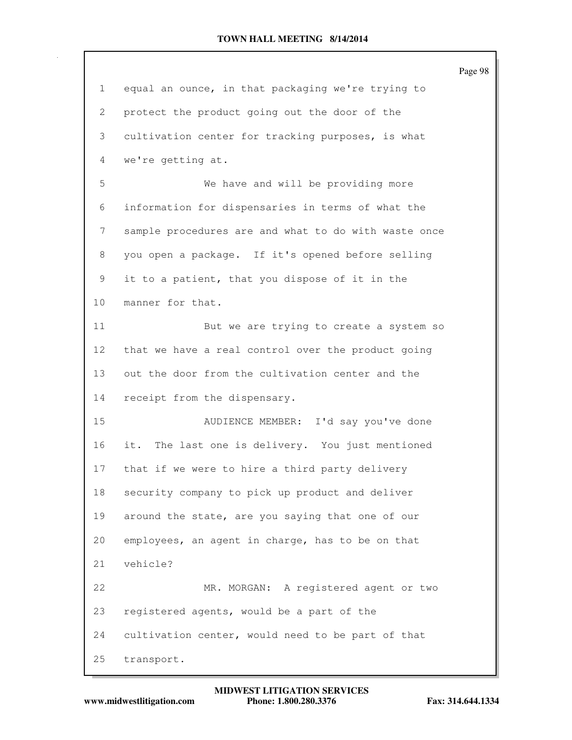|              |                                                      | Page 98 |
|--------------|------------------------------------------------------|---------|
| $\mathbf{1}$ | equal an ounce, in that packaging we're trying to    |         |
| 2            | protect the product going out the door of the        |         |
| 3            | cultivation center for tracking purposes, is what    |         |
| 4            | we're getting at.                                    |         |
| 5            | We have and will be providing more                   |         |
| 6            | information for dispensaries in terms of what the    |         |
| 7            | sample procedures are and what to do with waste once |         |
| 8            | you open a package. If it's opened before selling    |         |
| 9            | it to a patient, that you dispose of it in the       |         |
| 10           | manner for that.                                     |         |
| 11           | But we are trying to create a system so              |         |
| 12           | that we have a real control over the product going   |         |
| 13           | out the door from the cultivation center and the     |         |
| 14           | receipt from the dispensary.                         |         |
| 15           | AUDIENCE MEMBER: I'd say you've done                 |         |
| 16           | it. The last one is delivery. You just mentioned     |         |
| 17           | that if we were to hire a third party delivery       |         |
| 18           | security company to pick up product and deliver      |         |
| 19           | around the state, are you saying that one of our     |         |
| 20           | employees, an agent in charge, has to be on that     |         |
| 21           | vehicle?                                             |         |
| 22           | MR. MORGAN: A registered agent or two                |         |
| 23           | registered agents, would be a part of the            |         |
| 24           | cultivation center, would need to be part of that    |         |
| 25           | transport.                                           |         |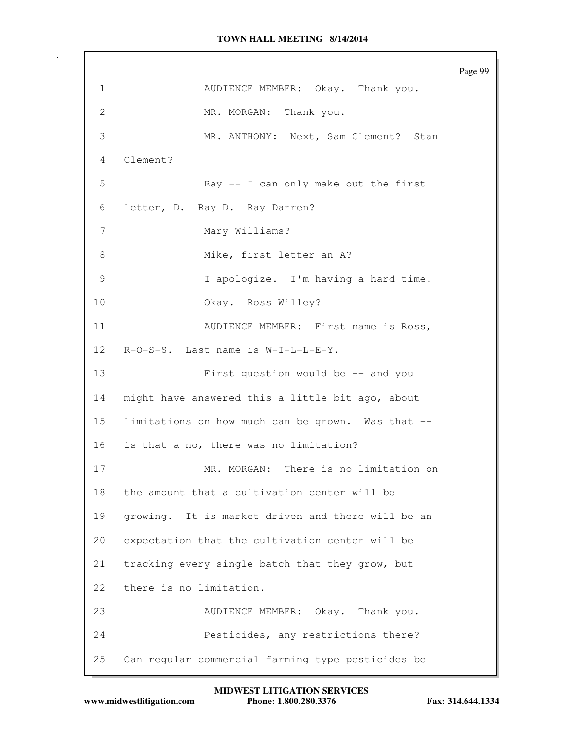Page 99 1 AUDIENCE MEMBER: Okay. Thank you. 2 MR. MORGAN: Thank you. 3 MR. ANTHONY: Next, Sam Clement? Stan 4 Clement? 5 Ray -- I can only make out the first 6 letter, D. Ray D. Ray Darren? 7 Mary Williams? 8 Mike, first letter an A? 9 I apologize. I'm having a hard time. 10 Okay. Ross Willey? 11 AUDIENCE MEMBER: First name is Ross, 12 R-O-S-S. Last name is W-I-L-L-E-Y. 13 First question would be -- and you 14 might have answered this a little bit ago, about 15 limitations on how much can be grown. Was that -- 16 is that a no, there was no limitation? 17 MR. MORGAN: There is no limitation on 18 the amount that a cultivation center will be 19 growing. It is market driven and there will be an 20 expectation that the cultivation center will be 21 tracking every single batch that they grow, but 22 there is no limitation. 23 AUDIENCE MEMBER: Okay. Thank you. 24 Pesticides, any restrictions there? 25 Can regular commercial farming type pesticides be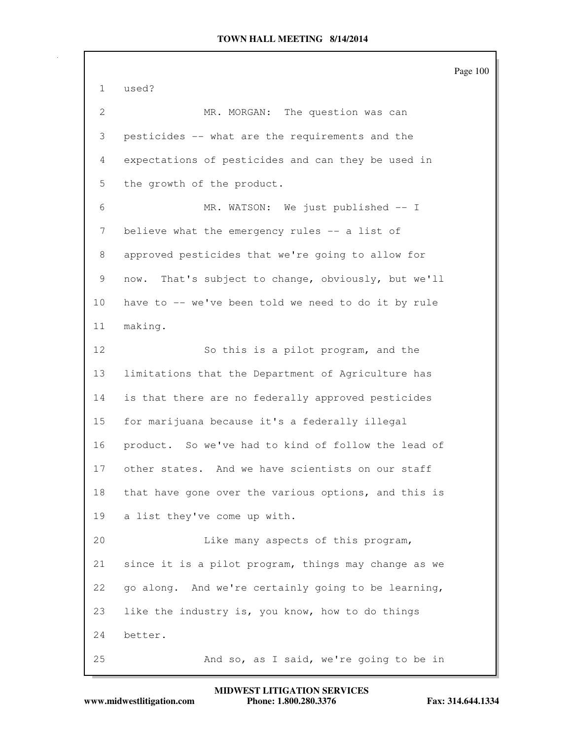Page 100 1 used? 2 MR. MORGAN: The question was can 3 pesticides -- what are the requirements and the 4 expectations of pesticides and can they be used in 5 the growth of the product. 6 MR. WATSON: We just published -- I 7 believe what the emergency rules -- a list of 8 approved pesticides that we're going to allow for 9 now. That's subject to change, obviously, but we'll 10 have to -- we've been told we need to do it by rule 11 making. 12 So this is a pilot program, and the 13 limitations that the Department of Agriculture has 14 is that there are no federally approved pesticides 15 for marijuana because it's a federally illegal 16 product. So we've had to kind of follow the lead of 17 other states. And we have scientists on our staff 18 that have gone over the various options, and this is 19 a list they've come up with. 20 Like many aspects of this program, 21 since it is a pilot program, things may change as we 22 go along. And we're certainly going to be learning, 23 like the industry is, you know, how to do things 24 better. 25 And so, as I said, we're going to be in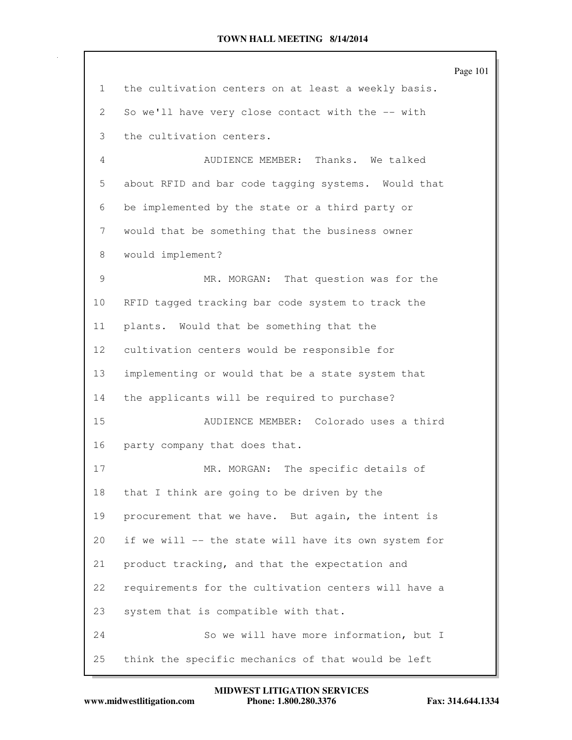|                 |                                                      | Page 101 |
|-----------------|------------------------------------------------------|----------|
| 1               | the cultivation centers on at least a weekly basis.  |          |
| 2               | So we'll have very close contact with the -- with    |          |
| 3               | the cultivation centers.                             |          |
| 4               | AUDIENCE MEMBER: Thanks. We talked                   |          |
| 5               | about RFID and bar code tagging systems. Would that  |          |
| 6               | be implemented by the state or a third party or      |          |
| 7               | would that be something that the business owner      |          |
| 8               | would implement?                                     |          |
| 9               | MR. MORGAN: That question was for the                |          |
| 10              | RFID tagged tracking bar code system to track the    |          |
| 11              | plants. Would that be something that the             |          |
| 12 <sup>°</sup> | cultivation centers would be responsible for         |          |
| 13              | implementing or would that be a state system that    |          |
| 14              | the applicants will be required to purchase?         |          |
| 15              | AUDIENCE MEMBER: Colorado uses a third               |          |
| 16              | party company that does that.                        |          |
| 17              | MR. MORGAN: The specific details of                  |          |
| 18              | that I think are going to be driven by the           |          |
| 19              | procurement that we have. But again, the intent is   |          |
| 20              | if we will -- the state will have its own system for |          |
| 21              | product tracking, and that the expectation and       |          |
| 22              | requirements for the cultivation centers will have a |          |
| 23              | system that is compatible with that.                 |          |
| 24              | So we will have more information, but I              |          |
| 25              | think the specific mechanics of that would be left   |          |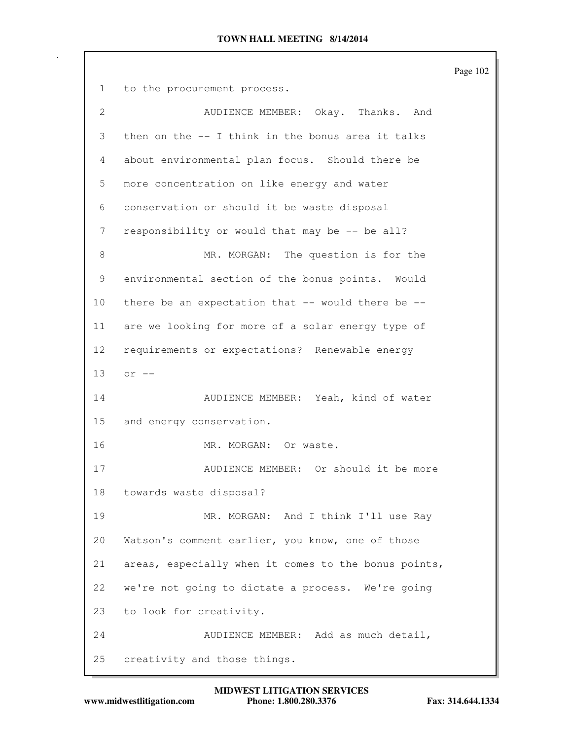Page 102 1 to the procurement process. 2 AUDIENCE MEMBER: Okay. Thanks. And 3 then on the -- I think in the bonus area it talks 4 about environmental plan focus. Should there be 5 more concentration on like energy and water 6 conservation or should it be waste disposal 7 responsibility or would that may be -- be all? 8 MR. MORGAN: The question is for the 9 environmental section of the bonus points. Would 10 there be an expectation that  $--$  would there be  $--$ 11 are we looking for more of a solar energy type of 12 requirements or expectations? Renewable energy 13 or -- 14 AUDIENCE MEMBER: Yeah, kind of water 15 and energy conservation. 16 MR. MORGAN: Or waste. 17 AUDIENCE MEMBER: Or should it be more 18 towards waste disposal? 19 MR. MORGAN: And I think I'll use Ray 20 Watson's comment earlier, you know, one of those 21 areas, especially when it comes to the bonus points, 22 we're not going to dictate a process. We're going 23 to look for creativity. 24 AUDIENCE MEMBER: Add as much detail, 25 creativity and those things.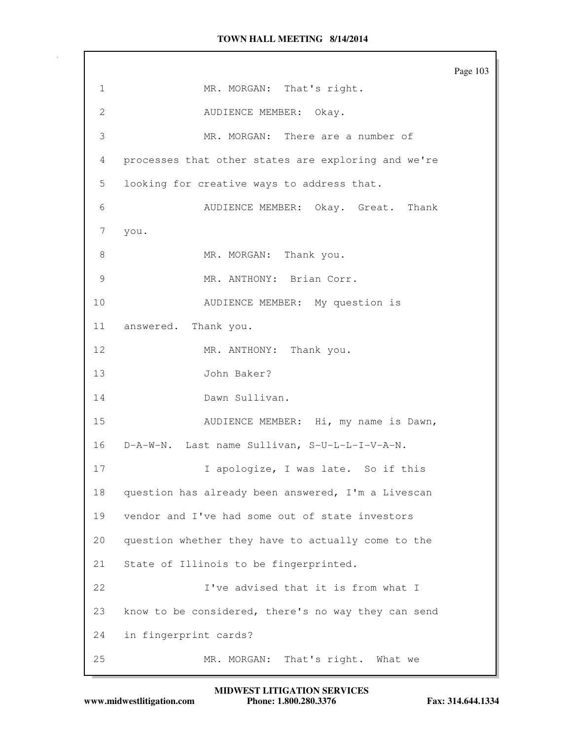Page 103 1 MR. MORGAN: That's right. 2 AUDIENCE MEMBER: Okay. 3 MR. MORGAN: There are a number of 4 processes that other states are exploring and we're 5 looking for creative ways to address that. 6 AUDIENCE MEMBER: Okay. Great. Thank 7 you. 8 MR. MORGAN: Thank you. 9 MR. ANTHONY: Brian Corr. 10 AUDIENCE MEMBER: My question is 11 answered. Thank you. 12 MR. ANTHONY: Thank you. 13 John Baker? 14 Dawn Sullivan. 15 AUDIENCE MEMBER: Hi, my name is Dawn, 16 D-A-W-N. Last name Sullivan, S-U-L-L-I-V-A-N. 17 1 1 apologize, I was late. So if this 18 question has already been answered, I'm a Livescan 19 vendor and I've had some out of state investors 20 question whether they have to actually come to the 21 State of Illinois to be fingerprinted. 22 I've advised that it is from what I 23 know to be considered, there's no way they can send 24 in fingerprint cards? 25 MR. MORGAN: That's right. What we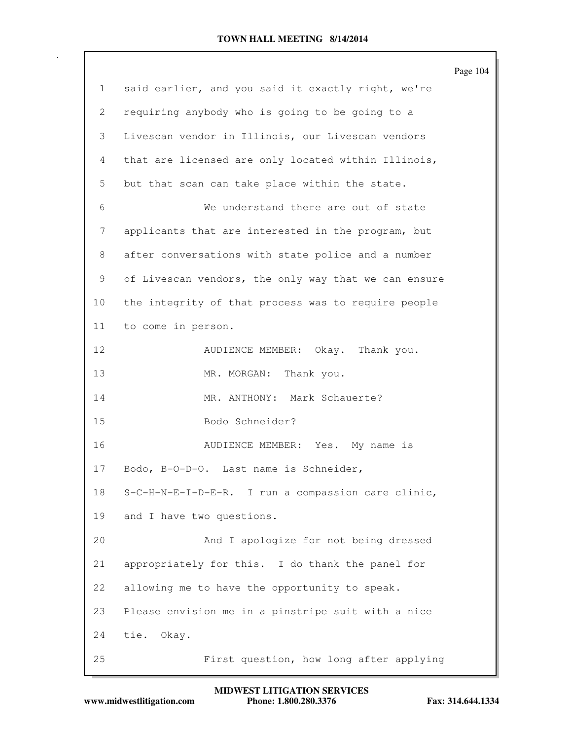|    |                                                      | Page 104 |
|----|------------------------------------------------------|----------|
| 1  | said earlier, and you said it exactly right, we're   |          |
| 2  | requiring anybody who is going to be going to a      |          |
| 3  | Livescan vendor in Illinois, our Livescan vendors    |          |
| 4  | that are licensed are only located within Illinois,  |          |
| 5  | but that scan can take place within the state.       |          |
| 6  | We understand there are out of state                 |          |
| 7  | applicants that are interested in the program, but   |          |
| 8  | after conversations with state police and a number   |          |
| 9  | of Livescan vendors, the only way that we can ensure |          |
| 10 | the integrity of that process was to require people  |          |
| 11 | to come in person.                                   |          |
| 12 | AUDIENCE MEMBER: Okay. Thank you.                    |          |
| 13 | MR. MORGAN: Thank you.                               |          |
| 14 | MR. ANTHONY: Mark Schauerte?                         |          |
| 15 | Bodo Schneider?                                      |          |
| 16 | AUDIENCE MEMBER: Yes. My name is                     |          |
| 17 | Bodo, B-O-D-O. Last name is Schneider,               |          |
| 18 | S-C-H-N-E-I-D-E-R. I run a compassion care clinic,   |          |
| 19 | and I have two questions.                            |          |
| 20 | And I apologize for not being dressed                |          |
| 21 | appropriately for this. I do thank the panel for     |          |
| 22 | allowing me to have the opportunity to speak.        |          |
| 23 | Please envision me in a pinstripe suit with a nice   |          |
| 24 | tie. Okay.                                           |          |
| 25 | First question, how long after applying              |          |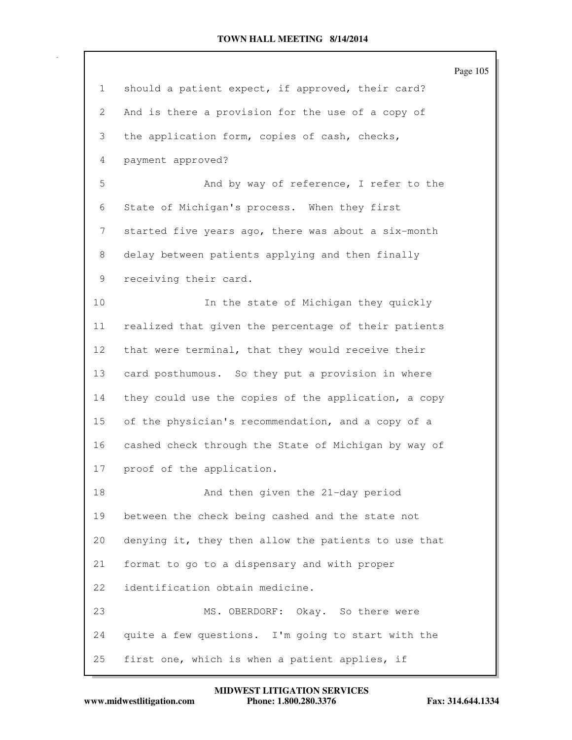|                 |                                                      | Page 105 |
|-----------------|------------------------------------------------------|----------|
| $\mathbf{1}$    | should a patient expect, if approved, their card?    |          |
| $\mathbf{2}$    | And is there a provision for the use of a copy of    |          |
| 3               | the application form, copies of cash, checks,        |          |
| 4               | payment approved?                                    |          |
| 5               | And by way of reference, I refer to the              |          |
| 6               | State of Michigan's process. When they first         |          |
| 7               | started five years ago, there was about a six-month  |          |
| 8               | delay between patients applying and then finally     |          |
| 9               | receiving their card.                                |          |
| 10              | In the state of Michigan they quickly                |          |
| 11              | realized that given the percentage of their patients |          |
| 12 <sup>°</sup> | that were terminal, that they would receive their    |          |
| 13              | card posthumous. So they put a provision in where    |          |
| 14              | they could use the copies of the application, a copy |          |
| 15              | of the physician's recommendation, and a copy of a   |          |
| 16              | cashed check through the State of Michigan by way of |          |
| 17              | proof of the application.                            |          |
| 18              | And then given the 21-day period                     |          |
| 19              | between the check being cashed and the state not     |          |
| 20              | denying it, they then allow the patients to use that |          |
| 21              | format to go to a dispensary and with proper         |          |
| 22              | identification obtain medicine.                      |          |
| 23              | MS. OBERDORF: Okay. So there were                    |          |
| 24              | quite a few questions. I'm going to start with the   |          |
| 25              | first one, which is when a patient applies, if       |          |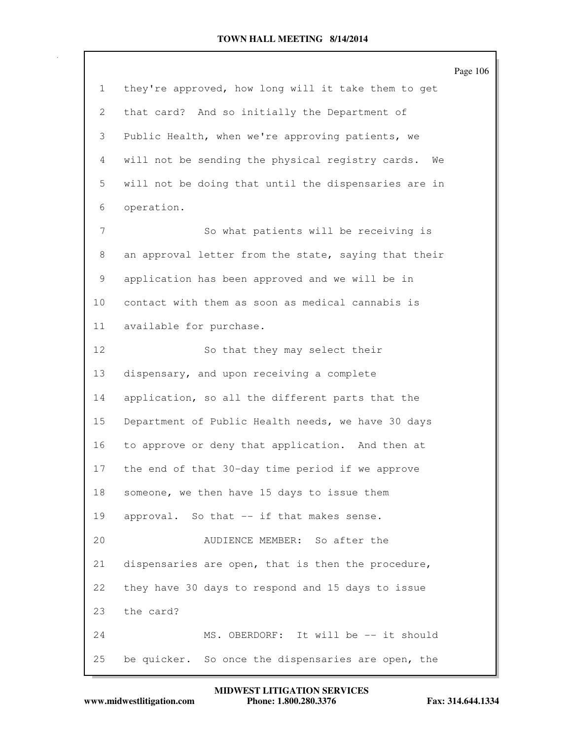|                 |                                                      | Page 106 |
|-----------------|------------------------------------------------------|----------|
| $\mathbf{1}$    | they're approved, how long will it take them to get  |          |
| $\overline{2}$  | that card? And so initially the Department of        |          |
| 3               | Public Health, when we're approving patients, we     |          |
| 4               | will not be sending the physical registry cards. We  |          |
| 5               | will not be doing that until the dispensaries are in |          |
| 6               | operation.                                           |          |
| 7               | So what patients will be receiving is                |          |
| 8               | an approval letter from the state, saying that their |          |
| 9               | application has been approved and we will be in      |          |
| 10 <sub>o</sub> | contact with them as soon as medical cannabis is     |          |
| 11              | available for purchase.                              |          |
| 12              | So that they may select their                        |          |
| 13              | dispensary, and upon receiving a complete            |          |
| 14              | application, so all the different parts that the     |          |
| 15              | Department of Public Health needs, we have 30 days   |          |
| 16              | to approve or deny that application. And then at     |          |
| 17              | the end of that 30-day time period if we approve     |          |
| 18              | someone, we then have 15 days to issue them          |          |
| 19              | approval. So that -- if that makes sense.            |          |
| 20              | AUDIENCE MEMBER:<br>So after the                     |          |
| 21              | dispensaries are open, that is then the procedure,   |          |
| 22              | they have 30 days to respond and 15 days to issue    |          |
| 23              | the card?                                            |          |
| 24              | MS. OBERDORF: It will be -- it should                |          |
| 25              | be quicker. So once the dispensaries are open, the   |          |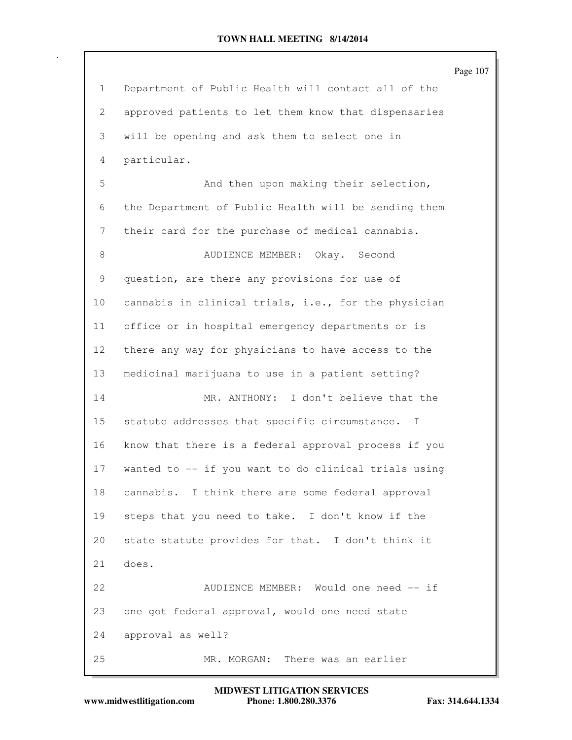Page 107 1 Department of Public Health will contact all of the 2 approved patients to let them know that dispensaries 3 will be opening and ask them to select one in 4 particular. 5 And then upon making their selection, 6 the Department of Public Health will be sending them 7 their card for the purchase of medical cannabis. 8 AUDIENCE MEMBER: Okay. Second 9 question, are there any provisions for use of 10 cannabis in clinical trials, i.e., for the physician 11 office or in hospital emergency departments or is 12 there any way for physicians to have access to the 13 medicinal marijuana to use in a patient setting? 14 MR. ANTHONY: I don't believe that the 15 statute addresses that specific circumstance. I 16 know that there is a federal approval process if you 17 wanted to -- if you want to do clinical trials using 18 cannabis. I think there are some federal approval 19 steps that you need to take. I don't know if the 20 state statute provides for that. I don't think it 21 does. 22 AUDIENCE MEMBER: Would one need -- if 23 one got federal approval, would one need state 24 approval as well? 25 MR. MORGAN: There was an earlier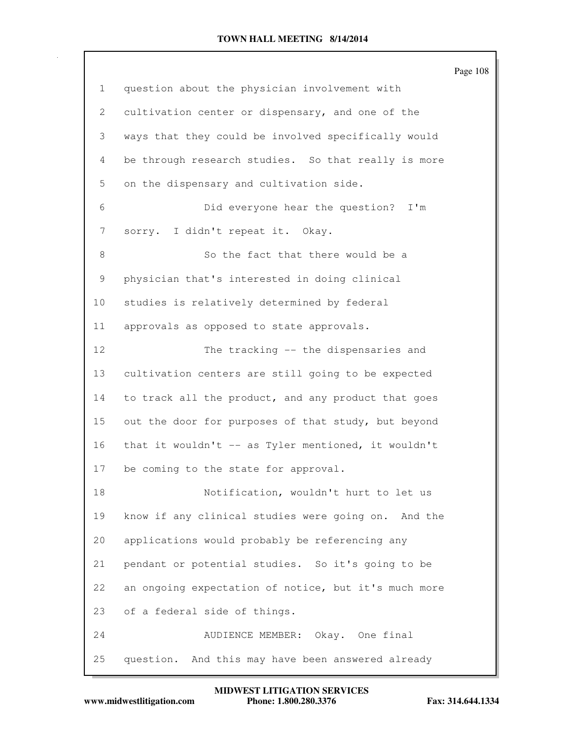|              |                                                      | Page 108 |
|--------------|------------------------------------------------------|----------|
| $\mathbf{1}$ | question about the physician involvement with        |          |
| 2            | cultivation center or dispensary, and one of the     |          |
| 3            | ways that they could be involved specifically would  |          |
| 4            | be through research studies. So that really is more  |          |
| 5            | on the dispensary and cultivation side.              |          |
| 6            | Did everyone hear the question?<br>I'm               |          |
| 7            | sorry. I didn't repeat it. Okay.                     |          |
| 8            | So the fact that there would be a                    |          |
| 9            | physician that's interested in doing clinical        |          |
| 10           | studies is relatively determined by federal          |          |
| 11           | approvals as opposed to state approvals.             |          |
| 12           | The tracking -- the dispensaries and                 |          |
| 13           | cultivation centers are still going to be expected   |          |
| 14           | to track all the product, and any product that goes  |          |
| 15           | out the door for purposes of that study, but beyond  |          |
| 16           | that it wouldn't -- as Tyler mentioned, it wouldn't  |          |
| 17           | be coming to the state for approval.                 |          |
| 18           | Notification, wouldn't hurt to let us                |          |
| 19           | know if any clinical studies were going on. And the  |          |
| 20           | applications would probably be referencing any       |          |
| 21           | pendant or potential studies. So it's going to be    |          |
| 22           | an ongoing expectation of notice, but it's much more |          |
| 23           | of a federal side of things.                         |          |
| 24           | AUDIENCE MEMBER: Okay. One final                     |          |
| 25           | question. And this may have been answered already    |          |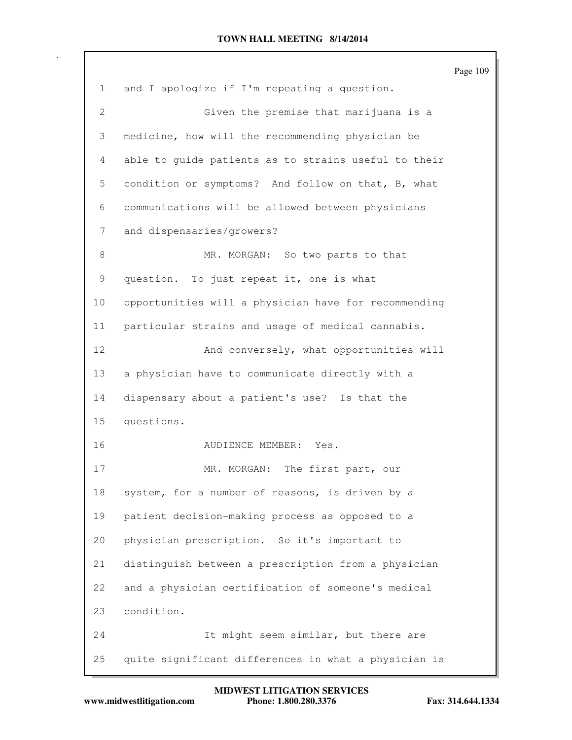Page 109 1 and I apologize if I'm repeating a question. 2 Given the premise that marijuana is a 3 medicine, how will the recommending physician be 4 able to guide patients as to strains useful to their 5 condition or symptoms? And follow on that, B, what 6 communications will be allowed between physicians 7 and dispensaries/growers? 8 MR. MORGAN: So two parts to that 9 question. To just repeat it, one is what 10 opportunities will a physician have for recommending 11 particular strains and usage of medical cannabis. 12 And conversely, what opportunities will 13 a physician have to communicate directly with a 14 dispensary about a patient's use? Is that the 15 questions. 16 AUDIENCE MEMBER: Yes. 17 MR. MORGAN: The first part, our 18 system, for a number of reasons, is driven by a 19 patient decision-making process as opposed to a 20 physician prescription. So it's important to 21 distinguish between a prescription from a physician 22 and a physician certification of someone's medical 23 condition. 24 It might seem similar, but there are 25 quite significant differences in what a physician is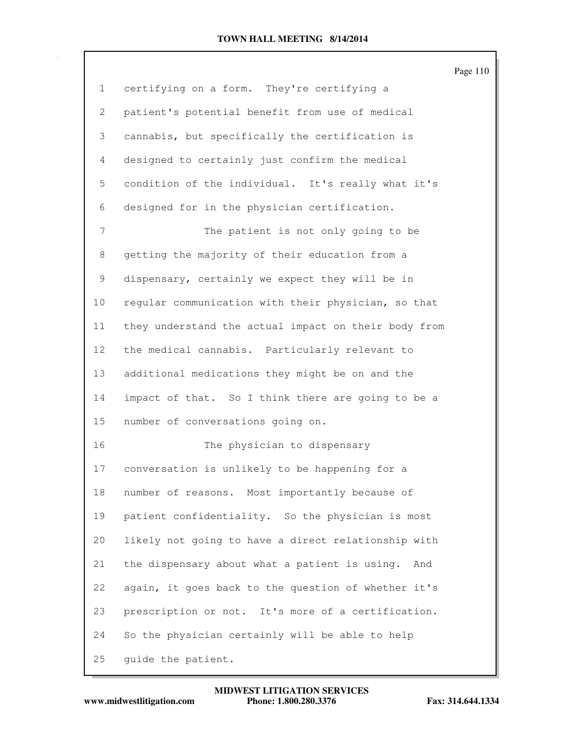|              |                                                      | Page 110 |
|--------------|------------------------------------------------------|----------|
| $\mathbf{1}$ | certifying on a form. They're certifying a           |          |
| 2            | patient's potential benefit from use of medical      |          |
| 3            | cannabis, but specifically the certification is      |          |
| 4            | designed to certainly just confirm the medical       |          |
| 5            | condition of the individual. It's really what it's   |          |
| 6            | designed for in the physician certification.         |          |
| 7            | The patient is not only going to be                  |          |
| 8            | getting the majority of their education from a       |          |
| 9            | dispensary, certainly we expect they will be in      |          |
| 10           | regular communication with their physician, so that  |          |
| 11           | they understand the actual impact on their body from |          |
| 12           | the medical cannabis. Particularly relevant to       |          |
| 13           | additional medications they might be on and the      |          |
| 14           | impact of that. So I think there are going to be a   |          |
| 15           | number of conversations going on.                    |          |
| 16           | The physician to dispensary                          |          |
| 17           | conversation is unlikely to be happening for a       |          |
| 18           | number of reasons. Most importantly because of       |          |
| 19           | patient confidentiality. So the physician is most    |          |
| 20           | likely not going to have a direct relationship with  |          |
| 21           | the dispensary about what a patient is using.<br>And |          |
| 22           | again, it goes back to the question of whether it's  |          |
| 23           | prescription or not. It's more of a certification.   |          |
| 24           | So the physician certainly will be able to help      |          |
| 25           | guide the patient.                                   |          |

**www.midwestlitigation.com Phone: 1.800.280.3376 Fax: 314.644.1334 MIDWEST LITIGATION SERVICES**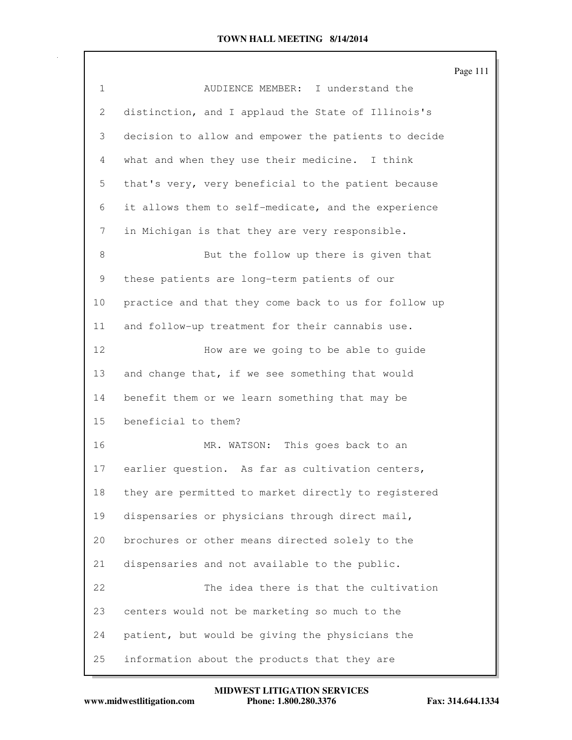|              |                                                      | Page 111 |
|--------------|------------------------------------------------------|----------|
| $\mathbf{1}$ | AUDIENCE MEMBER: I understand the                    |          |
| 2            | distinction, and I applaud the State of Illinois's   |          |
| 3            | decision to allow and empower the patients to decide |          |
| 4            | what and when they use their medicine. I think       |          |
| 5            | that's very, very beneficial to the patient because  |          |
| 6            | it allows them to self-medicate, and the experience  |          |
| 7            | in Michigan is that they are very responsible.       |          |
| 8            | But the follow up there is given that                |          |
| 9            | these patients are long-term patients of our         |          |
| 10           | practice and that they come back to us for follow up |          |
| 11           | and follow-up treatment for their cannabis use.      |          |
| 12           | How are we going to be able to guide                 |          |
| 13           | and change that, if we see something that would      |          |
| 14           | benefit them or we learn something that may be       |          |
| 15           | beneficial to them?                                  |          |
| 16           | MR. WATSON: This goes back to an                     |          |
| 17           | earlier question. As far as cultivation centers,     |          |
| 18           | they are permitted to market directly to registered  |          |
| 19           | dispensaries or physicians through direct mail,      |          |
| 20           | brochures or other means directed solely to the      |          |
| 21           | dispensaries and not available to the public.        |          |
| 22           | The idea there is that the cultivation               |          |
| 23           | centers would not be marketing so much to the        |          |
| 24           | patient, but would be giving the physicians the      |          |
| 25           | information about the products that they are         |          |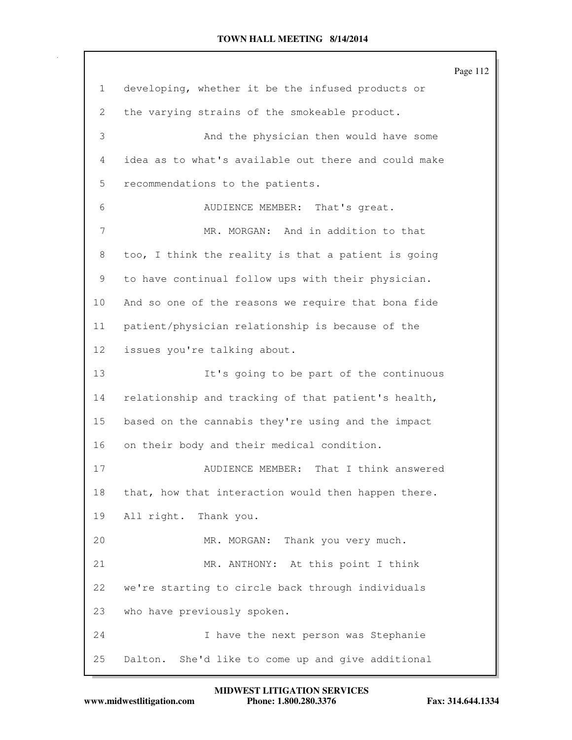|                 |                                                      | Page 112 |
|-----------------|------------------------------------------------------|----------|
| 1               | developing, whether it be the infused products or    |          |
| 2               | the varying strains of the smokeable product.        |          |
| 3               | And the physician then would have some               |          |
| 4               | idea as to what's available out there and could make |          |
| 5               | recommendations to the patients.                     |          |
| 6               | AUDIENCE MEMBER: That's great.                       |          |
| 7               | MR. MORGAN: And in addition to that                  |          |
| 8               | too, I think the reality is that a patient is going  |          |
| 9               | to have continual follow ups with their physician.   |          |
| 10 <sub>o</sub> | And so one of the reasons we require that bona fide  |          |
| 11              | patient/physician relationship is because of the     |          |
| 12              | issues you're talking about.                         |          |
| 13              | It's going to be part of the continuous              |          |
| 14              | relationship and tracking of that patient's health,  |          |
| 15              | based on the cannabis they're using and the impact   |          |
| 16              | on their body and their medical condition.           |          |
| 17              | AUDIENCE MEMBER:<br>That I think answered            |          |
| 18              | that, how that interaction would then happen there.  |          |
| 19              | All right. Thank you.                                |          |
| 20              | MR. MORGAN: Thank you very much.                     |          |
| 21              | MR. ANTHONY: At this point I think                   |          |
| 22              | we're starting to circle back through individuals    |          |
| 23              | who have previously spoken.                          |          |
| 24              | I have the next person was Stephanie                 |          |
| 25              | Dalton. She'd like to come up and give additional    |          |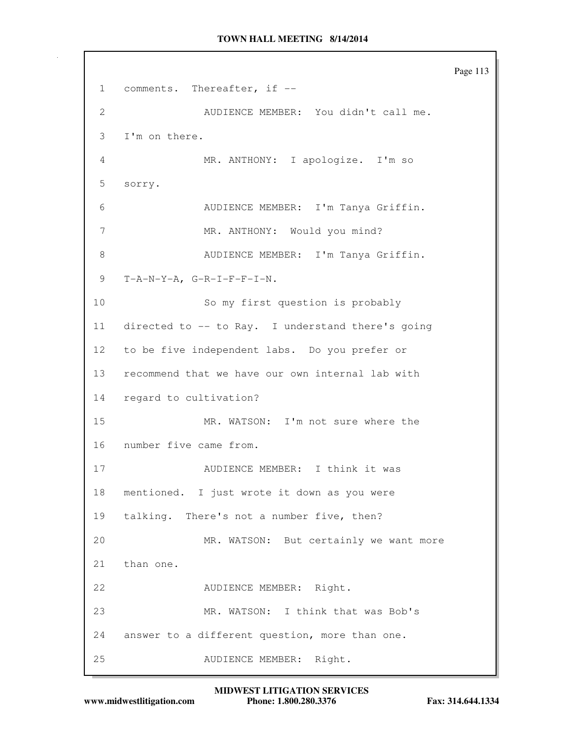```
Page 113
1 comments. Thereafter, if --
2 AUDIENCE MEMBER: You didn't call me.
3 I'm on there.
4 MR. ANTHONY: I apologize. I'm so
5 sorry.
6 AUDIENCE MEMBER: I'm Tanya Griffin.
7 MR. ANTHONY: Would you mind?
8 AUDIENCE MEMBER: I'm Tanya Griffin.
9 T-A-N-Y-A, G-R-I-F-F-I-N.
10 So my first question is probably
11 directed to -- to Ray. I understand there's going
12 to be five independent labs. Do you prefer or
13 recommend that we have our own internal lab with
14 regard to cultivation?
15 MR. WATSON: I'm not sure where the
16 number five came from.
17 AUDIENCE MEMBER: I think it was
18 mentioned. I just wrote it down as you were
19 talking. There's not a number five, then?
20 MR. WATSON: But certainly we want more
21 than one.
22 AUDIENCE MEMBER: Right.
23 MR. WATSON: I think that was Bob's
24 answer to a different question, more than one.
25 AUDIENCE MEMBER: Right.
```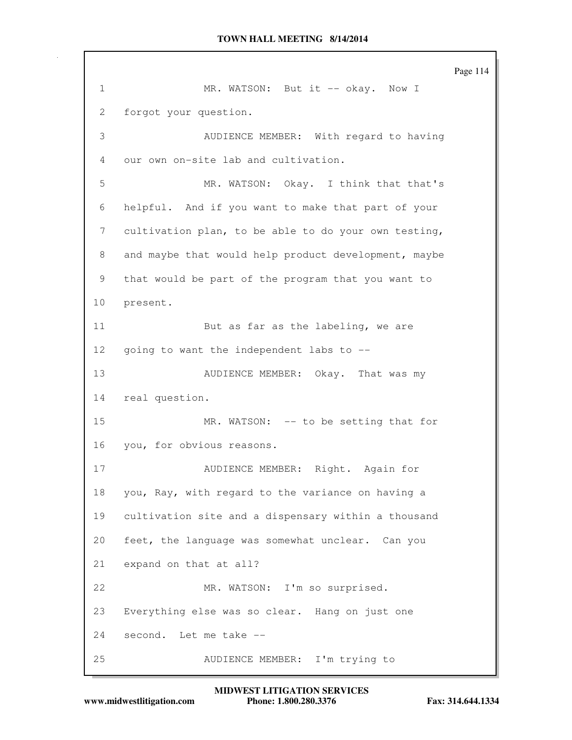Page 114 1 MR. WATSON: But it -- okay. Now I 2 forgot your question. 3 AUDIENCE MEMBER: With regard to having 4 our own on-site lab and cultivation. 5 MR. WATSON: Okay. I think that that's 6 helpful. And if you want to make that part of your 7 cultivation plan, to be able to do your own testing, 8 and maybe that would help product development, maybe 9 that would be part of the program that you want to 10 present. 11 But as far as the labeling, we are 12 going to want the independent labs to -- 13 AUDIENCE MEMBER: Okay. That was my 14 real question. 15 MR. WATSON: -- to be setting that for 16 you, for obvious reasons. 17 AUDIENCE MEMBER: Right. Again for 18 you, Ray, with regard to the variance on having a 19 cultivation site and a dispensary within a thousand 20 feet, the language was somewhat unclear. Can you 21 expand on that at all? 22 MR. WATSON: I'm so surprised. 23 Everything else was so clear. Hang on just one 24 second. Let me take -- 25 AUDIENCE MEMBER: I'm trying to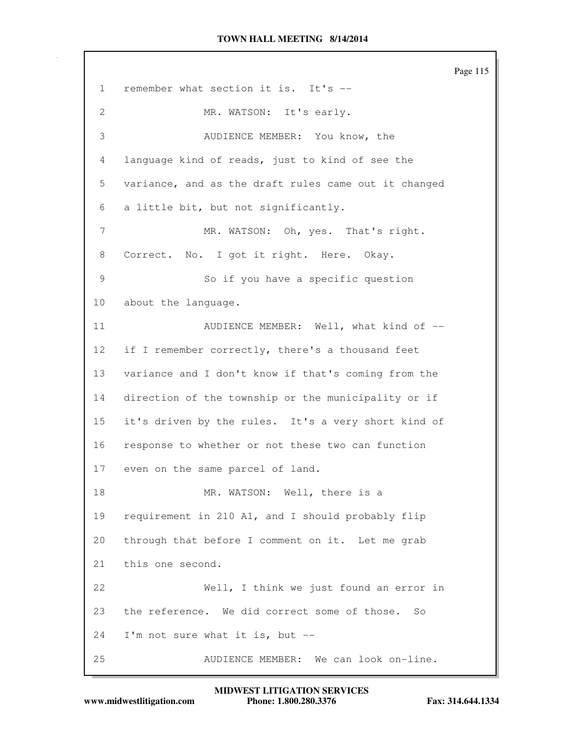Page 115 1 remember what section it is. It's -- 2 MR. WATSON: It's early. 3 AUDIENCE MEMBER: You know, the 4 language kind of reads, just to kind of see the 5 variance, and as the draft rules came out it changed 6 a little bit, but not significantly. 7 MR. WATSON: Oh, yes. That's right. 8 Correct. No. I got it right. Here. Okay. 9 So if you have a specific question 10 about the language. 11 AUDIENCE MEMBER: Well, what kind of  $-$ 12 if I remember correctly, there's a thousand feet 13 variance and I don't know if that's coming from the 14 direction of the township or the municipality or if 15 it's driven by the rules. It's a very short kind of 16 response to whether or not these two can function 17 even on the same parcel of land. 18 MR. WATSON: Well, there is a 19 requirement in 210 A1, and I should probably flip 20 through that before I comment on it. Let me grab 21 this one second. 22 Well, I think we just found an error in 23 the reference. We did correct some of those. So 24 I'm not sure what it is, but -- 25 AUDIENCE MEMBER: We can look on-line.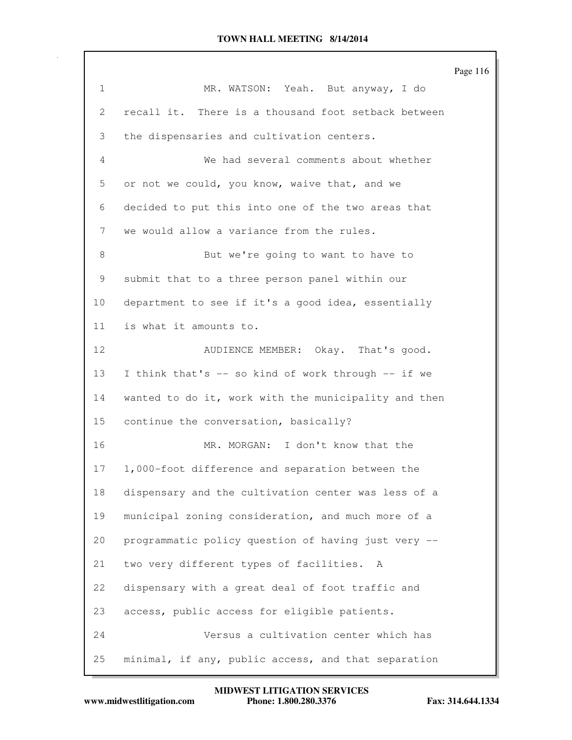Page 116 1 MR. WATSON: Yeah. But anyway, I do 2 recall it. There is a thousand foot setback between 3 the dispensaries and cultivation centers. 4 We had several comments about whether 5 or not we could, you know, waive that, and we 6 decided to put this into one of the two areas that 7 we would allow a variance from the rules. 8 But we're going to want to have to 9 submit that to a three person panel within our 10 department to see if it's a good idea, essentially 11 is what it amounts to. 12 AUDIENCE MEMBER: Okay. That's good. 13 I think that's -- so kind of work through -- if we 14 wanted to do it, work with the municipality and then 15 continue the conversation, basically? 16 MR. MORGAN: I don't know that the 17 1,000-foot difference and separation between the 18 dispensary and the cultivation center was less of a 19 municipal zoning consideration, and much more of a 20 programmatic policy question of having just very -- 21 two very different types of facilities. A 22 dispensary with a great deal of foot traffic and 23 access, public access for eligible patients. 24 Versus a cultivation center which has 25 minimal, if any, public access, and that separation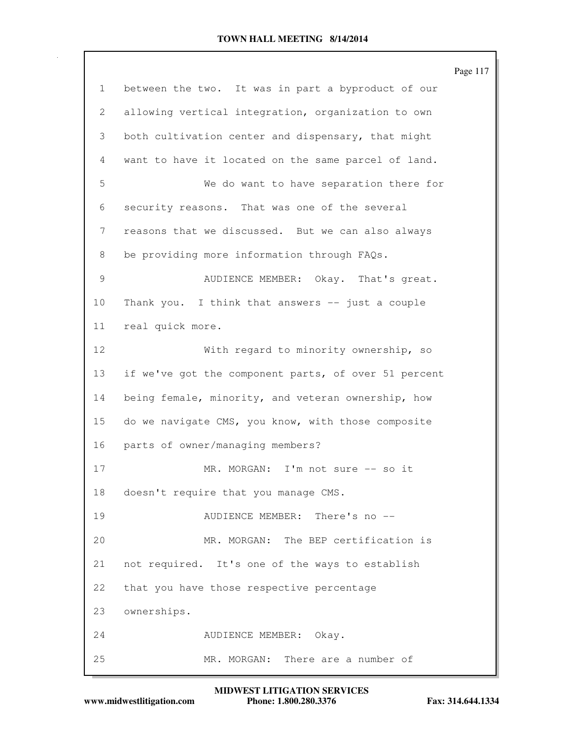|    |                                                      | Page 117 |
|----|------------------------------------------------------|----------|
| 1  | between the two. It was in part a byproduct of our   |          |
| 2  | allowing vertical integration, organization to own   |          |
| 3  | both cultivation center and dispensary, that might   |          |
| 4  | want to have it located on the same parcel of land.  |          |
| 5  | We do want to have separation there for              |          |
| 6  | security reasons. That was one of the several        |          |
| 7  | reasons that we discussed. But we can also always    |          |
| 8  | be providing more information through FAQs.          |          |
| 9  | AUDIENCE MEMBER: Okay. That's great.                 |          |
| 10 | Thank you. I think that answers -- just a couple     |          |
| 11 | real quick more.                                     |          |
| 12 | With regard to minority ownership, so                |          |
| 13 | if we've got the component parts, of over 51 percent |          |
| 14 | being female, minority, and veteran ownership, how   |          |
| 15 | do we navigate CMS, you know, with those composite   |          |
| 16 | parts of owner/managing members?                     |          |
| 17 | MR. MORGAN: I'm not sure -- so it                    |          |
| 18 | doesn't require that you manage CMS.                 |          |
| 19 | AUDIENCE MEMBER: There's no --                       |          |
| 20 | MR. MORGAN: The BEP certification is                 |          |
| 21 | not required. It's one of the ways to establish      |          |
| 22 | that you have those respective percentage            |          |
| 23 | ownerships.                                          |          |
| 24 | AUDIENCE MEMBER: Okay.                               |          |
| 25 | MR. MORGAN: There are a number of                    |          |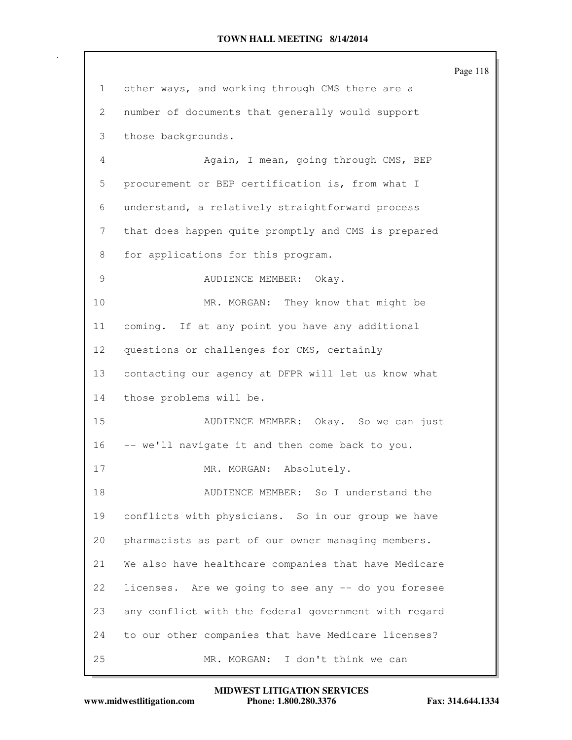|                 |                                                      | Page 118 |
|-----------------|------------------------------------------------------|----------|
| 1               | other ways, and working through CMS there are a      |          |
| 2               | number of documents that generally would support     |          |
| 3               | those backgrounds.                                   |          |
| 4               | Again, I mean, going through CMS, BEP                |          |
| 5               | procurement or BEP certification is, from what I     |          |
| 6               | understand, a relatively straightforward process     |          |
| 7               | that does happen quite promptly and CMS is prepared  |          |
| 8               | for applications for this program.                   |          |
| 9               | AUDIENCE MEMBER: Okay.                               |          |
| 10              | MR. MORGAN: They know that might be                  |          |
| 11              | coming. If at any point you have any additional      |          |
| 12 <sup>°</sup> | questions or challenges for CMS, certainly           |          |
| 13              | contacting our agency at DFPR will let us know what  |          |
| 14              | those problems will be.                              |          |
| 15              | AUDIENCE MEMBER: Okay. So we can just                |          |
| 16              | -- we'll navigate it and then come back to you.      |          |
| 17              | MR. MORGAN: Absolutely.                              |          |
| 18              | AUDIENCE MEMBER: So I understand the                 |          |
| 19              | conflicts with physicians. So in our group we have   |          |
| 20              | pharmacists as part of our owner managing members.   |          |
| 21              | We also have healthcare companies that have Medicare |          |
| 22              | licenses. Are we going to see any -- do you foresee  |          |
| 23              | any conflict with the federal government with regard |          |
| 24              | to our other companies that have Medicare licenses?  |          |
| 25              | I don't think we can<br>MR. MORGAN:                  |          |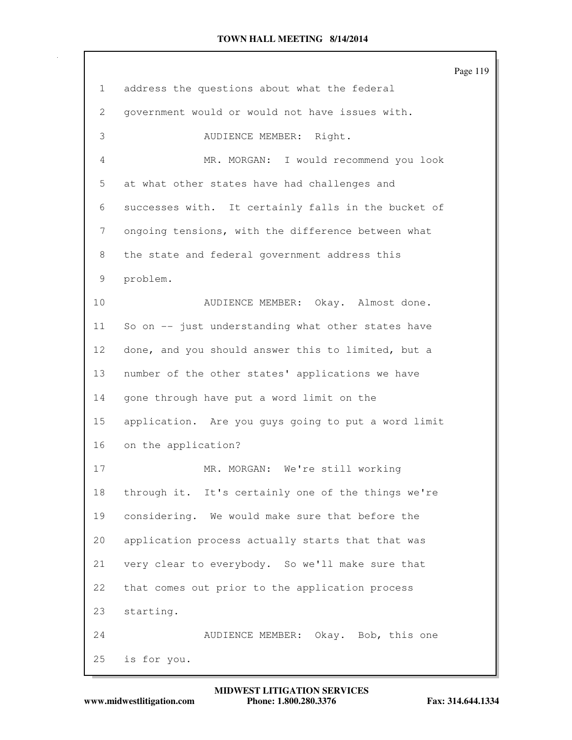|                 |                                                     | Page 119 |
|-----------------|-----------------------------------------------------|----------|
| $\mathbf{1}$    | address the questions about what the federal        |          |
| 2               | government would or would not have issues with.     |          |
| 3               | AUDIENCE MEMBER: Right.                             |          |
| 4               | MR. MORGAN: I would recommend you look              |          |
| 5               | at what other states have had challenges and        |          |
| 6               | successes with. It certainly falls in the bucket of |          |
| 7               | ongoing tensions, with the difference between what  |          |
| 8               | the state and federal government address this       |          |
| 9               | problem.                                            |          |
| 10              | AUDIENCE MEMBER: Okay. Almost done.                 |          |
| 11              | So on -- just understanding what other states have  |          |
| 12 <sup>°</sup> | done, and you should answer this to limited, but a  |          |
| 13              | number of the other states' applications we have    |          |
| 14              | gone through have put a word limit on the           |          |
| 15              | application. Are you guys going to put a word limit |          |
| 16              | on the application?                                 |          |
| 17              | MR. MORGAN: We're still working                     |          |
| 18              | through it. It's certainly one of the things we're  |          |
| 19              | considering. We would make sure that before the     |          |
| 20              | application process actually starts that that was   |          |
| 21              | very clear to everybody. So we'll make sure that    |          |
| 22              | that comes out prior to the application process     |          |
| 23              | starting.                                           |          |
| 24              | AUDIENCE MEMBER: Okay. Bob, this one                |          |
| 25              | is for you.                                         |          |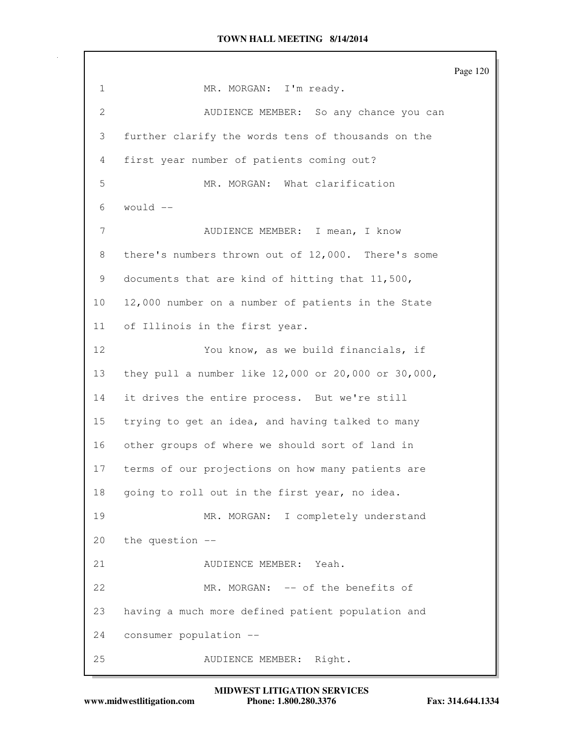Page 120 1 MR. MORGAN: I'm ready. 2 AUDIENCE MEMBER: So any chance you can 3 further clarify the words tens of thousands on the 4 first year number of patients coming out? 5 MR. MORGAN: What clarification  $6$  would  $-$ 7 AUDIENCE MEMBER: I mean, I know 8 there's numbers thrown out of 12,000. There's some 9 documents that are kind of hitting that 11,500, 10 12,000 number on a number of patients in the State 11 of Illinois in the first year. 12 You know, as we build financials, if 13 they pull a number like 12,000 or 20,000 or 30,000, 14 it drives the entire process. But we're still 15 trying to get an idea, and having talked to many 16 other groups of where we should sort of land in 17 terms of our projections on how many patients are 18 going to roll out in the first year, no idea. 19 MR. MORGAN: I completely understand 20 the question -- 21 AUDIENCE MEMBER: Yeah. 22 MR. MORGAN: -- of the benefits of 23 having a much more defined patient population and 24 consumer population -- 25 AUDIENCE MEMBER: Right.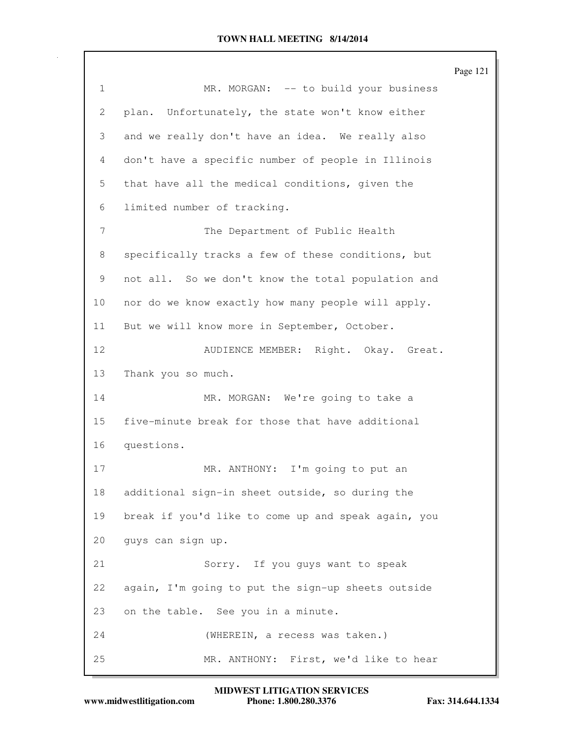|             |                                                     | Page 121 |
|-------------|-----------------------------------------------------|----------|
| $\mathbf 1$ | MR. MORGAN: -- to build your business               |          |
| 2           | Unfortunately, the state won't know either<br>plan. |          |
| 3           | and we really don't have an idea. We really also    |          |
| 4           | don't have a specific number of people in Illinois  |          |
| 5           | that have all the medical conditions, given the     |          |
| 6           | limited number of tracking.                         |          |
| 7           | The Department of Public Health                     |          |
| 8           | specifically tracks a few of these conditions, but  |          |
| 9           | not all. So we don't know the total population and  |          |
| 10          | nor do we know exactly how many people will apply.  |          |
| 11          | But we will know more in September, October.        |          |
| 12          | AUDIENCE MEMBER: Right. Okay. Great.                |          |
| 13          | Thank you so much.                                  |          |
| 14          | MR. MORGAN: We're going to take a                   |          |
| 15          | five-minute break for those that have additional    |          |
| 16          | questions.                                          |          |
| 17          | MR. ANTHONY: I'm going to put an                    |          |
| 18          | additional sign-in sheet outside, so during the     |          |
| 19          | break if you'd like to come up and speak again, you |          |
| 20          | guys can sign up.                                   |          |
| 21          | Sorry. If you guys want to speak                    |          |
| 22          | again, I'm going to put the sign-up sheets outside  |          |
| 23          | on the table. See you in a minute.                  |          |
| 24          | (WHEREIN, a recess was taken.)                      |          |
| 25          | MR. ANTHONY: First, we'd like to hear               |          |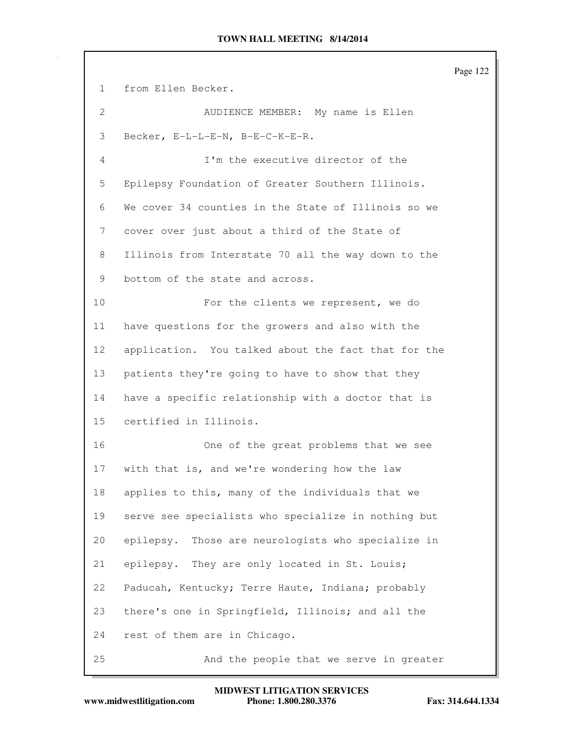Page 122 1 from Ellen Becker. 2 AUDIENCE MEMBER: My name is Ellen 3 Becker, E-L-L-E-N, B-E-C-K-E-R. 4 I'm the executive director of the 5 Epilepsy Foundation of Greater Southern Illinois. 6 We cover 34 counties in the State of Illinois so we 7 cover over just about a third of the State of 8 Illinois from Interstate 70 all the way down to the 9 bottom of the state and across. 10 For the clients we represent, we do 11 have questions for the growers and also with the 12 application. You talked about the fact that for the 13 patients they're going to have to show that they 14 have a specific relationship with a doctor that is 15 certified in Illinois. 16 One of the great problems that we see 17 with that is, and we're wondering how the law 18 applies to this, many of the individuals that we 19 serve see specialists who specialize in nothing but 20 epilepsy. Those are neurologists who specialize in 21 epilepsy. They are only located in St. Louis; 22 Paducah, Kentucky; Terre Haute, Indiana; probably 23 there's one in Springfield, Illinois; and all the 24 rest of them are in Chicago. 25 And the people that we serve in greater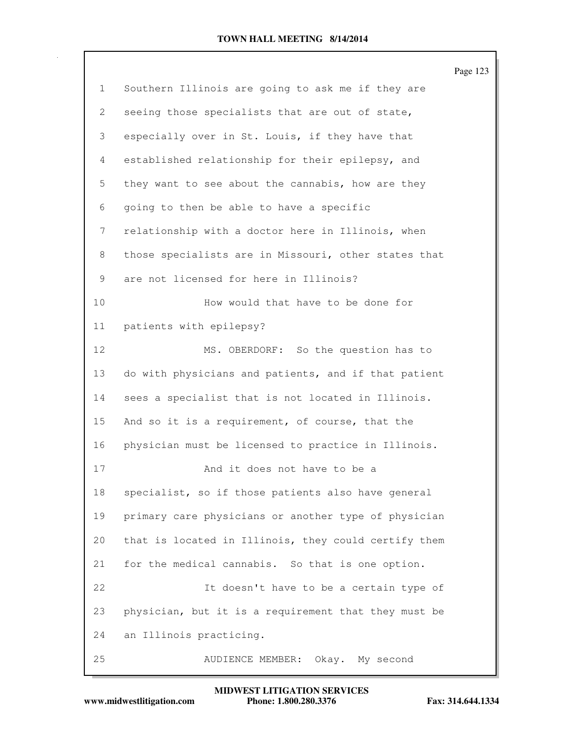|                |                                                      | Page 123 |
|----------------|------------------------------------------------------|----------|
| $\mathbf{1}$   | Southern Illinois are going to ask me if they are    |          |
| $\mathbf{2}$   | seeing those specialists that are out of state,      |          |
| 3              | especially over in St. Louis, if they have that      |          |
| $\overline{4}$ | established relationship for their epilepsy, and     |          |
| 5              | they want to see about the cannabis, how are they    |          |
| 6              | going to then be able to have a specific             |          |
| 7              | relationship with a doctor here in Illinois, when    |          |
| 8              | those specialists are in Missouri, other states that |          |
| 9              | are not licensed for here in Illinois?               |          |
| 10             | How would that have to be done for                   |          |
| 11             | patients with epilepsy?                              |          |
| 12             | MS. OBERDORF: So the question has to                 |          |
| 13             | do with physicians and patients, and if that patient |          |
| 14             | sees a specialist that is not located in Illinois.   |          |
| 15             | And so it is a requirement, of course, that the      |          |
| 16             | physician must be licensed to practice in Illinois.  |          |
| 17             | And it does not have to be a                         |          |
| 18             | specialist, so if those patients also have general   |          |
| 19             | primary care physicians or another type of physician |          |
| 20             | that is located in Illinois, they could certify them |          |
| 21             | for the medical cannabis. So that is one option.     |          |
| 22             | It doesn't have to be a certain type of              |          |
| 23             | physician, but it is a requirement that they must be |          |
| 24             | an Illinois practicing.                              |          |
| 25             | AUDIENCE MEMBER:<br>Okay. My second                  |          |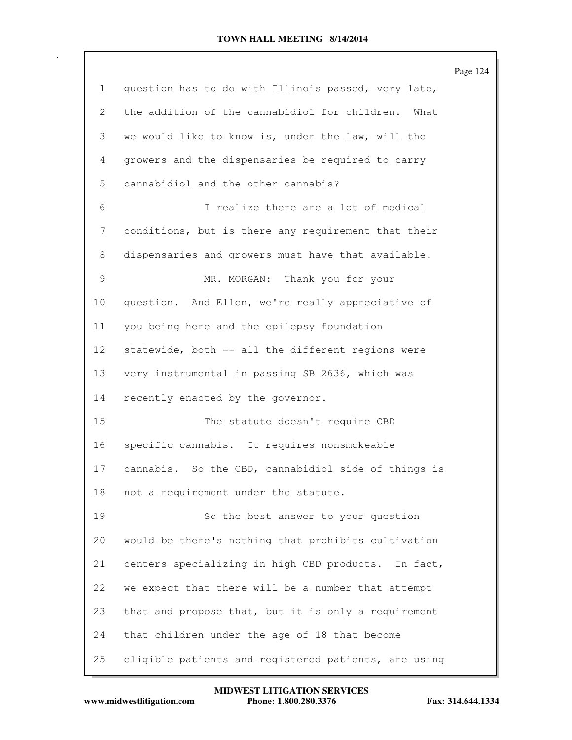Page 124 1 question has to do with Illinois passed, very late, 2 the addition of the cannabidiol for children. What 3 we would like to know is, under the law, will the 4 growers and the dispensaries be required to carry 5 cannabidiol and the other cannabis? 6 I realize there are a lot of medical 7 conditions, but is there any requirement that their 8 dispensaries and growers must have that available. 9 MR. MORGAN: Thank you for your 10 question. And Ellen, we're really appreciative of 11 you being here and the epilepsy foundation 12 statewide, both -- all the different regions were 13 very instrumental in passing SB 2636, which was 14 recently enacted by the governor. 15 The statute doesn't require CBD 16 specific cannabis. It requires nonsmokeable 17 cannabis. So the CBD, cannabidiol side of things is 18 not a requirement under the statute. 19 So the best answer to your question 20 would be there's nothing that prohibits cultivation 21 centers specializing in high CBD products. In fact, 22 we expect that there will be a number that attempt 23 that and propose that, but it is only a requirement 24 that children under the age of 18 that become 25 eligible patients and registered patients, are using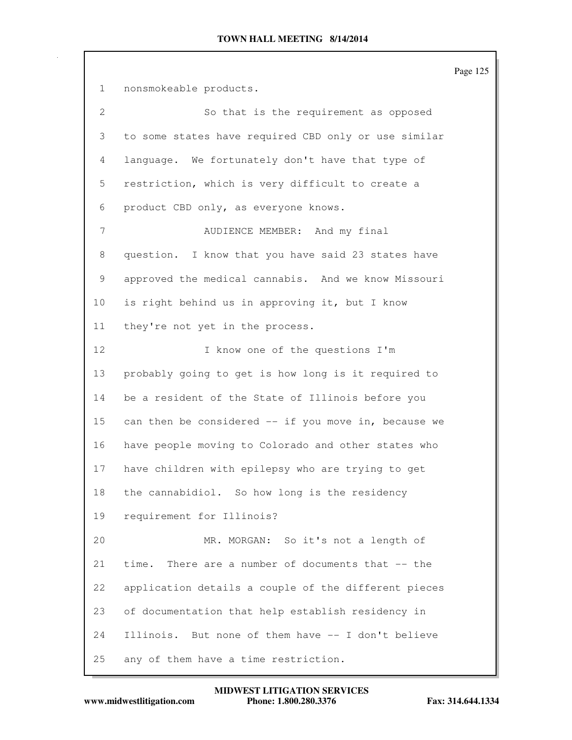Page 125 1 nonsmokeable products. 2 So that is the requirement as opposed 3 to some states have required CBD only or use similar 4 language. We fortunately don't have that type of 5 restriction, which is very difficult to create a 6 product CBD only, as everyone knows. 7 AUDIENCE MEMBER: And my final 8 question. I know that you have said 23 states have 9 approved the medical cannabis. And we know Missouri 10 is right behind us in approving it, but I know 11 they're not yet in the process. 12 I know one of the questions I'm 13 probably going to get is how long is it required to 14 be a resident of the State of Illinois before you 15 can then be considered -- if you move in, because we 16 have people moving to Colorado and other states who 17 have children with epilepsy who are trying to get 18 the cannabidiol. So how long is the residency 19 requirement for Illinois? 20 MR. MORGAN: So it's not a length of 21 time. There are a number of documents that -- the 22 application details a couple of the different pieces 23 of documentation that help establish residency in 24 Illinois. But none of them have -- I don't believe 25 any of them have a time restriction.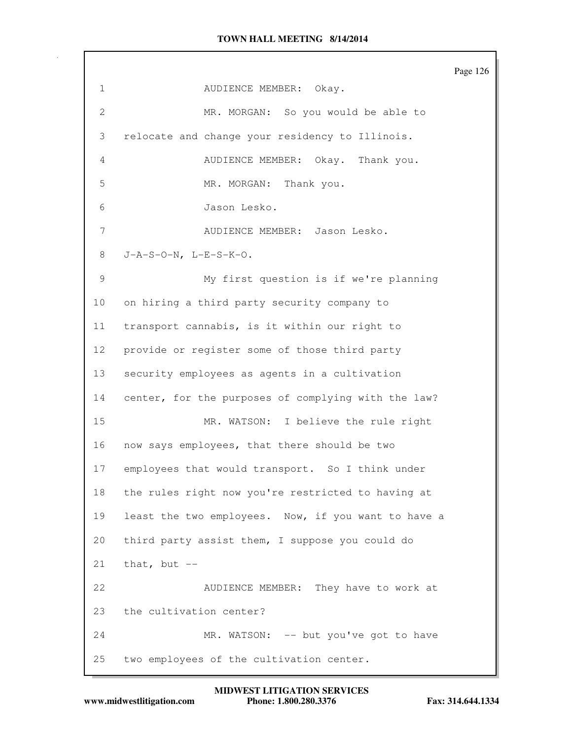Page 126 1 AUDIENCE MEMBER: Okay. 2 MR. MORGAN: So you would be able to 3 relocate and change your residency to Illinois. 4 AUDIENCE MEMBER: Okay. Thank you. 5 MR. MORGAN: Thank you. 6 Jason Lesko. 7 AUDIENCE MEMBER: Jason Lesko. 8 J-A-S-O-N, L-E-S-K-O. 9 My first question is if we're planning 10 on hiring a third party security company to 11 transport cannabis, is it within our right to 12 provide or register some of those third party 13 security employees as agents in a cultivation 14 center, for the purposes of complying with the law? 15 MR. WATSON: I believe the rule right 16 now says employees, that there should be two 17 employees that would transport. So I think under 18 the rules right now you're restricted to having at 19 least the two employees. Now, if you want to have a 20 third party assist them, I suppose you could do  $21$  that, but  $-$ 22 AUDIENCE MEMBER: They have to work at 23 the cultivation center? 24 MR. WATSON: -- but you've got to have 25 two employees of the cultivation center.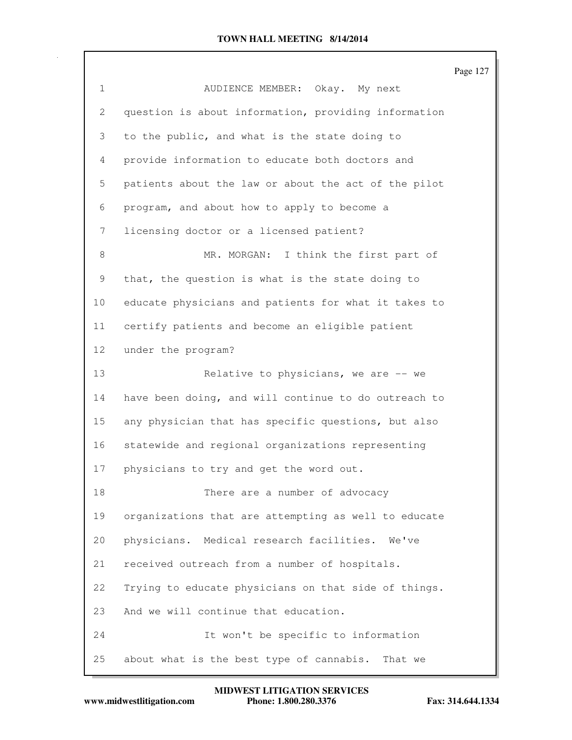|                 |                                                      | Page 127 |
|-----------------|------------------------------------------------------|----------|
| $\mathbf{1}$    | AUDIENCE MEMBER: Okay. My next                       |          |
| 2               | question is about information, providing information |          |
| 3               | to the public, and what is the state doing to        |          |
| 4               | provide information to educate both doctors and      |          |
| 5               | patients about the law or about the act of the pilot |          |
| 6               | program, and about how to apply to become a          |          |
| 7               | licensing doctor or a licensed patient?              |          |
| 8               | MR. MORGAN: I think the first part of                |          |
| 9               | that, the question is what is the state doing to     |          |
| 10              | educate physicians and patients for what it takes to |          |
| 11              | certify patients and become an eligible patient      |          |
| 12 <sup>°</sup> | under the program?                                   |          |
| 13              | Relative to physicians, we are $-$ we                |          |
| 14              | have been doing, and will continue to do outreach to |          |
| 15              | any physician that has specific questions, but also  |          |
| 16              | statewide and regional organizations representing    |          |
| 17              | physicians to try and get the word out.              |          |
| 18              | There are a number of advocacy                       |          |
| 19              | organizations that are attempting as well to educate |          |
| 20              | physicians. Medical research facilities. We've       |          |
| 21              | received outreach from a number of hospitals.        |          |
| 22              | Trying to educate physicians on that side of things. |          |
| 23              | And we will continue that education.                 |          |
| 24              | It won't be specific to information                  |          |
| 25              | about what is the best type of cannabis. That we     |          |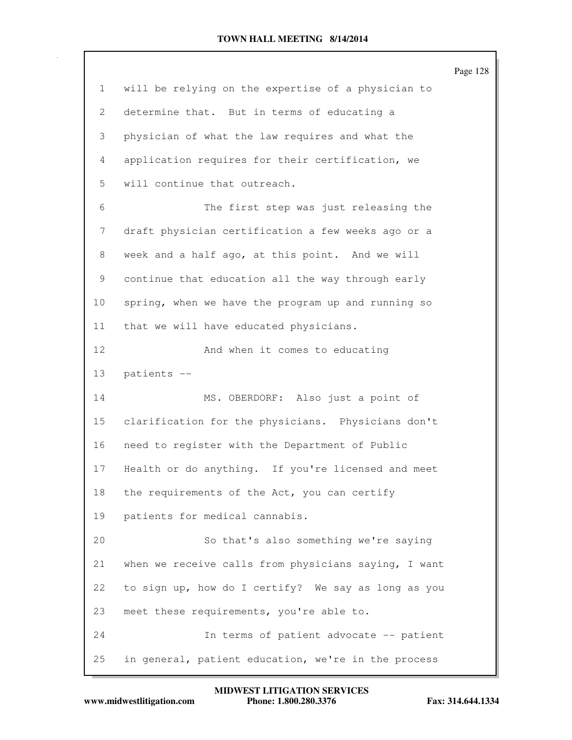|              | Page 128                                             |
|--------------|------------------------------------------------------|
| $\mathbf{1}$ | will be relying on the expertise of a physician to   |
| 2            | determine that. But in terms of educating a          |
| 3            | physician of what the law requires and what the      |
| 4            | application requires for their certification, we     |
| 5            | will continue that outreach.                         |
| 6            | The first step was just releasing the                |
| 7            | draft physician certification a few weeks ago or a   |
| 8            | week and a half ago, at this point. And we will      |
| 9            | continue that education all the way through early    |
| 10           | spring, when we have the program up and running so   |
| 11           | that we will have educated physicians.               |
| 12           | And when it comes to educating                       |
| 13           | patients --                                          |
| 14           | MS. OBERDORF: Also just a point of                   |
| 15           | clarification for the physicians. Physicians don't   |
| 16           | need to register with the Department of Public       |
| 17           | Health or do anything. If you're licensed and meet   |
| 18           | the requirements of the Act, you can certify         |
| 19           | patients for medical cannabis.                       |
| 20           | So that's also something we're saying                |
| 21           | when we receive calls from physicians saying, I want |
| 22           | to sign up, how do I certify? We say as long as you  |
| 23           | meet these requirements, you're able to.             |
| 24           | In terms of patient advocate -- patient              |
| 25           | in general, patient education, we're in the process  |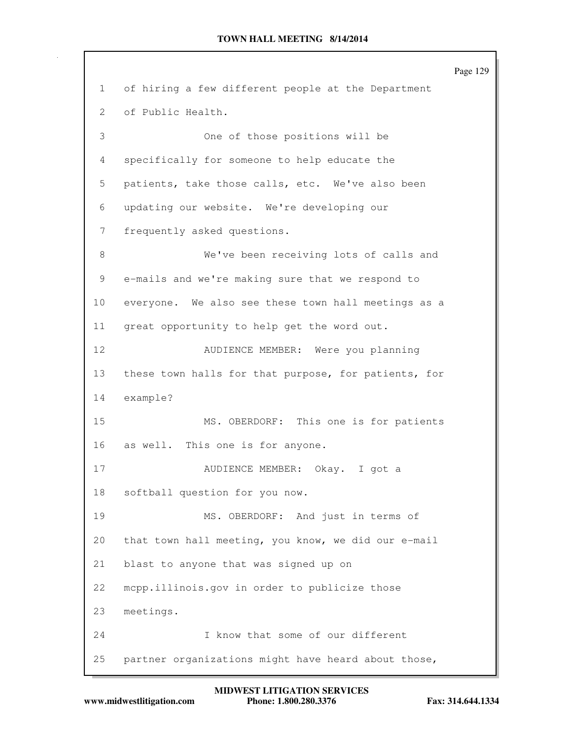Page 129 1 of hiring a few different people at the Department 2 of Public Health. 3 One of those positions will be 4 specifically for someone to help educate the 5 patients, take those calls, etc. We've also been 6 updating our website. We're developing our 7 frequently asked questions. 8 We've been receiving lots of calls and 9 e-mails and we're making sure that we respond to 10 everyone. We also see these town hall meetings as a 11 great opportunity to help get the word out. 12 AUDIENCE MEMBER: Were you planning 13 these town halls for that purpose, for patients, for 14 example? 15 MS. OBERDORF: This one is for patients 16 as well. This one is for anyone. 17 AUDIENCE MEMBER: Okay. I got a 18 softball question for you now. 19 MS. OBERDORF: And just in terms of 20 that town hall meeting, you know, we did our e-mail 21 blast to anyone that was signed up on 22 mcpp.illinois.gov in order to publicize those 23 meetings. 24 I know that some of our different 25 partner organizations might have heard about those,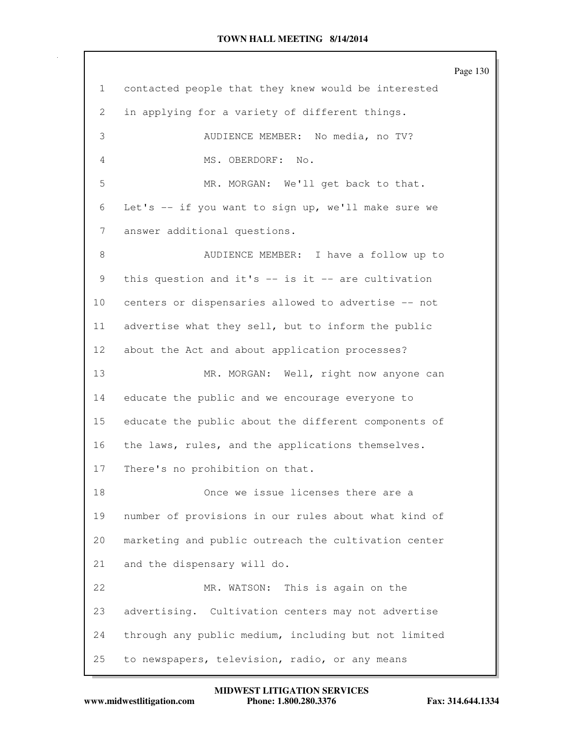|    |                                                        | Page 130 |
|----|--------------------------------------------------------|----------|
| 1  | contacted people that they knew would be interested    |          |
| 2  | in applying for a variety of different things.         |          |
| 3  | AUDIENCE MEMBER: No media, no TV?                      |          |
| 4  | MS. OBERDORF: No.                                      |          |
| 5  | MR. MORGAN: We'll get back to that.                    |          |
| 6  | Let's -- if you want to sign up, we'll make sure we    |          |
| 7  | answer additional questions.                           |          |
| 8  | AUDIENCE MEMBER: I have a follow up to                 |          |
| 9  | this question and it's $--$ is it $--$ are cultivation |          |
| 10 | centers or dispensaries allowed to advertise -- not    |          |
| 11 | advertise what they sell, but to inform the public     |          |
| 12 | about the Act and about application processes?         |          |
| 13 | MR. MORGAN: Well, right now anyone can                 |          |
| 14 | educate the public and we encourage everyone to        |          |
| 15 | educate the public about the different components of   |          |
| 16 | the laws, rules, and the applications themselves.      |          |
| 17 | There's no prohibition on that.                        |          |
| 18 | Once we issue licenses there are a                     |          |
| 19 | number of provisions in our rules about what kind of   |          |
| 20 | marketing and public outreach the cultivation center   |          |
| 21 | and the dispensary will do.                            |          |
| 22 | MR. WATSON:<br>This is again on the                    |          |
| 23 | advertising. Cultivation centers may not advertise     |          |
| 24 | through any public medium, including but not limited   |          |
| 25 | to newspapers, television, radio, or any means         |          |

**www.midwestlitigation.com Phone: 1.800.280.3376 Fax: 314.644.1334 MIDWEST LITIGATION SERVICES**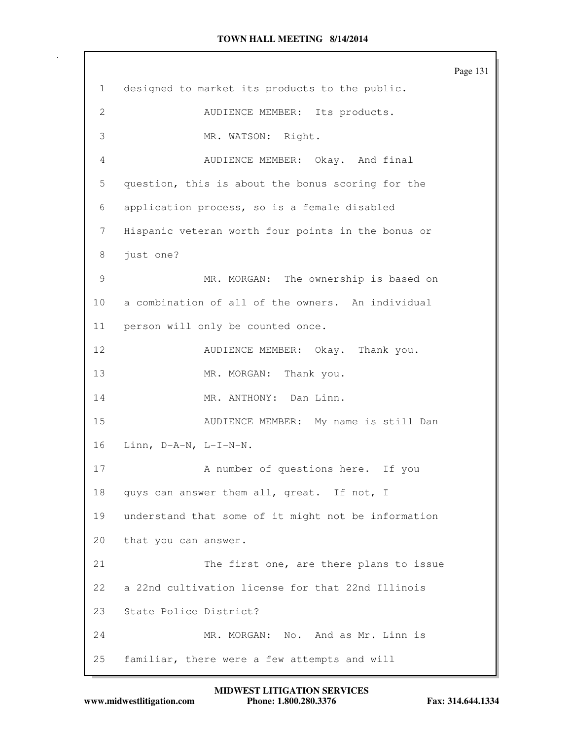Page 131 1 designed to market its products to the public. 2 AUDIENCE MEMBER: Its products. 3 MR. WATSON: Right. 4 AUDIENCE MEMBER: Okay. And final 5 question, this is about the bonus scoring for the 6 application process, so is a female disabled 7 Hispanic veteran worth four points in the bonus or 8 just one? 9 MR. MORGAN: The ownership is based on 10 a combination of all of the owners. An individual 11 person will only be counted once. 12 AUDIENCE MEMBER: Okay. Thank you. 13 MR. MORGAN: Thank you. 14 MR. ANTHONY: Dan Linn. 15 AUDIENCE MEMBER: My name is still Dan 16 Linn, D-A-N, L-I-N-N. 17 A number of questions here. If you 18 guys can answer them all, great. If not, I 19 understand that some of it might not be information 20 that you can answer. 21 The first one, are there plans to issue 22 a 22nd cultivation license for that 22nd Illinois 23 State Police District? 24 MR. MORGAN: No. And as Mr. Linn is 25 familiar, there were a few attempts and will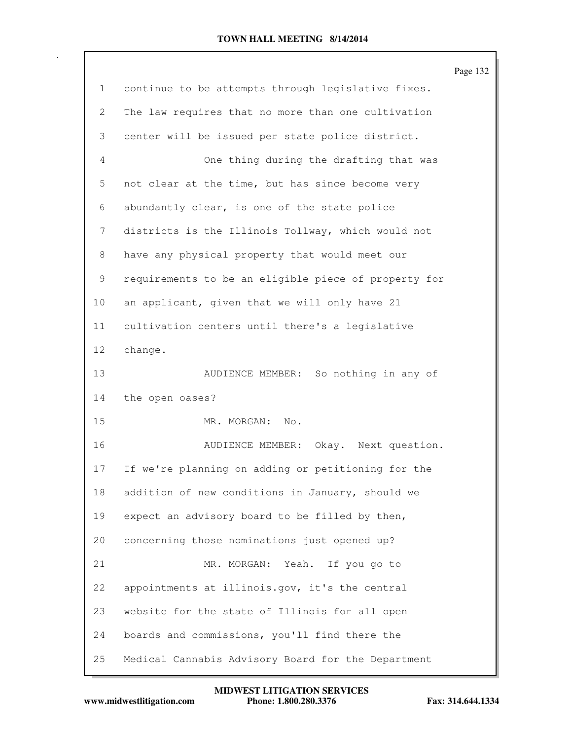|              |                                                      | Page 132 |
|--------------|------------------------------------------------------|----------|
| $\mathbf{1}$ | continue to be attempts through legislative fixes.   |          |
| 2            | The law requires that no more than one cultivation   |          |
| 3            | center will be issued per state police district.     |          |
| 4            | One thing during the drafting that was               |          |
| 5            | not clear at the time, but has since become very     |          |
| 6            | abundantly clear, is one of the state police         |          |
| 7            | districts is the Illinois Tollway, which would not   |          |
| 8            | have any physical property that would meet our       |          |
| 9            | requirements to be an eligible piece of property for |          |
| 10           | an applicant, given that we will only have 21        |          |
| 11           | cultivation centers until there's a legislative      |          |
| 12           | change.                                              |          |
| 13           | AUDIENCE MEMBER: So nothing in any of                |          |
| 14           | the open oases?                                      |          |
| 15           | MR. MORGAN: No.                                      |          |
| 16           | AUDIENCE MEMBER: Okay. Next question.                |          |
| 17           | If we're planning on adding or petitioning for the   |          |
| 18           | addition of new conditions in January, should we     |          |
| 19           | expect an advisory board to be filled by then,       |          |
| 20           | concerning those nominations just opened up?         |          |
| 21           | MR. MORGAN: Yeah. If you go to                       |          |
| 22           | appointments at illinois.gov, it's the central       |          |
| 23           | website for the state of Illinois for all open       |          |
| 24           | boards and commissions, you'll find there the        |          |
| 25           | Medical Cannabis Advisory Board for the Department   |          |

**www.midwestlitigation.com Phone: 1.800.280.3376 Fax: 314.644.1334 MIDWEST LITIGATION SERVICES**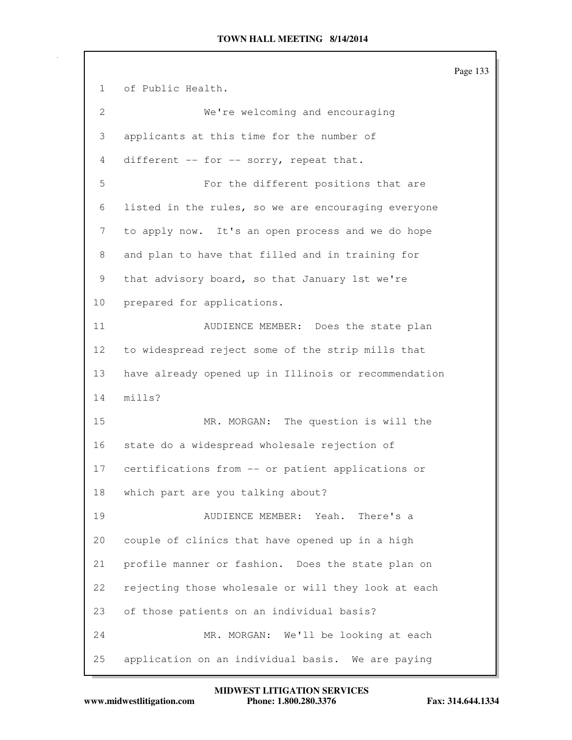Page 133 1 of Public Health. 2 We're welcoming and encouraging 3 applicants at this time for the number of 4 different -- for -- sorry, repeat that. 5 For the different positions that are 6 listed in the rules, so we are encouraging everyone 7 to apply now. It's an open process and we do hope 8 and plan to have that filled and in training for 9 that advisory board, so that January 1st we're 10 prepared for applications. 11 AUDIENCE MEMBER: Does the state plan 12 to widespread reject some of the strip mills that 13 have already opened up in Illinois or recommendation 14 mills? 15 MR. MORGAN: The question is will the 16 state do a widespread wholesale rejection of 17 certifications from -- or patient applications or 18 which part are you talking about? 19 AUDIENCE MEMBER: Yeah. There's a 20 couple of clinics that have opened up in a high 21 profile manner or fashion. Does the state plan on 22 rejecting those wholesale or will they look at each 23 of those patients on an individual basis? 24 MR. MORGAN: We'll be looking at each 25 application on an individual basis. We are paying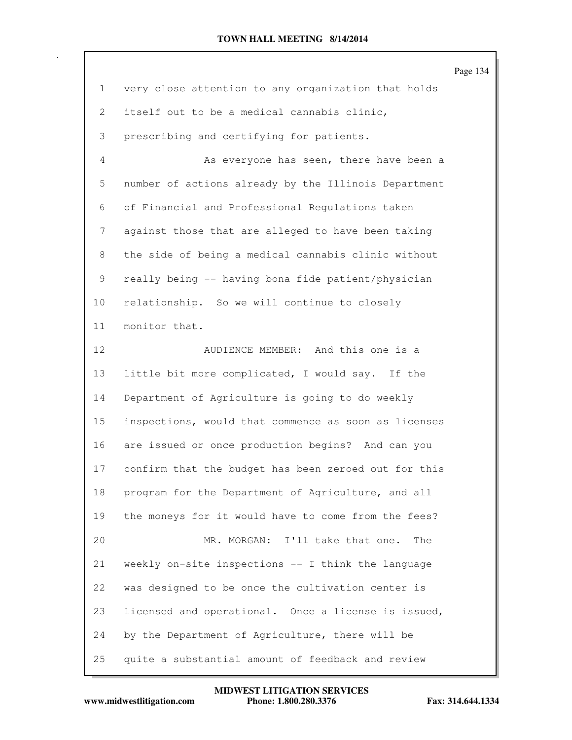|                   |                                                      | Page 134 |
|-------------------|------------------------------------------------------|----------|
| $\mathbf{1}$      | very close attention to any organization that holds  |          |
| $\mathbf{2}$      | itself out to be a medical cannabis clinic,          |          |
| 3                 | prescribing and certifying for patients.             |          |
| 4                 | As everyone has seen, there have been a              |          |
| 5                 | number of actions already by the Illinois Department |          |
| 6                 | of Financial and Professional Regulations taken      |          |
| 7                 | against those that are alleged to have been taking   |          |
| 8                 | the side of being a medical cannabis clinic without  |          |
| 9                 | really being -- having bona fide patient/physician   |          |
| 10                | relationship. So we will continue to closely         |          |
| 11                | monitor that.                                        |          |
| $12 \overline{ }$ | AUDIENCE MEMBER: And this one is a                   |          |
| 13                | little bit more complicated, I would say. If the     |          |
| 14                | Department of Agriculture is going to do weekly      |          |
| 15                | inspections, would that commence as soon as licenses |          |
| 16                | are issued or once production begins? And can you    |          |
| 17                | confirm that the budget has been zeroed out for this |          |
| 18                | program for the Department of Agriculture, and all   |          |
| 19                | the moneys for it would have to come from the fees?  |          |
| 20                | MR. MORGAN: I'll take that one.<br>The               |          |
| 21                | weekly on-site inspections -- I think the language   |          |
| 22                | was designed to be once the cultivation center is    |          |
| 23                | licensed and operational. Once a license is issued,  |          |
| 24                | by the Department of Agriculture, there will be      |          |
| 25                | quite a substantial amount of feedback and review    |          |

**www.midwestlitigation.com Phone: 1.800.280.3376 Fax: 314.644.1334 MIDWEST LITIGATION SERVICES**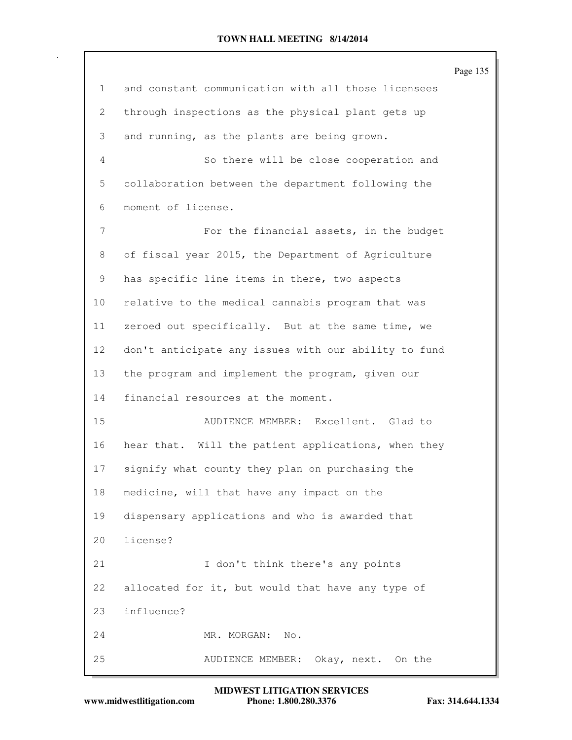|                 |                                                      | Page 135 |
|-----------------|------------------------------------------------------|----------|
| $\mathbf{1}$    | and constant communication with all those licensees  |          |
| 2               | through inspections as the physical plant gets up    |          |
| 3               | and running, as the plants are being grown.          |          |
| 4               | So there will be close cooperation and               |          |
| 5               | collaboration between the department following the   |          |
| 6               | moment of license.                                   |          |
| 7               | For the financial assets, in the budget              |          |
| 8               | of fiscal year 2015, the Department of Agriculture   |          |
| 9               | has specific line items in there, two aspects        |          |
| 10 <sub>o</sub> | relative to the medical cannabis program that was    |          |
| 11              | zeroed out specifically. But at the same time, we    |          |
| 12 <sub>2</sub> | don't anticipate any issues with our ability to fund |          |
| 13              | the program and implement the program, given our     |          |
| 14              | financial resources at the moment.                   |          |
| 15              | AUDIENCE MEMBER: Excellent. Glad to                  |          |
| 16              | hear that. Will the patient applications, when they  |          |
| 17              | signify what county they plan on purchasing the      |          |
| 18              | medicine, will that have any impact on the           |          |
| 19              | dispensary applications and who is awarded that      |          |
| 20              | license?                                             |          |
| 21              | I don't think there's any points                     |          |
| 22              | allocated for it, but would that have any type of    |          |
| 23              | influence?                                           |          |
| 24              | MR. MORGAN:<br>No.                                   |          |
| 25              | Okay, next. On the<br>AUDIENCE MEMBER:               |          |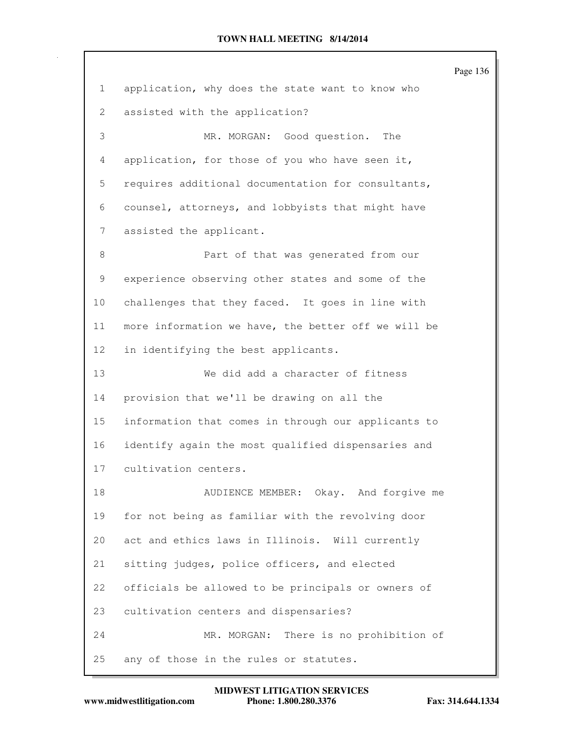Page 136 1 application, why does the state want to know who 2 assisted with the application? 3 MR. MORGAN: Good question. The 4 application, for those of you who have seen it, 5 requires additional documentation for consultants, 6 counsel, attorneys, and lobbyists that might have 7 assisted the applicant. 8 **Part of that was generated from our** 9 experience observing other states and some of the 10 challenges that they faced. It goes in line with 11 more information we have, the better off we will be 12 in identifying the best applicants. 13 We did add a character of fitness 14 provision that we'll be drawing on all the 15 information that comes in through our applicants to 16 identify again the most qualified dispensaries and 17 cultivation centers. 18 AUDIENCE MEMBER: Okay. And forgive me 19 for not being as familiar with the revolving door 20 act and ethics laws in Illinois. Will currently 21 sitting judges, police officers, and elected 22 officials be allowed to be principals or owners of 23 cultivation centers and dispensaries? 24 MR. MORGAN: There is no prohibition of 25 any of those in the rules or statutes.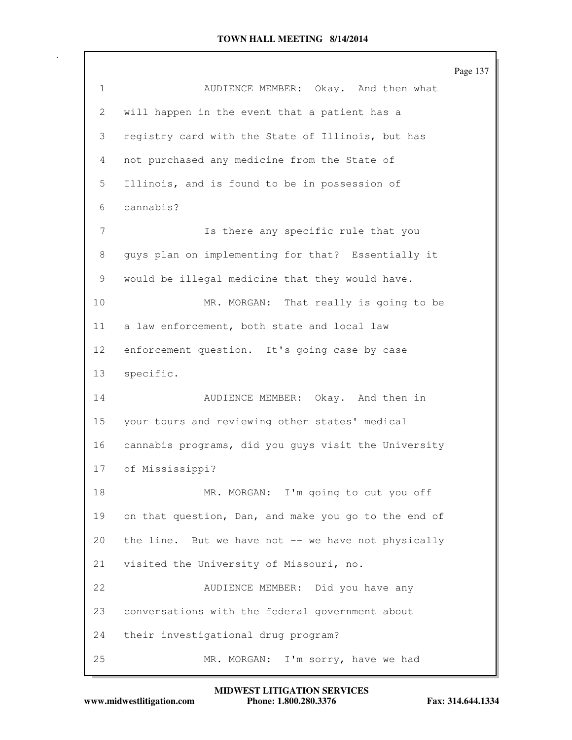|              |                                                      | Page 137 |
|--------------|------------------------------------------------------|----------|
| $\mathbf{1}$ | AUDIENCE MEMBER: Okay. And then what                 |          |
| 2            | will happen in the event that a patient has a        |          |
| 3            | registry card with the State of Illinois, but has    |          |
| 4            | not purchased any medicine from the State of         |          |
| 5            | Illinois, and is found to be in possession of        |          |
| 6            | cannabis?                                            |          |
| 7            | Is there any specific rule that you                  |          |
| 8            | guys plan on implementing for that? Essentially it   |          |
| 9            | would be illegal medicine that they would have.      |          |
| 10           | MR. MORGAN: That really is going to be               |          |
| 11           | a law enforcement, both state and local law          |          |
| 12           | enforcement question. It's going case by case        |          |
| 13           | specific.                                            |          |
| 14           | AUDIENCE MEMBER: Okay. And then in                   |          |
| 15           | your tours and reviewing other states' medical       |          |
| 16           | cannabis programs, did you guys visit the University |          |
| 17           | of Mississippi?                                      |          |
| 18           | MR. MORGAN: I'm going to cut you off                 |          |
| 19           | on that question, Dan, and make you go to the end of |          |
| 20           | the line. But we have not -- we have not physically  |          |
| 21           | visited the University of Missouri, no.              |          |
| 22           | AUDIENCE MEMBER: Did you have any                    |          |
| 23           | conversations with the federal government about      |          |
| 24           | their investigational drug program?                  |          |
| 25           | I'm sorry, have we had<br>MR. MORGAN:                |          |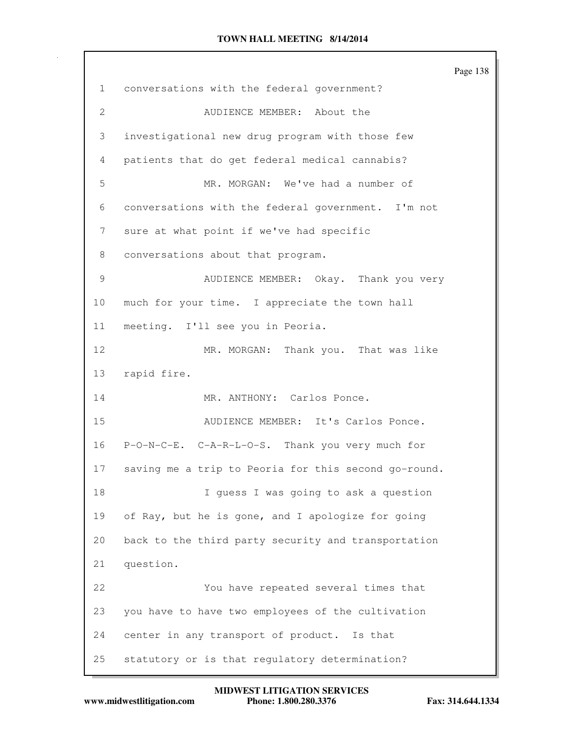Page 138 1 conversations with the federal government? 2 AUDIENCE MEMBER: About the 3 investigational new drug program with those few 4 patients that do get federal medical cannabis? 5 MR. MORGAN: We've had a number of 6 conversations with the federal government. I'm not 7 sure at what point if we've had specific 8 conversations about that program. 9 AUDIENCE MEMBER: Okay. Thank you very 10 much for your time. I appreciate the town hall 11 meeting. I'll see you in Peoria. 12 MR. MORGAN: Thank you. That was like 13 rapid fire. 14 MR. ANTHONY: Carlos Ponce. 15 AUDIENCE MEMBER: It's Carlos Ponce. 16 P-O-N-C-E. C-A-R-L-O-S. Thank you very much for 17 saving me a trip to Peoria for this second go-round. 18 I guess I was going to ask a question 19 of Ray, but he is gone, and I apologize for going 20 back to the third party security and transportation 21 question. 22 You have repeated several times that 23 you have to have two employees of the cultivation 24 center in any transport of product. Is that 25 statutory or is that regulatory determination?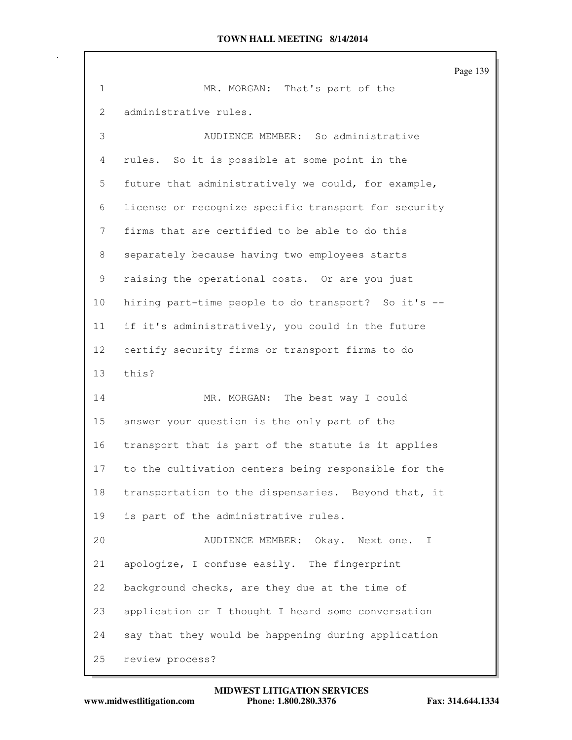Page 139 1 MR. MORGAN: That's part of the 2 administrative rules. 3 AUDIENCE MEMBER: So administrative 4 rules. So it is possible at some point in the 5 future that administratively we could, for example, 6 license or recognize specific transport for security 7 firms that are certified to be able to do this 8 separately because having two employees starts 9 raising the operational costs. Or are you just 10 hiring part-time people to do transport? So it's -- 11 if it's administratively, you could in the future 12 certify security firms or transport firms to do 13 this? 14 MR. MORGAN: The best way I could 15 answer your question is the only part of the 16 transport that is part of the statute is it applies 17 to the cultivation centers being responsible for the 18 transportation to the dispensaries. Beyond that, it 19 is part of the administrative rules. 20 AUDIENCE MEMBER: Okay. Next one. I 21 apologize, I confuse easily. The fingerprint 22 background checks, are they due at the time of 23 application or I thought I heard some conversation 24 say that they would be happening during application 25 review process?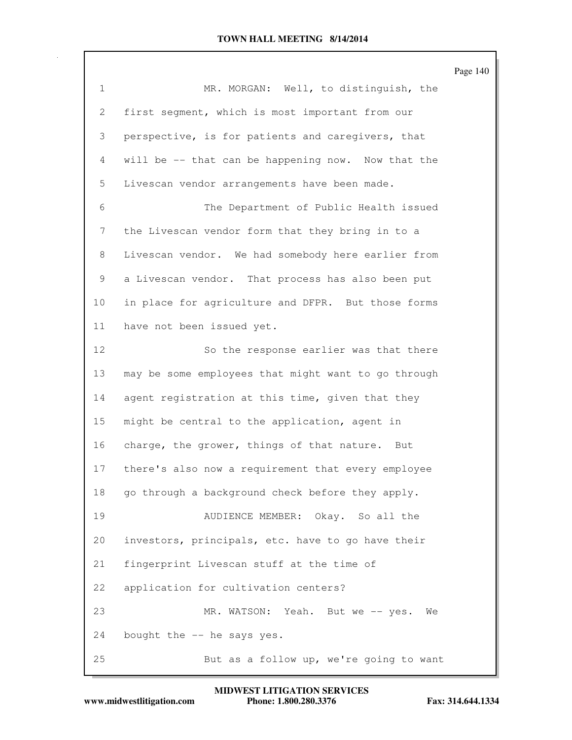|                 |                                                     | Page 140 |
|-----------------|-----------------------------------------------------|----------|
| $\mathbf{1}$    | MR. MORGAN: Well, to distinguish, the               |          |
| 2               | first segment, which is most important from our     |          |
| 3               | perspective, is for patients and caregivers, that   |          |
| 4               | will be -- that can be happening now. Now that the  |          |
| 5               | Livescan vendor arrangements have been made.        |          |
| 6               | The Department of Public Health issued              |          |
| 7               | the Livescan vendor form that they bring in to a    |          |
| 8               | Livescan vendor. We had somebody here earlier from  |          |
| 9               | a Livescan vendor. That process has also been put   |          |
| 10 <sub>o</sub> | in place for agriculture and DFPR. But those forms  |          |
| 11              | have not been issued yet.                           |          |
| 12              | So the response earlier was that there              |          |
| 13              | may be some employees that might want to go through |          |
| 14              | agent registration at this time, given that they    |          |
| 15              | might be central to the application, agent in       |          |
| 16              | charge, the grower, things of that nature. But      |          |
| 17              | there's also now a requirement that every employee  |          |
| 18              | go through a background check before they apply.    |          |
| 19              | AUDIENCE MEMBER: Okay. So all the                   |          |
| 20              | investors, principals, etc. have to go have their   |          |
| 21              | fingerprint Livescan stuff at the time of           |          |
| 22              | application for cultivation centers?                |          |
| 23              | MR. WATSON:<br>Yeah. But we -- yes.<br>We           |          |
| 24              | bought the -- he says yes.                          |          |
| 25              | But as a follow up, we're going to want             |          |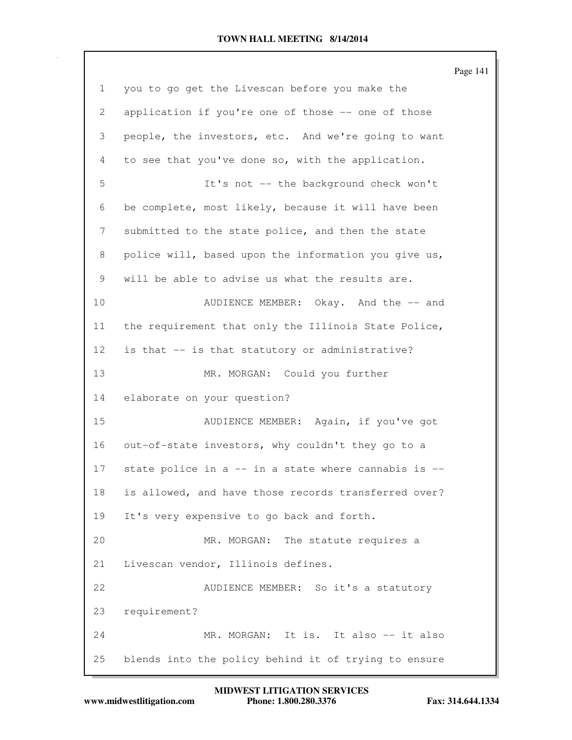Page 141 1 you to go get the Livescan before you make the 2 application if you're one of those -- one of those 3 people, the investors, etc. And we're going to want 4 to see that you've done so, with the application. 5 It's not -- the background check won't 6 be complete, most likely, because it will have been 7 submitted to the state police, and then the state 8 police will, based upon the information you give us, 9 will be able to advise us what the results are. 10 AUDIENCE MEMBER: Okay. And the -- and 11 the requirement that only the Illinois State Police, 12 is that -- is that statutory or administrative? 13 MR. MORGAN: Could you further 14 elaborate on your question? 15 AUDIENCE MEMBER: Again, if you've got 16 out-of-state investors, why couldn't they go to a 17 state police in a -- in a state where cannabis is -- 18 is allowed, and have those records transferred over? 19 It's very expensive to go back and forth. 20 MR. MORGAN: The statute requires a 21 Livescan vendor, Illinois defines. 22 AUDIENCE MEMBER: So it's a statutory 23 requirement? 24 MR. MORGAN: It is. It also -- it also 25 blends into the policy behind it of trying to ensure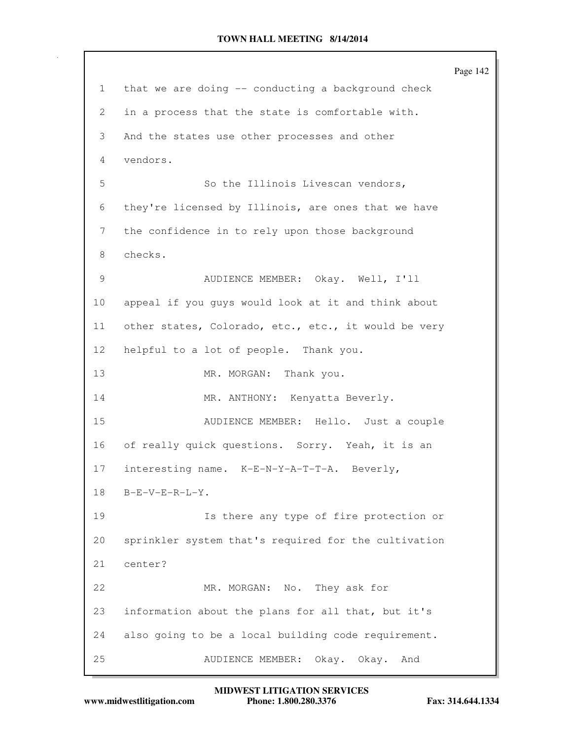Page 142 1 that we are doing -- conducting a background check 2 in a process that the state is comfortable with. 3 And the states use other processes and other 4 vendors. 5 So the Illinois Livescan vendors, 6 they're licensed by Illinois, are ones that we have 7 the confidence in to rely upon those background 8 checks. 9 AUDIENCE MEMBER: Okay. Well, I'll 10 appeal if you guys would look at it and think about 11 other states, Colorado, etc., etc., it would be very 12 helpful to a lot of people. Thank you. 13 MR. MORGAN: Thank you. 14 MR. ANTHONY: Kenyatta Beverly. 15 AUDIENCE MEMBER: Hello. Just a couple 16 of really quick questions. Sorry. Yeah, it is an 17 interesting name. K-E-N-Y-A-T-T-A. Beverly, 18 B-E-V-E-R-L-Y. 19 Is there any type of fire protection or 20 sprinkler system that's required for the cultivation 21 center? 22 MR. MORGAN: No. They ask for 23 information about the plans for all that, but it's 24 also going to be a local building code requirement. 25 AUDIENCE MEMBER: Okay. Okay. And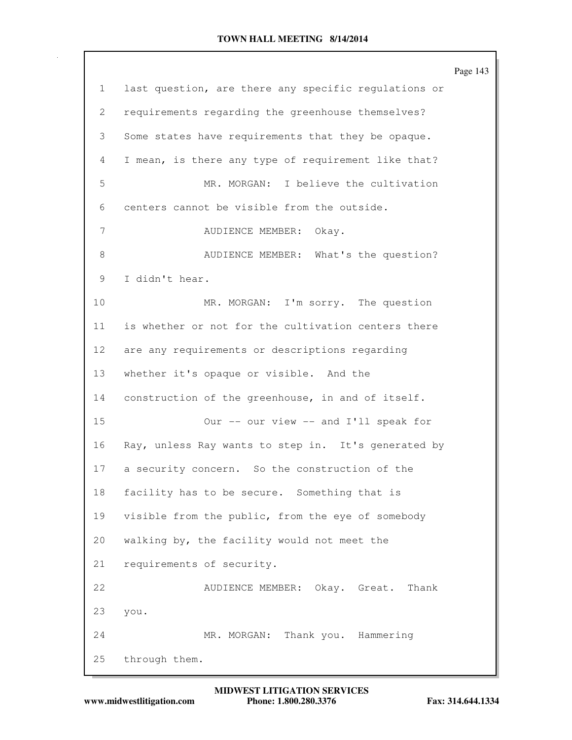|                 |                                                      | Page 143 |
|-----------------|------------------------------------------------------|----------|
| $\mathbf{1}$    | last question, are there any specific regulations or |          |
| 2               | requirements regarding the greenhouse themselves?    |          |
| 3               | Some states have requirements that they be opaque.   |          |
| 4               | I mean, is there any type of requirement like that?  |          |
| 5               | MR. MORGAN: I believe the cultivation                |          |
| 6               | centers cannot be visible from the outside.          |          |
| 7               | AUDIENCE MEMBER: Okay.                               |          |
| 8               | AUDIENCE MEMBER: What's the question?                |          |
| 9               | I didn't hear.                                       |          |
| 10              | MR. MORGAN: I'm sorry. The question                  |          |
| 11              | is whether or not for the cultivation centers there  |          |
| 12 <sup>°</sup> | are any requirements or descriptions regarding       |          |
| 13              | whether it's opaque or visible. And the              |          |
| 14              | construction of the greenhouse, in and of itself.    |          |
| 15              | Our -- our view -- and I'll speak for                |          |
| 16              | Ray, unless Ray wants to step in. It's generated by  |          |
| 17              | a security concern. So the construction of the       |          |
| 18              | facility has to be secure. Something that is         |          |
| 19              | visible from the public, from the eye of somebody    |          |
| 20              | walking by, the facility would not meet the          |          |
| 21              | requirements of security.                            |          |
| 22              | AUDIENCE MEMBER: Okay. Great. Thank                  |          |
| 23              | you.                                                 |          |
| 24              | Thank you. Hammering<br>MR. MORGAN:                  |          |
| 25              | through them.                                        |          |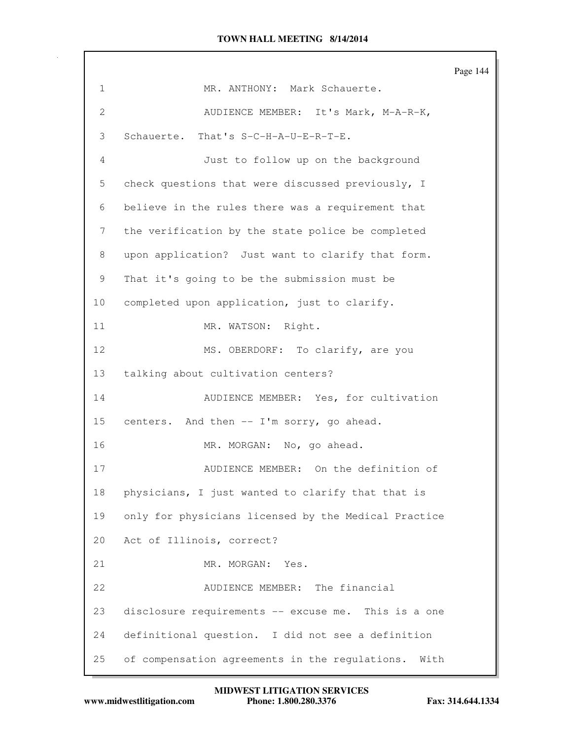Page 144 1 MR. ANTHONY: Mark Schauerte. 2 AUDIENCE MEMBER: It's Mark, M-A-R-K, 3 Schauerte. That's S-C-H-A-U-E-R-T-E. 4 Just to follow up on the background 5 check questions that were discussed previously, I 6 believe in the rules there was a requirement that 7 the verification by the state police be completed 8 upon application? Just want to clarify that form. 9 That it's going to be the submission must be 10 completed upon application, just to clarify. 11 MR. WATSON: Right. 12 MS. OBERDORF: To clarify, are you 13 talking about cultivation centers? 14 AUDIENCE MEMBER: Yes, for cultivation 15 centers. And then -- I'm sorry, go ahead. 16 MR. MORGAN: No, go ahead. 17 AUDIENCE MEMBER: On the definition of 18 physicians, I just wanted to clarify that that is 19 only for physicians licensed by the Medical Practice 20 Act of Illinois, correct? 21 MR. MORGAN: Yes. 22 AUDIENCE MEMBER: The financial 23 disclosure requirements -- excuse me. This is a one 24 definitional question. I did not see a definition 25 of compensation agreements in the regulations. With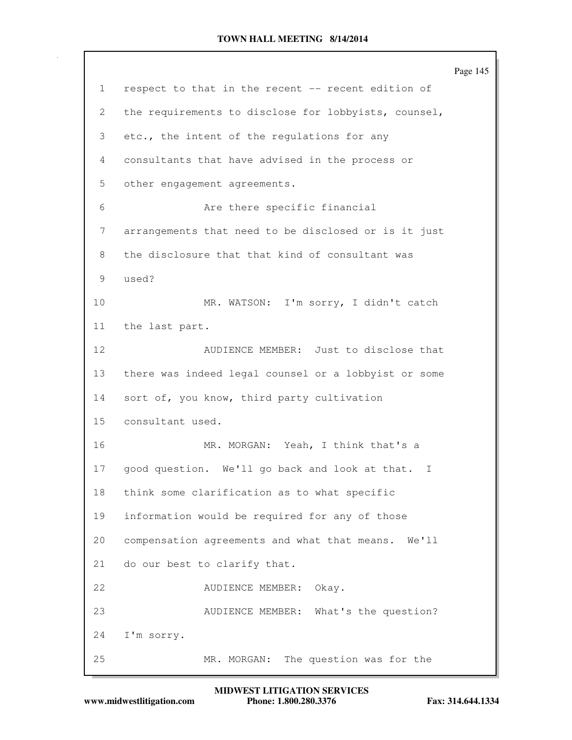|    |                                                      | Page 145 |
|----|------------------------------------------------------|----------|
| 1  | respect to that in the recent -- recent edition of   |          |
| 2  | the requirements to disclose for lobbyists, counsel, |          |
| 3  | etc., the intent of the regulations for any          |          |
| 4  | consultants that have advised in the process or      |          |
| 5  | other engagement agreements.                         |          |
| 6  | Are there specific financial                         |          |
| 7  | arrangements that need to be disclosed or is it just |          |
| 8  | the disclosure that that kind of consultant was      |          |
| 9  | used?                                                |          |
| 10 | MR. WATSON: I'm sorry, I didn't catch                |          |
| 11 | the last part.                                       |          |
| 12 | AUDIENCE MEMBER: Just to disclose that               |          |
| 13 | there was indeed legal counsel or a lobbyist or some |          |
| 14 | sort of, you know, third party cultivation           |          |
| 15 | consultant used.                                     |          |
| 16 | MR. MORGAN: Yeah, I think that's a                   |          |
| 17 | good question. We'll go back and look at that. I     |          |
| 18 | think some clarification as to what specific         |          |
| 19 | information would be required for any of those       |          |
| 20 | compensation agreements and what that means. We'll   |          |
| 21 | do our best to clarify that.                         |          |
| 22 | AUDIENCE MEMBER:<br>Okay.                            |          |
| 23 | AUDIENCE MEMBER: What's the question?                |          |
| 24 | I'm sorry.                                           |          |
| 25 | The question was for the<br>MR. MORGAN:              |          |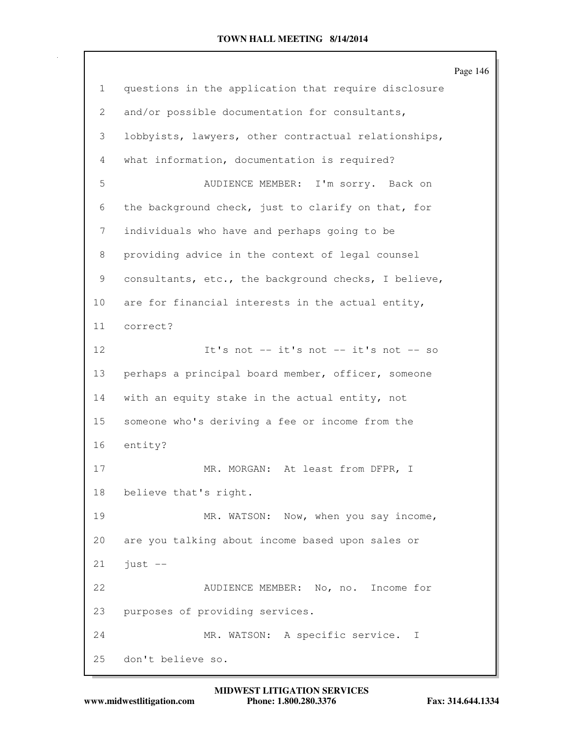Page 146 1 questions in the application that require disclosure 2 and/or possible documentation for consultants, 3 lobbyists, lawyers, other contractual relationships, 4 what information, documentation is required? 5 AUDIENCE MEMBER: I'm sorry. Back on 6 the background check, just to clarify on that, for 7 individuals who have and perhaps going to be 8 providing advice in the context of legal counsel 9 consultants, etc., the background checks, I believe, 10 are for financial interests in the actual entity, 11 correct? 12 It's not -- it's not -- it's not -- so 13 perhaps a principal board member, officer, someone 14 with an equity stake in the actual entity, not 15 someone who's deriving a fee or income from the 16 entity? 17 MR. MORGAN: At least from DFPR, I 18 believe that's right. 19 MR. WATSON: Now, when you say income, 20 are you talking about income based upon sales or  $21$  just  $-$ 22 AUDIENCE MEMBER: No, no. Income for 23 purposes of providing services. 24 MR. WATSON: A specific service. I 25 don't believe so.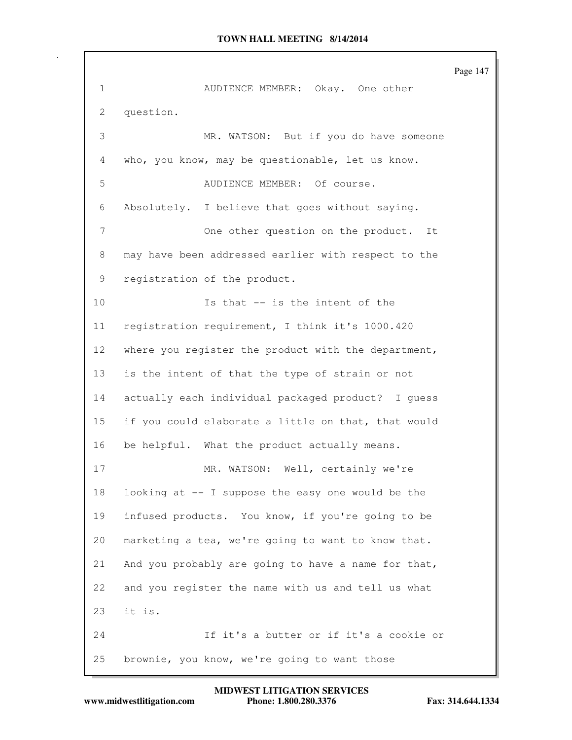Page 147 1 AUDIENCE MEMBER: Okay. One other 2 question. 3 MR. WATSON: But if you do have someone 4 who, you know, may be questionable, let us know. 5 AUDIENCE MEMBER: Of course. 6 Absolutely. I believe that goes without saying. 7 One other question on the product. It 8 may have been addressed earlier with respect to the 9 registration of the product. 10 Is that -- is the intent of the 11 registration requirement, I think it's 1000.420 12 where you register the product with the department, 13 is the intent of that the type of strain or not 14 actually each individual packaged product? I guess 15 if you could elaborate a little on that, that would 16 be helpful. What the product actually means. 17 MR. WATSON: Well, certainly we're 18 looking at -- I suppose the easy one would be the 19 infused products. You know, if you're going to be 20 marketing a tea, we're going to want to know that. 21 And you probably are going to have a name for that, 22 and you register the name with us and tell us what 23 it is. 24 If it's a butter or if it's a cookie or 25 brownie, you know, we're going to want those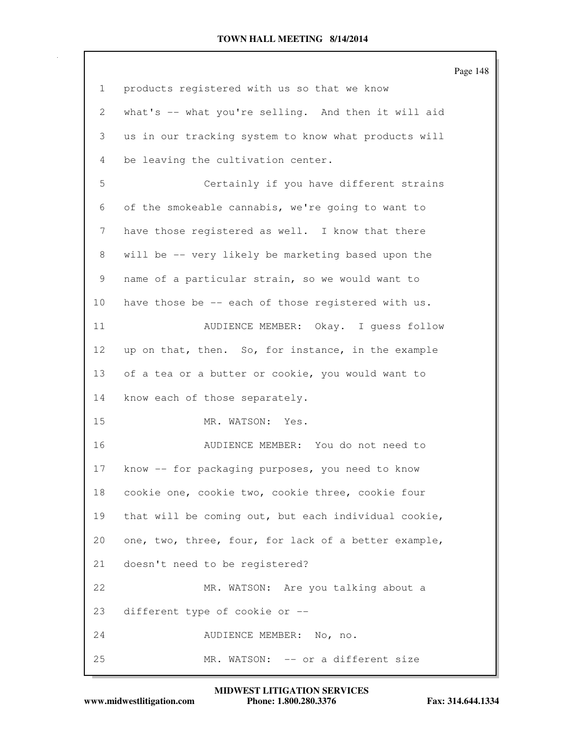|              |                                                      | Page 148 |
|--------------|------------------------------------------------------|----------|
| $\mathbf{1}$ | products registered with us so that we know          |          |
| 2            | what's -- what you're selling. And then it will aid  |          |
| 3            | us in our tracking system to know what products will |          |
| 4            | be leaving the cultivation center.                   |          |
| 5            | Certainly if you have different strains              |          |
| 6            | of the smokeable cannabis, we're going to want to    |          |
| 7            | have those registered as well. I know that there     |          |
| 8            | will be -- very likely be marketing based upon the   |          |
| 9            | name of a particular strain, so we would want to     |          |
| 10           | have those be -- each of those registered with us.   |          |
| 11           | AUDIENCE MEMBER: Okay. I guess follow                |          |
| 12           | up on that, then. So, for instance, in the example   |          |
| 13           | of a tea or a butter or cookie, you would want to    |          |
| 14           | know each of those separately.                       |          |
| 15           | MR. WATSON:<br>Yes.                                  |          |
| 16           | AUDIENCE MEMBER: You do not need to                  |          |
| 17           | know -- for packaging purposes, you need to know     |          |
| 18           | cookie one, cookie two, cookie three, cookie four    |          |
| 19           | that will be coming out, but each individual cookie, |          |
| 20           | one, two, three, four, for lack of a better example, |          |
| 21           | doesn't need to be registered?                       |          |
| 22           | MR. WATSON: Are you talking about a                  |          |
| 23           | different type of cookie or --                       |          |
| 24           | AUDIENCE MEMBER: No, no.                             |          |
| 25           | MR. WATSON: -- or a different size                   |          |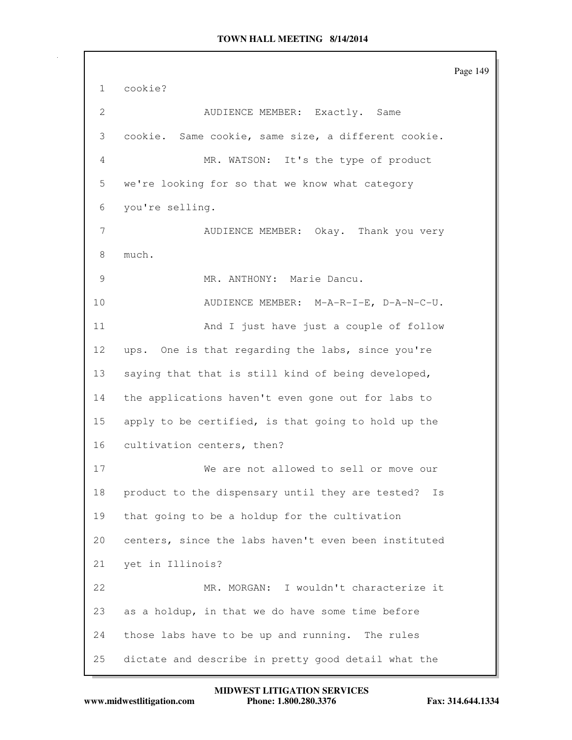Page 149 1 cookie? 2 AUDIENCE MEMBER: Exactly. Same 3 cookie. Same cookie, same size, a different cookie. 4 MR. WATSON: It's the type of product 5 we're looking for so that we know what category 6 you're selling. 7 AUDIENCE MEMBER: Okay. Thank you very 8 much. 9 MR. ANTHONY: Marie Dancu. 10 AUDIENCE MEMBER: M-A-R-I-E, D-A-N-C-U. 11 And I just have just a couple of follow 12 ups. One is that regarding the labs, since you're 13 saying that that is still kind of being developed, 14 the applications haven't even gone out for labs to 15 apply to be certified, is that going to hold up the 16 cultivation centers, then? 17 We are not allowed to sell or move our 18 product to the dispensary until they are tested? Is 19 that going to be a holdup for the cultivation 20 centers, since the labs haven't even been instituted 21 yet in Illinois? 22 MR. MORGAN: I wouldn't characterize it 23 as a holdup, in that we do have some time before 24 those labs have to be up and running. The rules 25 dictate and describe in pretty good detail what the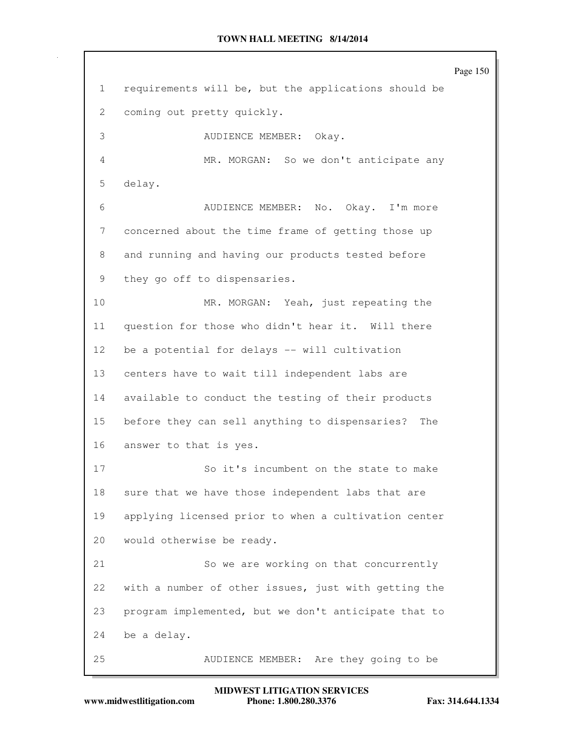Page 150 1 requirements will be, but the applications should be 2 coming out pretty quickly. 3 AUDIENCE MEMBER: Okay. 4 MR. MORGAN: So we don't anticipate any 5 delay. 6 AUDIENCE MEMBER: No. Okay. I'm more 7 concerned about the time frame of getting those up 8 and running and having our products tested before 9 they go off to dispensaries. 10 MR. MORGAN: Yeah, just repeating the 11 question for those who didn't hear it. Will there 12 be a potential for delays -- will cultivation 13 centers have to wait till independent labs are 14 available to conduct the testing of their products 15 before they can sell anything to dispensaries? The 16 answer to that is yes. 17 So it's incumbent on the state to make 18 sure that we have those independent labs that are 19 applying licensed prior to when a cultivation center 20 would otherwise be ready. 21 So we are working on that concurrently 22 with a number of other issues, just with getting the 23 program implemented, but we don't anticipate that to 24 be a delay. 25 AUDIENCE MEMBER: Are they going to be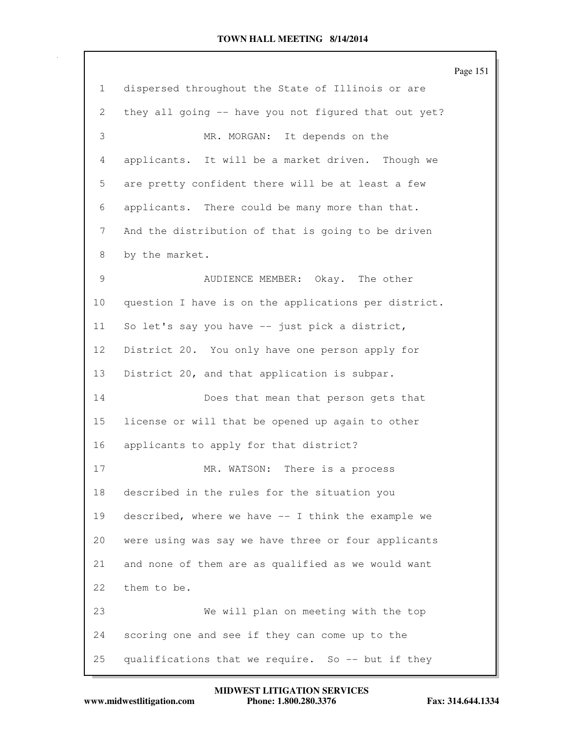|                 |                                                      | Page 151 |
|-----------------|------------------------------------------------------|----------|
| $\mathbf{1}$    | dispersed throughout the State of Illinois or are    |          |
| 2               | they all going -- have you not figured that out yet? |          |
| 3               | MR. MORGAN: It depends on the                        |          |
| 4               | applicants. It will be a market driven. Though we    |          |
| 5               | are pretty confident there will be at least a few    |          |
| 6               | applicants. There could be many more than that.      |          |
| 7               | And the distribution of that is going to be driven   |          |
| 8               | by the market.                                       |          |
| 9               | AUDIENCE MEMBER: Okay. The other                     |          |
| 10 <sub>o</sub> | question I have is on the applications per district. |          |
| 11              | So let's say you have -- just pick a district,       |          |
| 12 <sup>°</sup> | District 20. You only have one person apply for      |          |
| 13              | District 20, and that application is subpar.         |          |
| 14              | Does that mean that person gets that                 |          |
| 15              | license or will that be opened up again to other     |          |
| 16              | applicants to apply for that district?               |          |
| 17              | MR. WATSON: There is a process                       |          |
| 18              | described in the rules for the situation you         |          |
| 19              | described, where we have -- I think the example we   |          |
| 20              | were using was say we have three or four applicants  |          |
| 21              | and none of them are as qualified as we would want   |          |
| 22              | them to be.                                          |          |
| 23              | We will plan on meeting with the top                 |          |
| 24              | scoring one and see if they can come up to the       |          |
| 25              | qualifications that we require. So -- but if they    |          |

**www.midwestlitigation.com Phone: 1.800.280.3376 Fax: 314.644.1334 MIDWEST LITIGATION SERVICES**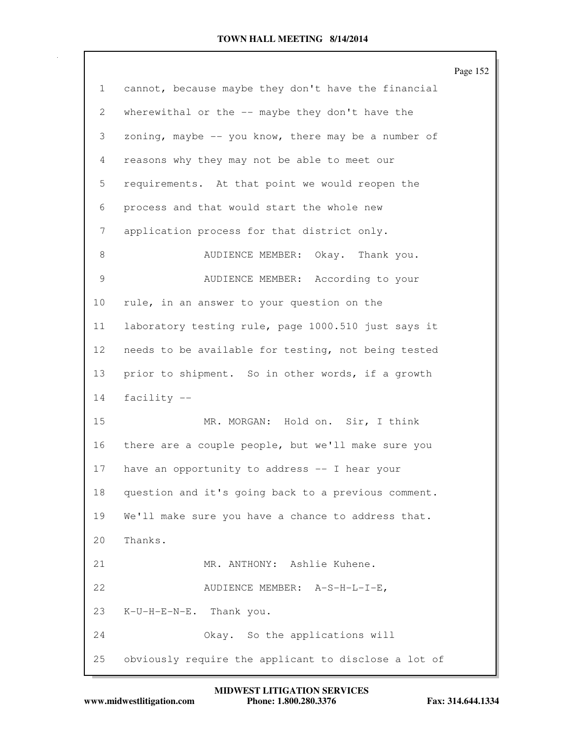|                 |                                                        | Page 152 |
|-----------------|--------------------------------------------------------|----------|
| $\mathbf{1}$    | cannot, because maybe they don't have the financial    |          |
| 2               | wherewithal or the -- maybe they don't have the        |          |
| 3               | zoning, maybe $-$ - you know, there may be a number of |          |
| 4               | reasons why they may not be able to meet our           |          |
| 5               | requirements. At that point we would reopen the        |          |
| 6               | process and that would start the whole new             |          |
| 7               | application process for that district only.            |          |
| 8               | AUDIENCE MEMBER: Okay. Thank you.                      |          |
| 9               | AUDIENCE MEMBER: According to your                     |          |
| 10 <sub>o</sub> | rule, in an answer to your question on the             |          |
| 11              | laboratory testing rule, page 1000.510 just says it    |          |
| 12 <sup>°</sup> | needs to be available for testing, not being tested    |          |
| 13              | prior to shipment. So in other words, if a growth      |          |
| 14              | facility --                                            |          |
| 15              | MR. MORGAN: Hold on. Sir, I think                      |          |
| 16              | there are a couple people, but we'll make sure you     |          |
| 17              | have an opportunity to address -- I hear your          |          |
| 18              | question and it's going back to a previous comment.    |          |
| 19              | We'll make sure you have a chance to address that.     |          |
| 20              | Thanks.                                                |          |
| 21              | MR. ANTHONY: Ashlie Kuhene.                            |          |
| 22              | AUDIENCE MEMBER: A-S-H-L-I-E,                          |          |
| 23              | K-U-H-E-N-E. Thank you.                                |          |
| 24              | Okay. So the applications will                         |          |
| 25              | obviously require the applicant to disclose a lot of   |          |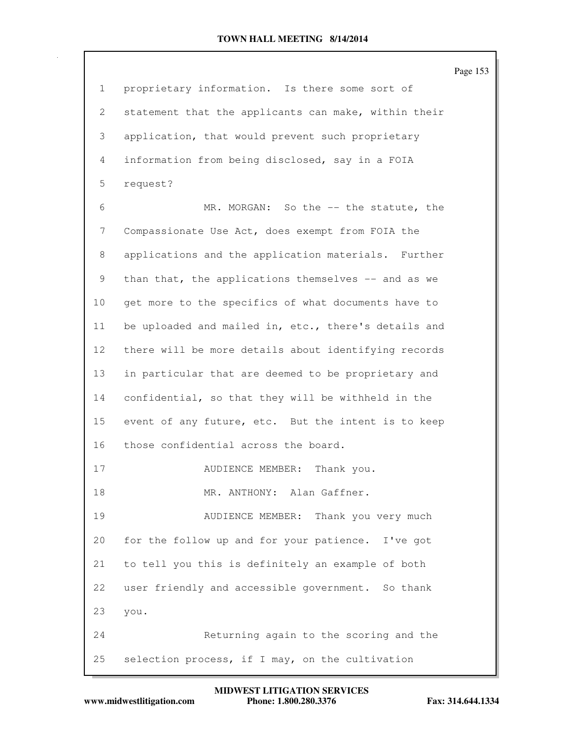Page 153 1 proprietary information. Is there some sort of 2 statement that the applicants can make, within their 3 application, that would prevent such proprietary 4 information from being disclosed, say in a FOIA 5 request? 6 MR. MORGAN: So the -- the statute, the 7 Compassionate Use Act, does exempt from FOIA the 8 applications and the application materials. Further 9 than that, the applications themselves -- and as we 10 get more to the specifics of what documents have to 11 be uploaded and mailed in, etc., there's details and 12 there will be more details about identifying records 13 in particular that are deemed to be proprietary and 14 confidential, so that they will be withheld in the 15 event of any future, etc. But the intent is to keep 16 those confidential across the board. 17 AUDIENCE MEMBER: Thank you. 18 MR. ANTHONY: Alan Gaffner. 19 AUDIENCE MEMBER: Thank you very much 20 for the follow up and for your patience. I've got 21 to tell you this is definitely an example of both 22 user friendly and accessible government. So thank 23 you. 24 Returning again to the scoring and the 25 selection process, if I may, on the cultivation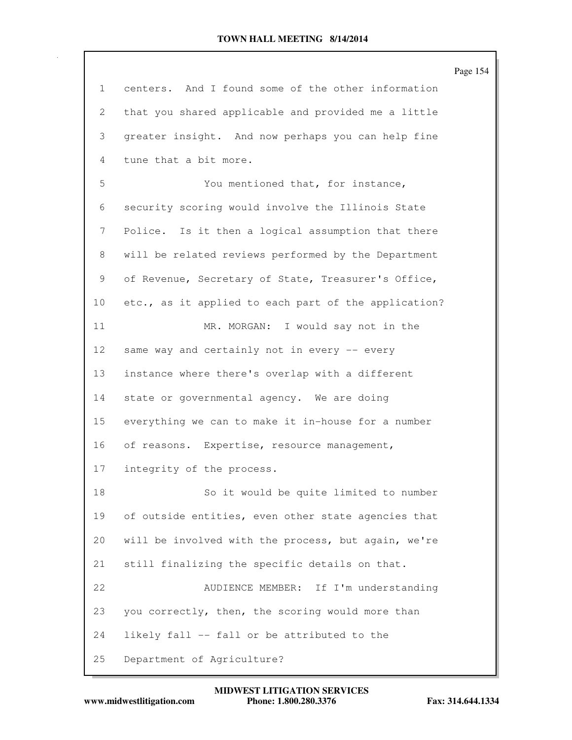|                 |                                                      | Page 154 |
|-----------------|------------------------------------------------------|----------|
| 1               | centers. And I found some of the other information   |          |
| 2               | that you shared applicable and provided me a little  |          |
| 3               | greater insight. And now perhaps you can help fine   |          |
| 4               | tune that a bit more.                                |          |
| 5               | You mentioned that, for instance,                    |          |
| 6               | security scoring would involve the Illinois State    |          |
| 7               | Police. Is it then a logical assumption that there   |          |
| 8               | will be related reviews performed by the Department  |          |
| 9               | of Revenue, Secretary of State, Treasurer's Office,  |          |
| 10              | etc., as it applied to each part of the application? |          |
| 11              | MR. MORGAN: I would say not in the                   |          |
| 12 <sup>°</sup> | same way and certainly not in every -- every         |          |
| 13              | instance where there's overlap with a different      |          |
| 14              | state or governmental agency. We are doing           |          |
| 15              | everything we can to make it in-house for a number   |          |
| 16              | of reasons. Expertise, resource management,          |          |
| 17              | integrity of the process.                            |          |
| 18              | So it would be quite limited to number               |          |
| 19              | of outside entities, even other state agencies that  |          |
| 20              | will be involved with the process, but again, we're  |          |
| 21              | still finalizing the specific details on that.       |          |
| 22              | AUDIENCE MEMBER: If I'm understanding                |          |
| 23              | you correctly, then, the scoring would more than     |          |
| 24              | likely fall -- fall or be attributed to the          |          |
| 25              | Department of Agriculture?                           |          |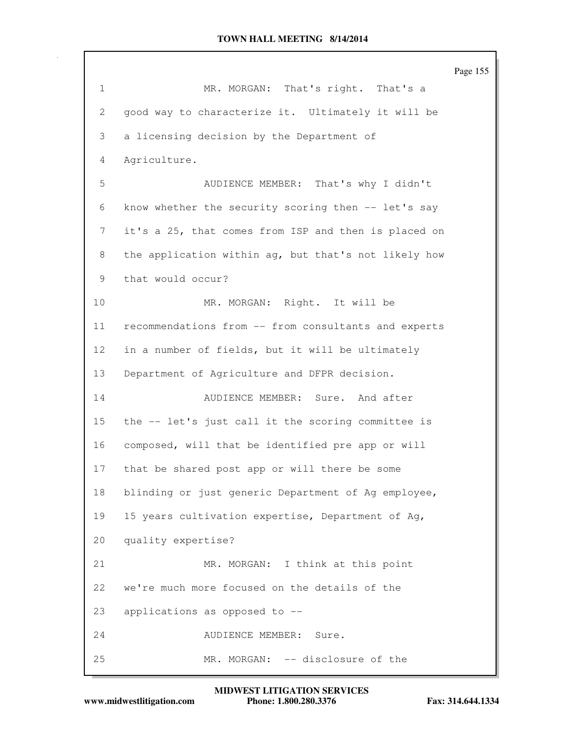|              |                                                      | Page 155 |
|--------------|------------------------------------------------------|----------|
| $\mathbf 1$  | That's right. That's a<br>MR. MORGAN:                |          |
| $\mathbf{2}$ | good way to characterize it. Ultimately it will be   |          |
| 3            | a licensing decision by the Department of            |          |
| 4            | Agriculture.                                         |          |
| 5            | AUDIENCE MEMBER: That's why I didn't                 |          |
| 6            | know whether the security scoring then -- let's say  |          |
| 7            | it's a 25, that comes from ISP and then is placed on |          |
| 8            | the application within ag, but that's not likely how |          |
| 9            | that would occur?                                    |          |
| 10           | MR. MORGAN: Right. It will be                        |          |
| 11           | recommendations from -- from consultants and experts |          |
| 12           | in a number of fields, but it will be ultimately     |          |
| 13           | Department of Agriculture and DFPR decision.         |          |
| 14           | AUDIENCE MEMBER: Sure. And after                     |          |
| 15           | the -- let's just call it the scoring committee is   |          |
| 16           | composed, will that be identified pre app or will    |          |
| 17           | that be shared post app or will there be some        |          |
| 18           | blinding or just generic Department of Ag employee,  |          |
| 19           | 15 years cultivation expertise, Department of Ag,    |          |
| 20           | quality expertise?                                   |          |
| 21           | MR. MORGAN: I think at this point                    |          |
| 22           | we're much more focused on the details of the        |          |
| 23           | applications as opposed to --                        |          |
| 24           | AUDIENCE MEMBER: Sure.                               |          |
| 25           | MR. MORGAN: -- disclosure of the                     |          |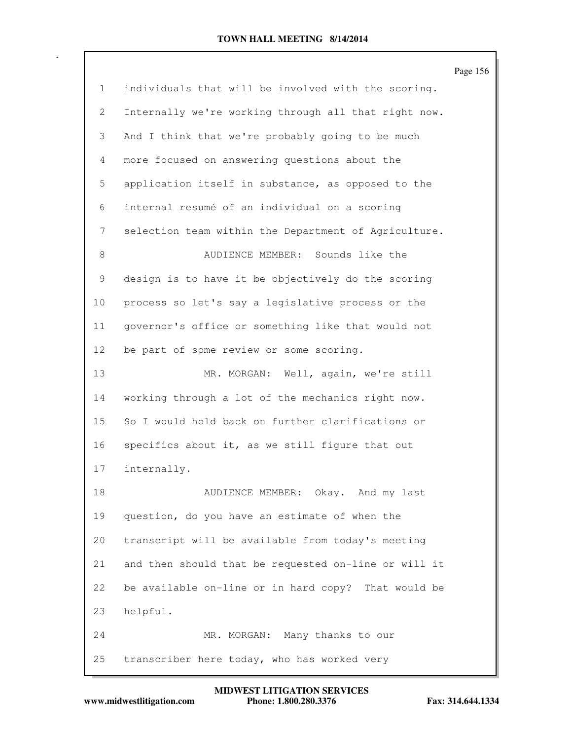| $\mathbf{1}$<br>$\mathbf{2}$ | individuals that will be involved with the scoring.<br>Internally we're working through all that right now.<br>And I think that we're probably going to be much |  |
|------------------------------|-----------------------------------------------------------------------------------------------------------------------------------------------------------------|--|
|                              |                                                                                                                                                                 |  |
|                              |                                                                                                                                                                 |  |
| 3                            |                                                                                                                                                                 |  |
| $\overline{4}$               | more focused on answering questions about the                                                                                                                   |  |
| 5                            | application itself in substance, as opposed to the                                                                                                              |  |
| 6                            | internal resumé of an individual on a scoring                                                                                                                   |  |
| 7                            | selection team within the Department of Agriculture.                                                                                                            |  |
| 8                            | AUDIENCE MEMBER: Sounds like the                                                                                                                                |  |
| 9                            | design is to have it be objectively do the scoring                                                                                                              |  |
| 10 <sub>o</sub>              | process so let's say a legislative process or the                                                                                                               |  |
| 11                           | governor's office or something like that would not                                                                                                              |  |
| 12                           | be part of some review or some scoring.                                                                                                                         |  |
| 13                           | MR. MORGAN: Well, again, we're still                                                                                                                            |  |
| 14                           | working through a lot of the mechanics right now.                                                                                                               |  |
| 15                           | So I would hold back on further clarifications or                                                                                                               |  |
| 16                           | specifics about it, as we still figure that out                                                                                                                 |  |
| 17                           | internally.                                                                                                                                                     |  |
| 18                           | AUDIENCE MEMBER: Okay. And my last                                                                                                                              |  |
| 19                           | question, do you have an estimate of when the                                                                                                                   |  |
| 20                           | transcript will be available from today's meeting                                                                                                               |  |
| 21                           | and then should that be requested on-line or will it                                                                                                            |  |
| 22                           | be available on-line or in hard copy? That would be                                                                                                             |  |
| 23                           | helpful.                                                                                                                                                        |  |
| 24                           | MR. MORGAN: Many thanks to our                                                                                                                                  |  |
| 25                           | transcriber here today, who has worked very                                                                                                                     |  |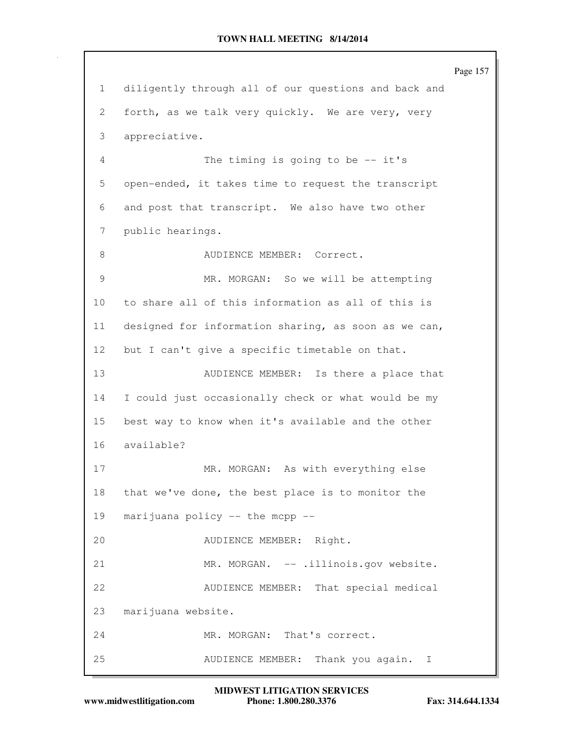Page 157 1 diligently through all of our questions and back and 2 forth, as we talk very quickly. We are very, very 3 appreciative. 4 The timing is going to be -- it's 5 open-ended, it takes time to request the transcript 6 and post that transcript. We also have two other 7 public hearings. 8 AUDIENCE MEMBER: Correct. 9 MR. MORGAN: So we will be attempting 10 to share all of this information as all of this is 11 designed for information sharing, as soon as we can, 12 but I can't give a specific timetable on that. 13 AUDIENCE MEMBER: Is there a place that 14 I could just occasionally check or what would be my 15 best way to know when it's available and the other 16 available? 17 MR. MORGAN: As with everything else 18 that we've done, the best place is to monitor the 19 marijuana policy -- the mcpp -- 20 AUDIENCE MEMBER: Right. 21 MR. MORGAN. -- .illinois.gov website. 22 AUDIENCE MEMBER: That special medical 23 marijuana website. 24 MR. MORGAN: That's correct. 25 AUDIENCE MEMBER: Thank you again. I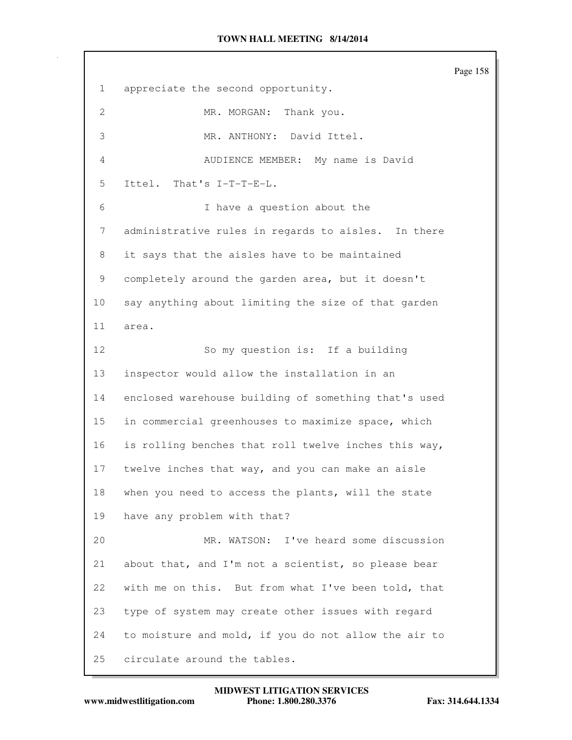Page 158 1 appreciate the second opportunity. 2 MR. MORGAN: Thank you. 3 MR. ANTHONY: David Ittel. 4 AUDIENCE MEMBER: My name is David 5 Ittel. That's I-T-T-E-L. 6 I have a question about the 7 administrative rules in regards to aisles. In there 8 it says that the aisles have to be maintained 9 completely around the garden area, but it doesn't 10 say anything about limiting the size of that garden 11 area. 12 So my question is: If a building 13 inspector would allow the installation in an 14 enclosed warehouse building of something that's used 15 in commercial greenhouses to maximize space, which 16 is rolling benches that roll twelve inches this way, 17 twelve inches that way, and you can make an aisle 18 when you need to access the plants, will the state 19 have any problem with that? 20 MR. WATSON: I've heard some discussion 21 about that, and I'm not a scientist, so please bear 22 with me on this. But from what I've been told, that 23 type of system may create other issues with regard 24 to moisture and mold, if you do not allow the air to 25 circulate around the tables.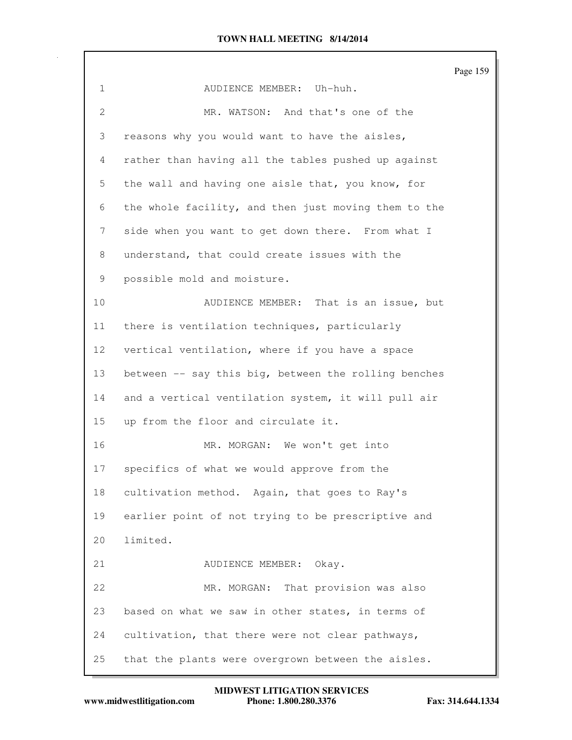Page 159 1 AUDIENCE MEMBER: Uh-huh. 2 MR. WATSON: And that's one of the 3 reasons why you would want to have the aisles, 4 rather than having all the tables pushed up against 5 the wall and having one aisle that, you know, for 6 the whole facility, and then just moving them to the 7 side when you want to get down there. From what I 8 understand, that could create issues with the 9 possible mold and moisture. 10 AUDIENCE MEMBER: That is an issue, but 11 there is ventilation techniques, particularly 12 vertical ventilation, where if you have a space 13 between -- say this big, between the rolling benches 14 and a vertical ventilation system, it will pull air 15 up from the floor and circulate it. 16 MR. MORGAN: We won't get into 17 specifics of what we would approve from the 18 cultivation method. Again, that goes to Ray's 19 earlier point of not trying to be prescriptive and 20 limited. 21 AUDIENCE MEMBER: Okay. 22 MR. MORGAN: That provision was also 23 based on what we saw in other states, in terms of 24 cultivation, that there were not clear pathways, 25 that the plants were overgrown between the aisles.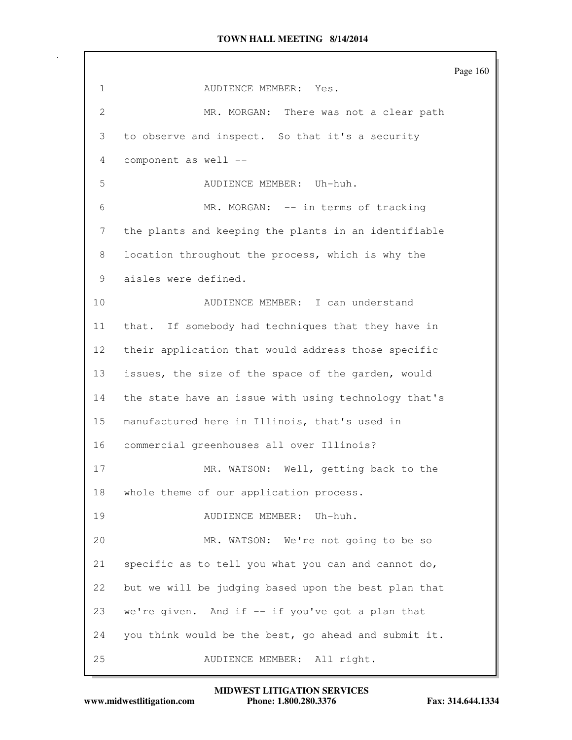Page 160 1 AUDIENCE MEMBER: Yes. 2 MR. MORGAN: There was not a clear path 3 to observe and inspect. So that it's a security 4 component as well -- 5 AUDIENCE MEMBER: Uh-huh. 6 MR. MORGAN: -- in terms of tracking 7 the plants and keeping the plants in an identifiable 8 location throughout the process, which is why the 9 aisles were defined. 10 AUDIENCE MEMBER: I can understand 11 that. If somebody had techniques that they have in 12 their application that would address those specific 13 issues, the size of the space of the garden, would 14 the state have an issue with using technology that's 15 manufactured here in Illinois, that's used in 16 commercial greenhouses all over Illinois? 17 MR. WATSON: Well, getting back to the 18 whole theme of our application process. 19 AUDIENCE MEMBER: Uh-huh. 20 MR. WATSON: We're not going to be so 21 specific as to tell you what you can and cannot do, 22 but we will be judging based upon the best plan that 23 we're given. And if -- if you've got a plan that 24 you think would be the best, go ahead and submit it. 25 AUDIENCE MEMBER: All right.

**www.midwestlitigation.com Phone: 1.800.280.3376 Fax: 314.644.1334 MIDWEST LITIGATION SERVICES**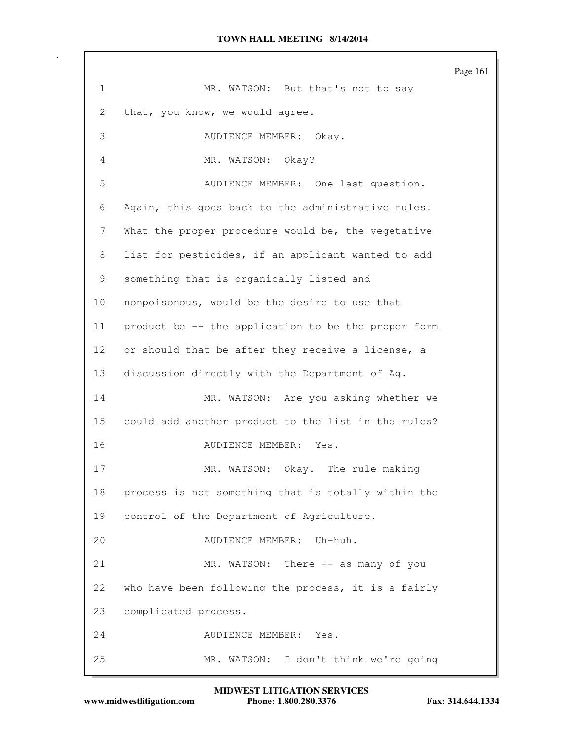Page 161 1 MR. WATSON: But that's not to say 2 that, you know, we would agree. 3 AUDIENCE MEMBER: Okay. 4 MR. WATSON: Okay? 5 AUDIENCE MEMBER: One last question. 6 Again, this goes back to the administrative rules. 7 What the proper procedure would be, the vegetative 8 list for pesticides, if an applicant wanted to add 9 something that is organically listed and 10 nonpoisonous, would be the desire to use that 11 product be -- the application to be the proper form 12 or should that be after they receive a license, a 13 discussion directly with the Department of Ag. 14 MR. WATSON: Are you asking whether we 15 could add another product to the list in the rules? 16 AUDIENCE MEMBER: Yes. 17 MR. WATSON: Okay. The rule making 18 process is not something that is totally within the 19 control of the Department of Agriculture. 20 AUDIENCE MEMBER: Uh-huh. 21 MR. WATSON: There -- as many of you 22 who have been following the process, it is a fairly 23 complicated process. 24 AUDIENCE MEMBER: Yes. 25 MR. WATSON: I don't think we're going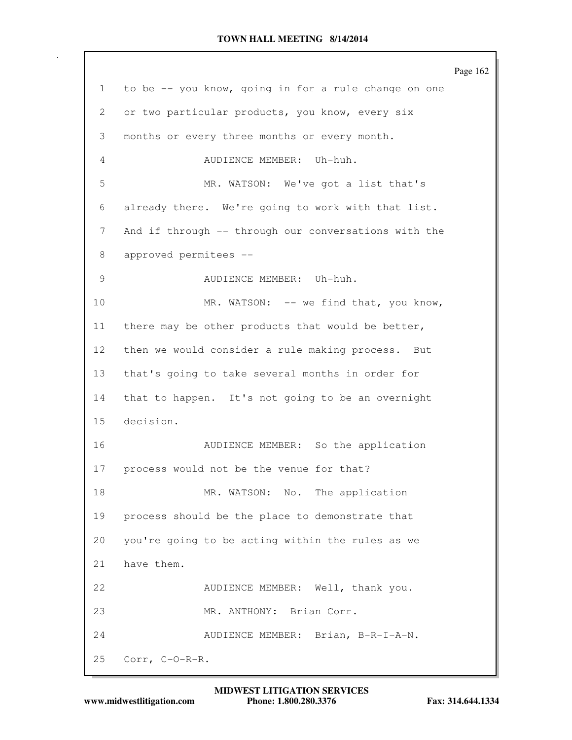Page 162 1 to be -- you know, going in for a rule change on one 2 or two particular products, you know, every six 3 months or every three months or every month. 4 AUDIENCE MEMBER: Uh-huh. 5 MR. WATSON: We've got a list that's 6 already there. We're going to work with that list. 7 And if through -- through our conversations with the 8 approved permitees -- 9 AUDIENCE MEMBER: Uh-huh. 10 MR. WATSON: -- we find that, you know, 11 there may be other products that would be better, 12 then we would consider a rule making process. But 13 that's going to take several months in order for 14 that to happen. It's not going to be an overnight 15 decision. 16 AUDIENCE MEMBER: So the application 17 process would not be the venue for that? 18 MR. WATSON: No. The application 19 process should be the place to demonstrate that 20 you're going to be acting within the rules as we 21 have them. 22 AUDIENCE MEMBER: Well, thank you. 23 MR. ANTHONY: Brian Corr. 24 AUDIENCE MEMBER: Brian, B-R-I-A-N. 25 Corr, C-O-R-R.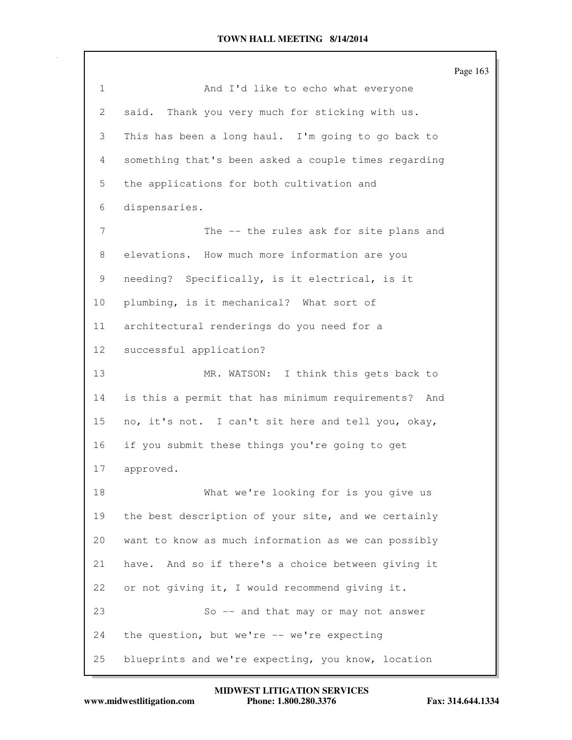|                 |                                                        | Page 163 |
|-----------------|--------------------------------------------------------|----------|
| 1               | And I'd like to echo what everyone                     |          |
| 2               | Thank you very much for sticking with us.<br>said.     |          |
| 3               | This has been a long haul. I'm going to go back to     |          |
| 4               | something that's been asked a couple times regarding   |          |
| 5               | the applications for both cultivation and              |          |
| 6               | dispensaries.                                          |          |
| 7               | The -- the rules ask for site plans and                |          |
| 8               | elevations. How much more information are you          |          |
| 9               | needing? Specifically, is it electrical, is it         |          |
| 10              | plumbing, is it mechanical? What sort of               |          |
| 11              | architectural renderings do you need for a             |          |
| 12 <sup>°</sup> | successful application?                                |          |
| 13              | MR. WATSON: I think this gets back to                  |          |
| 14              | is this a permit that has minimum requirements?<br>And |          |
| 15              | no, it's not. I can't sit here and tell you, okay,     |          |
| 16              | if you submit these things you're going to get         |          |
| 17              | approved.                                              |          |
| 18              | What we're looking for is you give us                  |          |
| 19              | the best description of your site, and we certainly    |          |
| 20              | want to know as much information as we can possibly    |          |
| 21              | have. And so if there's a choice between giving it     |          |
| 22              | or not giving it, I would recommend giving it.         |          |
| 23              | So -- and that may or may not answer                   |          |
| 24              | the question, but we're -- we're expecting             |          |
| 25              | blueprints and we're expecting, you know, location     |          |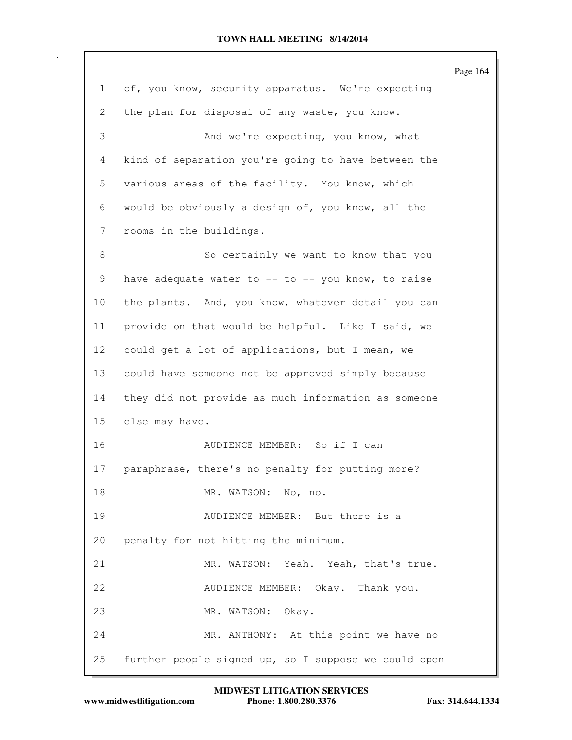|                 |                                                        | Page 164 |
|-----------------|--------------------------------------------------------|----------|
| 1               | of, you know, security apparatus. We're expecting      |          |
| 2               | the plan for disposal of any waste, you know.          |          |
| 3               | And we're expecting, you know, what                    |          |
| $\overline{4}$  | kind of separation you're going to have between the    |          |
| 5               | various areas of the facility. You know, which         |          |
| 6               | would be obviously a design of, you know, all the      |          |
| 7               | rooms in the buildings.                                |          |
| 8               | So certainly we want to know that you                  |          |
| 9               | have adequate water to $--$ to $--$ you know, to raise |          |
| 10              | the plants. And, you know, whatever detail you can     |          |
| 11              | provide on that would be helpful. Like I said, we      |          |
| 12 <sup>°</sup> | could get a lot of applications, but I mean, we        |          |
| 13              | could have someone not be approved simply because      |          |
| 14              | they did not provide as much information as someone    |          |
| 15              | else may have.                                         |          |
| 16              | AUDIENCE MEMBER: So if I can                           |          |
| 17              | paraphrase, there's no penalty for putting more?       |          |
| 18              | MR. WATSON: No, no.                                    |          |
| 19              | AUDIENCE MEMBER: But there is a                        |          |
| 20              | penalty for not hitting the minimum.                   |          |
| 21              | MR. WATSON: Yeah. Yeah, that's true.                   |          |
| 22              | AUDIENCE MEMBER: Okay. Thank you.                      |          |
| 23              | MR. WATSON: Okay.                                      |          |
| 24              | MR. ANTHONY: At this point we have no                  |          |
| 25              | further people signed up, so I suppose we could open   |          |

**www.midwestlitigation.com Phone: 1.800.280.3376 Fax: 314.644.1334 MIDWEST LITIGATION SERVICES**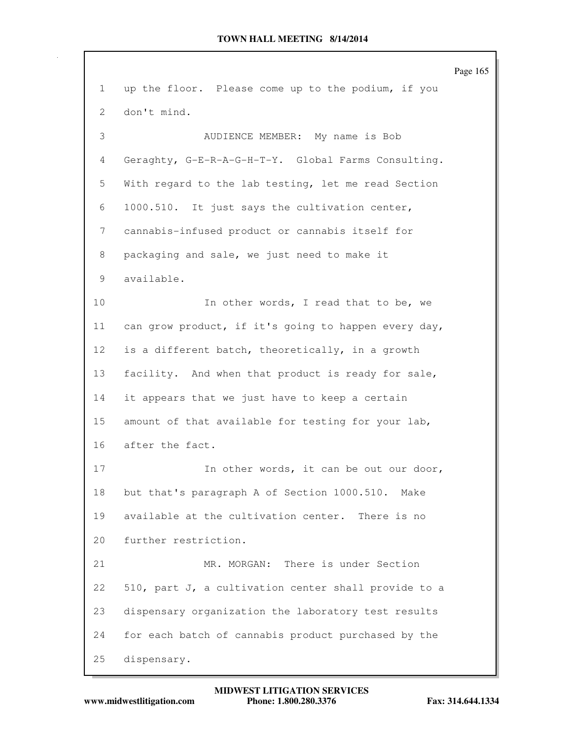|               | Page 165                                             |  |
|---------------|------------------------------------------------------|--|
| $\mathbf{1}$  | up the floor. Please come up to the podium, if you   |  |
| 2             | don't mind.                                          |  |
| $\mathcal{S}$ | AUDIENCE MEMBER: My name is Bob                      |  |
| 4             | Geraghty, G-E-R-A-G-H-T-Y. Global Farms Consulting.  |  |
| 5             | With regard to the lab testing, let me read Section  |  |
| 6             | 1000.510. It just says the cultivation center,       |  |
| 7             | cannabis-infused product or cannabis itself for      |  |
| 8             | packaging and sale, we just need to make it          |  |
| 9             | available.                                           |  |
| 10            | In other words, I read that to be, we                |  |
| 11            | can grow product, if it's going to happen every day, |  |
| 12            | is a different batch, theoretically, in a growth     |  |
| 13            | facility. And when that product is ready for sale,   |  |
| 14            | it appears that we just have to keep a certain       |  |
| 15            | amount of that available for testing for your lab,   |  |
| 16            | after the fact.                                      |  |
| 17            | In other words, it can be out our door,              |  |
| 18            | but that's paragraph A of Section 1000.510. Make     |  |
| 19            | available at the cultivation center. There is no     |  |
| 20            | further restriction.                                 |  |
| 21            | MR. MORGAN: There is under Section                   |  |
| 22            | 510, part J, a cultivation center shall provide to a |  |
| 23            | dispensary organization the laboratory test results  |  |
| 24            | for each batch of cannabis product purchased by the  |  |
| 25            | dispensary.                                          |  |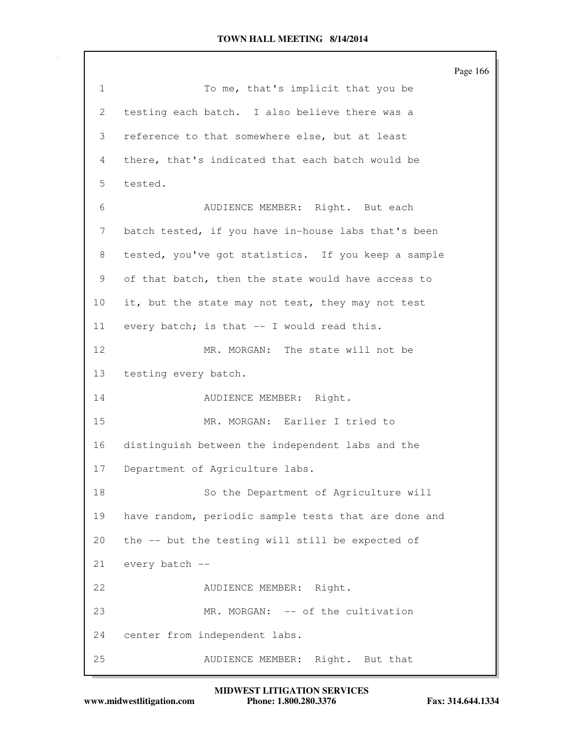Page 166 1 To me, that's implicit that you be 2 testing each batch. I also believe there was a 3 reference to that somewhere else, but at least 4 there, that's indicated that each batch would be 5 tested. 6 AUDIENCE MEMBER: Right. But each 7 batch tested, if you have in-house labs that's been 8 tested, you've got statistics. If you keep a sample 9 of that batch, then the state would have access to 10 it, but the state may not test, they may not test 11 every batch; is that -- I would read this. 12 MR. MORGAN: The state will not be 13 testing every batch. 14 AUDIENCE MEMBER: Right. 15 MR. MORGAN: Earlier I tried to 16 distinguish between the independent labs and the 17 Department of Agriculture labs. 18 So the Department of Agriculture will 19 have random, periodic sample tests that are done and 20 the -- but the testing will still be expected of 21 every batch -- 22 AUDIENCE MEMBER: Right. 23 MR. MORGAN: -- of the cultivation 24 center from independent labs. 25 AUDIENCE MEMBER: Right. But that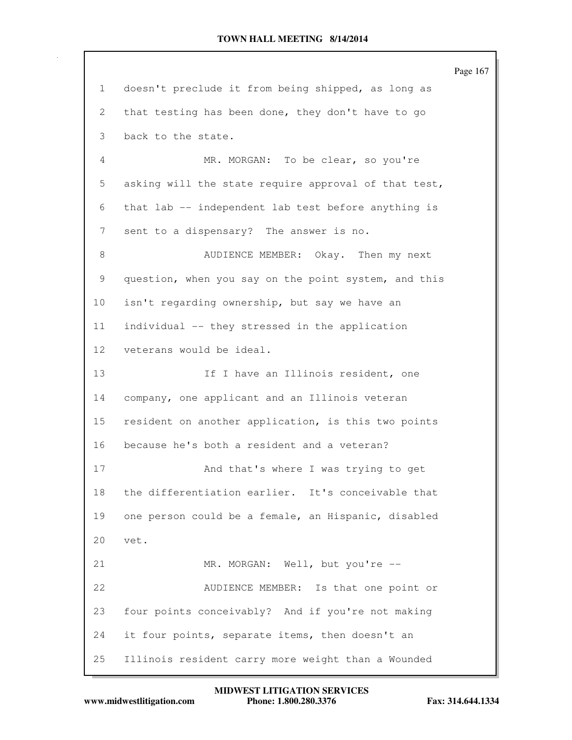Page 167 1 doesn't preclude it from being shipped, as long as 2 that testing has been done, they don't have to go 3 back to the state. 4 MR. MORGAN: To be clear, so you're 5 asking will the state require approval of that test, 6 that lab -- independent lab test before anything is 7 sent to a dispensary? The answer is no. 8 AUDIENCE MEMBER: Okay. Then my next 9 question, when you say on the point system, and this 10 isn't regarding ownership, but say we have an 11 individual -- they stressed in the application 12 veterans would be ideal. 13 13 If I have an Illinois resident, one 14 company, one applicant and an Illinois veteran 15 resident on another application, is this two points 16 because he's both a resident and a veteran? 17 And that's where I was trying to get 18 the differentiation earlier. It's conceivable that 19 one person could be a female, an Hispanic, disabled 20 vet. 21 MR. MORGAN: Well, but you're --22 AUDIENCE MEMBER: Is that one point or 23 four points conceivably? And if you're not making 24 it four points, separate items, then doesn't an 25 Illinois resident carry more weight than a Wounded

**www.midwestlitigation.com Phone: 1.800.280.3376 Fax: 314.644.1334 MIDWEST LITIGATION SERVICES**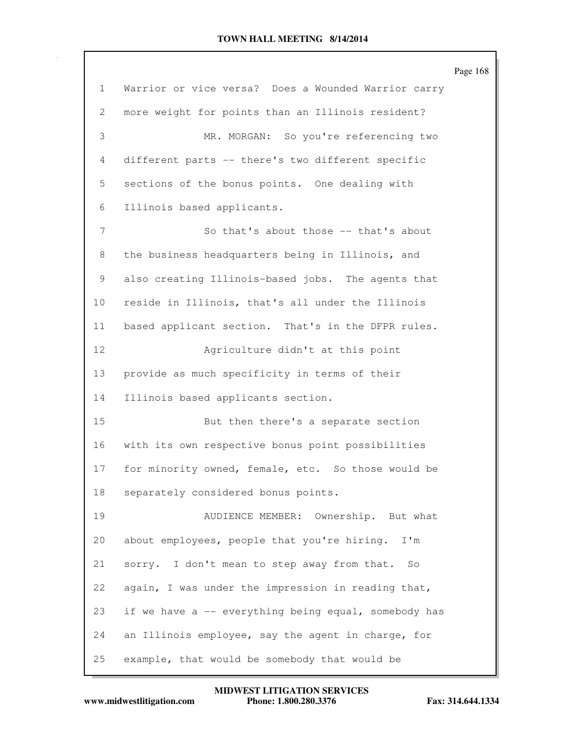Page 168 1 Warrior or vice versa? Does a Wounded Warrior carry 2 more weight for points than an Illinois resident? 3 MR. MORGAN: So you're referencing two 4 different parts -- there's two different specific 5 sections of the bonus points. One dealing with 6 Illinois based applicants. 7 So that's about those -- that's about 8 the business headquarters being in Illinois, and 9 also creating Illinois-based jobs. The agents that 10 reside in Illinois, that's all under the Illinois 11 based applicant section. That's in the DFPR rules. 12 Agriculture didn't at this point 13 provide as much specificity in terms of their 14 Illinois based applicants section. 15 But then there's a separate section 16 with its own respective bonus point possibilities 17 for minority owned, female, etc. So those would be 18 separately considered bonus points. 19 AUDIENCE MEMBER: Ownership. But what 20 about employees, people that you're hiring. I'm 21 sorry. I don't mean to step away from that. So 22 again, I was under the impression in reading that, 23 if we have a -- everything being equal, somebody has 24 an Illinois employee, say the agent in charge, for 25 example, that would be somebody that would be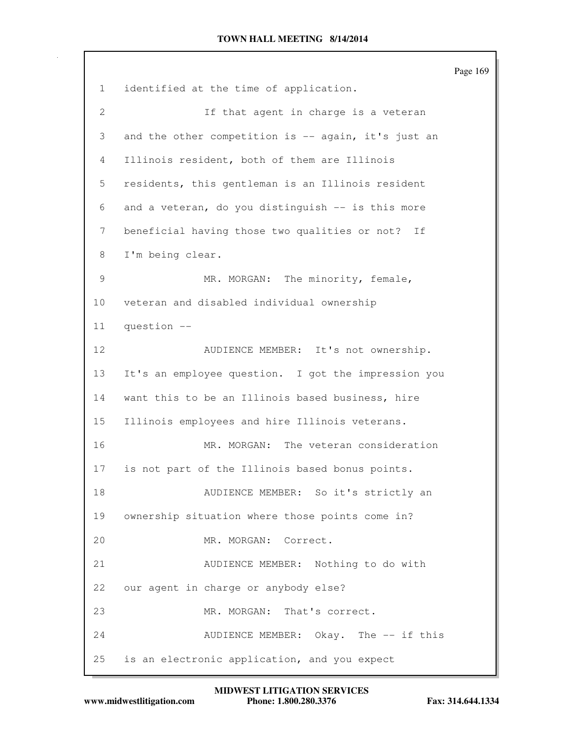|                |                                                     | Page 169 |
|----------------|-----------------------------------------------------|----------|
| $\mathbf{1}$   | identified at the time of application.              |          |
| $\overline{2}$ | If that agent in charge is a veteran                |          |
| 3              | and the other competition is -- again, it's just an |          |
| 4              | Illinois resident, both of them are Illinois        |          |
| 5              | residents, this gentleman is an Illinois resident   |          |
| 6              | and a veteran, do you distinguish -- is this more   |          |
| 7              | beneficial having those two qualities or not? If    |          |
| 8              | I'm being clear.                                    |          |
| 9              | MR. MORGAN: The minority, female,                   |          |
| 10             | veteran and disabled individual ownership           |          |
| 11             | question --                                         |          |
| 12             | AUDIENCE MEMBER: It's not ownership.                |          |
| 13             | It's an employee question. I got the impression you |          |
| 14             | want this to be an Illinois based business, hire    |          |
| 15             | Illinois employees and hire Illinois veterans.      |          |
| 16             | MR. MORGAN: The veteran consideration               |          |
| 17             | is not part of the Illinois based bonus points.     |          |
| 18             | AUDIENCE MEMBER: So it's strictly an                |          |
| 19             | ownership situation where those points come in?     |          |
| 20             | MR. MORGAN: Correct.                                |          |
| 21             | AUDIENCE MEMBER: Nothing to do with                 |          |
| 22             | our agent in charge or anybody else?                |          |
| 23             | MR. MORGAN: That's correct.                         |          |
| 24             | AUDIENCE MEMBER: Okay. The -- if this               |          |
| 25             | is an electronic application, and you expect        |          |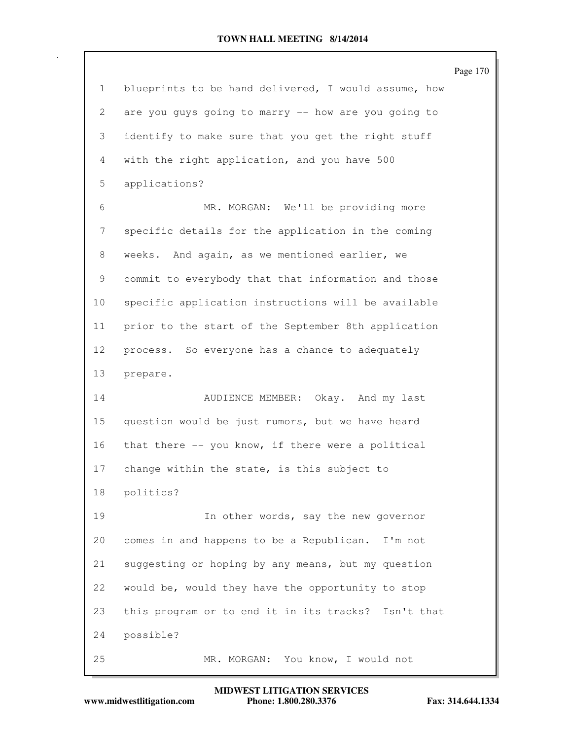|                       |                                                      | Page 170 |
|-----------------------|------------------------------------------------------|----------|
| $\mathbf{1}$          | blueprints to be hand delivered, I would assume, how |          |
| $\mathbf{2}^{\prime}$ | are you guys going to marry -- how are you going to  |          |
| 3                     | identify to make sure that you get the right stuff   |          |
| 4                     | with the right application, and you have 500         |          |
| 5                     | applications?                                        |          |
| 6                     | MR. MORGAN: We'll be providing more                  |          |
| 7                     | specific details for the application in the coming   |          |
| 8                     | weeks. And again, as we mentioned earlier, we        |          |
| 9                     | commit to everybody that that information and those  |          |
| 10 <sub>o</sub>       | specific application instructions will be available  |          |
| 11                    | prior to the start of the September 8th application  |          |
| 12                    | process. So everyone has a chance to adequately      |          |
| 13                    | prepare.                                             |          |
| 14                    | AUDIENCE MEMBER: Okay. And my last                   |          |
| 15                    | question would be just rumors, but we have heard     |          |
| 16                    | that there -- you know, if there were a political    |          |
| 17                    | change within the state, is this subject to          |          |
| 18                    | politics?                                            |          |
| 19                    | In other words, say the new governor                 |          |
| 20                    | comes in and happens to be a Republican. I'm not     |          |
| 21                    | suggesting or hoping by any means, but my question   |          |
| 22                    | would be, would they have the opportunity to stop    |          |
| 23                    | this program or to end it in its tracks? Isn't that  |          |
| 24                    | possible?                                            |          |
| 25                    | MR. MORGAN: You know, I would not                    |          |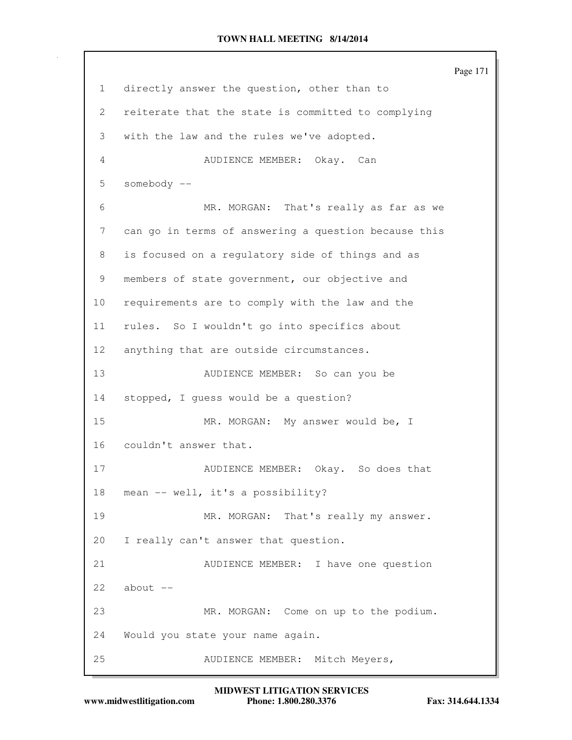Page 171 1 directly answer the question, other than to 2 reiterate that the state is committed to complying 3 with the law and the rules we've adopted. 4 AUDIENCE MEMBER: Okay. Can 5 somebody -- 6 MR. MORGAN: That's really as far as we 7 can go in terms of answering a question because this 8 is focused on a regulatory side of things and as 9 members of state government, our objective and 10 requirements are to comply with the law and the 11 rules. So I wouldn't go into specifics about 12 anything that are outside circumstances. 13 AUDIENCE MEMBER: So can you be 14 stopped, I guess would be a question? 15 MR. MORGAN: My answer would be, I 16 couldn't answer that. 17 AUDIENCE MEMBER: Okay. So does that 18 mean -- well, it's a possibility? 19 MR. MORGAN: That's really my answer. 20 I really can't answer that question. 21 AUDIENCE MEMBER: I have one question  $22$  about  $-$ 23 MR. MORGAN: Come on up to the podium. 24 Would you state your name again. 25 AUDIENCE MEMBER: Mitch Meyers,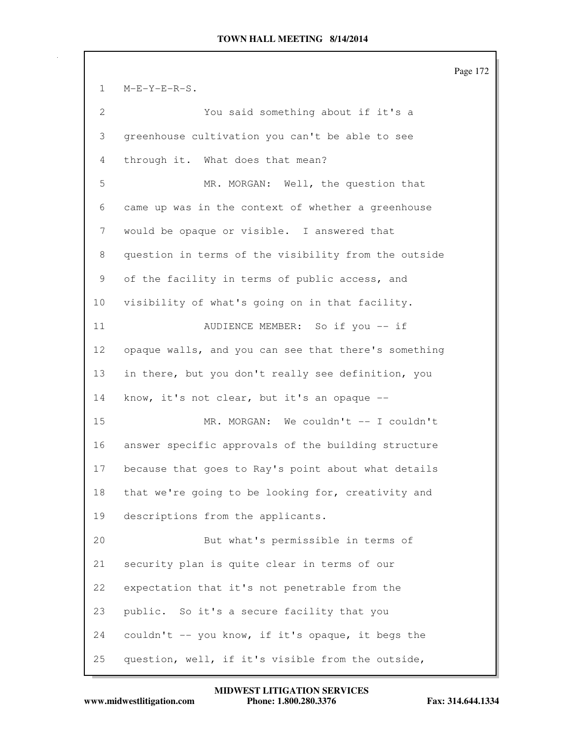Page 172 1 M-E-Y-E-R-S. 2 You said something about if it's a 3 greenhouse cultivation you can't be able to see 4 through it. What does that mean? 5 MR. MORGAN: Well, the question that 6 came up was in the context of whether a greenhouse 7 would be opaque or visible. I answered that 8 question in terms of the visibility from the outside 9 of the facility in terms of public access, and 10 visibility of what's going on in that facility. 11 AUDIENCE MEMBER: So if you -- if 12 opaque walls, and you can see that there's something 13 in there, but you don't really see definition, you 14 know, it's not clear, but it's an opaque -- 15 MR. MORGAN: We couldn't -- I couldn't 16 answer specific approvals of the building structure 17 because that goes to Ray's point about what details 18 that we're going to be looking for, creativity and 19 descriptions from the applicants. 20 But what's permissible in terms of 21 security plan is quite clear in terms of our 22 expectation that it's not penetrable from the 23 public. So it's a secure facility that you 24 couldn't -- you know, if it's opaque, it begs the 25 question, well, if it's visible from the outside,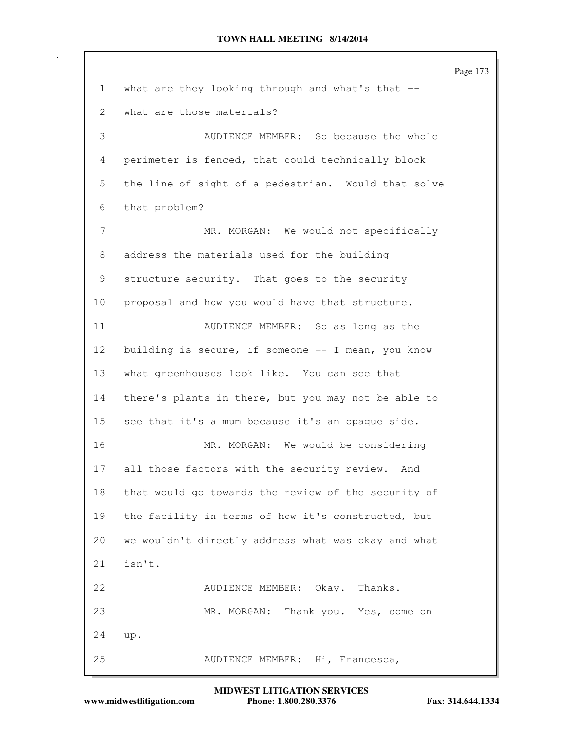|              |                                                     | Page 173 |
|--------------|-----------------------------------------------------|----------|
| $\mathbf{1}$ | what are they looking through and what's that --    |          |
| 2            | what are those materials?                           |          |
| 3            | AUDIENCE MEMBER: So because the whole               |          |
| 4            | perimeter is fenced, that could technically block   |          |
| 5            | the line of sight of a pedestrian. Would that solve |          |
| 6            | that problem?                                       |          |
| 7            | MR. MORGAN: We would not specifically               |          |
| 8            | address the materials used for the building         |          |
| 9            | structure security. That goes to the security       |          |
| 10           | proposal and how you would have that structure.     |          |
| 11           | AUDIENCE MEMBER: So as long as the                  |          |
| 12           | building is secure, if someone -- I mean, you know  |          |
| 13           | what greenhouses look like. You can see that        |          |
| 14           | there's plants in there, but you may not be able to |          |
| 15           | see that it's a mum because it's an opaque side.    |          |
| 16           | MR. MORGAN: We would be considering                 |          |
| 17           | all those factors with the security review.<br>And  |          |
| 18           | that would go towards the review of the security of |          |
| 19           | the facility in terms of how it's constructed, but  |          |
| 20           | we wouldn't directly address what was okay and what |          |
| 21           | isn't.                                              |          |
| 22           | AUDIENCE MEMBER: Okay.<br>Thanks.                   |          |
| 23           | MR. MORGAN:<br>Thank you. Yes, come on              |          |
| 24           | up.                                                 |          |
| 25           | AUDIENCE MEMBER: Hi, Francesca,                     |          |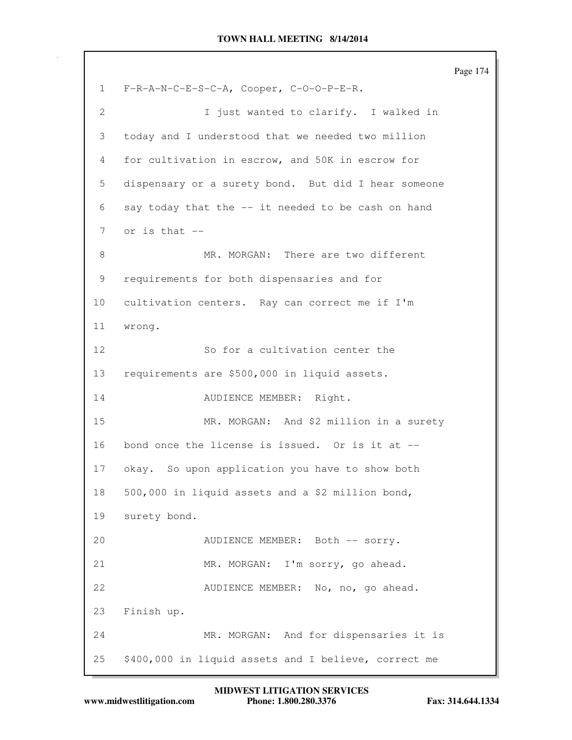Page 174 1 F-R-A-N-C-E-S-C-A, Cooper, C-O-O-P-E-R. 2 1 just wanted to clarify. I walked in 3 today and I understood that we needed two million 4 for cultivation in escrow, and 50K in escrow for 5 dispensary or a surety bond. But did I hear someone 6 say today that the -- it needed to be cash on hand 7 or is that -- 8 MR. MORGAN: There are two different 9 requirements for both dispensaries and for 10 cultivation centers. Ray can correct me if I'm 11 wrong. 12 So for a cultivation center the 13 requirements are \$500,000 in liquid assets. 14 AUDIENCE MEMBER: Right. 15 MR. MORGAN: And \$2 million in a surety 16 bond once the license is issued. Or is it at -- 17 okay. So upon application you have to show both 18 500,000 in liquid assets and a \$2 million bond, 19 surety bond. 20 AUDIENCE MEMBER: Both -- sorry. 21 MR. MORGAN: I'm sorry, go ahead. 22 AUDIENCE MEMBER: No, no, go ahead. 23 Finish up. 24 MR. MORGAN: And for dispensaries it is 25 \$400,000 in liquid assets and I believe, correct me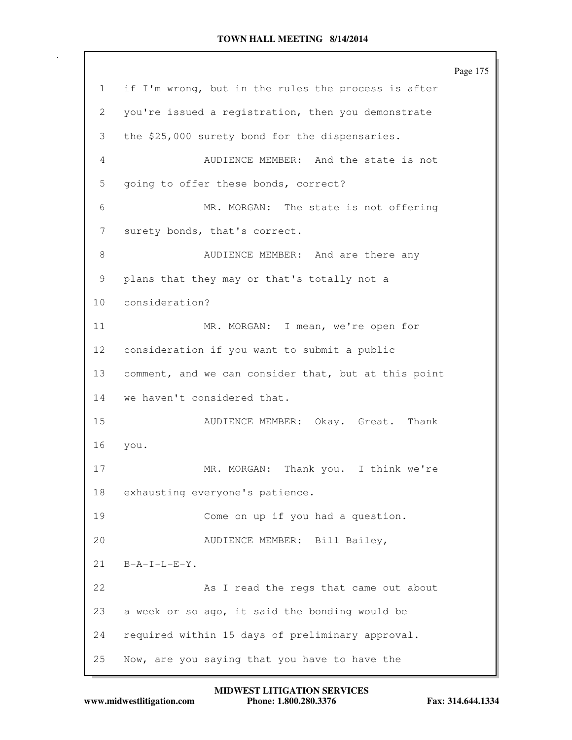Page 175 1 if I'm wrong, but in the rules the process is after 2 you're issued a registration, then you demonstrate 3 the \$25,000 surety bond for the dispensaries. 4 AUDIENCE MEMBER: And the state is not 5 going to offer these bonds, correct? 6 MR. MORGAN: The state is not offering 7 surety bonds, that's correct. 8 AUDIENCE MEMBER: And are there any 9 plans that they may or that's totally not a 10 consideration? 11 MR. MORGAN: I mean, we're open for 12 consideration if you want to submit a public 13 comment, and we can consider that, but at this point 14 we haven't considered that. 15 AUDIENCE MEMBER: Okay. Great. Thank 16 you. 17 MR. MORGAN: Thank you. I think we're 18 exhausting everyone's patience. 19 Come on up if you had a question. 20 AUDIENCE MEMBER: Bill Bailey, 21 B-A-I-L-E-Y. 22 As I read the regs that came out about 23 a week or so ago, it said the bonding would be 24 required within 15 days of preliminary approval. 25 Now, are you saying that you have to have the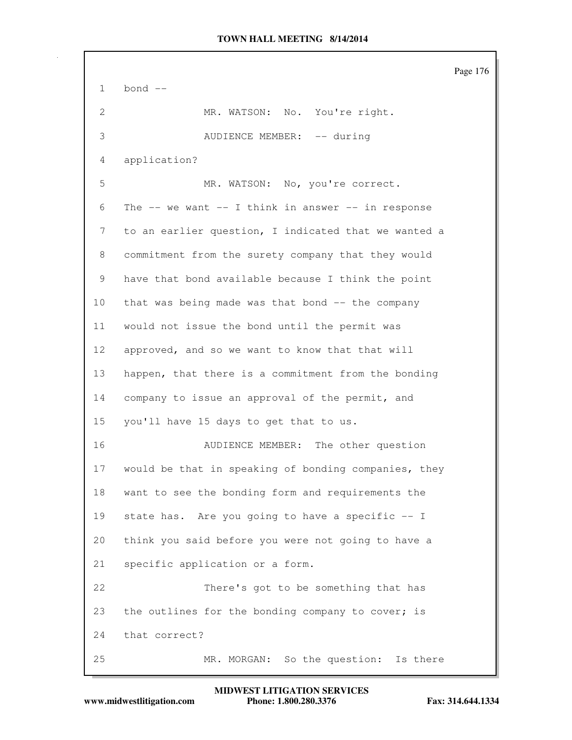Page 176 1 bond -- 2 MR. WATSON: No. You're right. 3 AUDIENCE MEMBER: -- during 4 application? 5 MR. WATSON: No, you're correct. 6 The  $--$  we want  $--$  I think in answer  $--$  in response 7 to an earlier question, I indicated that we wanted a 8 commitment from the surety company that they would 9 have that bond available because I think the point 10 that was being made was that bond -- the company 11 would not issue the bond until the permit was 12 approved, and so we want to know that that will 13 happen, that there is a commitment from the bonding 14 company to issue an approval of the permit, and 15 you'll have 15 days to get that to us. 16 AUDIENCE MEMBER: The other question 17 would be that in speaking of bonding companies, they 18 want to see the bonding form and requirements the 19 state has. Are you going to have a specific -- I 20 think you said before you were not going to have a 21 specific application or a form. 22 There's got to be something that has 23 the outlines for the bonding company to cover; is 24 that correct? 25 MR. MORGAN: So the question: Is there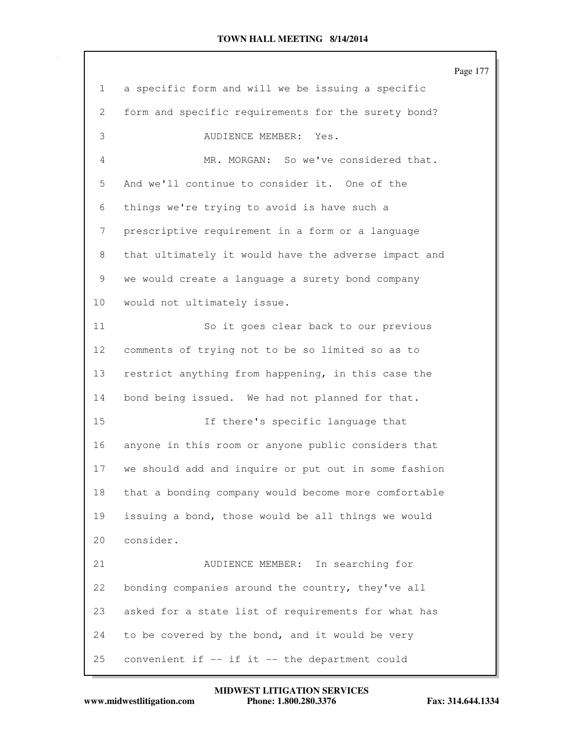|                 |                                                      | Page 177 |
|-----------------|------------------------------------------------------|----------|
| $\mathbf{1}$    | a specific form and will we be issuing a specific    |          |
| 2               | form and specific requirements for the surety bond?  |          |
| 3               | AUDIENCE MEMBER: Yes.                                |          |
| 4               | MR. MORGAN: So we've considered that.                |          |
| 5               | And we'll continue to consider it. One of the        |          |
| 6               | things we're trying to avoid is have such a          |          |
| 7               | prescriptive requirement in a form or a language     |          |
| 8               | that ultimately it would have the adverse impact and |          |
| 9               | we would create a language a surety bond company     |          |
| 10              | would not ultimately issue.                          |          |
| 11              | So it goes clear back to our previous                |          |
| 12 <sub>2</sub> | comments of trying not to be so limited so as to     |          |
| 13              | restrict anything from happening, in this case the   |          |
| 14              | bond being issued. We had not planned for that.      |          |
| 15              | If there's specific language that                    |          |
| 16              | anyone in this room or anyone public considers that  |          |
| 17              | we should add and inquire or put out in some fashion |          |
| 18              | that a bonding company would become more comfortable |          |
| 19              | issuing a bond, those would be all things we would   |          |
| 20              | consider.                                            |          |
| 21              | AUDIENCE MEMBER: In searching for                    |          |
| 22              | bonding companies around the country, they've all    |          |
| 23              | asked for a state list of requirements for what has  |          |
| 24              | to be covered by the bond, and it would be very      |          |
| 25              | convenient if -- if it -- the department could       |          |

**www.midwestlitigation.com Phone: 1.800.280.3376 Fax: 314.644.1334 MIDWEST LITIGATION SERVICES**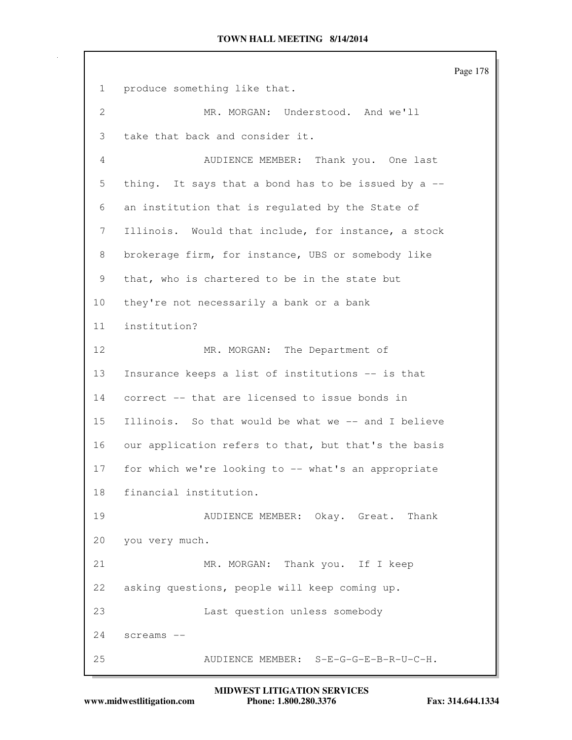Page 178 1 produce something like that. 2 MR. MORGAN: Understood. And we'll 3 take that back and consider it. 4 AUDIENCE MEMBER: Thank you. One last 5 thing. It says that a bond has to be issued by a -- 6 an institution that is regulated by the State of 7 Illinois. Would that include, for instance, a stock 8 brokerage firm, for instance, UBS or somebody like 9 that, who is chartered to be in the state but 10 they're not necessarily a bank or a bank 11 institution? 12 MR. MORGAN: The Department of 13 Insurance keeps a list of institutions -- is that 14 correct -- that are licensed to issue bonds in 15 Illinois. So that would be what we -- and I believe 16 our application refers to that, but that's the basis 17 for which we're looking to -- what's an appropriate 18 financial institution. 19 AUDIENCE MEMBER: Okay. Great. Thank 20 you very much. 21 MR. MORGAN: Thank you. If I keep 22 asking questions, people will keep coming up. 23 Last question unless somebody 24 screams -- 25 AUDIENCE MEMBER: S-E-G-G-E-B-R-U-C-H.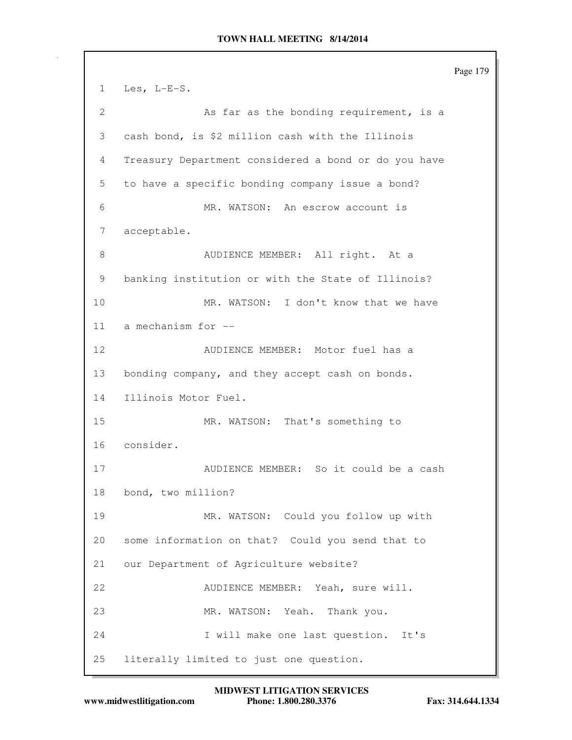Page 179 1 Les, L-E-S. 2 As far as the bonding requirement, is a 3 cash bond, is \$2 million cash with the Illinois 4 Treasury Department considered a bond or do you have 5 to have a specific bonding company issue a bond? 6 MR. WATSON: An escrow account is 7 acceptable. 8 AUDIENCE MEMBER: All right. At a 9 banking institution or with the State of Illinois? 10 MR. WATSON: I don't know that we have 11 a mechanism for -- 12 AUDIENCE MEMBER: Motor fuel has a 13 bonding company, and they accept cash on bonds. 14 Illinois Motor Fuel. 15 MR. WATSON: That's something to 16 consider. 17 AUDIENCE MEMBER: So it could be a cash 18 bond, two million? 19 MR. WATSON: Could you follow up with 20 some information on that? Could you send that to 21 our Department of Agriculture website? 22 AUDIENCE MEMBER: Yeah, sure will. 23 MR. WATSON: Yeah. Thank you. 24 I will make one last question. It's 25 literally limited to just one question.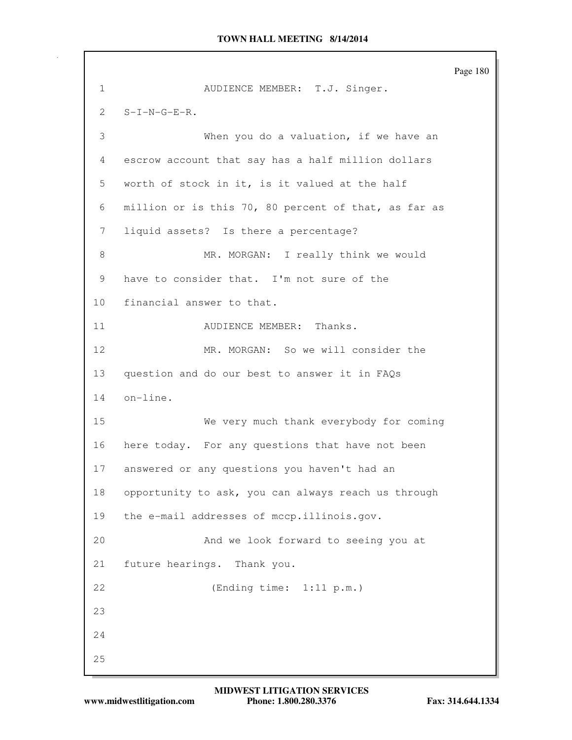Page 180 1 AUDIENCE MEMBER: T.J. Singer. 2 S-I-N-G-E-R. 3 When you do a valuation, if we have an 4 escrow account that say has a half million dollars 5 worth of stock in it, is it valued at the half 6 million or is this 70, 80 percent of that, as far as 7 liquid assets? Is there a percentage? 8 MR. MORGAN: I really think we would 9 have to consider that. I'm not sure of the 10 financial answer to that. 11 AUDIENCE MEMBER: Thanks. 12 MR. MORGAN: So we will consider the 13 question and do our best to answer it in FAQs 14 on-line. 15 We very much thank everybody for coming 16 here today. For any questions that have not been 17 answered or any questions you haven't had an 18 opportunity to ask, you can always reach us through 19 the e-mail addresses of mccp.illinois.gov. 20 And we look forward to seeing you at 21 future hearings. Thank you. 22 (Ending time: 1:11 p.m.) 23 24 25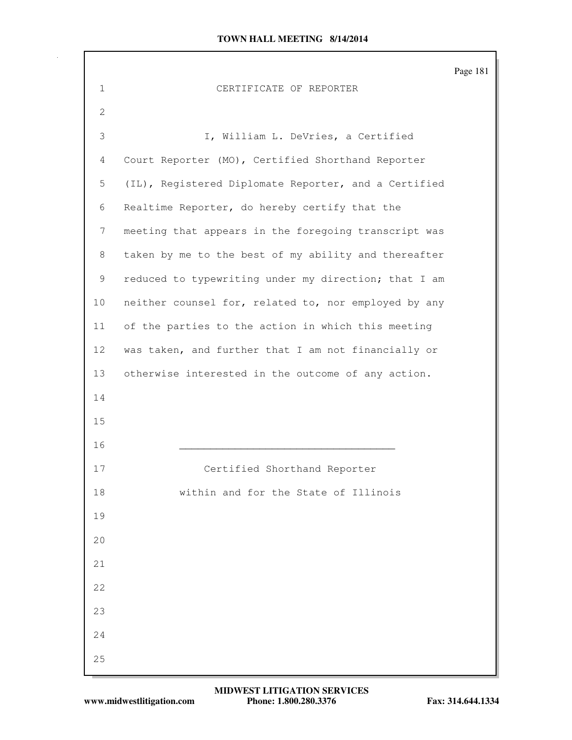|                 |                                                      | Page 181 |
|-----------------|------------------------------------------------------|----------|
| $\mathbf{1}$    | CERTIFICATE OF REPORTER                              |          |
| $\mathbf{2}$    |                                                      |          |
| 3               | I, William L. DeVries, a Certified                   |          |
| 4               | Court Reporter (MO), Certified Shorthand Reporter    |          |
| 5               | (IL), Registered Diplomate Reporter, and a Certified |          |
| 6               | Realtime Reporter, do hereby certify that the        |          |
| 7               | meeting that appears in the foregoing transcript was |          |
| 8               | taken by me to the best of my ability and thereafter |          |
| 9               | reduced to typewriting under my direction; that I am |          |
| 10              | neither counsel for, related to, nor employed by any |          |
| 11              | of the parties to the action in which this meeting   |          |
| 12 <sub>2</sub> | was taken, and further that I am not financially or  |          |
| 13              | otherwise interested in the outcome of any action.   |          |
| 14              |                                                      |          |
| 15              |                                                      |          |
| 16              |                                                      |          |
| 17              | Certified Shorthand Reporter                         |          |
| 18              | within and for the State of Illinois                 |          |
| 19              |                                                      |          |
| 20              |                                                      |          |
| 21              |                                                      |          |
| 22              |                                                      |          |
| 23              |                                                      |          |
| 24              |                                                      |          |
| 25              |                                                      |          |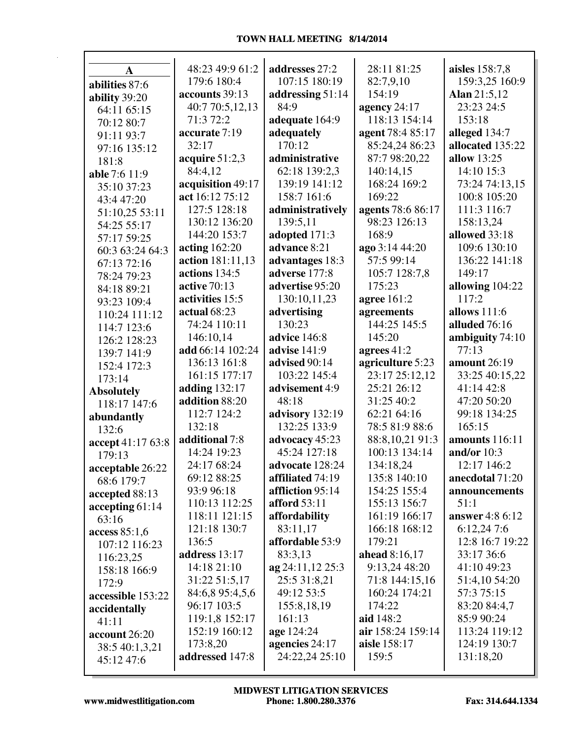| A                 | 48:23 49:9 61:2   | addresses 27:2                          | 28:11 81:25       | aisles 158:7,8         |
|-------------------|-------------------|-----------------------------------------|-------------------|------------------------|
| abilities 87:6    | 179:6 180:4       | 107:15 180:19                           | 82:7,9,10         | 159:3,25 160:9         |
| ability 39:20     | accounts 39:13    | addressing 51:14                        | 154:19            | Alan 21:5,12           |
| 64:11 65:15       | 40:7 70:5,12,13   | 84:9                                    | agency $24:17$    | 23:23 24:5             |
| 70:12 80:7        | 71:3 72:2         | adequate 164:9                          | 118:13 154:14     | 153:18                 |
| 91:11 93:7        | accurate 7:19     | adequately                              | agent 78:4 85:17  | alleged 134:7          |
| 97:16 135:12      | 32:17             | 170:12                                  | 85:24,24 86:23    | allocated 135:22       |
| 181:8             | acquire $51:2,3$  | administrative                          | 87:7 98:20,22     | allow 13:25            |
| able 7:6 11:9     | 84:4,12           | 62:18 139:2,3                           | 140:14,15         | 14:10 15:3             |
| 35:10 37:23       | acquisition 49:17 | 139:19 141:12                           | 168:24 169:2      | 73:24 74:13,15         |
| 43:4 47:20        | act 16:12 75:12   | 158:7 161:6                             | 169:22            | 100:8 105:20           |
| 51:10,25 53:11    | 127:5 128:18      | administratively                        | agents 78:6 86:17 | 111:3 116:7            |
| 54:25 55:17       | 130:12 136:20     | 139:5,11                                | 98:23 126:13      | 158:13,24              |
| 57:17 59:25       | 144:20 153:7      | adopted 171:3                           | 168:9             | allowed 33:18          |
| 60:3 63:24 64:3   | acting $162:20$   | advance 8:21                            | ago 3:14 44:20    | 109:6 130:10           |
| 67:13 72:16       | action 181:11,13  | advantages 18:3                         | 57:5 99:14        | 136:22 141:18          |
| 78:24 79:23       | actions 134:5     | adverse 177:8                           | 105:7 128:7,8     | 149:17                 |
| 84:18 89:21       | active 70:13      | advertise 95:20                         | 175:23            | allowing $104:22$      |
| 93:23 109:4       | activities 15:5   | 130:10,11,23                            | agree $161:2$     | 117:2                  |
|                   | actual $68:23$    | advertising                             | agreements        | allows $111:6$         |
| 110:24 111:12     | 74:24 110:11      | 130:23                                  | 144:25 145:5      | alluded 76:16          |
| 114:7 123:6       | 146:10,14         | advice 146:8                            | 145:20            | ambiguity 74:10        |
| 126:2 128:23      | add 66:14 102:24  | <b>advise</b> 141:9                     | agrees $41:2$     | 77:13                  |
| 139:7 141:9       | 136:13 161:8      | advised 90:14                           | agriculture 5:23  | amount 26:19           |
| 152:4 172:3       | 161:15 177:17     | 103:22 145:4                            | 23:17 25:12,12    | 33:25 40:15,22         |
| 173:14            | adding 132:17     | advisement 4:9                          | 25:21 26:12       | 41:14 42:8             |
| <b>Absolutely</b> | addition 88:20    | 48:18                                   | 31:25 40:2        | 47:20 50:20            |
| 118:17 147:6      | 112:7 124:2       | advisory 132:19                         | 62:21 64:16       | 99:18 134:25           |
| abundantly        | 132:18            | 132:25 133:9                            | 78:5 81:9 88:6    | 165:15                 |
| 132:6             | additional 7:8    | advocacy 45:23                          | 88:8,10,21 91:3   | amounts 116:11         |
| accept 41:17 63:8 | 14:24 19:23       | 45:24 127:18                            | 100:13 134:14     | and/or $10:3$          |
| 179:13            | 24:17 68:24       | advocate 128:24                         | 134:18,24         | 12:17 146:2            |
| acceptable 26:22  | 69:12 88:25       | affiliated 74:19                        | 135:8 140:10      | anecdotal 71:20        |
| 68:6 179:7        | 93:9 96:18        |                                         |                   |                        |
| accepted 88:13    | 110:13 112:25     | affliction 95:14<br><b>afford</b> 53:11 | 154:25 155:4      | announcements<br>51:1  |
| accepting 61:14   |                   |                                         | 155:13 156:7      |                        |
| 63:16             | 118:11 121:15     | affordability                           | 161:19 166:17     | <b>answer</b> 4:8 6:12 |
| access 85:1,6     | 121:18 130:7      | 83:11,17                                | 166:18 168:12     | 6:12,247:6             |
| 107:12 116:23     | 136:5             | affordable 53:9                         | 179:21            | 12:8 16:7 19:22        |
| 116:23,25         | address 13:17     | 83:3,13                                 | ahead 8:16,17     | 33:17 36:6             |
| 158:18 166:9      | 14:18 21:10       | ag 24:11,12 25:3                        | 9:13,24 48:20     | 41:10 49:23            |
| 172:9             | 31:22 51:5,17     | 25:5 31:8,21                            | 71:8 144:15,16    | 51:4,10 54:20          |
| accessible 153:22 | 84:6,8 95:4,5,6   | 49:12 53:5                              | 160:24 174:21     | 57:3 75:15             |
| accidentally      | 96:17 103:5       | 155:8,18,19                             | 174:22            | 83:20 84:4,7           |
| 41:11             | 119:1,8 152:17    | 161:13                                  | aid 148:2         | 85:9 90:24             |
| account 26:20     | 152:19 160:12     | age 124:24                              | air 158:24 159:14 | 113:24 119:12          |
| 38:5 40:1,3,21    | 173:8,20          | agencies 24:17                          | aisle 158:17      | 124:19 130:7           |
| 45:12 47:6        | addressed 147:8   | 24:22,24 25:10                          | 159:5             | 131:18,20              |
|                   |                   |                                         |                   |                        |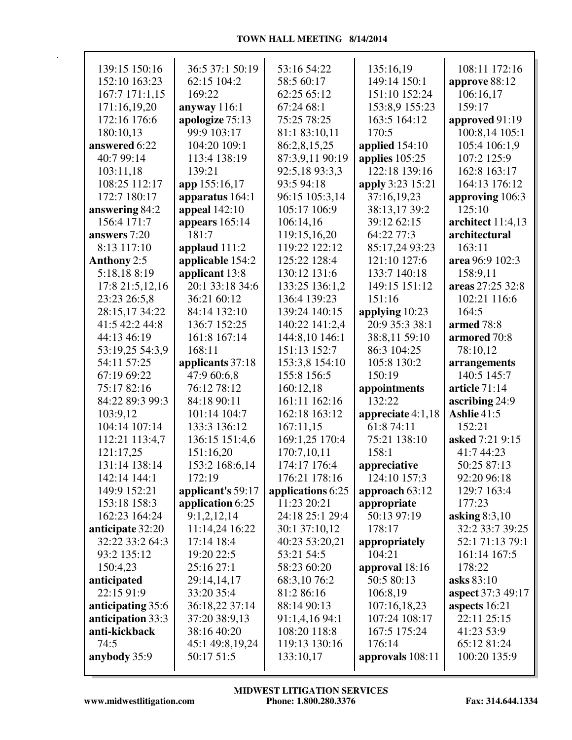| 139:15 150:16     | 36:5 37:1 50:19   | 53:16 54:22       | 135:16,19         | 108:11 172:16            |
|-------------------|-------------------|-------------------|-------------------|--------------------------|
| 152:10 163:23     | 62:15 104:2       | 58:5 60:17        | 149:14 150:1      | approve 88:12            |
| 167:7 171:1,15    | 169:22            | 62:25 65:12       | 151:10 152:24     | 106:16,17                |
| 171:16,19,20      | anyway 116:1      | 67:24 68:1        | 153:8,9 155:23    | 159:17                   |
| 172:16 176:6      | apologize 75:13   | 75:25 78:25       | 163:5 164:12      | approved 91:19           |
| 180:10,13         | 99:9 103:17       | 81:1 83:10,11     | 170:5             | 100:8,14 105:1           |
| answered 6:22     | 104:20 109:1      | 86:2,8,15,25      | applied 154:10    | 105:4 106:1,9            |
| 40:7 99:14        | 113:4 138:19      | 87:3,9,11 90:19   | applies 105:25    | 107:2 125:9              |
| 103:11,18         | 139:21            | 92:5,18 93:3,3    | 122:18 139:16     | 162:8 163:17             |
| 108:25 112:17     | app 155:16,17     | 93:5 94:18        | apply 3:23 15:21  | 164:13 176:12            |
| 172:7 180:17      | apparatus 164:1   | 96:15 105:3,14    | 37:16,19,23       | approving 106:3          |
| answering 84:2    | appeal $142:10$   | 105:17 106:9      | 38:13,17 39:2     | 125:10                   |
| 156:4 171:7       | appears $165:14$  | 106:14,16         | 39:12 62:15       | architect 11:4,13        |
| answers 7:20      | 181:7             | 119:15,16,20      | 64:22 77:3        | architectural            |
| 8:13 117:10       | applaud 111:2     | 119:22 122:12     | 85:17,24 93:23    | 163:11                   |
| Anthony 2:5       | applicable 154:2  | 125:22 128:4      | 121:10 127:6      | area 96:9 102:3          |
| 5:18,188:19       | applicant 13:8    | 130:12 131:6      | 133:7 140:18      | 158:9,11                 |
| 17:8 21:5,12,16   | 20:1 33:18 34:6   | 133:25 136:1,2    | 149:15 151:12     | areas 27:25 32:8         |
| 23:23 26:5,8      | 36:21 60:12       | 136:4 139:23      | 151:16            | 102:21 116:6             |
| 28:15,17 34:22    | 84:14 132:10      | 139:24 140:15     | applying 10:23    | 164:5                    |
| 41:5 42:2 44:8    | 136:7 152:25      | 140:22 141:2,4    | 20:9 35:3 38:1    | armed 78:8               |
| 44:13 46:19       | 161:8 167:14      | 144:8,10 146:1    | 38:8,11 59:10     | armored 70:8             |
| 53:19,25 54:3,9   | 168:11            | 151:13 152:7      | 86:3 104:25       | 78:10,12                 |
| 54:11 57:25       | applicants 37:18  | 153:3,8 154:10    | 105:8 130:2       | arrangements             |
| 67:19 69:22       | 47:9 60:6,8       | 155:8 156:5       | 150:19            | 140:5 145:7              |
| 75:17 82:16       | 76:12 78:12       | 160:12,18         | appointments      | article 71:14            |
| 84:22 89:3 99:3   | 84:18 90:11       | 161:11 162:16     | 132:22            | ascribing 24:9           |
| 103:9,12          | 101:14 104:7      | 162:18 163:12     | appreciate 4:1,18 | Ashlie 41:5              |
| 104:14 107:14     | 133:3 136:12      | 167:11,15         | 61:8 74:11        | 152:21                   |
| 112:21 113:4,7    | 136:15 151:4,6    | 169:1,25 170:4    | 75:21 138:10      | asked 7:21 9:15          |
| 121:17,25         | 151:16,20         | 170:7,10,11       | 158:1             | 41:7 44:23               |
| 131:14 138:14     | 153:2 168:6,14    | 174:17 176:4      | appreciative      | 50:25 87:13              |
| 142:14 144:1      | 172:19            | 176:21 178:16     | 124:10 157:3      | 92:20 96:18              |
| 149:9 152:21      | applicant's 59:17 | applications 6:25 | approach $63:12$  | 129:7 163:4              |
| 153:18 158:3      | application 6:25  | 11:23 20:21       | appropriate       | 177:23                   |
| 162:23 164:24     | 9:1,2,12,14       | 24:18 25:1 29:4   | 50:13 97:19       | asking $8:3,10$          |
| anticipate 32:20  | 11:14,24 16:22    | 30:1 37:10,12     | 178:17            | 32:2 33:7 39:25          |
| 32:22 33:2 64:3   | 17:14 18:4        | 40:23 53:20,21    | appropriately     | 52:1 71:13 79:1          |
| 93:2 135:12       | 19:20 22:5        | 53:21 54:5        | 104:21            | 161:14 167:5             |
| 150:4,23          | 25:16 27:1        | 58:23 60:20       | approval 18:16    | 178:22                   |
| anticipated       | 29:14,14,17       | 68:3,1076:2       | 50:5 80:13        | asks 83:10               |
| 22:15 91:9        | 33:20 35:4        | 81:2 86:16        | 106:8,19          | <b>aspect</b> 37:3 49:17 |
| anticipating 35:6 | 36:18,22 37:14    | 88:14 90:13       | 107:16,18,23      | aspects 16:21            |
| anticipation 33:3 | 37:20 38:9,13     | 91:1,4,16 94:1    | 107:24 108:17     | 22:11 25:15              |
| anti-kickback     | 38:16 40:20       | 108:20 118:8      | 167:5 175:24      | 41:23 53:9               |
| 74:5              | 45:1 49:8,19,24   | 119:13 130:16     | 176:14            | 65:12 81:24              |
| anybody 35:9      | 50:17 51:5        | 133:10,17         | approvals 108:11  | 100:20 135:9             |
|                   |                   |                   |                   |                          |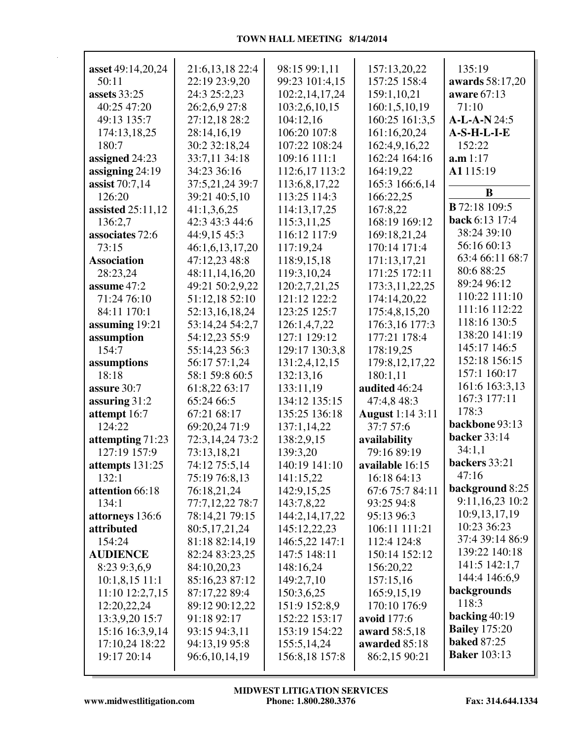| asset 49:14,20,24             | 21:6,13,18 22:4                | 98:15 99:1,11                 | 157:13,20,22                   | 135:19                             |
|-------------------------------|--------------------------------|-------------------------------|--------------------------------|------------------------------------|
| 50:11                         | 22:19 23:9,20                  | 99:23 101:4,15                | 157:25 158:4                   | awards 58:17,20                    |
| <b>assets</b> 33:25           | 24:3 25:2,23                   | 102:2,14,17,24                | 159:1,10,21                    | aware 67:13                        |
| 40:25 47:20                   | 26:2,6,9 27:8                  | 103:2,6,10,15                 | 160:1,5,10,19                  | 71:10                              |
| 49:13 135:7                   | 27:12,18 28:2                  | 104:12,16                     | 160:25 161:3,5                 | A-L-A-N 24:5                       |
| 174:13,18,25                  | 28:14,16,19                    | 106:20 107:8                  | 161:16,20,24                   | A-S-H-L-I-E                        |
| 180:7                         | 30:2 32:18,24                  | 107:22 108:24                 | 162:4,9,16,22                  | 152:22                             |
| assigned 24:23                | 33:7,11 34:18                  | 109:16 111:1                  | 162:24 164:16                  | a.m 1:17                           |
| assigning 24:19               | 34:23 36:16                    | 112:6,17 113:2                | 164:19,22                      | A1115:19                           |
| assist $70:7,14$              | 37:5,21,24 39:7                | 113:6,8,17,22                 | 165:3 166:6,14                 |                                    |
| 126:20                        | 39:21 40:5,10                  | 113:25 114:3                  | 166:22,25                      | B                                  |
| assisted $25:11,12$           | 41:1,3,6,25                    | 114:13,17,25                  | 167:8,22                       | <b>B</b> 72:18 109:5               |
| 136:2,7                       | 42:3 43:3 44:6                 | 115:3,11,25                   | 168:19 169:12                  | back 6:13 17:4                     |
| associates 72:6               | 44:9,15 45:3                   | 116:12 117:9                  | 169:18,21,24                   | 38:24 39:10                        |
| 73:15                         | 46:1,6,13,17,20                | 117:19,24                     | 170:14 171:4                   | 56:16 60:13                        |
| <b>Association</b>            | 47:12,23 48:8                  | 118:9,15,18                   | 171:13,17,21                   | 63:4 66:11 68:7                    |
| 28:23,24                      | 48:11,14,16,20                 | 119:3,10,24                   | 171:25 172:11                  | 80:6 88:25                         |
| assume 47:2                   | 49:21 50:2,9,22                | 120:2,7,21,25                 | 173:3,11,22,25                 | 89:24 96:12                        |
| 71:24 76:10                   | 51:12,18 52:10                 | 121:12 122:2                  | 174:14,20,22                   | 110:22 111:10                      |
| 84:11 170:1                   | 52:13,16,18,24                 | 123:25 125:7                  | 175:4,8,15,20                  | 111:16 112:22                      |
| assuming 19:21                | 53:14,24 54:2,7                | 126:1,4,7,22                  | 176:3,16 177:3                 | 118:16 130:5                       |
| assumption                    | 54:12,23 55:9                  | 127:1 129:12                  | 177:21 178:4                   | 138:20 141:19                      |
| 154:7                         | 55:14,23 56:3                  | 129:17 130:3,8                | 178:19,25                      | 145:17 146:5                       |
| assumptions                   | 56:17 57:1,24                  | 131:2,4,12,15                 | 179:8, 12, 17, 22              | 152:18 156:15                      |
| 18:18                         | 58:1 59:8 60:5                 | 132:13,16                     | 180:1,11                       | 157:1 160:17                       |
| assure 30:7                   | 61:8,22 63:17                  | 133:11,19                     | audited 46:24                  | 161:6 163:3,13                     |
| assuring $31:2$               | 65:24 66:5                     | 134:12 135:15                 | 47:4,8 48:3                    | 167:3 177:11                       |
| attempt 16:7                  | 67:21 68:17                    | 135:25 136:18                 | <b>August</b> 1:14 3:11        | 178:3                              |
| 124:22                        | 69:20,24 71:9                  | 137:1,14,22                   | 37:7 57:6                      | backbone 93:13                     |
| attempting 71:23              | 72:3,14,24 73:2                | 138:2,9,15                    | availability                   | <b>backer</b> 33:14                |
| 127:19 157:9                  | 73:13,18,21                    | 139:3,20                      | 79:16 89:19                    | 34:1,1                             |
| attempts 131:25               | 74:12 75:5,14                  | 140:19 141:10                 | available 16:15                | backers 33:21                      |
| 132:1                         | 75:19 76:8,13                  | 141:15,22                     | 16:18 64:13                    | 47:16                              |
| attention 66:18               | 76:18,21,24                    | 142:9,15,25                   | 67:6 75:7 84:11                | background 8:25<br>9:11,16,23 10:2 |
| 134:1                         | 77:7,12,22 78:7                | 143:7,8,22                    | 93:25 94:8                     | 10:9,13,17,19                      |
| attorneys 136:6               | 78:14,21 79:15                 | 144:2,14,17,22                | 95:13 96:3                     | 10:23 36:23                        |
| attributed                    | 80:5,17,21,24                  | 145:12,22,23                  | 106:11 111:21                  | 37:4 39:14 86:9                    |
| 154:24                        | 81:18 82:14,19                 | 146:5,22 147:1                | 112:4 124:8                    | 139:22 140:18                      |
| <b>AUDIENCE</b>               | 82:24 83:23,25                 | 147:5 148:11                  | 150:14 152:12                  | 141:5 142:1,7                      |
| 8:23 9:3,6,9                  | 84:10,20,23                    | 148:16,24                     | 156:20,22                      | 144:4 146:6,9                      |
| 10:1,8,15 11:1                | 85:16,23 87:12                 | 149:2,7,10                    | 157:15,16                      | backgrounds                        |
| 11:10 12:2,7,15               | 87:17,22 89:4                  | 150:3,6,25                    | 165:9,15,19                    | 118:3                              |
| 12:20,22,24                   | 89:12 90:12,22                 | 151:9 152:8,9                 | 170:10 176:9                   | backing $40:19$                    |
| 13:3,9,20 15:7                | 91:18 92:17                    | 152:22 153:17                 | avoid 177:6                    | <b>Bailey</b> 175:20               |
| 15:16 16:3,9,14               | 93:15 94:3,11                  | 153:19 154:22                 | award 58:5,18                  | <b>baked 87:25</b>                 |
| 17:10,24 18:22<br>19:17 20:14 | 94:13,19 95:8<br>96:6,10,14,19 | 155:5,14,24<br>156:8,18 157:8 | awarded 85:18<br>86:2,15 90:21 | <b>Baker</b> 103:13                |
|                               |                                |                               |                                |                                    |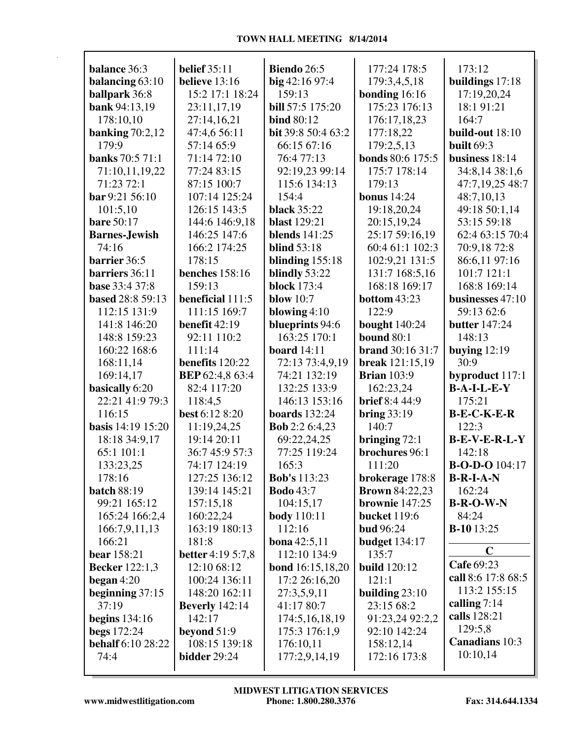| balance 36:3             | <b>belief</b> 35:11            | Biendo 26:5             | 177:24 178:5            | 173:12                |
|--------------------------|--------------------------------|-------------------------|-------------------------|-----------------------|
| balancing $63:10$        | believe 13:16                  | $big$ 42:16 97:4        | 179:3,4,5,18            | buildings 17:18       |
| ballpark 36:8            | 15:2 17:1 18:24                | 159:13                  | bonding $16:16$         | 17:19,20,24           |
| bank 94:13,19            | 23:11,17,19                    | <b>bill</b> 57:5 175:20 | 175:23 176:13           | 18:1 91:21            |
| 178:10,10                | 27:14,16,21                    | <b>bind 80:12</b>       | 176:17,18,23            | 164:7                 |
| banking $70:2,12$        | 47:4,6 56:11                   | bit 39:8 50:4 63:2      | 177:18,22               | build-out 18:10       |
| 179:9                    | 57:14 65:9                     | 66:15 67:16             | 179:2,5,13              | <b>built</b> 69:3     |
| <b>banks</b> 70:5 71:1   | 71:14 72:10                    | 76:477:13               | <b>bonds</b> 80:6 175:5 | business $18:14$      |
| 71:10,11,19,22           | 77:24 83:15                    | 92:19,23 99:14          | 175:7 178:14            | 34:8,14 38:1,6        |
| 71:23 72:1               | 87:15 100:7                    | 115:6 134:13            | 179:13                  | 47:7,19,25 48:7       |
| bar 9:21 56:10           | 107:14 125:24                  | 154:4                   | <b>bonus</b> 14:24      | 48:7,10,13            |
| 101:5,10                 | 126:15 143:5                   | <b>black</b> 35:22      | 19:18,20,24             | 49:18 50:1,14         |
| <b>bare</b> 50:17        | 144:6 146:9,18                 | <b>blast</b> 129:21     | 20:15,19,24             | 53:15 59:18           |
| <b>Barnes-Jewish</b>     | 146:25 147:6                   | <b>blends</b> 141:25    | 25:17 59:16,19          | 62:4 63:15 70:4       |
| 74:16                    | 166:2 174:25                   | <b>blind</b> 53:18      | 60:4 61:1 102:3         | 70:9,18 72:8          |
| barrier 36:5             | 178:15                         | blinding $155:18$       | 102:9,21 131:5          | 86:6,11 97:16         |
| barriers 36:11           | <b>benches</b> 158:16          | blindly 53:22           | 131:7 168:5,16          | 101:7 121:1           |
| base 33:4 37:8           | 159:13                         | <b>block</b> 173:4      | 168:18 169:17           | 168:8 169:14          |
| based 28:8 59:13         | beneficial 111:5               | blow $10:7$             | <b>bottom 43:23</b>     | businesses 47:10      |
| 112:15 131:9             | 111:15 169:7                   | blowing $4:10$          | 122:9                   | 59:13 62:6            |
| 141:8 146:20             | benefit $42:19$                | blueprints 94:6         | <b>bought</b> 140:24    | <b>butter</b> 147:24  |
| 148:8 159:23             | 92:11 110:2                    | 163:25 170:1            | <b>bound 80:1</b>       | 148:13                |
| 160:22 168:6             | 111:14                         | <b>board</b> 14:11      | <b>brand</b> 30:16 31:7 | buying $12:19$        |
| 168:11,14                | benefits 120:22                | 72:13 73:4,9,19         | <b>break</b> 121:15,19  | 30:9                  |
| 169:14,17                | <b>BEP</b> 62:4,8 63:4         | 74:21 132:19            | <b>Brian</b> 103:9      | byproduct 117:1       |
| basically 6:20           | 82:4 117:20                    | 132:25 133:9            | 162:23,24               | $B-A-I-L-E-Y$         |
| 22:21 41:9 79:3          | 118:4,5                        | 146:13 153:16           | <b>brief</b> 8:4 44:9   | 175:21                |
| 116:15                   | best 6:12 8:20                 | <b>boards</b> 132:24    | bring $33:19$           | $B-E-C-K-E-R$         |
| <b>basis</b> 14:19 15:20 | 11:19,24,25                    | <b>Bob</b> 2:2 6:4,23   | 140:7                   | 122:3                 |
| 18:18 34:9,17            | 19:14 20:11                    | 69:22,24,25             | bringing $72:1$         | $B-E-V-E-R-L-Y$       |
| 65:1 101:1               | 36:7 45:9 57:3                 | 77:25 119:24            | brochures 96:1          | 142:18                |
| 133:23,25                | 74:17 124:19                   | 165:3                   | 111:20                  | <b>B-O-D-O</b> 104:17 |
| 178:16                   | 127:25 136:12                  | <b>Bob's 113:23</b>     | brokerage 178:8         | $B-R-I-A-N$           |
| <b>batch 88:19</b>       | 139:14 145:21                  | <b>Bodo</b> 43:7        | <b>Brown 84:22,23</b>   | 162:24                |
| 99:21 165:12             | 157:15,18                      | 104:15,17               | brownie 147:25          | $B-R-O-W-N$           |
| 165:24 166:2,4           | 160:22,24                      | <b>body</b> 110:11      | <b>bucket</b> 119:6     | 84:24                 |
| 166:7,9,11,13            | 163:19 180:13                  | 112:16                  | <b>bud</b> 96:24        | <b>B-10</b> 13:25     |
| 166:21                   | 181:8                          | bona 42:5,11            | <b>budget</b> 134:17    |                       |
| bear 158:21              | <b>better</b> 4:19 5:7,8       | 112:10 134:9            | 135:7                   | $\mathbf C$           |
|                          | 12:10 68:12                    |                         |                         | Cafe 69:23            |
| <b>Becker</b> 122:1,3    |                                | <b>bond</b> 16:15,18,20 | <b>build</b> 120:12     | call 8:6 17:8 68:5    |
| began $4:20$             | 100:24 136:11<br>148:20 162:11 | 17:2 26:16,20           | 121:1                   | 113:2 155:15          |
| beginning $37:15$        |                                | 27:3,5,9,11             | building 23:10          | calling $7:14$        |
| 37:19                    | <b>Beverly</b> 142:14          | 41:17 80:7              | 23:15 68:2              | calls 128:21          |
| begins $134:16$          | 142:17                         | 174:5,16,18,19          | 91:23,24 92:2,2         | 129:5,8               |
| <b>begs</b> 172:24       | beyond $51:9$                  | 175:3 176:1,9           | 92:10 142:24            | Canadians 10:3        |
| <b>behalf</b> 6:10 28:22 | 108:15 139:18                  | 176:10,11               | 158:12,14               | 10:10,14              |
| 74:4                     | <b>bidder</b> 29:24            | 177:2,9,14,19           | 172:16 173:8            |                       |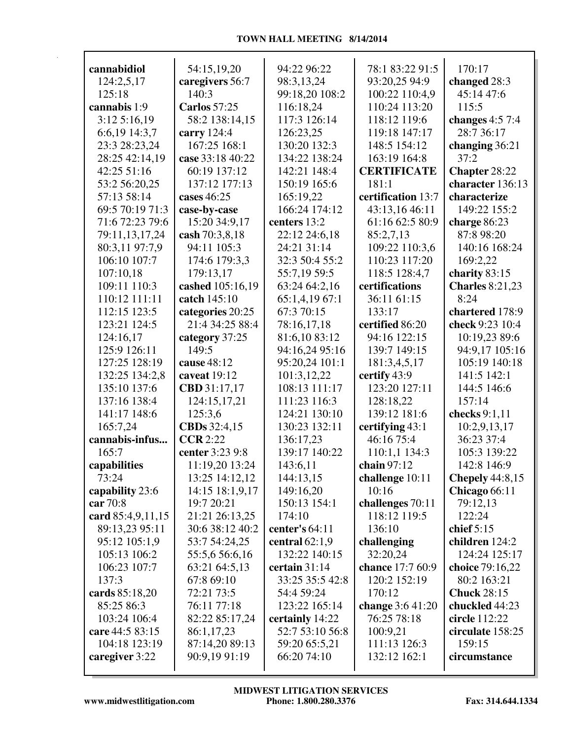| cannabidiol       | 54:15,19,20         | 94:22 96:22      | 78:1 83:22 91:5                   | 170:17                 |
|-------------------|---------------------|------------------|-----------------------------------|------------------------|
| 124:2,5,17        | caregivers 56:7     | 98:3,13,24       | 93:20,25 94:9                     | changed 28:3           |
| 125:18            | 140:3               | 99:18,20 108:2   | 100:22 110:4,9                    | 45:14 47:6             |
| cannabis 1:9      | <b>Carlos</b> 57:25 | 116:18,24        | 110:24 113:20                     | 115:5                  |
| 3:125:16,19       | 58:2 138:14,15      | 117:3 126:14     | 118:12 119:6                      | changes $4:57:4$       |
| 6:6,19 14:3,7     | carry 124:4         | 126:23,25        | 119:18 147:17                     | 28:7 36:17             |
| 23:3 28:23,24     | 167:25 168:1        | 130:20 132:3     | 148:5 154:12                      | changing 36:21         |
| 28:25 42:14,19    | case 33:18 40:22    | 134:22 138:24    | 163:19 164:8                      | 37:2                   |
| 42:25 51:16       | 60:19 137:12        | 142:21 148:4     | <b>CERTIFICATE</b>                | Chapter 28:22          |
| 53:2 56:20,25     | 137:12 177:13       | 150:19 165:6     | 181:1                             | character 136:13       |
| 57:13 58:14       | cases 46:25         | 165:19,22        | certification 13:7                | characterize           |
| 69:5 70:19 71:3   |                     | 166:24 174:12    |                                   | 149:22 155:2           |
| 71:6 72:23 79:6   | case-by-case        |                  | 43:13,16 46:11<br>61:16 62:5 80:9 |                        |
|                   | 15:20 34:9,17       | centers 13:2     |                                   | charge 86:23           |
| 79:11,13,17,24    | cash 70:3,8,18      | 22:12 24:6,18    | 85:2,7,13                         | 87:8 98:20             |
| 80:3,11 97:7,9    | 94:11 105:3         | 24:21 31:14      | 109:22 110:3,6                    | 140:16 168:24          |
| 106:10 107:7      | 174:6 179:3,3       | 32:3 50:4 55:2   | 110:23 117:20                     | 169:2,22               |
| 107:10.18         | 179:13,17           | 55:7,19 59:5     | 118:5 128:4,7                     | charity $83:15$        |
| 109:11 110:3      | cashed 105:16,19    | 63:24 64:2,16    | certifications                    | <b>Charles</b> 8:21,23 |
| 110:12 111:11     | catch 145:10        | 65:1,4,19 67:1   | 36:11 61:15                       | 8:24                   |
| 112:15 123:5      | categories 20:25    | 67:3 70:15       | 133:17                            | chartered 178:9        |
| 123:21 124:5      | 21:4 34:25 88:4     | 78:16,17,18      | certified 86:20                   | check 9:23 10:4        |
| 124:16,17         | category 37:25      | 81:6,10 83:12    | 94:16 122:15                      | 10:19,23 89:6          |
| 125:9 126:11      | 149:5               | 94:16,24 95:16   | 139:7 149:15                      | 94:9,17 105:16         |
| 127:25 128:19     | cause 48:12         | 95:20,24 101:1   | 181:3,4,5,17                      | 105:19 140:18          |
| 132:25 134:2,8    | caveat 19:12        | 101:3,12,22      | certify 43:9                      | 141:5 142:1            |
| 135:10 137:6      | CBD 31:17,17        | 108:13 111:17    | 123:20 127:11                     | 144:5 146:6            |
| 137:16 138:4      | 124:15,17,21        | 111:23 116:3     | 128:18,22                         | 157:14                 |
| 141:17 148:6      | 125:3,6             | 124:21 130:10    | 139:12 181:6                      | checks 9:1,11          |
| 165:7,24          | CBDs 32:4,15        | 130:23 132:11    | certifying 43:1                   | 10:2,9,13,17           |
| cannabis-infus    | CCR 2:22            | 136:17,23        | 46:16 75:4                        | 36:23 37:4             |
| 165:7             | center 3:23 9:8     | 139:17 140:22    | 110:1,1 134:3                     | 105:3 139:22           |
| capabilities      | 11:19,20 13:24      | 143:6,11         | chain 97:12                       | 142:8 146:9            |
| 73:24             | 13:25 14:12,12      | 144:13,15        | challenge 10:11                   | <b>Chepely</b> 44:8,15 |
| capability 23:6   | 14:15 18:1,9,17     | 149:16,20        | 10:16                             | Chicago 66:11          |
| car 70:8          | 19:7 20:21          | 150:13 154:1     | challenges 70:11                  | 79:12,13               |
| card 85:4,9,11,15 | 21:21 26:13,25      | 174:10           | 118:12 119:5                      | 122:24                 |
| 89:13,23 95:11    | 30:6 38:12 40:2     | center's $64:11$ | 136:10                            | chief $5:15$           |
| 95:12 105:1,9     | 53:7 54:24,25       | central $62:1.9$ | challenging                       | children 124:2         |
| 105:13 106:2      | 55:5,6 56:6,16      | 132:22 140:15    | 32:20,24                          | 124:24 125:17          |
| 106:23 107:7      | 63:21 64:5,13       | certain 31:14    | chance 17:7 60:9                  | choice 79:16,22        |
| 137:3             | 67:8 69:10          | 33:25 35:5 42:8  | 120:2 152:19                      | 80:2 163:21            |
| cards 85:18,20    | 72:21 73:5          | 54:4 59:24       | 170:12                            | <b>Chuck 28:15</b>     |
| 85:25 86:3        | 76:11 77:18         | 123:22 165:14    | change 3:6 41:20                  | chuckled 44:23         |
| 103:24 106:4      | 82:22 85:17,24      | certainly 14:22  | 76:25 78:18                       | circle 112:22          |
| care 44:5 83:15   | 86:1,17,23          | 52:7 53:10 56:8  | 100:9,21                          | circulate 158:25       |
| 104:18 123:19     | 87:14,20 89:13      | 59:20 65:5,21    | 111:13 126:3                      | 159:15                 |
| caregiver 3:22    | 90:9,19 91:19       | 66:20 74:10      | 132:12 162:1                      | circumstance           |
|                   |                     |                  |                                   |                        |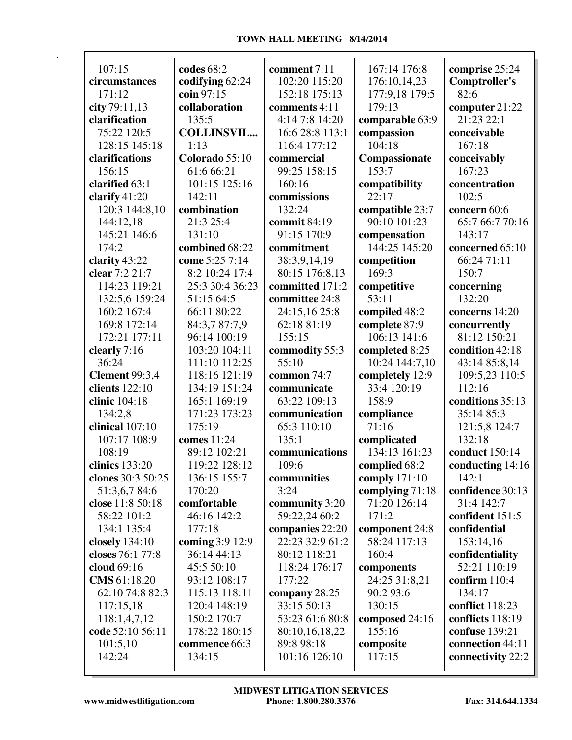| 107:15                | codes $68:2$      | comment 7:11    | 167:14 176:8    | comprise 25:24       |
|-----------------------|-------------------|-----------------|-----------------|----------------------|
| circumstances         | codifying 62:24   | 102:20 115:20   | 176:10,14,23    | <b>Comptroller's</b> |
| 171:12                | coin 97:15        | 152:18 175:13   | 177:9,18 179:5  | 82:6                 |
| city 79:11,13         | collaboration     | comments 4:11   | 179:13          | computer 21:22       |
| clarification         | 135:5             | 4:14 7:8 14:20  | comparable 63:9 | 21:23 22:1           |
| 75:22 120:5           | <b>COLLINSVIL</b> | 16:6 28:8 113:1 | compassion      | conceivable          |
| 128:15 145:18         | 1:13              | 116:4 177:12    | 104:18          | 167:18               |
| clarifications        | Colorado 55:10    | commercial      | Compassionate   | conceivably          |
| 156:15                | 61:6 66:21        | 99:25 158:15    | 153:7           | 167:23               |
| clarified 63:1        | 101:15 125:16     | 160:16          | compatibility   | concentration        |
| clarify $41:20$       | 142:11            | commissions     | 22:17           | 102:5                |
| 120:3 144:8,10        | combination       | 132:24          | compatible 23:7 | concern 60:6         |
| 144:12,18             | 21:3 25:4         | commit 84:19    | 90:10 101:23    | 65:7 66:7 70:16      |
| 145:21 146:6          | 131:10            | 91:15 170:9     | compensation    | 143:17               |
| 174:2                 | combined 68:22    | commitment      | 144:25 145:20   | concerned 65:10      |
|                       |                   |                 |                 |                      |
| clarity 43:22         | come 5:25 7:14    | 38:3,9,14,19    | competition     | 66:24 71:11          |
| clear 7:2 21:7        | 8:2 10:24 17:4    | 80:15 176:8,13  | 169:3           | 150:7                |
| 114:23 119:21         | 25:3 30:4 36:23   | committed 171:2 | competitive     | concerning           |
| 132:5,6 159:24        | 51:15 64:5        | committee 24:8  | 53:11           | 132:20               |
| 160:2 167:4           | 66:11 80:22       | 24:15,16 25:8   | compiled 48:2   | concerns 14:20       |
| 169:8 172:14          | 84:3,7 87:7,9     | 62:18 81:19     | complete 87:9   | concurrently         |
| 172:21 177:11         | 96:14 100:19      | 155:15          | 106:13 141:6    | 81:12 150:21         |
| clearly 7:16          | 103:20 104:11     | commodity 55:3  | completed 8:25  | condition 42:18      |
| 36:24                 | 111:10 112:25     | 55:10           | 10:24 144:7,10  | 43:14 85:8,14        |
| <b>Clement 99:3,4</b> | 118:16 121:19     | common 74:7     | completely 12:9 | 109:5,23 110:5       |
| clients 122:10        | 134:19 151:24     | communicate     | 33:4 120:19     | 112:16               |
| clinic 104:18         | 165:1 169:19      | 63:22 109:13    | 158:9           | conditions 35:13     |
| 134:2,8               | 171:23 173:23     | communication   | compliance      | 35:14 85:3           |
| clinical 107:10       | 175:19            | 65:3 110:10     | 71:16           | 121:5,8 124:7        |
| 107:17 108:9          | comes 11:24       | 135:1           | complicated     | 132:18               |
| 108:19                | 89:12 102:21      | communications  | 134:13 161:23   | conduct 150:14       |
| clinics 133:20        | 119:22 128:12     | 109:6           | complied 68:2   | conducting 14:16     |
| clones 30:3 50:25     | 136:15 155:7      | communities     | comply 171:10   | 142:1                |
| 51:3,6,784:6          | 170:20            | 3:24            | complying 71:18 | confidence 30:13     |
| close 11:8 50:18      | comfortable       | community 3:20  | 71:20 126:14    | 31:4 142:7           |
| 58:22 101:2           | 46:16 142:2       | 59:22,24 60:2   | 171:2           | confident 151:5      |
| 134:1 135:4           | 177:18            | companies 22:20 | component 24:8  | confidential         |
| closely 134:10        | coming 3:9 12:9   | 22:23 32:9 61:2 | 58:24 117:13    | 153:14,16            |
| closes 76:1 77:8      | 36:14 44:13       | 80:12 118:21    | 160:4           | confidentiality      |
| cloud 69:16           | 45:5 50:10        | 118:24 176:17   | components      | 52:21 110:19         |
| CMS 61:18,20          | 93:12 108:17      | 177:22          | 24:25 31:8,21   | confirm $110:4$      |
| 62:10 74:8 82:3       | 115:13 118:11     | company 28:25   | 90:2 93:6       | 134:17               |
| 117:15,18             | 120:4 148:19      | 33:15 50:13     | 130:15          | conflict 118:23      |
| 118:1,4,7,12          | 150:2 170:7       | 53:23 61:6 80:8 | composed 24:16  | conflicts 118:19     |
| code 52:10 56:11      | 178:22 180:15     | 80:10,16,18,22  | 155:16          | confuse 139:21       |
| 101:5,10              | commence 66:3     | 89:8 98:18      | composite       | connection 44:11     |
| 142:24                | 134:15            | 101:16 126:10   | 117:15          | connectivity 22:2    |
|                       |                   |                 |                 |                      |
|                       |                   |                 |                 |                      |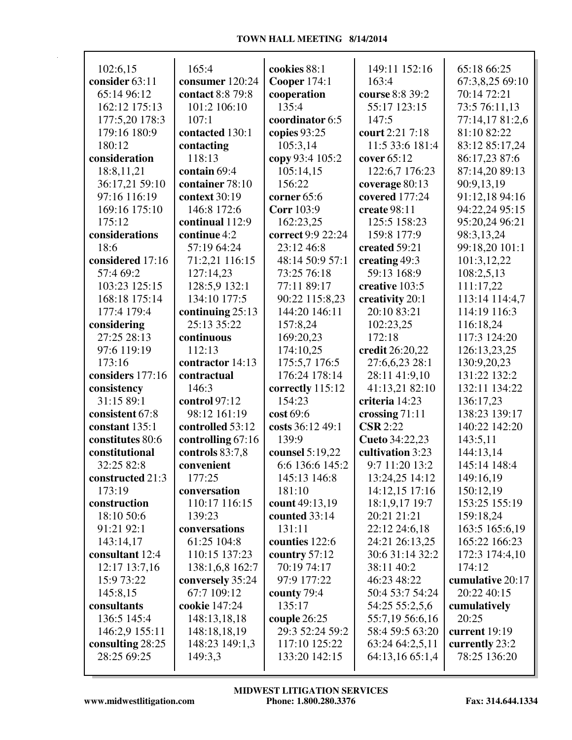| 102:6,15         | 165:4             | cookies 88:1        | 149:11 152:16    | 65:18 66:25      |
|------------------|-------------------|---------------------|------------------|------------------|
| consider 63:11   | consumer 120:24   | <b>Cooper 174:1</b> | 163:4            | 67:3,8,25 69:10  |
| 65:14 96:12      | contact 8:8 79:8  | cooperation         | course 8:8 39:2  | 70:14 72:21      |
| 162:12 175:13    | 101:2 106:10      | 135:4               | 55:17 123:15     | 73:5 76:11,13    |
| 177:5,20 178:3   | 107:1             | coordinator 6:5     | 147:5            | 77:14,17 81:2,6  |
| 179:16 180:9     | contacted 130:1   | copies 93:25        | court 2:21 7:18  | 81:10 82:22      |
| 180:12           | contacting        | 105:3,14            | 11:5 33:6 181:4  | 83:12 85:17,24   |
| consideration    | 118:13            | copy 93:4 105:2     | cover 65:12      | 86:17,23 87:6    |
| 18:8,11,21       | contain 69:4      | 105:14,15           | 122:6,7 176:23   | 87:14,20 89:13   |
| 36:17,21 59:10   | container 78:10   | 156:22              | coverage 80:13   | 90:9,13,19       |
| 97:16 116:19     | context 30:19     | corner 65:6         | covered 177:24   | 91:12,18 94:16   |
| 169:16 175:10    | 146:8 172:6       | <b>Corr</b> 103:9   | create 98:11     | 94:22,24 95:15   |
| 175:12           | continual 112:9   | 162:23,25           | 125:5 158:23     | 95:20,24 96:21   |
| considerations   | continue 4:2      | correct 9:9 22:24   | 159:8 177:9      | 98:3,13,24       |
| 18:6             | 57:19 64:24       | 23:12 46:8          | created 59:21    | 99:18,20 101:1   |
| considered 17:16 | 71:2,21 116:15    | 48:14 50:9 57:1     | creating 49:3    | 101:3,12,22      |
| 57:4 69:2        | 127:14,23         | 73:25 76:18         | 59:13 168:9      | 108:2,5,13       |
| 103:23 125:15    | 128:5,9 132:1     | 77:11 89:17         | creative 103:5   | 111:17,22        |
| 168:18 175:14    | 134:10 177:5      | 90:22 115:8,23      | creativity 20:1  | 113:14 114:4,7   |
| 177:4 179:4      | continuing 25:13  | 144:20 146:11       | 20:10 83:21      | 114:19 116:3     |
| considering      | 25:13 35:22       | 157:8,24            | 102:23,25        | 116:18,24        |
| 27:25 28:13      | continuous        | 169:20,23           | 172:18           | 117:3 124:20     |
| 97:6 119:19      | 112:13            | 174:10,25           | credit 26:20,22  | 126:13,23,25     |
| 173:16           | contractor 14:13  | 175:5,7 176:5       | 27:6,6,23 28:1   | 130:9,20,23      |
| considers 177:16 | contractual       | 176:24 178:14       | 28:11 41:9,10    | 131:22 132:2     |
|                  | 146:3             |                     |                  | 132:11 134:22    |
| consistency      |                   | correctly 115:12    | 41:13,21 82:10   |                  |
| 31:15 89:1       | control 97:12     | 154:23              | criteria 14:23   | 136:17,23        |
| consistent 67:8  | 98:12 161:19      | cost 69:6           | crossing 71:11   | 138:23 139:17    |
| constant 135:1   | controlled 53:12  | costs 36:12 49:1    | <b>CSR</b> 2:22  | 140:22 142:20    |
| constitutes 80:6 | controlling 67:16 | 139:9               | Cueto 34:22,23   | 143:5,11         |
| constitutional   | controls 83:7,8   | counsel 5:19,22     | cultivation 3:23 | 144:13,14        |
| 32:25 82:8       | convenient        | 6:6 136:6 145:2     | 9:7 11:20 13:2   | 145:14 148:4     |
| constructed 21:3 | 177:25            | 145:13 146:8        | 13:24,25 14:12   | 149:16,19        |
| 173:19           | conversation      | 181:10              | 14:12,15 17:16   | 150:12,19        |
| construction     | 110:17 116:15     | count 49:13,19      | 18:1,9,17 19:7   | 153:25 155:19    |
| 18:10 50:6       | 139:23            | counted 33:14       | 20:21 21:21      | 159:18,24        |
| 91:21 92:1       | conversations     | 131:11              | 22:12 24:6,18    | 163:5 165:6,19   |
| 143:14,17        | 61:25 104:8       | counties 122:6      | 24:21 26:13,25   | 165:22 166:23    |
| consultant 12:4  | 110:15 137:23     | country 57:12       | 30:6 31:14 32:2  | 172:3 174:4,10   |
| 12:17 13:7,16    | 138:1,6,8 162:7   | 70:19 74:17         | 38:11 40:2       | 174:12           |
| 15:9 73:22       | conversely 35:24  | 97:9 177:22         | 46:23 48:22      | cumulative 20:17 |
| 145:8,15         | 67:7 109:12       | county 79:4         | 50:4 53:7 54:24  | 20:22 40:15      |
| consultants      | cookie 147:24     | 135:17              | 54:25 55:2,5,6   | cumulatively     |
| 136:5 145:4      | 148:13,18,18      | couple $26:25$      | 55:7,19 56:6,16  | 20:25            |
| 146:2,9 155:11   | 148:18,18,19      | 29:3 52:24 59:2     | 58:4 59:5 63:20  | current $19:19$  |
| consulting 28:25 | 148:23 149:1,3    | 117:10 125:22       | 63:24 64:2,5,11  | currently 23:2   |
| 28:25 69:25      | 149:3,3           | 133:20 142:15       | 64:13,16 65:1,4  | 78:25 136:20     |
|                  |                   |                     |                  |                  |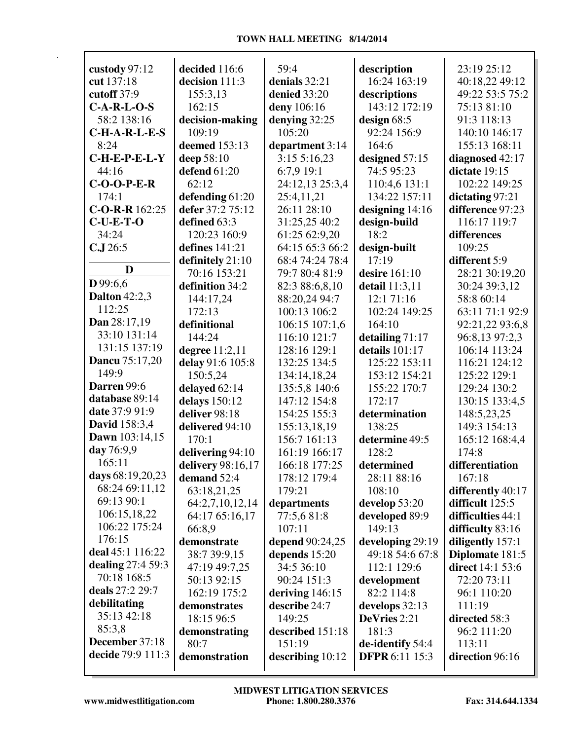|                                     | decided 116:6       | 59:4              |                             | 23:19 25:12             |
|-------------------------------------|---------------------|-------------------|-----------------------------|-------------------------|
| custody 97:12                       |                     |                   | description<br>16:24 163:19 |                         |
| cut 137:18                          | decision 111:3      | denials 32:21     |                             | 40:18,22 49:12          |
| cutoff 37:9                         | 155:3,13            | denied 33:20      | descriptions                | 49:22 53:5 75:2         |
| $C-A-R-L-O-S$                       | 162:15              | deny 106:16       | 143:12 172:19               | 75:13 81:10             |
| 58:2 138:16                         | decision-making     | denying 32:25     | design $68:5$               | 91:3 118:13             |
| $C-H-A-R-L-E-S$                     | 109:19              | 105:20            | 92:24 156:9                 | 140:10 146:17           |
| 8:24                                | deemed 153:13       | department 3:14   | 164:6                       | 155:13 168:11           |
| $C$ -H-E-P-E-L-Y                    | deep 58:10          | 3:155:16,23       | designed 57:15              | diagnosed 42:17         |
| 44:16                               | <b>defend</b> 61:20 | 6:7,9 19:1        | 74:5 95:23                  | dictate 19:15           |
| $C-O-O-P-E-R$                       | 62:12               | 24:12,13 25:3,4   | 110:4,6 131:1               | 102:22 149:25           |
| 174:1                               | defending 61:20     | 25:4,11,21        | 134:22 157:11               | dictating 97:21         |
| $C-O-R-R$ 162:25                    | defer 37:2 75:12    | 26:11 28:10       | designing $14:16$           | difference 97:23        |
| $C-U-E-T-O$                         | defined 63:3        | 31:25,25 40:2     | design-build                | 116:17 119:7            |
| 34:24                               | 120:23 160:9        | 61:25 62:9,20     | 18:2                        | differences             |
| C.J.26:5                            | defines $141:21$    | 64:15 65:3 66:2   | design-built                | 109:25                  |
| D                                   | definitely 21:10    | 68:4 74:24 78:4   | 17:19                       | different 5:9           |
| D 99:6,6                            | 70:16 153:21        | 79:7 80:4 81:9    | desire 161:10               | 28:21 30:19,20          |
| <b>Dalton</b> 42:2,3                | definition 34:2     | 82:3 88:6,8,10    | detail 11:3,11              | 30:24 39:3,12           |
| 112:25                              | 144:17,24           | 88:20,24 94:7     | 12:1 71:16                  | 58:8 60:14              |
|                                     | 172:13              | 100:13 106:2      | 102:24 149:25               | 63:11 71:1 92:9         |
| Dan 28:17,19<br>33:10 131:14        | definitional        | 106:15 107:1,6    | 164:10                      | 92:21,22 93:6,8         |
| 131:15 137:19                       | 144:24              | 116:10 121:7      | detailing $71:17$           | 96:8,13 97:2,3          |
|                                     | degree 11:2,11      | 128:16 129:1      | details 101:17              | 106:14 113:24           |
| <b>Dancu</b> 75:17,20               | delay 91:6 105:8    | 132:25 134:5      | 125:22 153:11               | 116:21 124:12           |
| 149:9                               | 150:5,24            | 134:14,18,24      | 153:12 154:21               | 125:22 129:1            |
| Darren 99:6<br>database 89:14       | delayed 62:14       | 135:5,8 140:6     | 155:22 170:7                | 129:24 130:2            |
| date 37:9 91:9                      | delays 150:12       | 147:12 154:8      | 172:17                      | 130:15 133:4,5          |
|                                     | deliver 98:18       | 154:25 155:3      | determination               | 148:5,23,25             |
| <b>David</b> 158:3,4                | delivered 94:10     | 155:13,18,19      | 138:25                      | 149:3 154:13            |
| Dawn 103:14,15<br>day 76:9,9        | 170:1               | 156:7 161:13      | determine 49:5              | 165:12 168:4,4          |
| 165:11                              | delivering 94:10    | 161:19 166:17     | 128:2                       | 174:8                   |
|                                     | delivery 98:16,17   | 166:18 177:25     | determined                  | differentiation         |
| days 68:19,20,23                    | demand 52:4         | 178:12 179:4      | 28:11 88:16                 | 167:18                  |
| 68:24 69:11,12                      | 63:18,21,25         | 179:21            | 108:10                      | differently 40:17       |
| 69:13 90:1                          | 64:2,7,10,12,14     | departments       | develop 53:20               | difficult 125:5         |
| 106:15,18,22<br>106:22 175:24       | 64:17 65:16,17      | 77:5,6 81:8       | developed 89:9              | difficulties 44:1       |
| 176:15                              | 66:8,9              | 107:11            | 149:13                      | difficulty 83:16        |
| deal 45:1 116:22                    | demonstrate         | depend 90:24,25   | developing 29:19            | diligently 157:1        |
|                                     | 38:7 39:9,15        | depends 15:20     | 49:18 54:6 67:8             | Diplomate 181:5         |
| dealing 27:4 59:3                   | 47:19 49:7,25       | 34:5 36:10        | 112:1 129:6                 | <b>direct</b> 14:1 53:6 |
| 70:18 168:5<br>deals 27:2 29:7      | 50:13 92:15         | 90:24 151:3       | development                 | 72:20 73:11             |
|                                     | 162:19 175:2        | deriving $146:15$ | 82:2 114:8                  | 96:1 110:20             |
| debilitating<br>35:13 42:18         | demonstrates        | describe 24:7     | develops 32:13              | 111:19                  |
|                                     | 18:15 96:5          | 149:25            | DeVries 2:21                | directed 58:3           |
| 85:3,8                              | demonstrating       | described 151:18  | 181:3                       | 96:2 111:20             |
| December 37:18<br>decide 79:9 111:3 | 80:7                | 151:19            | de-identify 54:4            | 113:11                  |
|                                     | demonstration       | describing 10:12  | <b>DFPR</b> 6:11 15:3       | direction 96:16         |
|                                     |                     |                   |                             |                         |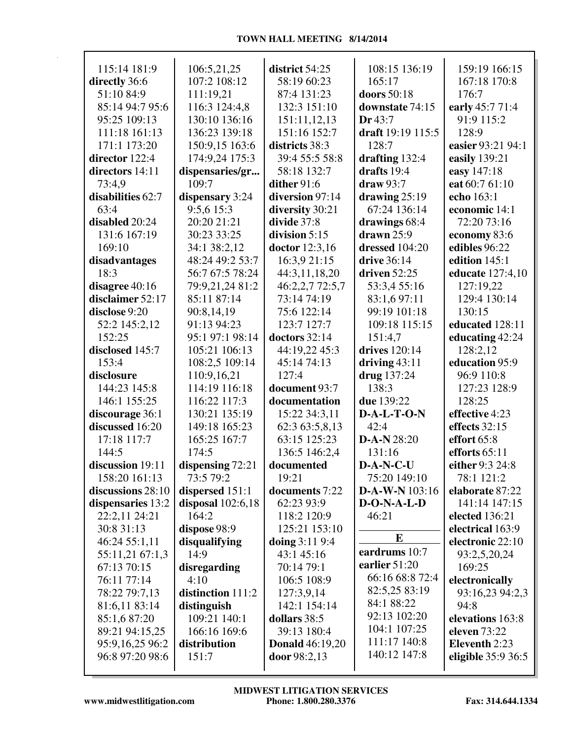| 115:14 181:9                      | 106:5,21,25               | district 54:25             | 108:15 136:19                 | 159:19 166:15          |
|-----------------------------------|---------------------------|----------------------------|-------------------------------|------------------------|
| directly 36:6                     | 107:2 108:12              | 58:19 60:23                | 165:17                        | 167:18 170:8           |
| 51:10 84:9                        | 111:19,21                 | 87:4 131:23                | doors 50:18                   | 176:7                  |
| 85:14 94:7 95:6                   | 116:3 124:4,8             | 132:3 151:10               | downstate 74:15               | early 45:7 71:4        |
| 95:25 109:13                      | 130:10 136:16             | 151:11,12,13               | Dr 43:7                       | 91:9 115:2             |
| 111:18 161:13                     | 136:23 139:18             | 151:16 152:7               | draft 19:19 115:5             | 128:9                  |
| 171:1 173:20                      | 150:9,15 163:6            | districts 38:3             | 128:7                         | easier 93:21 94:1      |
| director 122:4                    | 174:9,24 175:3            | 39:4 55:5 58:8             | drafting 132:4                | easily 139:21          |
| directors 14:11                   | dispensaries/gr           | 58:18 132:7                | drafts 19:4                   | easy 147:18            |
| 73:4,9                            | 109:7                     | dither 91:6                | $draw 93:7$                   | eat 60:7 61:10         |
| disabilities 62:7                 | dispensary 3:24           | diversion 97:14            | drawing $25:19$               | echo 163:1             |
| 63:4                              | 9:5,6 15:3                | diversity 30:21            | 67:24 136:14                  | economic 14:1          |
| disabled 20:24                    | 20:20 21:21               | divide 37:8                | drawings 68:4                 | 72:20 73:16            |
| 131:6 167:19                      | 30:23 33:25               | division $5:15$            | $d$ rawn $25:9$               | economy 83:6           |
| 169:10                            | 34:1 38:2,12              | <b>doctor</b> 12:3,16      | dressed 104:20                | edibles 96:22          |
| disadvantages                     | 48:24 49:2 53:7           | 16:3,9 21:15               | drive 36:14<br>driven $52:25$ | edition 145:1          |
| 18:3                              | 56:7 67:5 78:24           | 44:3,11,18,20              |                               | educate 127:4,10       |
| disagree 40:16                    | 79:9,21,24 81:2           | 46:2,2,7 72:5,7            | 53:3,4 55:16                  | 127:19,22              |
| disclaimer 52:17<br>disclose 9:20 | 85:11 87:14               | 73:14 74:19                | 83:1,6 97:11                  | 129:4 130:14<br>130:15 |
|                                   | 90:8,14,19<br>91:13 94:23 | 75:6 122:14<br>123:7 127:7 | 99:19 101:18<br>109:18 115:15 | educated 128:11        |
| 52:2 145:2,12<br>152:25           | 95:1 97:1 98:14           | doctors 32:14              | 151:4,7                       | educating 42:24        |
| disclosed 145:7                   | 105:21 106:13             | 44:19,22 45:3              | drives 120:14                 | 128:2,12               |
| 153:4                             | 108:2,5 109:14            | 45:14 74:13                | driving $43:11$               | education 95:9         |
| disclosure                        | 110:9,16,21               | 127:4                      | drug 137:24                   | 96:9 110:8             |
| 144:23 145:8                      | 114:19 116:18             | document 93:7              | 138:3                         | 127:23 128:9           |
| 146:1 155:25                      | 116:22 117:3              | documentation              | due 139:22                    | 128:25                 |
| discourage 36:1                   | 130:21 135:19             | 15:22 34:3,11              | $D-A-L-T-O-N$                 | effective 4:23         |
| discussed 16:20                   | 149:18 165:23             | 62:3 63:5,8,13             | 42:4                          | effects 32:15          |
| 17:18 117:7                       | 165:25 167:7              | 63:15 125:23               | $D-A-N 28:20$                 | effort 65:8            |
| 144:5                             | 174:5                     | 136:5 146:2,4              | 131:16                        | efforts $65:11$        |
| discussion 19:11                  | dispensing 72:21          | documented                 | D-A-N-C-U                     | either 9:3 24:8        |
| 158:20 161:13                     | 73:5 79:2                 | 19:21                      | 75:20 149:10                  | 78:1 121:2             |
| discussions 28:10                 | dispersed 151:1           | documents 7:22             | D-A-W-N 103:16                | elaborate 87:22        |
| dispensaries 13:2                 | disposal $102:6,18$       | 62:23 93:9                 | $D-O-N-A-L-D$                 | 141:14 147:15          |
| 22:2,11 24:21                     | 164:2                     | 118:2 120:9                | 46:21                         | elected 136:21         |
| 30:8 31:13                        | dispose 98:9              | 125:21 153:10              |                               | electrical 163:9       |
| 46:24 55:1,11                     | disqualifying             | doing 3:11 9:4             | $\bf{E}$                      | electronic 22:10       |
| 55:11,21 67:1,3                   | 14:9                      | 43:1 45:16                 | eardrums 10:7                 | 93:2,5,20,24           |
| 67:13 70:15                       | disregarding              | 70:14 79:1                 | earlier 51:20                 | 169:25                 |
| 76:11 77:14                       | 4:10                      | 106:5 108:9                | 66:16 68:8 72:4               | electronically         |
| 78:22 79:7,13                     | distinction 111:2         | 127:3,9,14                 | 82:5,25 83:19                 | 93:16,23 94:2,3        |
| 81:6,11 83:14                     | distinguish               | 142:1 154:14               | 84:1 88:22                    | 94:8                   |
| 85:1,6 87:20                      | 109:21 140:1              | dollars 38:5               | 92:13 102:20                  | elevations 163:8       |
| 89:21 94:15,25                    | 166:16 169:6              | 39:13 180:4                | 104:1 107:25                  | eleven 73:22           |
| 95:9,16,25 96:2                   | distribution              | <b>Donald</b> 46:19,20     | 111:17 140:8                  | Eleventh 2:23          |
| 96:8 97:20 98:6                   | 151:7                     | door 98:2,13               | 140:12 147:8                  | eligible $35:936:5$    |
|                                   |                           |                            |                               |                        |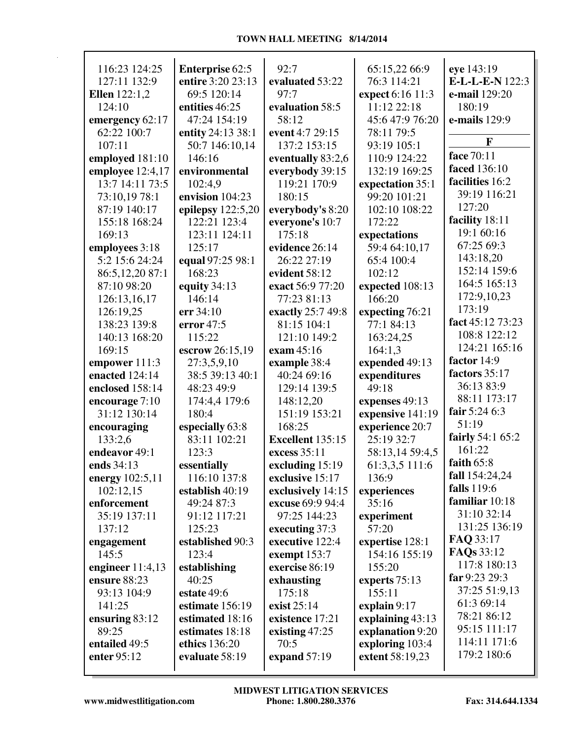| 116:23 124:25        | <b>Enterprise 62:5</b> | 92:7                    | 65:15,22 66:9    | eye 143:19       |
|----------------------|------------------------|-------------------------|------------------|------------------|
| 127:11 132:9         | entire 3:20 23:13      | evaluated 53:22         | 76:3 114:21      | E-L-L-E-N 122:3  |
| <b>Ellen</b> 122:1,2 | 69:5 120:14            | 97:7                    | expect 6:16 11:3 | e-mail 129:20    |
| 124:10               | entities 46:25         | evaluation 58:5         | 11:12 22:18      | 180:19           |
| emergency 62:17      | 47:24 154:19           | 58:12                   | 45:6 47:9 76:20  | e-mails 129:9    |
| 62:22 100:7          | entity 24:13 38:1      | event 4:7 29:15         | 78:11 79:5       |                  |
| 107:11               | 50:7 146:10,14         | 137:2 153:15            | 93:19 105:1      | F                |
| employed 181:10      | 146:16                 | eventually 83:2,6       | 110:9 124:22     | face 70:11       |
| employee 12:4,17     | environmental          | everybody 39:15         | 132:19 169:25    | faced 136:10     |
| 13:7 14:11 73:5      | 102:4,9                | 119:21 170:9            | expectation 35:1 | facilities 16:2  |
| 73:10,19 78:1        | envision 104:23        | 180:15                  | 99:20 101:21     | 39:19 116:21     |
| 87:19 140:17         | epilepsy $122:5,20$    | everybody's 8:20        | 102:10 108:22    | 127:20           |
| 155:18 168:24        | 122:21 123:4           | everyone's 10:7         | 172:22           | facility 18:11   |
| 169:13               | 123:11 124:11          | 175:18                  | expectations     | 19:1 60:16       |
|                      |                        | evidence 26:14          |                  | 67:25 69:3       |
| employees 3:18       | 125:17                 | 26:22 27:19             | 59:4 64:10,17    | 143:18,20        |
| 5:2 15:6 24:24       | equal 97:25 98:1       |                         | 65:4 100:4       | 152:14 159:6     |
| 86:5,12,20 87:1      | 168:23                 | evident 58:12           | 102:12           | 164:5 165:13     |
| 87:10 98:20          | equity 34:13           | exact 56:9 77:20        | expected 108:13  | 172:9,10,23      |
| 126:13,16,17         | 146:14                 | 77:23 81:13             | 166:20           | 173:19           |
| 126:19,25            | err 34:10              | exactly 25:7 49:8       | expecting 76:21  |                  |
| 138:23 139:8         | error $47:5$           | 81:15 104:1             | 77:1 84:13       | fact 45:12 73:23 |
| 140:13 168:20        | 115:22                 | 121:10 149:2            | 163:24,25        | 108:8 122:12     |
| 169:15               | escrow 26:15,19        | exam 45:16              | 164:1,3          | 124:21 165:16    |
| empower 111:3        | 27:3,5,9,10            | example 38:4            | expended 49:13   | factor 14:9      |
| enacted 124:14       | 38:5 39:13 40:1        | 40:24 69:16             | expenditures     | factors 35:17    |
| enclosed 158:14      | 48:23 49:9             | 129:14 139:5            | 49:18            | 36:13 83:9       |
| encourage 7:10       | 174:4,4 179:6          | 148:12,20               | expenses 49:13   | 88:11 173:17     |
| 31:12 130:14         | 180:4                  | 151:19 153:21           | expensive 141:19 | fair 5:24 6:3    |
| encouraging          | especially 63:8        | 168:25                  | experience 20:7  | 51:19            |
| 133:2,6              | 83:11 102:21           | <b>Excellent</b> 135:15 | 25:19 32:7       | fairly 54:1 65:2 |
| endeavor 49:1        | 123:3                  | excess 35:11            | 58:13,14 59:4,5  | 161:22           |
| ends 34:13           | essentially            | excluding 15:19         | 61:3,3,5 111:6   | faith $65:8$     |
| energy 102:5,11      | 116:10 137:8           | exclusive 15:17         | 136:9            | fall 154:24,24   |
| 102:12,15            | establish 40:19        | exclusively 14:15       | experiences      | falls 119:6      |
| enforcement          | 49:24 87:3             | excuse 69:9 94:4        | 35:16            | familiar 10:18   |
| 35:19 137:11         | 91:12 117:21           | 97:25 144:23            | experiment       | 31:10 32:14      |
| 137:12               | 125:23                 | executing 37:3          | 57:20            | 131:25 136:19    |
| engagement           | established 90:3       | executive 122:4         | expertise 128:1  | FAQ 33:17        |
| 145:5                | 123:4                  | exempt 153:7            | 154:16 155:19    | FAQs 33:12       |
| engineer $11:4,13$   | establishing           | exercise 86:19          | 155:20           | 117:8 180:13     |
| ensure 88:23         | 40:25                  | exhausting              | experts $75:13$  | far 9:23 29:3    |
| 93:13 104:9          | estate 49:6            | 175:18                  | 155:11           | 37:25 51:9,13    |
| 141:25               | estimate 156:19        | exist 25:14             | explain 9:17     | 61:3 69:14       |
| ensuring $83:12$     | estimated 18:16        | existence 17:21         | explaining 43:13 | 78:21 86:12      |
| 89:25                | estimates 18:18        | existing 47:25          | explanation 9:20 | 95:15 111:17     |
| entailed 49:5        | ethics 136:20          | 70:5                    | exploring 103:4  | 114:11 171:6     |
| enter 95:12          | evaluate 58:19         | expand 57:19            | extent 58:19,23  | 179:2 180:6      |
|                      |                        |                         |                  |                  |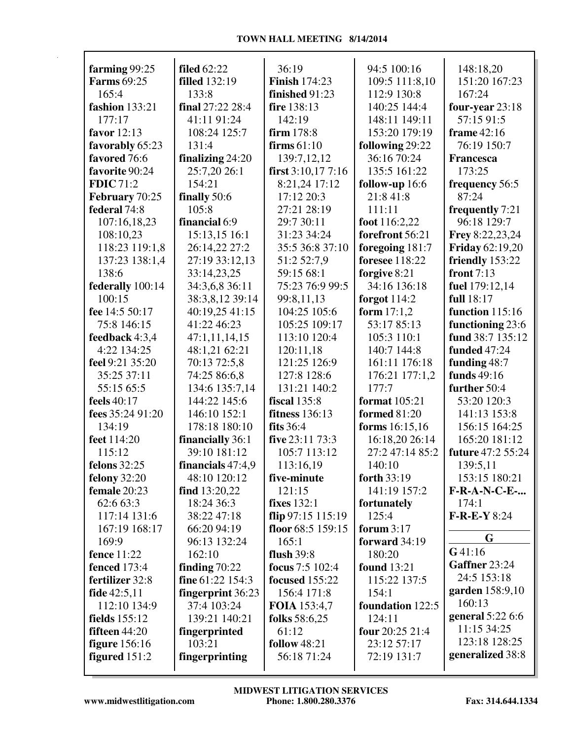| farming 99:25           | <b>filed</b> 62:22   | 36:19                 | 94:5 100:16           | 148:18,20                |
|-------------------------|----------------------|-----------------------|-----------------------|--------------------------|
| <b>Farms</b> 69:25      | <b>filled</b> 132:19 | <b>Finish 174:23</b>  | 109:5 111:8,10        | 151:20 167:23            |
| 165:4                   | 133:8                | finished 91:23        | 112:9 130:8           | 167:24                   |
| <b>fashion</b> 133:21   | final 27:22 28:4     | fire 138:13           | 140:25 144:4          | four-year 23:18          |
| 177:17                  | 41:11 91:24          | 142:19                | 148:11 149:11         | 57:15 91:5               |
| favor 12:13             | 108:24 125:7         | firm 178:8            | 153:20 179:19         | frame $42:16$            |
| favorably 65:23         | 131:4                | firms $61:10$         | following 29:22       | 76:19 150:7              |
| favored 76:6            | finalizing $24:20$   | 139:7,12,12           | 36:16 70:24           | <b>Francesca</b>         |
| favorite 90:24          | 25:7,20 26:1         | first $3:10,177:16$   | 135:5 161:22          | 173:25                   |
| <b>FDIC</b> 71:2        | 154:21               | 8:21,24 17:12         | follow-up 16:6        | frequency 56:5           |
| February 70:25          | finally 50:6         | 17:12 20:3            | 21:8 41:8             | 87:24                    |
| federal 74:8            | 105:8                | 27:21 28:19           | 111:11                | frequently 7:21          |
| 107:16,18,23            | financial 6:9        | 29:7 30:11            | foot 116:2,22         | 96:18 129:7              |
| 108:10,23               | 15:13,15 16:1        | 31:23 34:24           | forefront 56:21       | Frey 8:22,23,24          |
|                         |                      |                       |                       |                          |
| 118:23 119:1,8          | 26:14,22 27:2        | 35:5 36:8 37:10       | foregoing 181:7       | <b>Friday</b> 62:19,20   |
| 137:23 138:1,4<br>138:6 | 27:19 33:12,13       | 51:2 52:7,9           | <b>foresee</b> 118:22 | friendly 153:22          |
|                         | 33:14,23,25          | 59:15 68:1            | forgive 8:21          | front $7:13$             |
| federally 100:14        | 34:3,6,8 36:11       | 75:23 76:9 99:5       | 34:16 136:18          | fuel 179:12,14           |
| 100:15                  | 38:3,8,12 39:14      | 99:8,11,13            | forgot $114:2$        | full 18:17               |
| fee 14:5 50:17          | 40:19,25 41:15       | 104:25 105:6          | form $17:1,2$         | function 115:16          |
| 75:8 146:15             | 41:22 46:23          | 105:25 109:17         | 53:17 85:13           | functioning 23:6         |
| feedback 4:3,4          | 47:1,11,14,15        | 113:10 120:4          | 105:3 110:1           | fund 38:7 135:12         |
| 4:22 134:25             | 48:1,21 62:21        | 120:11,18             | 140:7 144:8           | <b>funded</b> 47:24      |
| feel 9:21 35:20         | 70:13 72:5,8         | 121:25 126:9          | 161:11 176:18         | funding 48:7             |
| 35:25 37:11             | 74:25 86:6,8         | 127:8 128:6           | 176:21 177:1,2        | funds 49:16              |
| 55:15 65:5              | 134:6 135:7,14       | 131:21 140:2          | 177:7                 | further 50:4             |
| feels 40:17             | 144:22 145:6         | <b>fiscal</b> 135:8   | format 105:21         | 53:20 120:3              |
| fees 35:24 91:20        | 146:10 152:1         | <b>fitness</b> 136:13 | <b>formed</b> 81:20   | 141:13 153:8             |
| 134:19                  | 178:18 180:10        | fits $36:4$           | forms 16:15,16        | 156:15 164:25            |
| feet 114:20             | financially 36:1     | five 23:11 73:3       | 16:18,20 26:14        | 165:20 181:12            |
| 115:12                  | 39:10 181:12         | 105:7 113:12          | 27:2 47:14 85:2       | <b>future</b> 47:2 55:24 |
| <b>felons</b> 32:25     | financials $47:4,9$  | 113:16,19             | 140:10                | 139:5,11                 |
| <b>felony</b> 32:20     | 48:10 120:12         | five-minute           | forth 33:19           | 153:15 180:21            |
| female 20:23            | find $13:20,22$      | 121:15                | 141:19 157:2          | $F-R-A-N-C-E-$           |
| 62:6 63:3               | 18:24 36:3           | <b>fixes</b> 132:1    | fortunately           | 174:1                    |
| 117:14 131:6            | 38:22 47:18          | flip $97:15$ 115:19   | 125:4                 | $F-R-E-Y8:24$            |
| 167:19 168:17           | 66:20 94:19          | floor 68:5 159:15     | forum $3:17$          |                          |
| 169:9                   | 96:13 132:24         | 165:1                 | forward 34:19         | G                        |
| <b>fence</b> 11:22      | 162:10               | flush $39:8$          | 180:20                | G41:16                   |
| <b>fenced</b> 173:4     | finding $70:22$      | focus 7:5 102:4       | <b>found</b> 13:21    | Gaffner 23:24            |
| fertilizer 32:8         | fine 61:22 154:3     | <b>focused</b> 155:22 | 115:22 137:5          | 24:5 153:18              |
| fide 42:5,11            | fingerprint 36:23    | 156:4 171:8           | 154:1                 | garden 158:9,10          |
| 112:10 134:9            | 37:4 103:24          | <b>FOIA</b> 153:4,7   | foundation 122:5      | 160:13                   |
| fields 155:12           | 139:21 140:21        | folks 58:6,25         | 124:11                | general 5:22 6:6         |
| fifteen $44:20$         | fingerprinted        | 61:12                 | four 20:25 21:4       | 11:15 34:25              |
| <b>figure</b> 156:16    | 103:21               | <b>follow</b> 48:21   | 23:12 57:17           | 123:18 128:25            |
| figured $151:2$         | fingerprinting       | 56:18 71:24           | 72:19 131:7           | generalized 38:8         |
|                         |                      |                       |                       |                          |

 $\mathsf T$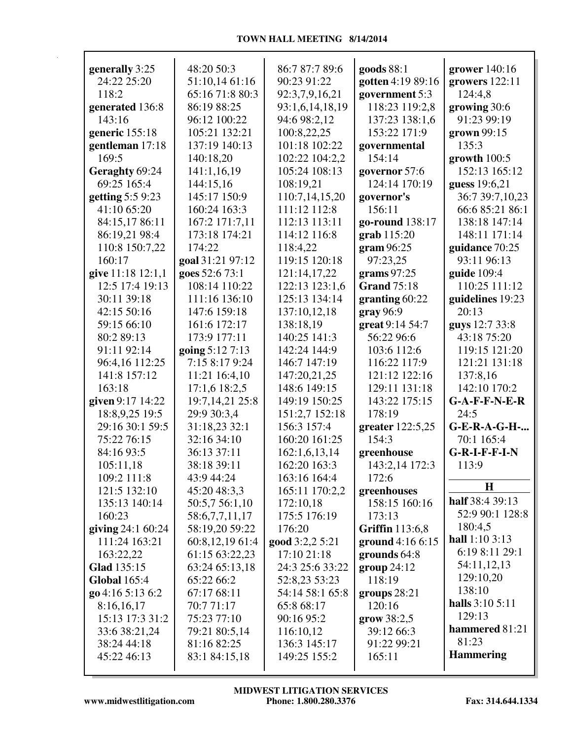| generally 3:25      | 48:20 50:3        | 86:7 87:7 89:6  | goods 88:1             | grower $140:16$        |
|---------------------|-------------------|-----------------|------------------------|------------------------|
| 24:22 25:20         | 51:10,14 61:16    | 90:23 91:22     | gotten 4:19 89:16      | growers $122:11$       |
| 118:2               | 65:16 71:8 80:3   | 92:3,7,9,16,21  | government 5:3         | 124:4,8                |
| generated 136:8     | 86:19 88:25       | 93:1,6,14,18,19 | 118:23 119:2,8         | growing 30:6           |
| 143:16              | 96:12 100:22      | 94:6 98:2,12    | 137:23 138:1,6         | 91:23 99:19            |
| generic 155:18      | 105:21 132:21     | 100:8,22,25     | 153:22 171:9           | grown 99:15            |
| gentleman 17:18     | 137:19 140:13     | 101:18 102:22   | governmental           | 135:3                  |
| 169:5               | 140:18,20         | 102:22 104:2,2  | 154:14                 | growth $100:5$         |
| Geraghty 69:24      | 141:1,16,19       | 105:24 108:13   | governor 57:6          | 152:13 165:12          |
| 69:25 165:4         | 144:15,16         | 108:19,21       | 124:14 170:19          | guess 19:6,21          |
| getting 5:5 9:23    | 145:17 150:9      | 110:7,14,15,20  | governor's             | 36:7 39:7,10,23        |
| 41:10 65:20         | 160:24 163:3      | 111:12 112:8    | 156:11                 | 66:6 85:21 86:1        |
| 84:15,17 86:11      | 167:2 171:7,11    | 112:13 113:11   | go-round 138:17        | 138:18 147:14          |
| 86:19,21 98:4       | 173:18 174:21     | 114:12 116:8    | grab 115:20            | 148:11 171:14          |
| 110:8 150:7,22      | 174:22            | 118:4,22        | gram96:25              | guidance 70:25         |
| 160:17              | goal 31:21 97:12  | 119:15 120:18   | 97:23,25               | 93:11 96:13            |
| give 11:18 12:1,1   | goes 52:6 73:1    | 121:14,17,22    | grams $97:25$          | guide 109:4            |
| 12:5 17:4 19:13     | 108:14 110:22     | 122:13 123:1,6  | <b>Grand</b> 75:18     | 110:25 111:12          |
| 30:11 39:18         | 111:16 136:10     | 125:13 134:14   | granting $60:22$       | guidelines 19:23       |
| 42:15 50:16         | 147:6 159:18      | 137:10,12,18    | gray 96:9              | 20:13                  |
| 59:15 66:10         | 161:6 172:17      | 138:18,19       | great 9:14 54:7        | guys 12:7 33:8         |
| 80:2 89:13          | 173:9 177:11      | 140:25 141:3    | 56:22 96:6             | 43:18 75:20            |
| 91:11 92:14         | going 5:12 7:13   | 142:24 144:9    | 103:6 112:6            | 119:15 121:20          |
| 96:4,16 112:25      | 7:15 8:17 9:24    | 146:7 147:19    | 116:22 117:9           | 121:21 131:18          |
| 141:8 157:12        | 11:21 16:4,10     | 147:20,21,25    | 121:12 122:16          | 137:8,16               |
| 163:18              | 17:1,6 18:2,5     | 148:6 149:15    | 129:11 131:18          | 142:10 170:2           |
| given 9:17 14:22    | 19:7, 14, 21 25:8 | 149:19 150:25   | 143:22 175:15          | $G-A-F-F-N-E-R$        |
| 18:8,9,25 19:5      | 29:9 30:3,4       | 151:2,7 152:18  | 178:19                 | 24:5                   |
| 29:16 30:1 59:5     | 31:18,23 32:1     | 156:3 157:4     | greater 122:5,25       | <b>G-E-R-A-G-H-</b>    |
| 75:22 76:15         | 32:16 34:10       | 160:20 161:25   | 154:3                  | 70:1 165:4             |
| 84:16 93:5          | 36:13 37:11       | 162:1,6,13,14   | greenhouse             | $G-R-I-F-F-I-N$        |
| 105:11,18           | 38:18 39:11       | 162:20 163:3    | 143:2,14 172:3         | 113:9                  |
| 109:2 111:8         | 43:9 44:24        | 163:16 164:4    | 172:6                  | $\mathbf H$            |
| 121:5 132:10        | 45:20 48:3,3      | 165:11 170:2,2  | greenhouses            |                        |
| 135:13 140:14       | 50:5,7 56:1,10    | 172:10,18       | 158:15 160:16          | half 38:4 39:13        |
| 160:23              | 58:6,7,7,11,17    | 175:5 176:19    | 173:13                 | 52:9 90:1 128:8        |
| giving $24:160:24$  | 58:19,20 59:22    | 176:20          | <b>Griffin</b> 113:6,8 | 180:4,5                |
| 111:24 163:21       | 60:8,12,19 61:4   | good 3:2,2 5:21 | ground 4:16 6:15       | hall 1:10 3:13         |
| 163:22,22           | 61:15 63:22,23    | 17:10 21:18     | grounds $64:8$         | 6:19 8:11 29:1         |
| Glad 135:15         | 63:24 65:13,18    | 24:3 25:6 33:22 | group 24:12            | 54:11,12,13            |
| <b>Global</b> 165:4 | 65:22 66:2        | 52:8,23 53:23   | 118:19                 | 129:10,20<br>138:10    |
| go 4:16 5:13 6:2    | 67:17 68:11       | 54:14 58:1 65:8 | groups $28:21$         | <b>halls</b> 3:10 5:11 |
| 8:16,16,17          | 70:771:17         | 65:8 68:17      | 120:16                 | 129:13                 |
| 15:13 17:3 31:2     | 75:23 77:10       | 90:16 95:2      | grow 38:2,5            | hammered 81:21         |
| 33:6 38:21,24       | 79:21 80:5,14     | 116:10,12       | 39:12 66:3             | 81:23                  |
| 38:24 44:18         | 81:16 82:25       | 136:3 145:17    | 91:22 99:21            |                        |
| 45:22 46:13         | 83:1 84:15,18     | 149:25 155:2    | 165:11                 | <b>Hammering</b>       |
|                     |                   |                 |                        |                        |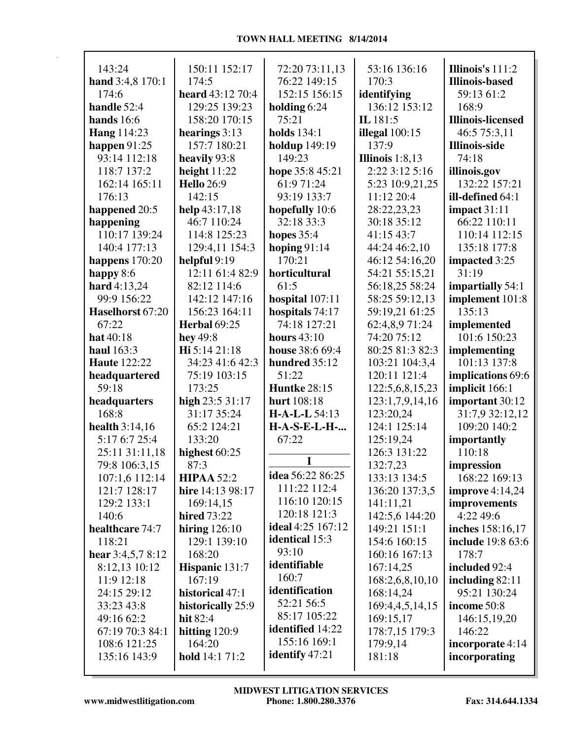| 143:24              | 150:11 152:17         | 72:20 73:11,13          | 53:16 136:16      | Illinois's 111:2         |
|---------------------|-----------------------|-------------------------|-------------------|--------------------------|
| hand 3:4,8 170:1    | 174:5                 | 76:22 149:15            | 170:3             | <b>Illinois-based</b>    |
| 174:6               | heard 43:12 70:4      | 152:15 156:15           | identifying       | 59:13 61:2               |
| handle 52:4         | 129:25 139:23         | holding $6:24$          | 136:12 153:12     | 168:9                    |
| hands 16:6          | 158:20 170:15         | 75:21                   | IL 181:5          | <b>Illinois-licensed</b> |
| <b>Hang</b> 114:23  | hearings 3:13         | <b>holds</b> 134:1      | illegal $100:15$  | 46:5 75:3,11             |
| happen $91:25$      | 157:7 180:21          | <b>holdup</b> 149:19    | 137:9             | <b>Illinois-side</b>     |
| 93:14 112:18        | heavily 93:8          | 149:23                  | Illinois $1:8,13$ | 74:18                    |
| 118:7 137:2         | height $11:22$        | hope 35:8 45:21         | 2:22 3:12 5:16    | illinois.gov             |
| 162:14 165:11       | <b>Hello</b> 26:9     | 61:9 71:24              | 5:23 10:9,21,25   | 132:22 157:21            |
| 176:13              | 142:15                | 93:19 133:7             | 11:12 20:4        | ill-defined 64:1         |
| happened 20:5       | help $43:17,18$       | hopefully 10:6          | 28:22,23,23       | impact 31:11             |
| happening           | 46:7 110:24           | 32:18 33:3              | 30:18 35:12       | 66:22 110:11             |
| 110:17 139:24       | 114:8 125:23          | hopes $35:4$            | 41:15 43:7        | 110:14 112:15            |
| 140:4 177:13        | 129:4,11 154:3        | hoping $91:14$          | 44:24 46:2,10     | 135:18 177:8             |
| happens $170:20$    | helpful $9:19$        | 170:21                  | 46:12 54:16,20    | impacted 3:25            |
| happy $8:6$         | 12:11 61:4 82:9       | horticultural           | 54:21 55:15,21    | 31:19                    |
| hard 4:13,24        | 82:12 114:6           | 61:5                    | 56:18,25 58:24    | impartially 54:1         |
| 99:9 156:22         | 142:12 147:16         | hospital 107:11         | 58:25 59:12,13    | implement 101:8          |
| Haselhorst 67:20    | 156:23 164:11         | hospitals 74:17         | 59:19,21 61:25    | 135:13                   |
|                     |                       | 74:18 127:21            |                   |                          |
| 67:22               | <b>Herbal 69:25</b>   |                         | 62:4,8,9 71:24    | implemented              |
| hat 40:18           | hey $49:8$            | <b>hours</b> 43:10      | 74:20 75:12       | 101:6 150:23             |
| haul 163:3          | Hi 5:14 21:18         | house 38:6 69:4         | 80:25 81:3 82:3   | implementing             |
| <b>Haute 122:22</b> | 34:23 41:6 42:3       | hundred 35:12           | 103:21 104:3,4    | 101:13 137:8             |
| headquartered       | 75:19 103:15          | 51:22                   | 120:11 121:4      | implications 69:6        |
| 59:18               | 173:25                | <b>Huntke 28:15</b>     | 122:5,6,8,15,23   | implicit 166:1           |
| headquarters        | high 23:5 31:17       | hurt 108:18             | 123:1,7,9,14,16   | important 30:12          |
| 168:8               | 31:17 35:24           | $H-A-L-L$ 54:13         | 123:20,24         | 31:7,9 32:12,12          |
| health $3:14,16$    | 65:2 124:21           | <b>H-A-S-E-L-H-</b>     | 124:1 125:14      | 109:20 140:2             |
| 5:17 6:7 25:4       | 133:20                | 67:22                   | 125:19,24         | importantly              |
| 25:11 31:11,18      | highest 60:25         |                         | 126:3 131:22      | 110:18                   |
| 79:8 106:3,15       | 87:3                  |                         | 132:7,23          | impression               |
| 107:1,6 112:14      | <b>HIPAA 52:2</b>     | idea 56:22 86:25        | 133:13 134:5      | 168:22 169:13            |
| 121:7 128:17        | hire 14:13 98:17      | 111:22 112:4            | 136:20 137:3,5    | improve $4:14,24$        |
| 129:2 133:1         | 169:14,15             | 116:10 120:15           | 141:11,21         | improvements             |
| 140:6               | <b>hired</b> 73:22    | 120:18 121:3            | 142:5,6 144:20    | 4:22 49:6                |
| healthcare 74:7     | hiring $126:10$       | ideal 4:25 167:12       | 149:21 151:1      | <b>inches</b> 158:16,17  |
| 118:21              | 129:1 139:10          | <b>identical</b> 15:3   | 154:6 160:15      | include 19:8 63:6        |
| hear $3:4,5,78:12$  | 168:20                | 93:10                   | 160:16 167:13     | 178:7                    |
| 8:12,13 10:12       | Hispanic 131:7        | identifiable            | 167:14,25         | included 92:4            |
| 11:9 12:18          | 167:19                | 160:7                   | 168:2,6,8,10,10   | including $82:11$        |
| 24:15 29:12         | historical 47:1       | identification          | 168:14,24         | 95:21 130:24             |
| 33:23 43:8          | historically 25:9     | 52:21 56:5              | 169:4,4,5,14,15   | income 50:8              |
| 49:16 62:2          | hit 82:4              | 85:17 105:22            | 169:15,17         | 146:15,19,20             |
| 67:19 70:3 84:1     | hitting $120:9$       | <b>identified</b> 14:22 | 178:7,15 179:3    | 146:22                   |
| 108:6 121:25        | 164:20                | 155:16 169:1            | 179:9,14          | incorporate 4:14         |
| 135:16 143:9        | <b>hold</b> 14:1 71:2 | <b>identify</b> 47:21   | 181:18            | incorporating            |
|                     |                       |                         |                   |                          |

 $\mathsf T$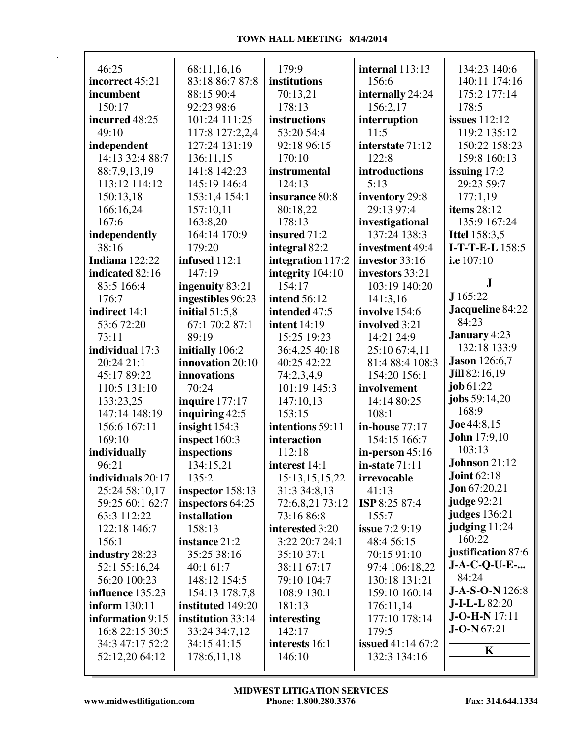## **TOWN HALL MEETING 8/14/2014**

| 46:25                | 68:11,16,16       | 179:9               | internal 113:13          | 134:23 140:6           |
|----------------------|-------------------|---------------------|--------------------------|------------------------|
| incorrect 45:21      | 83:18 86:7 87:8   | institutions        | 156:6                    | 140:11 174:16          |
| incumbent            | 88:15 90:4        | 70:13,21            | internally 24:24         | 175:2 177:14           |
| 150:17               | 92:23 98:6        | 178:13              | 156:2,17                 | 178:5                  |
| incurred 48:25       | 101:24 111:25     | instructions        | interruption             | <b>issues</b> 112:12   |
| 49:10                | 117:8 127:2,2,4   | 53:20 54:4          | 11:5                     | 119:2 135:12           |
| independent          | 127:24 131:19     | 92:18 96:15         | interstate 71:12         | 150:22 158:23          |
| 14:13 32:4 88:7      | 136:11,15         | 170:10              | 122:8                    | 159:8 160:13           |
| 88:7,9,13,19         | 141:8 142:23      | instrumental        | introductions            | issuing $17:2$         |
| 113:12 114:12        | 145:19 146:4      | 124:13              | 5:13                     | 29:23 59:7             |
| 150:13,18            | 153:1,4 154:1     | insurance 80:8      | inventory 29:8           | 177:1,19               |
| 166:16,24            | 157:10,11         | 80:18,22            | 29:13 97:4               | items $28:12$          |
| 167:6                | 163:8,20          | 178:13              | investigational          | 135:9 167:24           |
| independently        | 164:14 170:9      | insured 71:2        | 137:24 138:3             | <b>Ittel 158:3,5</b>   |
| 38:16                | 179:20            | integral 82:2       | investment 49:4          | I-T-T-E-L 158:5        |
| Indiana 122:22       | infused 112:1     | integration 117:2   | investor 33:16           | i.e 107:10             |
| indicated 82:16      | 147:19            | integrity 104:10    | investors 33:21          |                        |
| 83:5 166:4           | ingenuity 83:21   | 154:17              | 103:19 140:20            | $\mathbf{J}$           |
| 176:7                | ingestibles 96:23 | <b>intend 56:12</b> | 141:3,16                 | J 165:22               |
| indirect 14:1        | initial $51:5,8$  | intended 47:5       | involve 154:6            | Jacqueline 84:22       |
| 53:6 72:20           | 67:1 70:2 87:1    | <b>intent</b> 14:19 | involved 3:21            | 84:23                  |
| 73:11                | 89:19             | 15:25 19:23         | 14:21 24:9               | <b>January</b> 4:23    |
| individual 17:3      | initially 106:2   | 36:4,25 40:18       | 25:10 67:4,11            | 132:18 133:9           |
| 20:24 21:1           | innovation 20:10  | 40:25 42:22         | 81:4 88:4 108:3          | <b>Jason</b> 126:6,7   |
| 45:17 89:22          | innovations       | 74:2,3,4,9          | 154:20 156:1             | Jill 82:16,19          |
| 110:5 131:10         | 70:24             | 101:19 145:3        | involvement              | job $61:22$            |
| 133:23,25            | inquire 177:17    | 147:10,13           | 14:14 80:25              | jobs 59:14,20          |
| 147:14 148:19        | inquiring $42:5$  | 153:15              | 108:1                    | 168:9                  |
| 156:6 167:11         | insight $154:3$   | intentions 59:11    | in-house 77:17           | Joe 44:8,15            |
| 169:10               | inspect 160:3     | interaction         | 154:15 166:7             | <b>John</b> 17:9,10    |
| individually         | inspections       | 112:18              | in-person $45:16$        | 103:13                 |
| 96:21                | 134:15,21         | interest 14:1       | in-state $71:11$         | Johnson 21:12          |
| individuals 20:17    | 135:2             | 15:13,15,15,22      | irrevocable              | <b>Joint 62:18</b>     |
| 25:24 58:10,17       | inspector 158:13  | 31:3 34:8,13        | 41:13                    | <b>Jon</b> $67:20,21$  |
| 59:25 60:1 62:7      | inspectors 64:25  | 72:6,8,21 73:12     | ISP 8:25 87:4            | judge 92:21            |
| 63:3 112:22          | installation      | 73:16 86:8          | 155:7                    | <b>judges</b> 136:21   |
| 122:18 146:7         | 158:13            | interested 3:20     | issue 7:2 9:19           | judging 11:24          |
| 156:1                | instance 21:2     | 3:22 20:7 24:1      | 48:4 56:15               | 160:22                 |
| industry 28:23       | 35:25 38:16       | 35:10 37:1          | 70:15 91:10              | justification 87:6     |
| 52:1 55:16,24        | 40:1 61:7         | 38:11 67:17         | 97:4 106:18,22           | $J-A-C-Q-U-E-$         |
| 56:20 100:23         | 148:12 154:5      | 79:10 104:7         | 130:18 131:21            | 84:24                  |
| influence 135:23     | 154:13 178:7,8    | 108:9 130:1         | 159:10 160:14            | <b>J-A-S-O-N</b> 126:8 |
| <b>inform</b> 130:11 | instituted 149:20 | 181:13              | 176:11,14                | <b>J-I-L-L</b> 82:20   |
| information 9:15     | institution 33:14 | interesting         | 177:10 178:14            | $J-O-H-N 17:11$        |
| 16:8 22:15 30:5      | 33:24 34:7,12     | 142:17              | 179:5                    | $J-O-N$ 67:21          |
| 34:3 47:17 52:2      | 34:15 41:15       | interests 16:1      | <b>issued</b> 41:14 67:2 |                        |
| 52:12,20 64:12       | 178:6,11,18       | 146:10              | 132:3 134:16             | K                      |
|                      |                   |                     |                          |                        |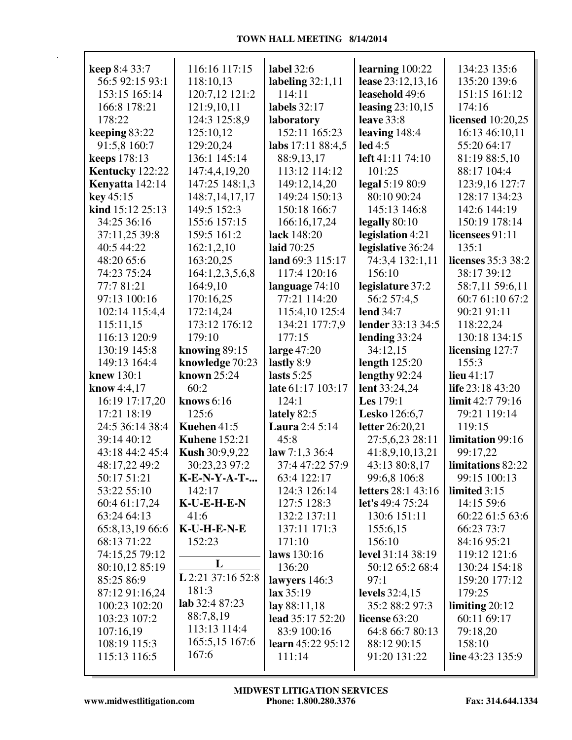| <b>keep</b> 8:4 33:7 | 116:16 117:15         | label 32:6            | learning $100:22$    | 134:23 135:6       |
|----------------------|-----------------------|-----------------------|----------------------|--------------------|
| 56:5 92:15 93:1      | 118:10,13             | labeling $32:1,11$    | lease 23:12,13,16    | 135:20 139:6       |
| 153:15 165:14        | 120:7,12 121:2        | 114:11                | leasehold 49:6       | 151:15 161:12      |
| 166:8 178:21         | 121:9,10,11           | labels 32:17          | leasing $23:10,15$   | 174:16             |
| 178:22               | 124:3 125:8,9         | laboratory            | leave $33:8$         | licensed 10:20,25  |
| keeping 83:22        | 125:10,12             | 152:11 165:23         | leaving $148:4$      | 16:13 46:10,11     |
| 91:5,8 160:7         | 129:20,24             | labs 17:11 88:4,5     | led 4:5              | 55:20 64:17        |
| <b>keeps</b> 178:13  | 136:1 145:14          | 88:9,13,17            | left 41:11 74:10     | 81:19 88:5,10      |
| Kentucky 122:22      | 147:4,4,19,20         | 113:12 114:12         | 101:25               | 88:17 104:4        |
| Kenyatta 142:14      | 147:25 148:1,3        | 149:12,14,20          | legal 5:19 80:9      | 123:9,16 127:7     |
| key 45:15            | 148:7,14,17,17        | 149:24 150:13         | 80:10 90:24          | 128:17 134:23      |
| kind 15:12 25:13     | 149:5 152:3           | 150:18 166:7          | 145:13 146:8         | 142:6 144:19       |
| 34:25 36:16          | 155:6 157:15          | 166:16,17,24          | legally 80:10        | 150:19 178:14      |
| 37:11,25 39:8        | 159:5 161:2           | lack 148:20           | legislation 4:21     | licensees 91:11    |
| 40:5 44:22           | 162:1,2,10            | laid 70:25            | legislative 36:24    | 135:1              |
| 48:20 65:6           | 163:20,25             | land 69:3 115:17      | 74:3,4 132:1,11      | licenses 35:3 38:2 |
| 74:23 75:24          | 164:1,2,3,5,6,8       | 117:4 120:16          | 156:10               | 38:17 39:12        |
| 77:7 81:21           | 164:9,10              | language 74:10        | legislature 37:2     | 58:7,11 59:6,11    |
| 97:13 100:16         | 170:16,25             | 77:21 114:20          | 56:2 57:4,5          | 60:7 61:10 67:2    |
| 102:14 115:4,4       | 172:14,24             | 115:4,10 125:4        | <b>lend</b> 34:7     | 90:21 91:11        |
| 115:11,15            | 173:12 176:12         | 134:21 177:7,9        | lender 33:13 34:5    | 118:22,24          |
| 116:13 120:9         | 179:10                | 177:15                | lending 33:24        | 130:18 134:15      |
| 130:19 145:8         | knowing $89:15$       | large $47:20$         | 34:12,15             | licensing 127:7    |
| 149:13 164:4         | knowledge 70:23       | lastly 8:9            | length $125:20$      | 155:3              |
| knew 130:1           | known 25:24           | lasts $5:25$          | lengthy 92:24        | lieu $41:17$       |
| <b>know</b> 4:4,17   | 60:2                  | late 61:17 103:17     | lent 33:24,24        | life 23:18 43:20   |
| 16:19 17:17,20       | knows 6:16            | 124:1                 | <b>Les</b> 179:1     | limit 42:7 79:16   |
| 17:21 18:19          | 125:6                 | lately $82:5$         | <b>Lesko</b> 126:6,7 | 79:21 119:14       |
| 24:5 36:14 38:4      | Kuehen 41:5           | <b>Laura</b> 2:4 5:14 | letter 26:20,21      | 119:15             |
| 39:14 40:12          | <b>Kuhene</b> 152:21  | 45:8                  | 27:5,6,23 28:11      | limitation 99:16   |
| 43:18 44:2 45:4      | <b>Kush 30:9,9,22</b> | law $7:1,3\,36:4$     | 41:8,9,10,13,21      | 99:17,22           |
| 48:17,22 49:2        | 30:23,23 97:2         | 37:4 47:22 57:9       | 43:13 80:8,17        | limitations 82:22  |
| 50:17 51:21          | K-E-N-Y-A-T-          | 63:4 122:17           | 99:6,8 106:8         | 99:15 100:13       |
| 53:22 55:10          | 142:17                | 124:3 126:14          | letters 28:1 43:16   | limited 3:15       |
| 60:4 61:17,24        | K-U-E-H-E-N           | 127:5 128:3           | let's 49:4 75:24     | 14:15 59:6         |
| 63:24 64:13          | 41:6                  | 132:2 137:11          | 130:6 151:11         | 60:22 61:5 63:6    |
| 65:8,13,19 66:6      | K-U-H-E-N-E           | 137:11 171:3          | 155:6,15             | 66:23 73:7         |
| 68:13 71:22          | 152:23                | 171:10                | 156:10               | 84:16 95:21        |
| 74:15,25 79:12       |                       | laws 130:16           | level 31:14 38:19    | 119:12 121:6       |
| 80:10,12 85:19       | L                     | 136:20                | 50:12 65:2 68:4      | 130:24 154:18      |
| 85:25 86:9           | L 2:21 37:16 52:8     | lawyers 146:3         | 97:1                 | 159:20 177:12      |
| 87:12 91:16,24       | 181:3                 | lax 35:19             | levels 32:4,15       | 179:25             |
| 100:23 102:20        | lab 32:487:23         | lay 88:11,18          | 35:2 88:2 97:3       | limiting $20:12$   |
| 103:23 107:2         | 88:7,8,19             | lead 35:17 52:20      | license $63:20$      | 60:11 69:17        |
| 107:16,19            | 113:13 114:4          | 83:9 100:16           | 64:8 66:7 80:13      | 79:18,20           |
| 108:19 115:3         | 165:5,15 167:6        | learn 45:22 95:12     | 88:12 90:15          | 158:10             |
| 115:13 116:5         | 167:6                 | 111:14                | 91:20 131:22         | line 43:23 135:9   |
|                      |                       |                       |                      |                    |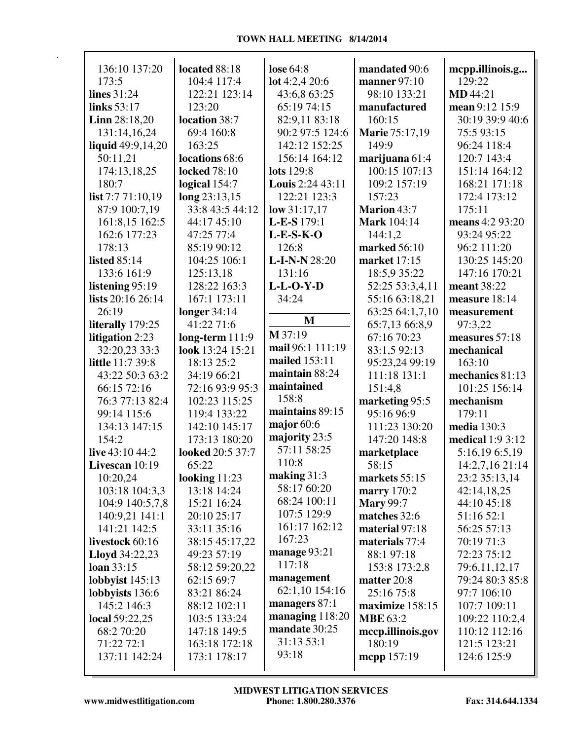| 136:10 137:20                  | located 88:18             | lose $64:8$                | mandated 90:6                  | mcpp.illinois.g            |
|--------------------------------|---------------------------|----------------------------|--------------------------------|----------------------------|
| 173:5                          | 104:4 117:4               | lot 4:2,4 20:6             | manner $97:10$                 | 129:22                     |
| lines 31:24                    | 122:21 123:14             | 43:6,8 63:25               | 98:10 133:21                   | <b>MD</b> 44:21            |
| links 53:17                    | 123:20                    | 65:19 74:15                | manufactured                   | mean 9:12 15:9             |
| Linn 28:18,20                  | location 38:7             | 82:9,11 83:18              | 160:15                         | 30:19 39:9 40:6            |
| 131:14,16,24                   | 69:4 160:8                | 90:2 97:5 124:6            | Marie 75:17,19                 | 75:593:15                  |
| liquid $49:9,14,20$            | 163:25                    | 142:12 152:25              | 149:9                          | 96:24 118:4                |
| 50:11,21                       | locations 68:6            | 156:14 164:12              | marijuana 61:4                 | 120:7 143:4                |
| 174:13,18,25                   | <b>locked</b> 78:10       | <b>lots</b> 129:8          | 100:15 107:13                  | 151:14 164:12              |
| 180:7                          | logical 154:7             | Louis 2:24 43:11           | 109:2 157:19                   | 168:21 171:18              |
| list 7:7 71:10,19              | long 23:13,15             | 122:21 123:3               | 157:23                         | 172:4 173:12               |
| 87:9 100:7,19                  | 33:8 43:5 44:12           | low $31:17,17$             | <b>Marion 43:7</b>             | 175:11                     |
| 161:8,15 162:5<br>162:6 177:23 | 44:17 45:10<br>47:25 77:4 | L-E-S 179:1<br>$L-E-S-K-O$ | <b>Mark</b> 104:14             | means 4:2 93:20            |
| 178:13                         | 85:19 90:12               | 126:8                      | 144:1,2<br><b>marked</b> 56:10 | 93:24 95:22<br>96:2 111:20 |
| <b>listed 85:14</b>            | 104:25 106:1              | <b>L-I-N-N28:20</b>        | <b>market</b> 17:15            | 130:25 145:20              |
| 133:6 161:9                    | 125:13,18                 | 131:16                     | 18:5,9 35:22                   | 147:16 170:21              |
| listening 95:19                | 128:22 163:3              | $L-L-O-Y-D$                | 52:25 53:3,4,11                | meant 38:22                |
| lists 20:16 26:14              | 167:1 173:11              | 34:24                      | 55:16 63:18,21                 | measure 18:14              |
| 26:19                          | longer $34:14$            |                            | 63:25 64:1,7,10                | measurement                |
| literally 179:25               | 41:22 71:6                | M                          | 65:7,13 66:8,9                 | 97:3,22                    |
| litigation 2:23                | long-term $111:9$         | M 37:19                    | 67:16 70:23                    | measures 57:18             |
| 32:20,23 33:3                  | look 13:24 15:21          | mail 96:1 111:19           | 83:1,5 92:13                   | mechanical                 |
| <b>little</b> 11:7 39:8        | 18:13 25:2                | mailed 153:11              | 95:23,24 99:19                 | 163:10                     |
| 43:22 50:3 63:2                | 34:19 66:21               | maintain 88:24             | 111:18 131:1                   | mechanics 81:13            |
| 66:15 72:16                    | 72:16 93:9 95:3           | maintained                 | 151:4,8                        | 101:25 156:14              |
| 76:3 77:13 82:4                | 102:23 115:25             | 158:8                      | marketing 95:5                 | mechanism                  |
| 99:14 115:6                    | 119:4 133:22              | maintains 89:15            | 95:16 96:9                     | 179:11                     |
| 134:13 147:15                  | 142:10 145:17             | major $60:6$               | 111:23 130:20                  | <b>media</b> 130:3         |
| 154:2                          | 173:13 180:20             | majority 23:5              | 147:20 148:8                   | <b>medical</b> 1:9 3:12    |
| live 43:10 44:2                | looked 20:5 37:7          | 57:11 58:25                | marketplace                    | 5:16,19 6:5,19             |
| Livescan 10:19                 | 65:22                     | 110:8                      | 58:15                          | 14:2,7,16 21:14            |
| 10:20,24                       | looking $11:23$           | making $31:3$              | markets 55:15                  | 23:2 35:13,14              |
| 103:18 104:3,3                 | 13:18 14:24               | 58:17 60:20                | marry 170:2                    | 42:14,18,25                |
| 104:9 140:5,7,8                | 15:21 16:24               | 68:24 100:11               | <b>Mary 99:7</b>               | 44:10 45:18                |
| 140:9,21 141:1                 | 20:10 25:17               | 107:5 129:9                | matches 32:6                   | 51:16 52:1                 |
| 141:21 142:5                   | 33:11 35:16               | 161:17 162:12              | material 97:18                 | 56:25 57:13                |
| livestock 60:16                | 38:15 45:17,22            | 167:23                     | materials 77:4                 | 70:19 71:3                 |
| <b>Lloyd</b> 34:22,23          | 49:23 57:19               | manage $93:21$             | 88:1 97:18                     | 72:23 75:12                |
| loan 33:15                     | 58:12 59:20,22            | 117:18                     | 153:8 173:2,8                  | 79:6,11,12,17              |
| lobbyist $145:13$              | 62:15 69:7                | management                 | matter 20:8                    | 79:24 80:3 85:8            |
| lobbyists 136:6                | 83:21 86:24               | 62:1,10 154:16             | 25:16 75:8                     | 97:7 106:10                |
| 145:2 146:3                    | 88:12 102:11              | managers 87:1              | maximize 158:15                | 107:7 109:11               |
| local 59:22,25                 | 103:5 133:24              | managing 118:20            | <b>MBE</b> 63:2                | 109:22 110:2,4             |
| 68:2 70:20                     | 147:18 149:5              | mandate 30:25              | mccp.illinois.gov              | 110:12 112:16              |
| 71:22 72:1                     | 163:18 172:18             | 31:13 53:1                 | 180:19                         | 121:5 123:21               |
| 137:11 142:24                  | 173:1 178:17              | 93:18                      | mcpp 157:19                    | 124:6 125:9                |
|                                |                           |                            |                                |                            |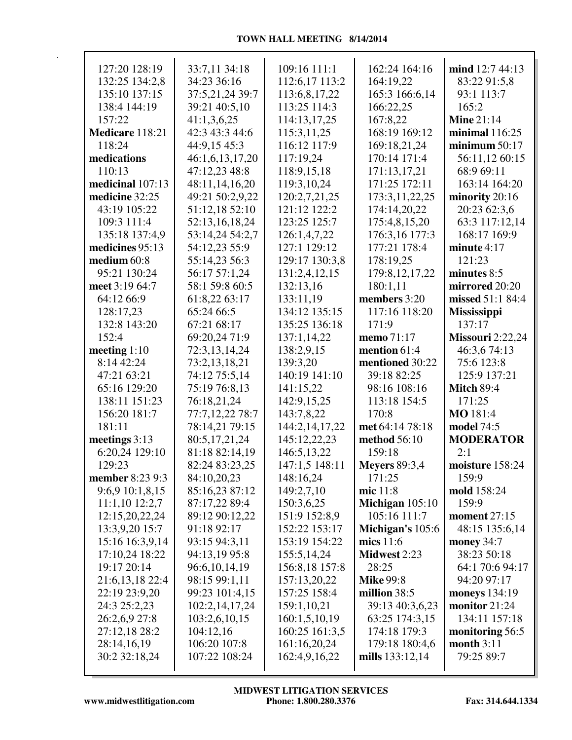| 127:20 128:19    | 33:7,11 34:18   | 109:16 111:1   | 162:24 164:16        | mind 12:7 44:13         |
|------------------|-----------------|----------------|----------------------|-------------------------|
| 132:25 134:2,8   | 34:23 36:16     | 112:6,17 113:2 | 164:19,22            | 83:22 91:5,8            |
| 135:10 137:15    | 37:5,21,24 39:7 | 113:6,8,17,22  | 165:3 166:6,14       | 93:1 113:7              |
| 138:4 144:19     | 39:21 40:5,10   | 113:25 114:3   | 166:22,25            | 165:2                   |
| 157:22           | 41:1,3,6,25     | 114:13,17,25   | 167:8,22             | <b>Mine 21:14</b>       |
| Medicare 118:21  | 42:3 43:3 44:6  | 115:3,11,25    | 168:19 169:12        | minimal $116:25$        |
| 118:24           | 44:9,15 45:3    | 116:12 117:9   | 169:18,21,24         | minimum $50:17$         |
| medications      | 46:1,6,13,17,20 | 117:19,24      | 170:14 171:4         | 56:11,12 60:15          |
| 110:13           | 47:12,23 48:8   | 118:9,15,18    | 171:13,17,21         | 68:9 69:11              |
| medicinal 107:13 | 48:11,14,16,20  | 119:3,10,24    | 171:25 172:11        | 163:14 164:20           |
| medicine 32:25   | 49:21 50:2,9,22 | 120:2,7,21,25  | 173:3,11,22,25       | minority 20:16          |
| 43:19 105:22     | 51:12,18 52:10  | 121:12 122:2   | 174:14,20,22         | 20:23 62:3,6            |
| 109:3 111:4      | 52:13,16,18,24  | 123:25 125:7   | 175:4,8,15,20        | 63:3 117:12,14          |
| 135:18 137:4,9   | 53:14,24 54:2,7 | 126:1,4,7,22   | 176:3,16 177:3       | 168:17 169:9            |
| medicines 95:13  | 54:12,23 55:9   | 127:1 129:12   | 177:21 178:4         | minute $4:17$           |
| medium 60:8      | 55:14,23 56:3   | 129:17 130:3,8 | 178:19,25            | 121:23                  |
| 95:21 130:24     | 56:17 57:1,24   | 131:2,4,12,15  | 179:8, 12, 17, 22    | minutes 8:5             |
| meet 3:19 64:7   | 58:1 59:8 60:5  | 132:13,16      | 180:1,11             | mirrored 20:20          |
| 64:12 66:9       | 61:8,22 63:17   | 133:11,19      | members 3:20         | missed 51:1 84:4        |
| 128:17,23        | 65:24 66:5      | 134:12 135:15  | 117:16 118:20        | <b>Mississippi</b>      |
| 132:8 143:20     | 67:21 68:17     | 135:25 136:18  | 171:9                | 137:17                  |
| 152:4            | 69:20,24 71:9   | 137:1,14,22    | memo 71:17           | <b>Missouri</b> 2:22,24 |
| meeting 1:10     | 72:3,13,14,24   | 138:2,9,15     | mention 61:4         | 46:3,674:13             |
| 8:14 42:24       | 73:2,13,18,21   | 139:3,20       | mentioned 30:22      | 75:6 123:8              |
| 47:21 63:21      | 74:12 75:5,14   | 140:19 141:10  | 39:18 82:25          | 125:9 137:21            |
| 65:16 129:20     | 75:19 76:8,13   | 141:15,22      | 98:16 108:16         | <b>Mitch 89:4</b>       |
| 138:11 151:23    | 76:18,21,24     | 142:9,15,25    | 113:18 154:5         | 171:25                  |
| 156:20 181:7     | 77:7,12,22 78:7 | 143:7,8,22     | 170:8                | MO 181:4                |
| 181:11           | 78:14,21 79:15  | 144:2,14,17,22 | met 64:14 78:18      | model 74:5              |
| meetings 3:13    | 80:5,17,21,24   | 145:12,22,23   | method 56:10         | <b>MODERATOR</b>        |
| 6:20,24 129:10   | 81:18 82:14,19  | 146:5,13,22    | 159:18               | 2:1                     |
| 129:23           | 82:24 83:23,25  | 147:1,5 148:11 | <b>Meyers</b> 89:3,4 | moisture 158:24         |
| member 8:23 9:3  | 84:10,20,23     | 148:16,24      | 171:25               | 159:9                   |
| 9:6,9 10:1,8,15  | 85:16,23 87:12  | 149:2,7,10     | mic 11:8             | mold 158:24             |
| 11:1,10 12:2,7   | 87:17,22 89:4   | 150:3,6,25     | Michigan $105:10$    | 159:9                   |
| 12:15,20,22,24   | 89:12 90:12,22  | 151:9 152:8,9  | 105:16 111:7         | <b>moment</b> 27:15     |
| 13:3,9,20 15:7   | 91:18 92:17     | 152:22 153:17  | Michigan's 105:6     | 48:15 135:6,14          |
| 15:16 16:3,9,14  | 93:15 94:3,11   | 153:19 154:22  | mics 11:6            | money 34:7              |
| 17:10,24 18:22   | 94:13,19 95:8   | 155:5,14,24    | Midwest 2:23         | 38:23 50:18             |
| 19:17 20:14      | 96:6,10,14,19   | 156:8,18 157:8 | 28:25                | 64:1 70:6 94:17         |
| 21:6,13,18 22:4  | 98:15 99:1,11   | 157:13,20,22   | <b>Mike 99:8</b>     | 94:20 97:17             |
| 22:19 23:9,20    | 99:23 101:4,15  | 157:25 158:4   | million 38:5         | <b>moneys</b> 134:19    |
| 24:3 25:2,23     | 102:2,14,17,24  | 159:1,10,21    | 39:13 40:3,6,23      | monitor 21:24           |
| 26:2,6,9 27:8    | 103:2,6,10,15   | 160:1,5,10,19  | 63:25 174:3,15       | 134:11 157:18           |
| 27:12,18 28:2    | 104:12,16       | 160:25 161:3,5 | 174:18 179:3         | monitoring 56:5         |
| 28:14,16,19      | 106:20 107:8    | 161:16,20,24   | 179:18 180:4,6       | month 3:11              |
| 30:2 32:18,24    | 107:22 108:24   | 162:4,9,16,22  | mills 133:12,14      | 79:25 89:7              |
|                  |                 |                |                      |                         |

Г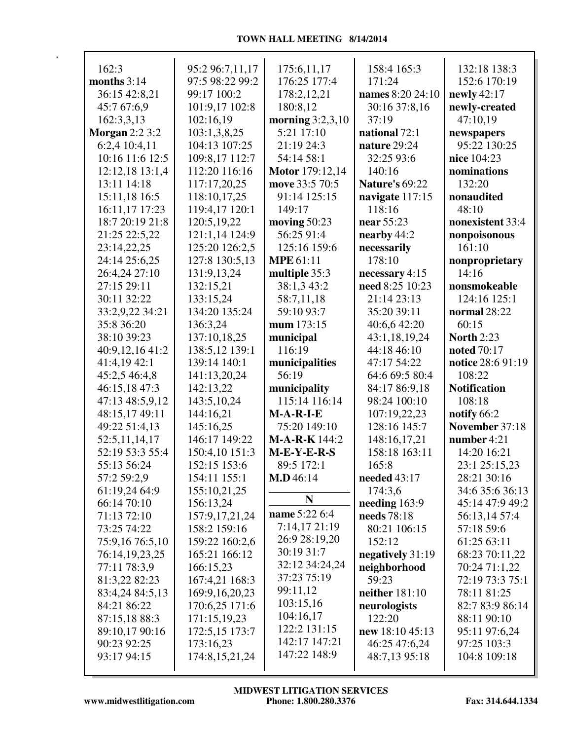| 162:3                 | 95:2 96:7,11,17                 | 175:6,11,17        | 158:4 165:3                     | 132:18 138:3               |
|-----------------------|---------------------------------|--------------------|---------------------------------|----------------------------|
| months $3:14$         | 97:5 98:22 99:2                 | 176:25 177:4       | 171:24                          | 152:6 170:19               |
| 36:15 42:8,21         | 99:17 100:2                     | 178:2,12,21        | names 8:20 24:10                | newly $42:17$              |
| 45:7 67:6,9           | 101:9,17 102:8                  | 180:8,12           | 30:16 37:8,16                   | newly-created              |
| 162:3,3,13            | 102:16,19                       | morning $3:2,3,10$ | 37:19                           | 47:10,19                   |
| <b>Morgan 2:2 3:2</b> | 103:1,3,8,25                    | 5:21 17:10         | national 72:1                   |                            |
| 6:2,4 10:4,11         | 104:13 107:25                   | 21:19 24:3         | nature 29:24                    | newspapers<br>95:22 130:25 |
| 10:16 11:6 12:5       |                                 | 54:14 58:1         | 32:25 93:6                      | nice 104:23                |
| 12:12,18 13:1,4       | 109:8,17 112:7<br>112:20 116:16 |                    |                                 |                            |
|                       |                                 | Motor 179:12,14    | 140:16<br><b>Nature's 69:22</b> | nominations<br>132:20      |
| 13:11 14:18           | 117:17,20,25                    | move 33:5 70:5     |                                 |                            |
| 15:11,18 16:5         | 118:10,17,25                    | 91:14 125:15       | navigate 117:15                 | nonaudited                 |
| 16:11,17 17:23        | 119:4,17 120:1                  | 149:17             | 118:16                          | 48:10                      |
| 18:7 20:19 21:8       | 120:5,19,22                     | moving $50:23$     | near 55:23                      | nonexistent 33:4           |
| 21:25 22:5,22         | 121:1,14 124:9                  | 56:25 91:4         | nearby 44:2                     | nonpoisonous               |
| 23:14,22,25           | 125:20 126:2,5                  | 125:16 159:6       | necessarily                     | 161:10                     |
| 24:14 25:6,25         | 127:8 130:5,13                  | <b>MPE</b> 61:11   | 178:10                          | nonproprietary             |
| 26:4,24 27:10         | 131:9,13,24                     | multiple 35:3      | necessary $4:15$                | 14:16                      |
| 27:15 29:11           | 132:15,21                       | 38:1,3 43:2        | need 8:25 10:23                 | nonsmokeable               |
| 30:11 32:22           | 133:15,24                       | 58:7,11,18         | 21:14 23:13                     | 124:16 125:1               |
| 33:2,9,22 34:21       | 134:20 135:24                   | 59:10 93:7         | 35:20 39:11                     | normal 28:22               |
| 35:8 36:20            | 136:3,24                        | mum 173:15         | 40:6,6 42:20                    | 60:15                      |
| 38:10 39:23           | 137:10,18,25                    | municipal          | 43:1,18,19,24                   | <b>North 2:23</b>          |
| 40:9,12,16 41:2       | 138:5,12 139:1                  | 116:19             | 44:18 46:10                     | <b>noted</b> 70:17         |
| 41:4,19 42:1          | 139:14 140:1                    | municipalities     | 47:17 54:22                     | notice 28:6 91:19          |
| 45:2,5 46:4,8         | 141:13,20,24                    | 56:19              | 64:6 69:5 80:4                  | 108:22                     |
| 46:15,18 47:3         | 142:13,22                       | municipality       | 84:17 86:9,18                   | <b>Notification</b>        |
| 47:13 48:5,9,12       | 143:5,10,24                     | 115:14 116:14      | 98:24 100:10                    | 108:18                     |
| 48:15,17 49:11        | 144:16,21                       | $M-A-R-I-E$        | 107:19,22,23                    | notify 66:2                |
| 49:22 51:4,13         | 145:16,25                       | 75:20 149:10       | 128:16 145:7                    | November 37:18             |
| 52:5,11,14,17         | 146:17 149:22                   | $M-A-R-K$ 144:2    | 148:16,17,21                    | number 4:21                |
| 52:19 53:3 55:4       | 150:4,10 151:3                  | $M-E-Y-E-R-S$      | 158:18 163:11                   | 14:20 16:21                |
| 55:13 56:24           | 152:15 153:6                    | 89:5 172:1         | 165:8                           | 23:1 25:15,23              |
| 57:2 59:2,9           | 154:11 155:1                    | M.D.46:14          | needed 43:17                    | 28:21 30:16                |
| 61:19,24 64:9         | 155:10,21,25                    |                    | 174:3,6                         | 34:6 35:6 36:13            |
| 66:14 70:10           | 156:13,24                       | $\mathbf N$        | needing 163:9                   | 45:14 47:9 49:2            |
| 71:13 72:10           | 157:9, 17, 21, 24               | name 5:22 6:4      | needs 78:18                     | 56:13,14 57:4              |
| 73:25 74:22           | 158:2 159:16                    | 7:14,17 21:19      | 80:21 106:15                    | 57:18 59:6                 |
| 75:9,16 76:5,10       | 159:22 160:2,6                  | 26:9 28:19,20      | 152:12                          | 61:25 63:11                |
| 76:14,19,23,25        | 165:21 166:12                   | 30:19 31:7         | negatively 31:19                | 68:23 70:11,22             |
| 77:11 78:3,9          | 166:15,23                       | 32:12 34:24,24     | neighborhood                    | 70:24 71:1,22              |
| 81:3,22 82:23         | 167:4,21 168:3                  | 37:23 75:19        | 59:23                           | 72:19 73:3 75:1            |
| 83:4,24 84:5,13       | 169:9, 16, 20, 23               | 99:11,12           | <b>neither</b> 181:10           | 78:11 81:25                |
| 84:21 86:22           | 170:6,25 171:6                  | 103:15,16          | neurologists                    | 82:7 83:9 86:14            |
| 87:15,18 88:3         | 171:15,19,23                    | 104:16,17          | 122:20                          | 88:11 90:10                |
| 89:10,17 90:16        | 172:5,15 173:7                  | 122:2 131:15       | new $18:1045:13$                | 95:11 97:6,24              |
| 90:23 92:25           | 173:16,23                       | 142:17 147:21      | 46:25 47:6,24                   | 97:25 103:3                |
| 93:17 94:15           | 174:8, 15, 21, 24               | 147:22 148:9       | 48:7,13 95:18                   | 104:8 109:18               |
|                       |                                 |                    |                                 |                            |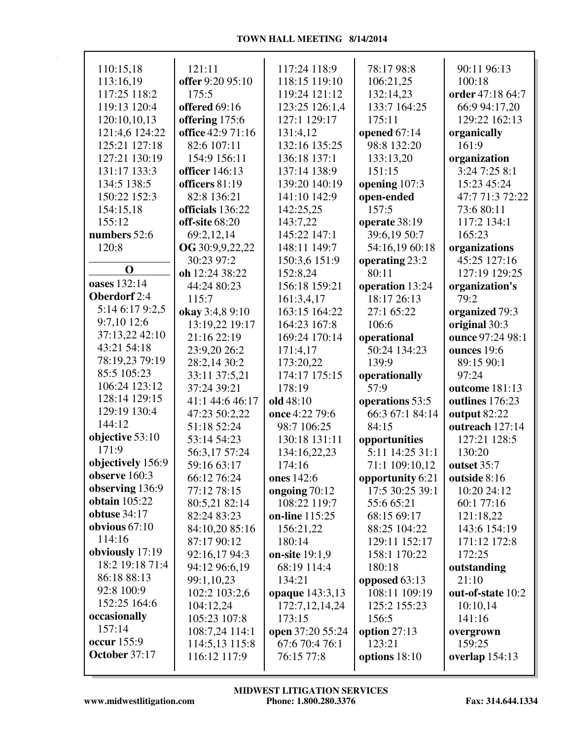| 110:15,18            | 121:11                | 117:24 118:9                | 78:17 98:8       | 90:11 96:13                       |
|----------------------|-----------------------|-----------------------------|------------------|-----------------------------------|
| 113:16,19            | offer 9:20 95:10      | 118:15 119:10               | 106:21,25        | 100:18                            |
| 117:25 118:2         | 175:5                 | 119:24 121:12               | 132:14,23        | order 47:18 64:7                  |
| 119:13 120:4         | offered 69:16         | 123:25 126:1,4              | 133:7 164:25     | 66:9 94:17,20                     |
| 120:10,10,13         | offering 175:6        | 127:1 129:17                | 175:11           | 129:22 162:13                     |
| 121:4,6 124:22       | office 42:9 71:16     | 131:4,12                    | opened $67:14$   | organically                       |
| 125:21 127:18        | 82:6 107:11           | 132:16 135:25               | 98:8 132:20      | 161:9                             |
| 127:21 130:19        | 154:9 156:11          | 136:18 137:1                | 133:13,20        | organization                      |
| 131:17 133:3         | <b>officer</b> 146:13 | 137:14 138:9                | 151:15           | 3:24 7:25 8:1                     |
| 134:5 138:5          | officers 81:19        | 139:20 140:19               | opening 107:3    | 15:23 45:24                       |
| 150:22 152:3         | 82:8 136:21           | 141:10 142:9                | open-ended       | 47:7 71:3 72:22                   |
| 154:15,18            | officials 136:22      | 142:25,25                   | 157:5            | 73:6 80:11                        |
| 155:12               | off-site 68:20        | 143:7,22                    | operate 38:19    | 117:2 134:1                       |
| numbers 52:6         | 69:2,12,14            | 145:22 147:1                | 39:6,19 50:7     | 165:23                            |
| 120:8                | OG 30:9,9,22,22       | 148:11 149:7                | 54:16,19 60:18   | organizations                     |
|                      | 30:23 97:2            | 150:3,6 151:9               | operating 23:2   | 45:25 127:16                      |
| $\mathbf 0$          | oh 12:24 38:22        | 152:8,24                    | 80:11            | 127:19 129:25                     |
| oases 132:14         | 44:24 80:23           | 156:18 159:21               | operation 13:24  | organization's                    |
| Oberdorf 2:4         | 115:7                 |                             | 18:17 26:13      | 79:2                              |
| 5:14 6:17 9:2,5      | okay 3:4,8 9:10       | 161:3,4,17<br>163:15 164:22 | 27:1 65:22       |                                   |
| 9:7,10 12:6          |                       | 164:23 167:8                | 106:6            | organized 79:3                    |
| 37:13,22 42:10       | 13:19,22 19:17        | 169:24 170:14               |                  | original 30:3<br>ounce 97:24 98:1 |
| 43:21 54:18          | 21:16 22:19           |                             | operational      |                                   |
| 78:19,23 79:19       | 23:9,20 26:2          | 171:4,17                    | 50:24 134:23     | ounces 19:6                       |
| 85:5 105:23          | 28:2,14 30:2          | 173:20,22                   | 139:9            | 89:15 90:1                        |
| 106:24 123:12        | 33:11 37:5,21         | 174:17 175:15               | operationally    | 97:24                             |
| 128:14 129:15        | 37:24 39:21           | 178:19                      | 57:9             | outcome 181:13                    |
| 129:19 130:4         | 41:1 44:6 46:17       | old 48:10                   | operations 53:5  | outlines 176:23                   |
| 144:12               | 47:23 50:2,22         | once 4:22 79:6              | 66:3 67:1 84:14  | output 82:22                      |
| objective 53:10      | 51:18 52:24           | 98:7 106:25                 | 84:15            | outreach 127:14                   |
| 171:9                | 53:14 54:23           | 130:18 131:11               | opportunities    | 127:21 128:5                      |
| objectively 156:9    | 56:3,17 57:24         | 134:16,22,23                | 5:11 14:25 31:1  | 130:20                            |
| observe $160:3$      | 59:16 63:17           | 174:16                      | 71:1 109:10,12   | outset 35:7                       |
| observing 136:9      | 66:12 76:24           | ones 142:6                  | opportunity 6:21 | outside 8:16                      |
| <b>obtain</b> 105:22 | 77:12 78:15           | ongoing 70:12               | 17:5 30:25 39:1  | 10:20 24:12                       |
| <b>obtuse</b> 34:17  | 80:5,21 82:14         | 108:22 119:7                | 55:6 65:21       | 60:1 77:16                        |
| obvious $67:10$      | 82:24 83:23           | on-line 115:25              | 68:15 69:17      | 121:18,22                         |
| 114:16               | 84:10,20 85:16        | 156:21,22                   | 88:25 104:22     | 143:6 154:19                      |
|                      | 87:17 90:12           | 180:14                      | 129:11 152:17    | 171:12 172:8                      |
| obviously 17:19      | 92:16,17 94:3         | on-site 19:1,9              | 158:1 170:22     | 172:25                            |
| 18:2 19:18 71:4      | 94:12 96:6,19         | 68:19 114:4                 | 180:18           | outstanding                       |
| 86:18 88:13          | 99:1,10,23            | 134:21                      | opposed 63:13    | 21:10                             |
| 92:8 100:9           | 102:2 103:2,6         | opaque 143:3,13             | 108:11 109:19    | out-of-state 10:2                 |
| 152:25 164:6         | 104:12,24             | 172:7,12,14,24              | 125:2 155:23     | 10:10,14                          |
| occasionally         | 105:23 107:8          | 173:15                      | 156:5            | 141:16                            |
| 157:14               | 108:7,24 114:1        | open 37:20 55:24            | option $27:13$   | overgrown                         |
| occur 155:9          | 114:5,13 115:8        | 67:6 70:4 76:1              | 123:21           | 159:25                            |
| October 37:17        | 116:12 117:9          | 76:15 77:8                  | options $18:10$  | overlap $154:13$                  |
|                      |                       |                             |                  |                                   |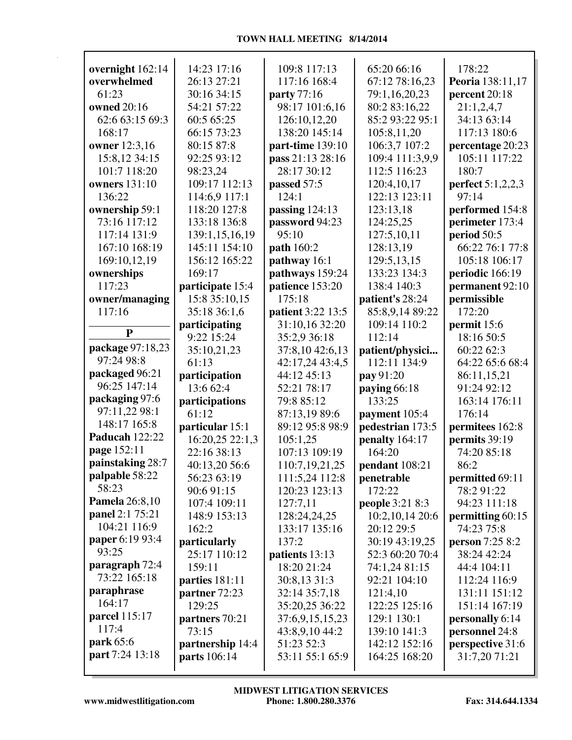|                                 | 14:23 17:16         | 109:8 117:13       | 65:20 66:16      | 178:22                 |
|---------------------------------|---------------------|--------------------|------------------|------------------------|
| overnight 162:14<br>overwhelmed |                     |                    |                  |                        |
|                                 | 26:13 27:21         | 117:16 168:4       | 67:12 78:16,23   | Peoria 138:11,17       |
| 61:23                           | 30:16 34:15         | <b>party</b> 77:16 | 79:1,16,20,23    | percent 20:18          |
| owned 20:16                     | 54:21 57:22         | 98:17 101:6,16     | 80:2 83:16,22    | 21:1,2,4,7             |
| 62:6 63:15 69:3                 | 60:5 65:25          | 126:10,12,20       | 85:2 93:22 95:1  | 34:13 63:14            |
| 168:17                          | 66:15 73:23         | 138:20 145:14      | 105:8,11,20      | 117:13 180:6           |
| owner 12:3,16                   | 80:15 87:8          | part-time 139:10   | 106:3,7 107:2    | percentage 20:23       |
| 15:8,12 34:15                   | 92:25 93:12         | pass 21:13 28:16   | 109:4 111:3,9,9  | 105:11 117:22          |
| 101:7 118:20                    | 98:23,24            | 28:17 30:12        | 112:5 116:23     | 180:7                  |
| <b>owners</b> 131:10            | 109:17 112:13       | passed 57:5        | 120:4,10,17      | perfect 5:1,2,2,3      |
| 136:22                          | 114:6,9 117:1       | 124:1              | 122:13 123:11    | 97:14                  |
| ownership 59:1                  | 118:20 127:8        | passing $124:13$   | 123:13,18        | performed 154:8        |
| 73:16 117:12                    | 133:18 136:8        | password 94:23     | 124:25,25        | perimeter 173:4        |
| 117:14 131:9                    | 139:1,15,16,19      | 95:10              | 127:5,10,11      | period 50:5            |
| 167:10 168:19                   | 145:11 154:10       | path 160:2         | 128:13,19        | 66:22 76:1 77:8        |
| 169:10,12,19                    | 156:12 165:22       | pathway 16:1       | 129:5,13,15      | 105:18 106:17          |
| ownerships                      | 169:17              | pathways 159:24    | 133:23 134:3     | periodic 166:19        |
| 117:23                          | participate 15:4    | patience 153:20    | 138:4 140:3      | permanent 92:10        |
| owner/managing                  | 15:8 35:10,15       | 175:18             | patient's 28:24  | permissible            |
| 117:16                          | 35:18 36:1,6        | patient 3:22 13:5  | 85:8,9,14 89:22  | 172:20                 |
| $\mathbf{P}$                    | participating       | 31:10,16 32:20     | 109:14 110:2     | permit 15:6            |
|                                 | 9:22 15:24          | 35:2,9 36:18       | 112:14           | 18:16 50:5             |
| package 97:18,23<br>97:24 98:8  | 35:10,21,23         | 37:8,10 42:6,13    | patient/physici  | 60:22 62:3             |
|                                 | 61:13               | 42:17,24 43:4,5    | 112:11 134:9     | 64:22 65:6 68:4        |
| packaged 96:21<br>96:25 147:14  | participation       | 44:12 45:13        | pay 91:20        | 86:11,15,21            |
| packaging 97:6                  | 13:6 62:4           | 52:21 78:17        | paying 66:18     | 91:24 92:12            |
| 97:11,22 98:1                   | participations      | 79:8 85:12         | 133:25           | 163:14 176:11          |
| 148:17 165:8                    | 61:12               | 87:13,19 89:6      | payment 105:4    | 176:14                 |
| Paducah 122:22                  | particular 15:1     | 89:12 95:8 98:9    | pedestrian 173:5 | permitees 162:8        |
| page 152:11                     | 16:20,25 22:1,3     | 105:1,25           | penalty 164:17   | permits 39:19          |
| painstaking 28:7                | 22:16 38:13         | 107:13 109:19      | 164:20           | 74:20 85:18            |
| palpable 58:22                  | 40:13,20 56:6       | 110:7,19,21,25     | pendant 108:21   | 86:2                   |
| 58:23                           | 56:23 63:19         | 111:5,24 112:8     | penetrable       | permitted 69:11        |
| <b>Pamela</b> 26:8,10           | 90:6 91:15          | 120:23 123:13      | 172:22           | 78:2 91:22             |
| panel 2:1 75:21                 | 107:4 109:11        | 127:7,11           | people 3:21 8:3  | 94:23 111:18           |
| 104:21 116:9                    | 148:9 153:13        | 128:24,24,25       | 10:2,10,14 20:6  | permitting 60:15       |
| paper 6:19 93:4                 | 162:2               | 133:17 135:16      | 20:12 29:5       | 74:23 75:8             |
| 93:25                           | particularly        | 137:2              | 30:19 43:19,25   | <b>person</b> 7:25 8:2 |
| paragraph 72:4                  | 25:17 110:12        | patients 13:13     | 52:3 60:20 70:4  | 38:24 42:24            |
| 73:22 165:18                    | 159:11              | 18:20 21:24        | 74:1,24 81:15    | 44:4 104:11            |
| paraphrase                      | parties 181:11      | 30:8,13 31:3       | 92:21 104:10     | 112:24 116:9           |
| 164:17                          | partner 72:23       | 32:14 35:7,18      | 121:4,10         | 131:11 151:12          |
| parcel 115:17                   | 129:25              | 35:20,25 36:22     | 122:25 125:16    | 151:14 167:19          |
| 117:4                           | partners 70:21      | 37:6,9,15,15,23    | 129:1 130:1      | personally 6:14        |
| park 65:6                       | 73:15               | 43:8,9,10 44:2     | 139:10 141:3     | personnel 24:8         |
| part 7:24 13:18                 | partnership 14:4    | 51:23 52:3         | 142:12 152:16    | perspective 31:6       |
|                                 | <b>parts</b> 106:14 | 53:11 55:1 65:9    | 164:25 168:20    | 31:7,20 71:21          |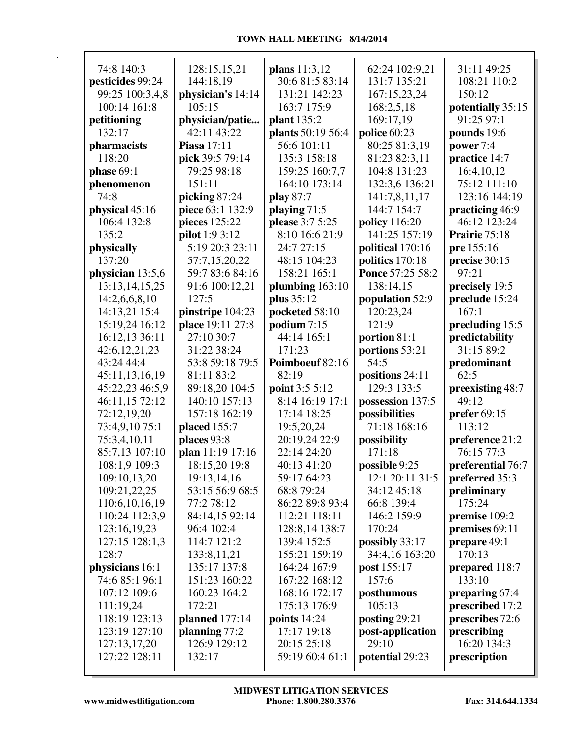## **TOWN HALL MEETING 8/14/2014**

| 74:8 140:3        | 128:15,15,21       | plans 11:3,12     | 62:24 102:9,21                        | 31:11 49:25       |
|-------------------|--------------------|-------------------|---------------------------------------|-------------------|
| pesticides 99:24  | 144:18,19          | 30:6 81:5 83:14   | 131:7 135:21                          | 108:21 110:2      |
| 99:25 100:3,4,8   | physician's 14:14  | 131:21 142:23     | 167:15,23,24                          | 150:12            |
| 100:14 161:8      | 105:15             | 163:7 175:9       | 168:2,5,18                            | potentially 35:15 |
| petitioning       | physician/patie    | plant 135:2       | 169:17,19                             | 91:25 97:1        |
| 132:17            | 42:11 43:22        | plants 50:19 56:4 | police 60:23                          | pounds 19:6       |
| pharmacists       | <b>Piasa</b> 17:11 | 56:6 101:11       | 80:25 81:3,19                         | power 7:4         |
| 118:20            | pick 39:5 79:14    | 135:3 158:18      | 81:23 82:3,11                         | practice 14:7     |
| phase 69:1        | 79:25 98:18        | 159:25 160:7,7    | 104:8 131:23                          | 16:4,10,12        |
| phenomenon        | 151:11             | 164:10 173:14     | 132:3,6 136:21                        | 75:12 111:10      |
| 74:8              | picking 87:24      | play 87:7         | 141:7,8,11,17                         | 123:16 144:19     |
| physical 45:16    | piece 63:1 132:9   | playing $71:5$    | 144:7 154:7                           | practicing 46:9   |
| 106:4 132:8       | pieces 125:22      | please 3:7 5:25   |                                       | 46:12 123:24      |
| 135:2             |                    |                   | <b>policy</b> 116:20<br>141:25 157:19 | Prairie 75:18     |
|                   | pilot 1:9 3:12     | 8:10 16:6 21:9    |                                       |                   |
| physically        | 5:19 20:3 23:11    | 24:7 27:15        | political 170:16                      | pre 155:16        |
| 137:20            | 57:7,15,20,22      | 48:15 104:23      | politics 170:18                       | precise 30:15     |
| physician 13:5,6  | 59:7 83:6 84:16    | 158:21 165:1      | Ponce 57:25 58:2                      | 97:21             |
| 13:13, 14, 15, 25 | 91:6 100:12,21     | plumbing $163:10$ | 138:14,15                             | precisely 19:5    |
| 14:2,6,6,8,10     | 127:5              | plus 35:12        | population 52:9                       | preclude 15:24    |
| 14:13,21 15:4     | pinstripe 104:23   | pocketed 58:10    | 120:23,24                             | 167:1             |
| 15:19,24 16:12    | place 19:11 27:8   | podium 7:15       | 121:9                                 | precluding 15:5   |
| 16:12,13 36:11    | 27:10 30:7         | 44:14 165:1       | portion 81:1                          | predictability    |
| 42:6,12,21,23     | 31:22 38:24        | 171:23            | portions 53:21                        | 31:15 89:2        |
| 43:24 44:4        | 53:8 59:18 79:5    | Poimboeuf 82:16   | 54:5                                  | predominant       |
| 45:11,13,16,19    | 81:11 83:2         | 82:19             | positions 24:11                       | 62:5              |
| 45:22,23 46:5,9   | 89:18,20 104:5     | point 3:5 5:12    | 129:3 133:5                           | preexisting 48:7  |
| 46:11,15 72:12    | 140:10 157:13      | 8:14 16:19 17:1   | possession 137:5                      | 49:12             |
| 72:12,19,20       | 157:18 162:19      | 17:14 18:25       | possibilities                         | prefer 69:15      |
| 73:4,9,10 75:1    | placed 155:7       | 19:5,20,24        | 71:18 168:16                          | 113:12            |
| 75:3,4,10,11      | places 93:8        | 20:19,24 22:9     | possibility                           | preference 21:2   |
| 85:7,13 107:10    | plan 11:19 17:16   | 22:14 24:20       | 171:18                                | 76:15 77:3        |
| 108:1,9 109:3     | 18:15,20 19:8      | 40:13 41:20       | possible 9:25                         | preferential 76:7 |
| 109:10,13,20      | 19:13,14,16        | 59:17 64:23       | 12:1 20:11 31:5                       | preferred 35:3    |
| 109:21,22,25      | 53:15 56:9 68:5    | 68:8 79:24        | 34:12 45:18                           | preliminary       |
| 110:6,10,16,19    | 77:2 78:12         | 86:22 89:8 93:4   | 66:8 139:4                            | 175:24            |
| 110:24 112:3,9    | 84:14,15 92:14     | 112:21 118:11     | 146:2 159:9                           | premise 109:2     |
| 123:16,19,23      | 96:4 102:4         | 128:8,14 138:7    | 170:24                                | premises 69:11    |
| 127:15 128:1,3    | 114:7 121:2        | 139:4 152:5       | possibly 33:17                        | prepare 49:1      |
| 128:7             | 133:8,11,21        | 155:21 159:19     | 34:4,16 163:20                        | 170:13            |
| physicians 16:1   | 135:17 137:8       | 164:24 167:9      | post 155:17                           | prepared 118:7    |
| 74:6 85:1 96:1    | 151:23 160:22      | 167:22 168:12     | 157:6                                 | 133:10            |
| 107:12 109:6      | 160:23 164:2       | 168:16 172:17     | posthumous                            | preparing 67:4    |
| 111:19,24         | 172:21             | 175:13 176:9      | 105:13                                | prescribed 17:2   |
| 118:19 123:13     | planned 177:14     | points $14:24$    | posting 29:21                         | prescribes 72:6   |
| 123:19 127:10     | planning $77:2$    | 17:17 19:18       | post-application                      | prescribing       |
| 127:13,17,20      | 126:9 129:12       | 20:15 25:18       | 29:10                                 | 16:20 134:3       |
| 127:22 128:11     | 132:17             | 59:19 60:4 61:1   | potential 29:23                       | prescription      |
|                   |                    |                   |                                       |                   |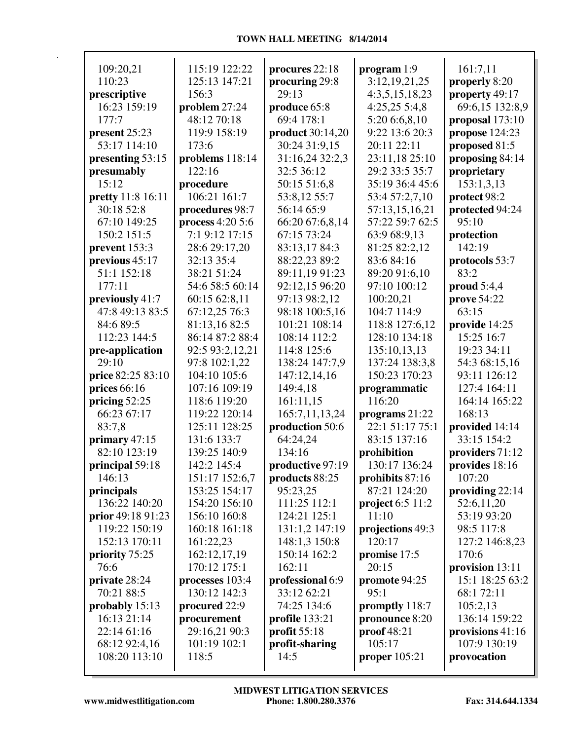| 109:20,21                | 115:19 122:22    | procures 22:18          | program 1:9        | 161:7,11          |
|--------------------------|------------------|-------------------------|--------------------|-------------------|
| 110:23                   | 125:13 147:21    | procuring 29:8          | 3:12,19,21,25      | properly 8:20     |
| prescriptive             | 156:3            | 29:13                   | 4:3,5,15,18,23     | property 49:17    |
| 16:23 159:19             | problem 27:24    | produce 65:8            | 4:25,255:3,8       | 69:6,15 132:8,9   |
| 177:7                    | 48:12 70:18      | 69:4 178:1              | 5:20 6:6,8,10      | proposal 173:10   |
| present 25:23            | 119:9 158:19     | <b>product</b> 30:14,20 | 9:22 13:6 20:3     | propose 124:23    |
| 53:17 114:10             | 173:6            | 30:24 31:9,15           | 20:11 22:11        | proposed 81:5     |
| presenting 53:15         | problems 118:14  | 31:16,24 32:2,3         | 23:11,18 25:10     | proposing 84:14   |
| presumably               | 122:16           | 32:5 36:12              | 29:2 33:5 35:7     | proprietary       |
| 15:12                    | procedure        | 50:15 51:6,8            | 35:19 36:4 45:6    | 153:1,3,13        |
| <b>pretty</b> 11:8 16:11 | 106:21 161:7     | 53:8,12 55:7            | 53:4 57:2,7,10     | protect 98:2      |
| 30:18 52:8               | procedures 98:7  | 56:14 65:9              | 57:13,15,16,21     | protected 94:24   |
| 67:10 149:25             | process 4:20 5:6 | 66:20 67:6,8,14         | 57:22 59:7 62:5    | 95:10             |
| 150:2 151:5              | 7:1 9:12 17:15   | 67:15 73:24             | 63:9 68:9,13       | protection        |
| prevent 153:3            | 28:6 29:17,20    | 83:13,17 84:3           | 81:25 82:2,12      | 142:19            |
| previous 45:17           | 32:13 35:4       | 88:22,23 89:2           | 83:6 84:16         | protocols 53:7    |
| 51:1 152:18              | 38:21 51:24      | 89:11,19 91:23          | 89:20 91:6,10      | 83:2              |
| 177:11                   | 54:6 58:5 60:14  | 92:12,15 96:20          | 97:10 100:12       | proud $5:4,4$     |
| previously 41:7          | 60:15 62:8,11    | 97:13 98:2,12           | 100:20,21          | prove 54:22       |
| 47:8 49:13 83:5          | 67:12,25 76:3    | 98:18 100:5,16          | 104:7 114:9        | 63:15             |
| 84:6 89:5                | 81:13,16 82:5    | 101:21 108:14           | 118:8 127:6,12     | provide 14:25     |
| 112:23 144:5             | 86:14 87:2 88:4  | 108:14 112:2            | 128:10 134:18      | 15:25 16:7        |
| pre-application          | 92:5 93:2,12,21  | 114:8 125:6             | 135:10,13,13       | 19:23 34:11       |
| 29:10                    | 97:8 102:1,22    | 138:24 147:7,9          | 137:24 138:3,8     | 54:3 68:15,16     |
| price 82:25 83:10        | 104:10 105:6     | 147:12,14,16            | 150:23 170:23      | 93:11 126:12      |
| prices $66:16$           | 107:16 109:19    | 149:4,18                | programmatic       | 127:4 164:11      |
| pricing $52:25$          | 118:6 119:20     | 161:11,15               | 116:20             | 164:14 165:22     |
| 66:23 67:17              | 119:22 120:14    | 165:7,11,13,24          | programs $21:22$   | 168:13            |
| 83:7,8                   | 125:11 128:25    | production 50:6         | 22:1 51:17 75:1    | provided 14:14    |
| primary $47:15$          | 131:6 133:7      | 64:24,24                | 83:15 137:16       | 33:15 154:2       |
| 82:10 123:19             | 139:25 140:9     | 134:16                  | prohibition        | providers 71:12   |
| principal 59:18          | 142:2 145:4      | productive 97:19        | 130:17 136:24      | provides 18:16    |
| 146:13                   | 151:17 152:6,7   | products 88:25          | prohibits 87:16    | 107:20            |
| principals               | 153:25 154:17    | 95:23,25                | 87:21 124:20       | providing $22:14$ |
| 136:22 140:20            | 154:20 156:10    | 111:25 112:1            | project $6:5$ 11:2 | 52:6,11,20        |
| <b>prior</b> 49:18 91:23 | 156:10 160:8     | 124:21 125:1            | 11:10              | 53:19 93:20       |
| 119:22 150:19            | 160:18 161:18    | 131:1,2 147:19          | projections 49:3   | 98:5 117:8        |
| 152:13 170:11            | 161:22,23        | 148:1,3 150:8           | 120:17             | 127:2 146:8,23    |
| priority 75:25           | 162:12,17,19     | 150:14 162:2            | promise 17:5       | 170:6             |
| 76:6                     | 170:12 175:1     | 162:11                  | 20:15              | provision 13:11   |
| private 28:24            | processes 103:4  | professional 6:9        | promote 94:25      | 15:1 18:25 63:2   |
| 70:21 88:5               | 130:12 142:3     | 33:12 62:21             | 95:1               | 68:1 72:11        |
| probably 15:13           | procured 22:9    | 74:25 134:6             | promptly 118:7     | 105:2,13          |
| 16:13 21:14              | procurement      | profile 133:21          | pronounce 8:20     | 136:14 159:22     |
| 22:14 61:16              | 29:16,21 90:3    | profit $55:18$          | proof 48:21        | provisions 41:16  |
| 68:12 92:4,16            | 101:19 102:1     | profit-sharing          | 105:17             | 107:9 130:19      |
| 108:20 113:10            | 118:5            | 14:5                    | proper $105:21$    | provocation       |
|                          |                  |                         |                    |                   |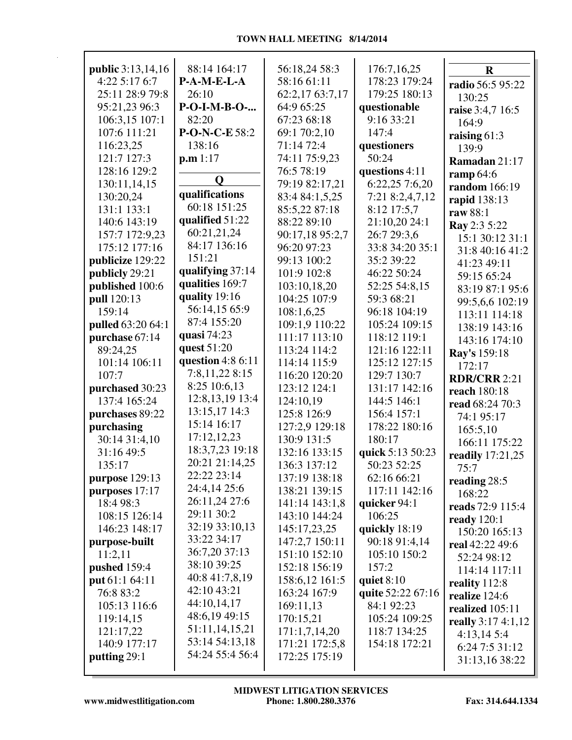| <b>public</b> 3:13,14,16 | 88:14 164:17       | 56:18,24 58:3   | 176:7,16,25       | $\mathbf R$         |
|--------------------------|--------------------|-----------------|-------------------|---------------------|
| 4:22 5:17 6:7            | P-A-M-E-L-A        | 58:16 61:11     | 178:23 179:24     | radio 56:5 95:22    |
| 25:11 28:9 79:8          | 26:10              | 62:2,17 63:7,17 | 179:25 180:13     | 130:25              |
| 95:21,23 96:3            | P-O-I-M-B-O-       | 64:9 65:25      | questionable      | raise 3:4,7 16:5    |
| 106:3,15 107:1           | 82:20              | 67:23 68:18     | 9:16 33:21        | 164:9               |
| 107:6 111:21             | P-O-N-C-E 58:2     | 69:1 70:2,10    | 147:4             | raising $61:3$      |
| 116:23,25                | 138:16             | 71:14 72:4      | questioners       | 139:9               |
| 121:7 127:3              | p.m 1:17           | 74:11 75:9,23   | 50:24             | Ramadan 21:17       |
| 128:16 129:2             |                    | 76:5 78:19      | questions 4:11    | ramp 64:6           |
| 130:11,14,15             | Q                  | 79:19 82:17,21  | 6:22,25 7:6,20    | random 166:19       |
| 130:20,24                | qualifications     | 83:4 84:1,5,25  | 7:21 8:2,4,7,12   | rapid 138:13        |
| 131:1 133:1              | 60:18 151:25       | 85:5,22 87:18   | 8:12 17:5,7       | raw 88:1            |
| 140:6 143:19             | qualified 51:22    | 88:22 89:10     | 21:10,20 24:1     | Ray 2:3 5:22        |
| 157:7 172:9,23           | 60:21,21,24        | 90:17,18 95:2,7 | 26:7 29:3,6       | 15:1 30:12 31:1     |
| 175:12 177:16            | 84:17 136:16       | 96:20 97:23     | 33:8 34:20 35:1   | 31:8 40:16 41:2     |
| publicize 129:22         | 151:21             | 99:13 100:2     | 35:2 39:22        | 41:23 49:11         |
| publicly 29:21           | qualifying 37:14   | 101:9 102:8     | 46:22 50:24       | 59:15 65:24         |
| published 100:6          | qualities 169:7    | 103:10,18,20    | 52:25 54:8,15     | 83:19 87:1 95:6     |
| pull 120:13              | quality 19:16      | 104:25 107:9    | 59:3 68:21        | 99:5,6,6 102:19     |
| 159:14                   | 56:14,15 65:9      | 108:1,6,25      | 96:18 104:19      | 113:11 114:18       |
| <b>pulled</b> 63:20 64:1 | 87:4 155:20        | 109:1,9 110:22  | 105:24 109:15     | 138:19 143:16       |
| purchase 67:14           | quasi 74:23        | 111:17 113:10   | 118:12 119:1      | 143:16 174:10       |
| 89:24,25                 | quest 51:20        | 113:24 114:2    | 121:16 122:11     | Ray's 159:18        |
| 101:14 106:11            | question $4:86:11$ | 114:14 115:9    | 125:12 127:15     | 172:17              |
| 107:7                    | 7:8,11,22 8:15     | 116:20 120:20   | 129:7 130:7       | <b>RDR/CRR 2:21</b> |
| purchased 30:23          | 8:25 10:6,13       | 123:12 124:1    | 131:17 142:16     | reach 180:18        |
| 137:4 165:24             | 12:8, 13, 19 13:4  | 124:10,19       | 144:5 146:1       | read 68:24 70:3     |
| purchases 89:22          | 13:15,17 14:3      | 125:8 126:9     | 156:4 157:1       | 74:1 95:17          |
| purchasing               | 15:14 16:17        | 127:2,9 129:18  | 178:22 180:16     | 165:5,10            |
| 30:14 31:4,10            | 17:12,12,23        | 130:9 131:5     | 180:17            | 166:11 175:22       |
| 31:16 49:5               | 18:3,7,23 19:18    | 132:16 133:15   | quick 5:13 50:23  | readily 17:21,25    |
| 135:17                   | 20:21 21:14,25     | 136:3 137:12    | 50:23 52:25       | 75:7                |
| purpose 129:13           | 22:22 23:14        | 137:19 138:18   | 62:16 66:21       | reading 28:5        |
| purposes 17:17           | 24:4,14 25:6       | 138:21 139:15   | 117:11 142:16     | 168:22              |
| 18:4 98:3                | 26:11,24 27:6      | 141:14 143:1,8  | quicker $94:1$    | reads 72:9 115:4    |
| 108:15 126:14            | 29:11 30:2         | 143:10 144:24   | 106:25            | ready $120:1$       |
| 146:23 148:17            | 32:19 33:10,13     | 145:17,23,25    | quickly 18:19     | 150:20 165:13       |
| purpose-built            | 33:22 34:17        | 147:2,7 150:11  | 90:18 91:4,14     | real 42:22 49:6     |
| 11:2,11                  | 36:7,20 37:13      | 151:10 152:10   | 105:10 150:2      | 52:24 98:12         |
| pushed 159:4             | 38:10 39:25        | 152:18 156:19   | 157:2             | 114:14 117:11       |
| put 61:1 64:11           | 40:8 41:7,8,19     | 158:6,12 161:5  | quiet $8:10$      | reality 112:8       |
| 76:8 83:2                | 42:10 43:21        | 163:24 167:9    | quite 52:22 67:16 | realize 124:6       |
| 105:13 116:6             | 44:10,14,17        | 169:11,13       | 84:1 92:23        | realized 105:11     |
| 119:14,15                | 48:6,19 49:15      | 170:15,21       | 105:24 109:25     | really 3:17 4:1,12  |
| 121:17,22                | 51:11,14,15,21     | 171:1,7,14,20   | 118:7 134:25      | 4:13,145:4          |
| 140:9 177:17             | 53:14 54:13,18     | 171:21 172:5,8  | 154:18 172:21     | 6:24 7:5 31:12      |
| putting 29:1             | 54:24 55:4 56:4    | 172:25 175:19   |                   | 31:13,16 38:22      |
|                          |                    |                 |                   |                     |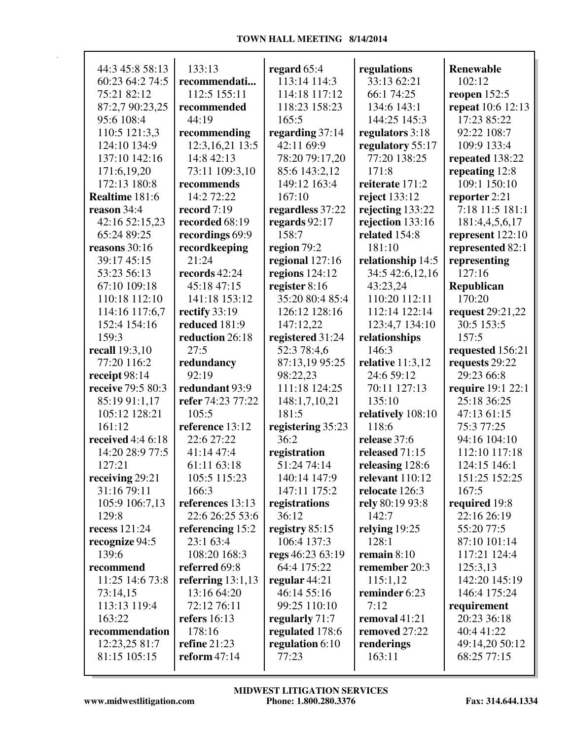| 44:3 45:8 58:13                  | 133:13                        | regard 65:4                  | regulations                        | <b>Renewable</b>           |
|----------------------------------|-------------------------------|------------------------------|------------------------------------|----------------------------|
| 60:23 64:2 74:5                  | recommendati                  | 113:14 114:3                 | 33:13 62:21                        | 102:12                     |
| 75:21 82:12                      | 112:5 155:11                  | 114:18 117:12                | 66:1 74:25                         | reopen $152:5$             |
| 87:2,7 90:23,25                  | recommended                   | 118:23 158:23                | 134:6 143:1                        | repeat 10:6 12:13          |
| 95:6 108:4                       | 44:19                         | 165:5                        | 144:25 145:3                       | 17:23 85:22                |
| 110:5 121:3,3                    | recommending                  | regarding $37:14$            | regulators 3:18                    | 92:22 108:7                |
| 124:10 134:9                     | 12:3, 16, 21 13:5             | 42:11 69:9                   | regulatory 55:17                   | 109:9 133:4                |
| 137:10 142:16                    | 14:8 42:13                    | 78:20 79:17,20               | 77:20 138:25                       | repeated 138:22            |
| 171:6,19,20                      | 73:11 109:3,10                | 85:6 143:2,12                | 171:8                              | repeating 12:8             |
| 172:13 180:8                     | recommends                    | 149:12 163:4                 | reiterate 171:2                    | 109:1 150:10               |
| Realtime 181:6                   | 14:2 72:22                    | 167:10                       | reject 133:12                      | reporter 2:21              |
| reason 34:4                      | record 7:19                   | regardless 37:22             | rejecting 133:22                   | 7:18 11:5 181:1            |
| 42:16 52:15,23                   | recorded 68:19                | regards 92:17                | rejection 133:16                   | 181:4,4,5,6,17             |
| 65:24 89:25                      | recordings 69:9               | 158:7                        | related 154:8                      | represent $122:10$         |
| reasons $30:16$                  | recordkeeping                 | region 79:2                  | 181:10                             | represented 82:1           |
| 39:17 45:15                      | 21:24                         | regional 127:16              | relationship 14:5                  | representing               |
| 53:23 56:13                      | records 42:24                 | regions $124:12$             | 34:5 42:6,12,16                    | 127:16                     |
| 67:10 109:18                     | 45:18 47:15                   | register 8:16                | 43:23,24                           | Republican                 |
| 110:18 112:10                    | 141:18 153:12                 | 35:20 80:4 85:4              | 110:20 112:11                      | 170:20                     |
| 114:16 117:6,7                   | rectify 33:19                 | 126:12 128:16                | 112:14 122:14                      | request 29:21,22           |
| 152:4 154:16                     | reduced 181:9                 | 147:12,22                    | 123:4,7 134:10                     | 30:5 153:5                 |
| 159:3                            | reduction 26:18               | registered 31:24             | relationships                      | 157:5                      |
| recall 19:3,10                   | 27:5                          | 52:3 78:4,6                  | 146:3                              | requested 156:21           |
| 77:20 116:2                      | redundancy                    | 87:13,19 95:25               | relative $11:3,12$                 | requests 29:22             |
| receipt 98:14                    | 92:19                         | 98:22,23                     | 24:6 59:12                         | 29:23 66:8                 |
| receive 79:5 80:3                | redundant 93:9                | 111:18 124:25                | 70:11 127:13                       | require 19:1 22:1          |
| 85:19 91:1,17                    | refer 74:23 77:22             | 148:1,7,10,21                | 135:10                             | 25:18 36:25                |
| 105:12 128:21                    | 105:5                         | 181:5                        | relatively 108:10                  | 47:13 61:15                |
| 161:12<br>received 4:4 6:18      | reference 13:12<br>22:6 27:22 | registering 35:23<br>36:2    | 118:6                              | 75:3 77:25<br>94:16 104:10 |
|                                  | 41:14 47:4                    |                              | release 37:6                       |                            |
| 14:20 28:9 77:5                  |                               | registration                 | released 71:15                     | 112:10 117:18              |
| 127:21                           | 61:11 63:18<br>105:5 115:23   | 51:24 74:14                  | releasing 128:6<br>relevant 110:12 | 124:15 146:1               |
| receiving $29:21$<br>31:16 79:11 | 166:3                         | 140:14 147:9<br>147:11 175:2 | relocate 126:3                     | 151:25 152:25<br>167:5     |
| 105:9 106:7,13                   | references 13:13              | registrations                | rely 80:19 93:8                    | required 19:8              |
| 129:8                            | 22:6 26:25 53:6               | 36:12                        | 142:7                              | 22:16 26:19                |
| recess 121:24                    |                               | registry 85:15               |                                    | 55:20 77:5                 |
|                                  | referencing 15:2<br>23:1 63:4 | 106:4 137:3                  | relying 19:25<br>128:1             | 87:10 101:14               |
| recognize 94:5<br>139:6          | 108:20 168:3                  | regs 46:23 63:19             | remain $8:10$                      | 117:21 124:4               |
| recommend                        | referred 69:8                 | 64:4 175:22                  | remember 20:3                      | 125:3,13                   |
| 11:25 14:6 73:8                  | referring $13:1,13$           | regular $44:21$              | 115:1,12                           | 142:20 145:19              |
| 73:14,15                         | 13:16 64:20                   | 46:14 55:16                  | reminder 6:23                      | 146:4 175:24               |
| 113:13 119:4                     | 72:12 76:11                   | 99:25 110:10                 | 7:12                               | requirement                |
| 163:22                           | refers $16:13$                | regularly 71:7               | removal 41:21                      | 20:23 36:18                |
| recommendation                   | 178:16                        | regulated 178:6              | removed 27:22                      | 40:4 41:22                 |
| 12:23,25 81:7                    | <b>refine</b> 21:23           | regulation 6:10              | renderings                         | 49:14,20 50:12             |
| 81:15 105:15                     | reform $47:14$                | 77:23                        | 163:11                             | 68:25 77:15                |
|                                  |                               |                              |                                    |                            |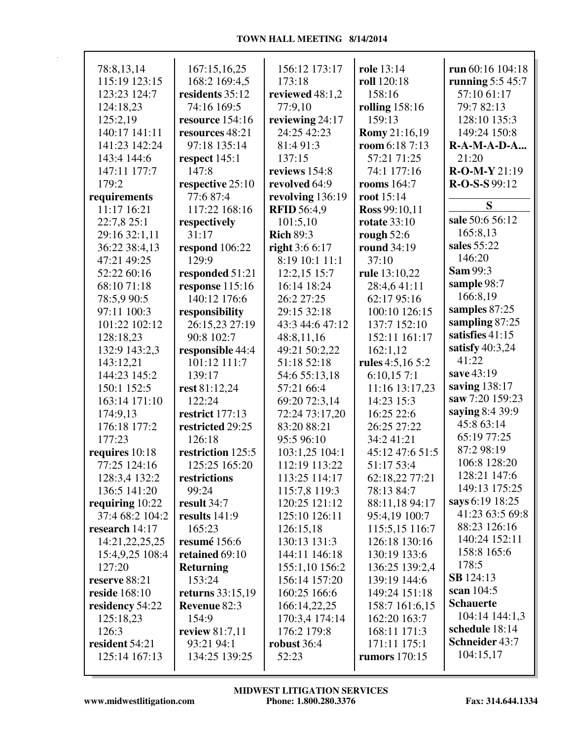| 78:8,13,14        | 167:15,16,25      | 156:12 173:17      | role 13:14           | run 60:16 104:18   |
|-------------------|-------------------|--------------------|----------------------|--------------------|
| 115:19 123:15     | 168:2 169:4,5     | 173:18             | roll 120:18          | running 5:5 45:7   |
| 123:23 124:7      | residents 35:12   | reviewed 48:1,2    | 158:16               | 57:10 61:17        |
| 124:18,23         | 74:16 169:5       | 77:9,10            | rolling $158:16$     | 79:7 82:13         |
| 125:2,19          | resource 154:16   | reviewing 24:17    | 159:13               | 128:10 135:3       |
| 140:17 141:11     | resources 48:21   | 24:25 42:23        | <b>Romy</b> 21:16,19 | 149:24 150:8       |
| 141:23 142:24     | 97:18 135:14      | 81:4 91:3          | room 6:18 7:13       | <b>R-A-M-A-D-A</b> |
| 143:4 144:6       | respect $145:1$   | 137:15             | 57:21 71:25          | 21:20              |
| 147:11 177:7      | 147:8             | reviews 154:8      | 74:1 177:16          | R-O-M-Y 21:19      |
| 179:2             | respective 25:10  | revolved 64:9      | rooms $164:7$        | $R-O-S-S$ 99:12    |
| requirements      | 77:6 87:4         | revolving 136:19   | root 15:14           |                    |
| 11:17 16:21       | 117:22 168:16     | <b>RFID 56:4,9</b> | Ross 99:10,11        | S                  |
| 22:7,8 25:1       | respectively      | 101:5,10           | <b>rotate</b> 33:10  | sale 50:6 56:12    |
| 29:16 32:1,11     | 31:17             | <b>Rich 89:3</b>   | rough $52:6$         | 165:8,13           |
| 36:22 38:4,13     | respond 106:22    | right 3:6 6:17     | round 34:19          | sales 55:22        |
| 47:21 49:25       | 129:9             | 8:19 10:1 11:1     | 37:10                | 146:20             |
| 52:22 60:16       | responded 51:21   | 12:2,15 15:7       | rule 13:10,22        | <b>Sam 99:3</b>    |
| 68:10 71:18       | response 115:16   | 16:14 18:24        | 28:4,641:11          | sample 98:7        |
| 78:5,9 90:5       | 140:12 176:6      | 26:2 27:25         | 62:17 95:16          | 166:8,19           |
| 97:11 100:3       | responsibility    | 29:15 32:18        | 100:10 126:15        | samples 87:25      |
| 101:22 102:12     | 26:15,23 27:19    | 43:3 44:6 47:12    | 137:7 152:10         | sampling 87:25     |
| 128:18,23         | 90:8 102:7        | 48:8,11,16         | 152:11 161:17        | satisfies 41:15    |
| 132:9 143:2,3     | responsible 44:4  | 49:21 50:2,22      | 162:1,12             | satisfy $40:3,24$  |
| 143:12,21         | 101:12 111:7      | 51:18 52:18        | rules 4:5,16 5:2     | 41:22              |
| 144:23 145:2      | 139:17            | 54:6 55:13,18      | 6:10,157:1           | save 43:19         |
| 150:1 152:5       | rest 81:12,24     | 57:21 66:4         | 11:16 13:17,23       | saving 138:17      |
| 163:14 171:10     | 122:24            | 69:20 72:3,14      | 14:23 15:3           | saw 7:20 159:23    |
| 174:9,13          | restrict 177:13   | 72:24 73:17,20     | 16:25 22:6           | saying 8:4 39:9    |
| 176:18 177:2      | restricted 29:25  | 83:20 88:21        | 26:25 27:22          | 45:8 63:14         |
| 177:23            | 126:18            | 95:5 96:10         | 34:2 41:21           | 65:19 77:25        |
| requires 10:18    | restriction 125:5 | 103:1,25 104:1     | 45:12 47:6 51:5      | 87:2 98:19         |
| 77:25 124:16      | 125:25 165:20     | 112:19 113:22      | 51:17 53:4           | 106:8 128:20       |
| 128:3,4 132:2     | restrictions      | 113:25 114:17      | 62:18,22 77:21       | 128:21 147:6       |
| 136:5 141:20      | 99:24             | 115:7,8 119:3      | 78:13 84:7           | 149:13 175:25      |
| requiring $10:22$ | result 34:7       | 120:25 121:12      | 88:11,18 94:17       | says 6:19 18:25    |
| 37:4 68:2 104:2   | results $141:9$   | 125:10 126:11      | 95:4,19 100:7        | 41:23 63:5 69:8    |
| research 14:17    | 165:23            | 126:15,18          | 115:5,15 116:7       | 88:23 126:16       |
| 14:21,22,25,25    | resumé 156:6      | 130:13 131:3       | 126:18 130:16        | 140:24 152:11      |
| 15:4,9,25 108:4   | retained 69:10    | 144:11 146:18      | 130:19 133:6         | 158:8 165:6        |
| 127:20            | <b>Returning</b>  | 155:1,10 156:2     | 136:25 139:2,4       | 178:5              |
| reserve 88:21     | 153:24            | 156:14 157:20      | 139:19 144:6         | <b>SB</b> 124:13   |
| reside 168:10     | returns 33:15,19  | 160:25 166:6       | 149:24 151:18        | scan 104:5         |
| residency 54:22   | Revenue 82:3      | 166:14,22,25       | 158:7 161:6,15       | <b>Schauerte</b>   |
| 125:18,23         | 154:9             | 170:3,4 174:14     | 162:20 163:7         | 104:14 144:1,3     |
| 126:3             | review 81:7,11    | 176:2 179:8        | 168:11 171:3         | schedule 18:14     |
| resident 54:21    | 93:21 94:1        | robust 36:4        | 171:11 175:1         | Schneider 43:7     |
| 125:14 167:13     | 134:25 139:25     | 52:23              | rumors 170:15        | 104:15,17          |
|                   |                   |                    |                      |                    |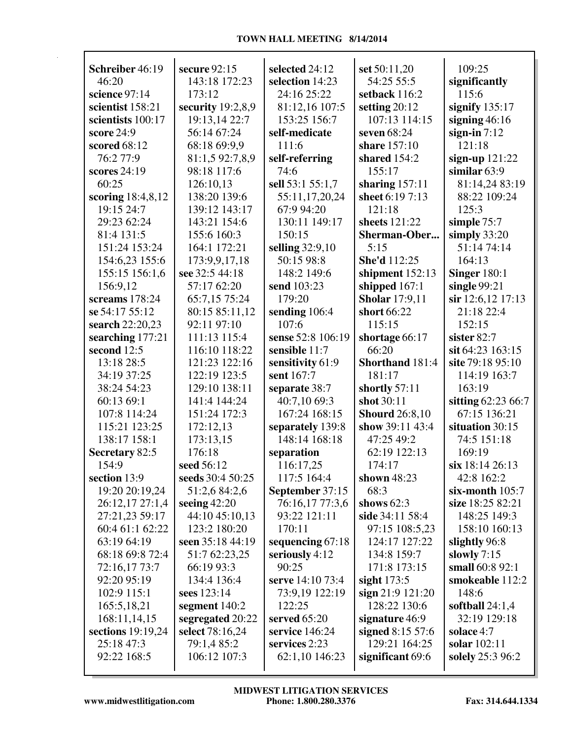| Schreiber 46:19               | secure $92:15$              | selected 24:12                    | set 50:11,20                  | 109:25                          |
|-------------------------------|-----------------------------|-----------------------------------|-------------------------------|---------------------------------|
| 46:20                         | 143:18 172:23               | selection 14:23<br>24:16 25:22    | 54:25 55:5                    | significantly<br>115:6          |
| science 97:14                 | 173:12                      |                                   | setback 116:2                 |                                 |
| scientist 158:21              | security $19:2,8,9$         | 81:12,16 107:5                    | setting $20:12$               | signify $135:17$                |
| scientists 100:17             | 19:13,14 22:7               | 153:25 156:7                      | 107:13 114:15                 | signing $46:16$                 |
| score 24:9                    | 56:14 67:24                 | self-medicate                     | seven 68:24                   | sign-in $7:12$                  |
| scored 68:12                  | 68:18 69:9,9                | 111:6                             | share 157:10                  | 121:18                          |
| 76:2 77:9                     | 81:1,5 92:7,8,9             | self-referring                    | shared $154:2$                | sign-up 121:22                  |
| scores 24:19                  | 98:18 117:6                 | 74:6                              | 155:17                        | similar $63:9$                  |
| 60:25                         | 126:10,13                   | sell 53:1 55:1,7                  | sharing $157:11$              | 81:14,24 83:19                  |
| scoring 18:4,8,12             | 138:20 139:6                | 55:11,17,20,24                    | sheet 6:19 7:13               | 88:22 109:24                    |
| 19:15 24:7                    | 139:12 143:17               | 67:9 94:20                        | 121:18                        | 125:3                           |
| 29:23 62:24                   | 143:21 154:6                | 130:11 149:17                     | sheets 121:22                 | simple 75:7                     |
| 81:4 131:5                    | 155:6 160:3                 | 150:15                            | Sherman-Ober                  | simply $33:20$                  |
| 151:24 153:24                 | 164:1 172:21                | selling 32:9,10                   | 5:15                          | 51:14 74:14                     |
| 154:6,23 155:6                | 173:9,9,17,18               | 50:15 98:8                        | She'd 112:25                  | 164:13                          |
| 155:15 156:1,6                | see 32:5 44:18              | 148:2 149:6                       | shipment 152:13               | <b>Singer 180:1</b>             |
| 156:9,12                      | 57:17 62:20                 | send 103:23                       | shipped $167:1$               | single $99:21$                  |
| screams 178:24                | 65:7,15 75:24               | 179:20                            | <b>Sholar</b> 17:9,11         | $\sin 12:6,12$ 17:13            |
| se 54:17 55:12                | 80:15 85:11,12              | sending 106:4                     | short 66:22                   | 21:18 22:4                      |
| search 22:20,23               | 92:11 97:10                 | 107:6                             | 115:15                        | 152:15                          |
| searching 177:21              | 111:13 115:4                | sense 52:8 106:19                 | shortage 66:17                | sister 82:7                     |
| second 12:5                   | 116:10 118:22               | sensible 11:7                     | 66:20                         | sit 64:23 163:15                |
| 13:18 28:5                    | 121:23 122:16               | sensitivity 61:9                  | Shorthand 181:4               | site 79:18 95:10                |
| 34:19 37:25                   | 122:19 123:5                | sent 167:7                        | 181:17                        | 114:19 163:7                    |
| 38:24 54:23                   | 129:10 138:11               | separate 38:7                     | shortly $57:11$               | 163:19                          |
| 60:13 69:1                    | 141:4 144:24                | 40:7,10 69:3                      | shot 30:11                    | sitting 62:23 66:7              |
| 107:8 114:24                  | 151:24 172:3                | 167:24 168:15                     | <b>Shourd</b> 26:8,10         | 67:15 136:21                    |
| 115:21 123:25<br>138:17 158:1 | 172:12,13                   | separately 139:8<br>148:14 168:18 | show 39:11 43:4<br>47:25 49:2 | situation 30:15<br>74:5 151:18  |
|                               | 173:13,15<br>176:18         |                                   | 62:19 122:13                  | 169:19                          |
| Secretary 82:5<br>154:9       | seed 56:12                  | separation                        |                               | six 18:14 26:13                 |
| section 13:9                  | seeds 30:4 50:25            | 116:17,25<br>117:5 164:4          | 174:17<br>shown $48:23$       | 42:8 162:2                      |
| 19:20 20:19,24                | 51:2,6 84:2,6               | September 37:15                   | 68:3                          | six-month $105:7$               |
| 26:12,17 27:1,4               | seeing $42:20$              | 76:16,17 77:3,6                   | shows $62:3$                  | size 18:25 82:21                |
| 27:21,23 59:17                | 44:10 45:10,13              | 93:22 121:11                      | side 34:11 58:4               | 148:25 149:3                    |
| 60:4 61:1 62:22               | 123:2 180:20                | 170:11                            | 97:15 108:5,23                | 158:10 160:13                   |
| 63:19 64:19                   | seen 35:18 44:19            | sequencing 67:18                  | 124:17 127:22                 | slightly 96:8                   |
| 68:18 69:8 72:4               |                             | seriously 4:12                    | 134:8 159:7                   | slowly $7:15$                   |
|                               | 51:7 62:23,25<br>66:19 93:3 | 90:25                             | 171:8 173:15                  | small 60:8 92:1                 |
| 72:16,17 73:7<br>92:20 95:19  | 134:4 136:4                 | serve 14:10 73:4                  |                               | smokeable 112:2                 |
|                               | sees 123:14                 |                                   | sight $173:5$                 | 148:6                           |
| 102:9 115:1                   |                             | 73:9,19 122:19                    | sign 21:9 121:20              |                                 |
| 165:5,18,21                   | segment 140:2               | 122:25<br>served 65:20            | 128:22 130:6                  | softball 24:1,4<br>32:19 129:18 |
| 168:11,14,15                  | segregated 20:22            | service 146:24                    | signature 46:9                |                                 |
| sections 19:19,24             | select 78:16,24             |                                   | signed 8:15 57:6              | solace 4:7                      |
| 25:18 47:3                    | 79:1,4 85:2<br>106:12 107:3 | services 2:23                     | 129:21 164:25                 | solar 102:11                    |
| 92:22 168:5                   |                             | 62:1,10 146:23                    | significant 69:6              | solely 25:3 96:2                |
|                               |                             |                                   |                               |                                 |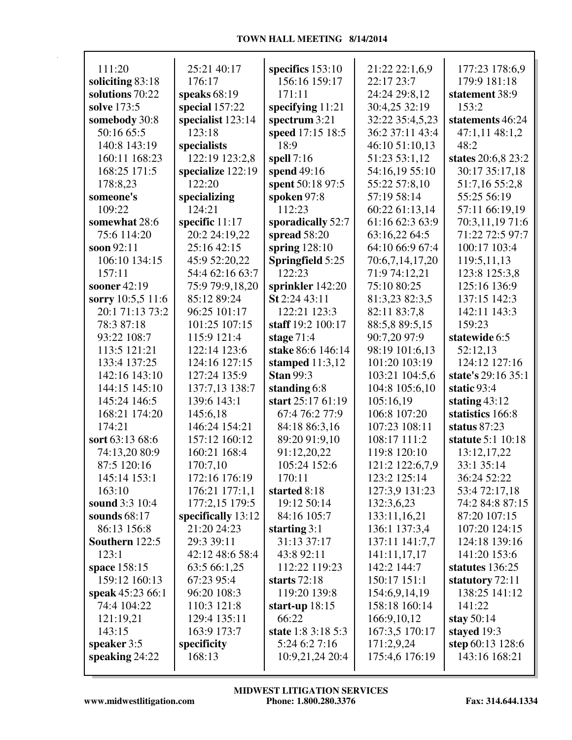| 111:20                      | 25:21 40:17        | specifics 153:10        | 21:22 22:1,6,9  | 177:23 178:6,9     |
|-----------------------------|--------------------|-------------------------|-----------------|--------------------|
| soliciting 83:18            | 176:17             | 156:16 159:17           | 22:17 23:7      | 179:9 181:18       |
| solutions 70:22             | speaks $68:19$     | 171:11                  | 24:24 29:8,12   | statement 38:9     |
| solve 173:5                 | special 157:22     | specifying $11:21$      | 30:4,25 32:19   | 153:2              |
|                             | specialist 123:14  |                         | 32:22 35:4,5,23 | statements 46:24   |
| somebody 30:8<br>50:16 65:5 | 123:18             | spectrum 3:21           | 36:2 37:11 43:4 |                    |
|                             |                    | speed 17:15 18:5        |                 | 47:1,11 48:1,2     |
| 140:8 143:19                | specialists        | 18:9                    | 46:10 51:10,13  | 48:2               |
| 160:11 168:23               | 122:19 123:2,8     | spell $7:16$            | 51:23 53:1,12   | states 20:6,8 23:2 |
| 168:25 171:5                | specialize 122:19  | spend 49:16             | 54:16,19 55:10  | 30:17 35:17,18     |
| 178:8,23                    | 122:20             | spent 50:18 97:5        | 55:22 57:8,10   | 51:7,16 55:2,8     |
| someone's                   | specializing       | spoken 97:8             | 57:19 58:14     | 55:25 56:19        |
| 109:22                      | 124:21             | 112:23                  | 60:22 61:13,14  | 57:11 66:19,19     |
| somewhat 28:6               | specific 11:17     | sporadically 52:7       | 61:16 62:3 63:9 | 70:3,11,19 71:6    |
| 75:6 114:20                 | 20:2 24:19,22      | spread $58:20$          | 63:16,22 64:5   | 71:22 72:5 97:7    |
| soon 92:11                  | 25:16 42:15        | spring $128:10$         | 64:10 66:9 67:4 | 100:17 103:4       |
| 106:10 134:15               | 45:9 52:20,22      | <b>Springfield 5:25</b> | 70:6,7,14,17,20 | 119:5,11,13        |
| 157:11                      | 54:4 62:16 63:7    | 122:23                  | 71:9 74:12,21   | 123:8 125:3,8      |
| sooner 42:19                | 75:9 79:9,18,20    | sprinkler 142:20        | 75:10 80:25     | 125:16 136:9       |
| sorry 10:5,5 11:6           | 85:12 89:24        | St 2:24 43:11           | 81:3,23 82:3,5  | 137:15 142:3       |
| 20:1 71:13 73:2             | 96:25 101:17       | 122:21 123:3            | 82:11 83:7,8    | 142:11 143:3       |
| 78:3 87:18                  | 101:25 107:15      | staff 19:2 100:17       | 88:5,8 89:5,15  | 159:23             |
| 93:22 108:7                 | 115:9 121:4        | stage $71:4$            | 90:7,20 97:9    | statewide 6:5      |
| 113:5 121:21                | 122:14 123:6       | stake 86:6 146:14       | 98:19 101:6,13  | 52:12,13           |
| 133:4 137:25                | 124:16 127:15      | stamped $11:3,12$       | 101:20 103:19   | 124:12 127:16      |
| 142:16 143:10               | 127:24 135:9       | <b>Stan 99:3</b>        | 103:21 104:5,6  | state's 29:16 35:1 |
| 144:15 145:10               | 137:7,13 138:7     | standing 6:8            | 104:8 105:6,10  | static 93:4        |
| 145:24 146:5                | 139:6 143:1        | start 25:17 61:19       | 105:16,19       | stating $43:12$    |
| 168:21 174:20               | 145:6,18           | 67:4 76:2 77:9          | 106:8 107:20    | statistics 166:8   |
| 174:21                      | 146:24 154:21      | 84:18 86:3,16           | 107:23 108:11   | status $87:23$     |
| sort 63:13 68:6             | 157:12 160:12      | 89:20 91:9,10           | 108:17 111:2    | statute 5:1 10:18  |
| 74:13,20 80:9               | 160:21 168:4       | 91:12,20,22             | 119:8 120:10    | 13:12,17,22        |
| 87:5 120:16                 | 170:7,10           | 105:24 152:6            | 121:2 122:6,7,9 | 33:1 35:14         |
| 145:14 153:1                | 172:16 176:19      | 170:11                  | 123:2 125:14    | 36:24 52:22        |
| 163:10                      | 176:21 177:1,1     | started 8:18            | 127:3,9 131:23  | 53:4 72:17,18      |
| sound 3:3 10:4              | 177:2,15 179:5     | 19:12 50:14             | 132:3,6,23      | 74:2 84:8 87:15    |
| sounds 68:17                | specifically 13:12 | 84:16 105:7             | 133:11,16,21    | 87:20 107:15       |
| 86:13 156:8                 | 21:20 24:23        | starting $3:1$          | 136:1 137:3,4   | 107:20 124:15      |
| Southern 122:5              | 29:3 39:11         | 31:13 37:17             | 137:11 141:7,7  | 124:18 139:16      |
| 123:1                       | 42:12 48:6 58:4    | 43:8 92:11              | 141:11,17,17    | 141:20 153:6       |
| space 158:15                | 63:5 66:1,25       | 112:22 119:23           | 142:2 144:7     | statutes 136:25    |
| 159:12 160:13               | 67:23 95:4         | starts 72:18            | 150:17 151:1    | statutory 72:11    |
| speak 45:23 66:1            | 96:20 108:3        | 119:20 139:8            | 154:6,9,14,19   | 138:25 141:12      |
| 74:4 104:22                 | 110:3 121:8        | start-up $18:15$        | 158:18 160:14   | 141:22             |
| 121:19,21                   | 129:4 135:11       | 66:22                   | 166:9,10,12     | stay $50:14$       |
| 143:15                      | 163:9 173:7        | state 1:8 3:18 5:3      | 167:3,5 170:17  | stayed 19:3        |
| speaker 3:5                 | specificity        | 5:24 6:2 7:16           | 171:2,9,24      | step 60:13 128:6   |
| speaking $24:22$            | 168:13             | 10:9,21,24 20:4         | 175:4,6 176:19  | 143:16 168:21      |
|                             |                    |                         |                 |                    |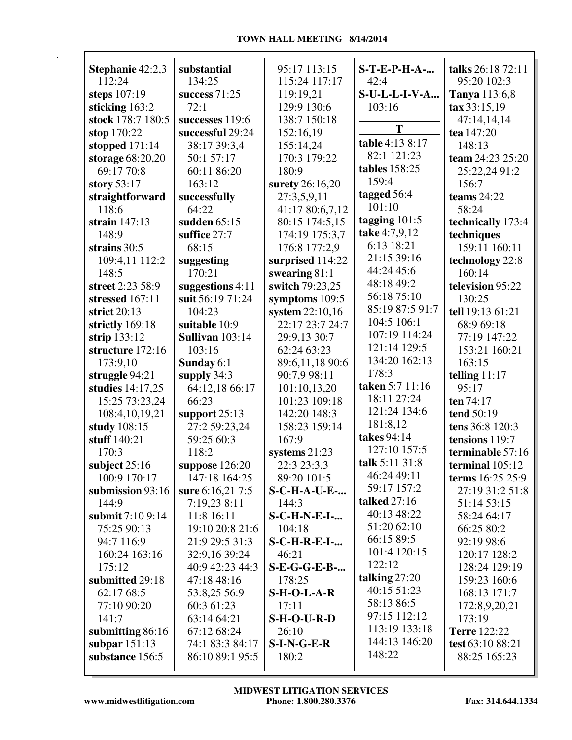| Stephanie 42:2,3<br>112:24           | substantial                         | 95:17 113:15             | <b>S-T-E-P-H-A-</b>     | talks 26:18 72:11             |
|--------------------------------------|-------------------------------------|--------------------------|-------------------------|-------------------------------|
|                                      | 134:25                              | 115:24 117:17            | 42:4                    | 95:20 102:3                   |
| steps 107:19<br>sticking 163:2       | success $71:25$<br>72:1             | 119:19,21<br>129:9 130:6 | S-U-L-L-I-V-A<br>103:16 | Tanya 113:6,8<br>tax 33:15,19 |
| stock 178:7 180:5                    |                                     | 138:7 150:18             |                         |                               |
|                                      | successes 119:6<br>successful 29:24 | 152:16,19                | T                       | 47:14,14,14<br>tea 147:20     |
| stop 170:22                          | 38:17 39:3,4                        | 155:14,24                | table 4:13 8:17         | 148:13                        |
| stopped $171:14$<br>storage 68:20,20 | 50:1 57:17                          | 170:3 179:22             | 82:1 121:23             | team 24:23 25:20              |
| 69:17 70:8                           | 60:11 86:20                         | 180:9                    | <b>tables</b> 158:25    | 25:22,24 91:2                 |
| story $53:17$                        | 163:12                              | surety 26:16,20          | 159:4                   | 156:7                         |
| straightforward                      | successfully                        | 27:3,5,9,11              | tagged 56:4             | teams $24:22$                 |
| 118:6                                | 64:22                               | 41:17 80:6,7,12          | 101:10                  | 58:24                         |
| strain $147:13$                      | sudden 65:15                        | 80:15 174:5,15           | tagging $101:5$         | technically 173:4             |
| 148:9                                | suffice 27:7                        | 174:19 175:3,7           | take 4:7,9,12           | techniques                    |
| strains 30:5                         | 68:15                               | 176:8 177:2,9            | 6:13 18:21              | 159:11 160:11                 |
| 109:4,11 112:2                       | suggesting                          | surprised 114:22         | 21:15 39:16             | technology 22:8               |
| 148:5                                | 170:21                              | swearing $81:1$          | 44:24 45:6              | 160:14                        |
| street 2:23 58:9                     | suggestions 4:11                    | switch 79:23,25          | 48:18 49:2              | television 95:22              |
| stressed 167:11                      | suit 56:19 71:24                    | symptoms 109:5           | 56:18 75:10             | 130:25                        |
| strict $20:13$                       | 104:23                              | system 22:10,16          | 85:19 87:5 91:7         | tell 19:13 61:21              |
| strictly 169:18                      | suitable 10:9                       | 22:17 23:7 24:7          | 104:5 106:1             | 68:9 69:18                    |
| strip $133:12$                       | <b>Sullivan</b> 103:14              | 29:9,13 30:7             | 107:19 114:24           | 77:19 147:22                  |
| structure 172:16                     | 103:16                              | 62:24 63:23              | 121:14 129:5            | 153:21 160:21                 |
| 173:9,10                             | Sunday 6:1                          | 89:6,11,18 90:6          | 134:20 162:13           | 163:15                        |
| struggle 94:21                       | supply $34:3$                       | 90:7,9 98:11             | 178:3                   | telling $11:17$               |
| studies 14:17,25                     | 64:12,18 66:17                      | 101:10,13,20             | taken 5:7 11:16         | 95:17                         |
| 15:25 73:23,24                       | 66:23                               | 101:23 109:18            | 18:11 27:24             | ten 74:17                     |
| 108:4,10,19,21                       | support $25:13$                     | 142:20 148:3             | 121:24 134:6            | tend 50:19                    |
| study 108:15                         | 27:2 59:23,24                       | 158:23 159:14            | 181:8,12                | tens 36:8 120:3               |
| stuff 140:21                         | 59:25 60:3                          | 167:9                    | takes 94:14             | tensions 119:7                |
| 170:3                                | 118:2                               | systems $21:23$          | 127:10 157:5            | terminable 57:16              |
| subject 25:16                        | suppose $126:20$                    | 22:3 23:3,3              | talk 5:11 31:8          | terminal 105:12               |
| 100:9 170:17                         | 147:18 164:25                       | 89:20 101:5              | 46:24 49:11             | terms 16:25 25:9              |
| submission 93:16                     | sure 6:16,21 7:5                    | <b>S-C-H-A-U-E-</b>      | 59:17 157:2             | 27:19 31:2 51:8               |
| 144:9                                | 7:19,23 8:11                        | 144:3                    | talked $27:16$          | 51:14 53:15                   |
| submit 7:10 9:14                     | 11:8 16:11                          | <b>S-C-H-N-E-I-</b>      | 40:13 48:22             | 58:24 64:17                   |
| 75:25 90:13                          | 19:10 20:8 21:6                     | 104:18                   | 51:20 62:10             | 66:25 80:2                    |
| 94:7 116:9                           | 21:9 29:5 31:3                      | <b>S-C-H-R-E-I-</b>      | 66:15 89:5              | 92:19 98:6                    |
| 160:24 163:16                        | 32:9,16 39:24                       | 46:21                    | 101:4 120:15            | 120:17 128:2                  |
| 175:12                               | 40:9 42:23 44:3                     | <b>S-E-G-G-E-B-</b>      | 122:12                  | 128:24 129:19                 |
| submitted 29:18                      | 47:18 48:16                         | 178:25                   | talking $27:20$         | 159:23 160:6                  |
| 62:17 68:5                           | 53:8,25 56:9                        | $S-H-O-L-A-R$            | 40:15 51:23             | 168:13 171:7                  |
| 77:10 90:20                          | 60:3 61:23                          | 17:11                    | 58:13 86:5              | 172:8,9,20,21                 |
| 141:7                                | 63:14 64:21                         | $S-H-O-U-R-D$            | 97:15 112:12            | 173:19                        |
| submitting 86:16                     | 67:12 68:24                         | 26:10                    | 113:19 133:18           | <b>Terre</b> 122:22           |
| subpar $151:13$                      | 74:1 83:3 84:17                     | $S-I-N-G-E-R$            | 144:13 146:20           | test 63:10 88:21              |
| substance 156:5                      | 86:10 89:1 95:5                     | 180:2                    | 148:22                  | 88:25 165:23                  |
|                                      |                                     |                          |                         |                               |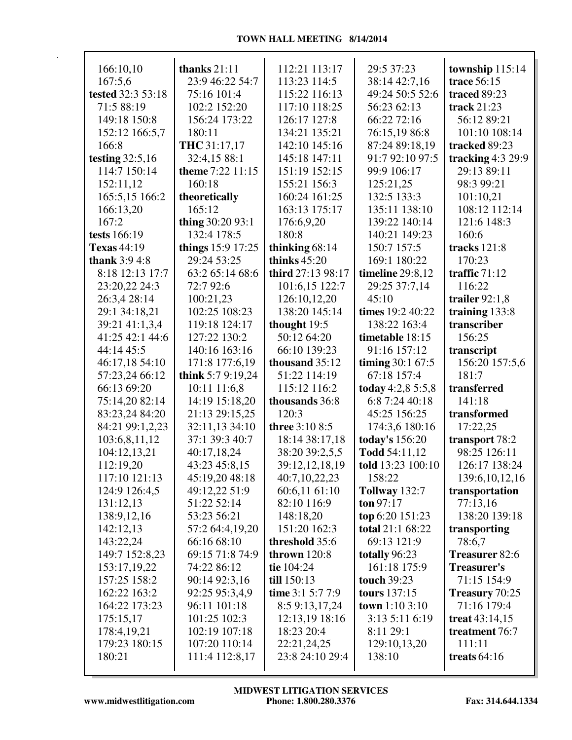| 166:10,10            | thanks $21:11$                   | 112:21 113:17                  | 29:5 37:23                   | township 115:14            |
|----------------------|----------------------------------|--------------------------------|------------------------------|----------------------------|
| 167:5.6              | 23:9 46:22 54:7                  | 113:23 114:5                   | 38:14 42:7,16                | trace 56:15                |
| tested 32:3 53:18    | 75:16 101:4                      | 115:22 116:13                  | 49:24 50:5 52:6              | traced 89:23               |
| 71:5 88:19           | 102:2 152:20                     | 117:10 118:25                  | 56:23 62:13                  | track $21:23$              |
| 149:18 150:8         | 156:24 173:22                    | 126:17 127:8                   | 66:22 72:16                  | 56:12 89:21                |
| 152:12 166:5,7       | 180:11                           | 134:21 135:21                  | 76:15,19 86:8                | 101:10 108:14              |
| 166:8                | THC 31:17,17                     | 142:10 145:16                  | 87:24 89:18,19               | tracked 89:23              |
| testing $32:5,16$    | 32:4,15 88:1<br>theme 7:22 11:15 | 145:18 147:11                  | 91:7 92:10 97:5              | tracking $4:3$ 29:9        |
| 114:7 150:14         | 160:18                           | 151:19 152:15                  | 99:9 106:17<br>125:21,25     | 29:13 89:11                |
| 152:11,12            |                                  | 155:21 156:3                   |                              | 98:3 99:21                 |
| 165:5,15 166:2       | theoretically<br>165:12          | 160:24 161:25<br>163:13 175:17 | 132:5 133:3<br>135:11 138:10 | 101:10,21<br>108:12 112:14 |
| 166:13,20<br>167:2   | thing $30:2093:1$                |                                | 139:22 140:14                | 121:6 148:3                |
| tests 166:19         | 132:4 178:5                      | 176:6,9,20<br>180:8            | 140:21 149:23                | 160:6                      |
| <b>Texas</b> 44:19   | things 15:9 17:25                | thinking $68:14$               | 150:7 157:5                  | tracks $121:8$             |
| <b>thank</b> 3:9 4:8 | 29:24 53:25                      | thinks $45:20$                 | 169:1 180:22                 | 170:23                     |
| 8:18 12:13 17:7      | 63:2 65:14 68:6                  | third 27:13 98:17              | timeline $29:8,12$           | traffic $71:12$            |
| 23:20,22 24:3        | 72:7 92:6                        | 101:6,15 122:7                 | 29:25 37:7,14                | 116:22                     |
| 26:3,4 28:14         | 100:21,23                        | 126:10,12,20                   | 45:10                        | trailer $92:1,8$           |
| 29:1 34:18,21        | 102:25 108:23                    | 138:20 145:14                  | times 19:2 40:22             | training 133:8             |
| 39:21 41:1,3,4       | 119:18 124:17                    | thought 19:5                   | 138:22 163:4                 | transcriber                |
| 41:25 42:1 44:6      | 127:22 130:2                     | 50:12 64:20                    | timetable 18:15              | 156:25                     |
| 44:14 45:5           | 140:16 163:16                    | 66:10 139:23                   | 91:16 157:12                 | transcript                 |
| 46:17,18 54:10       | 171:8 177:6,19                   | thousand 35:12                 | timing 30:1 67:5             | 156:20 157:5,6             |
| 57:23,24 66:12       | think 5:7 9:19,24                | 51:22 114:19                   | 67:18 157:4                  | 181:7                      |
| 66:13 69:20          | 10:11 11:6,8                     | 115:12 116:2                   | today 4:2,8 5:5,8            | transferred                |
| 75:14,20 82:14       | 14:19 15:18,20                   | thousands 36:8                 | 6:8 7:24 40:18               | 141:18                     |
| 83:23,24 84:20       | 21:13 29:15,25                   | 120:3                          | 45:25 156:25                 | transformed                |
| 84:21 99:1,2,23      | 32:11,13 34:10                   | three 3:10 8:5                 | 174:3,6 180:16               | 17:22,25                   |
| 103:6,8,11,12        | 37:1 39:3 40:7                   | 18:14 38:17,18                 | today's 156:20               | transport 78:2             |
| 104:12,13,21         | 40:17,18,24                      | 38:20 39:2,5,5                 | Todd 54:11,12                | 98:25 126:11               |
| 112:19,20            | 43:23 45:8,15                    | 39:12,12,18,19                 | told 13:23 100:10            | 126:17 138:24              |
| 117:10 121:13        | 45:19,20 48:18                   | 40:7,10,22,23                  | 158:22                       | 139:6, 10, 12, 16          |
| 124:9 126:4,5        | 49:12,22 51:9                    | 60:6,11 61:10                  | <b>Tollway</b> 132:7         | transportation             |
| 131:12,13            | 51:22 52:14                      | 82:10 116:9                    | ton $97:17$                  | 77:13,16                   |
| 138:9,12,16          | 53:23 56:21                      | 148:18,20                      | top 6:20 151:23              | 138:20 139:18              |
| 142:12,13            | 57:2 64:4,19,20                  | 151:20 162:3                   | total 21:1 68:22             | transporting               |
| 143:22,24            | 66:16 68:10                      | threshold 35:6                 | 69:13 121:9                  | 78:6.7                     |
| 149:7 152:8,23       | 69:15 71:8 74:9                  | thrown $120:8$                 | totally 96:23                | <b>Treasurer 82:6</b>      |
| 153:17,19,22         | 74:22 86:12                      | tie 104:24                     | 161:18 175:9                 | <b>Treasurer's</b>         |
| 157:25 158:2         | 90:14 92:3,16                    | till 150:13                    | touch 39:23                  | 71:15 154:9                |
| 162:22 163:2         | 92:25 95:3,4,9                   | time 3:1 5:7 7:9               | <b>tours</b> 137:15          | Treasury 70:25             |
| 164:22 173:23        | 96:11 101:18                     | 8:5 9:13,17,24                 | <b>town</b> $1:103:10$       | 71:16 179:4                |
| 175:15,17            | 101:25 102:3                     | 12:13,19 18:16                 | 3:13 5:11 6:19               | treat $43:14,15$           |
| 178:4,19,21          | 102:19 107:18                    | 18:23 20:4                     | 8:11 29:1                    | treatment 76:7             |
| 179:23 180:15        | 107:20 110:14                    | 22:21,24,25                    | 129:10,13,20                 | 111:11                     |
| 180:21               | 111:4 112:8,17                   | 23:8 24:10 29:4                | 138:10                       | treats $64:16$             |
|                      |                                  |                                |                              |                            |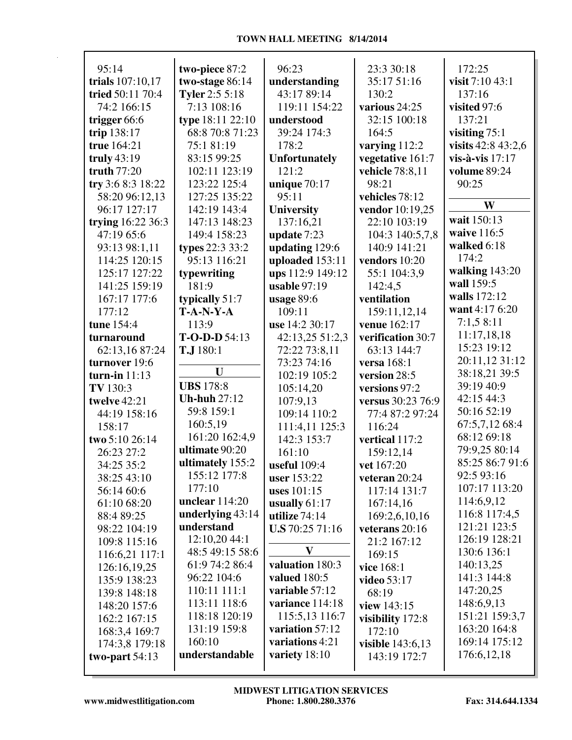| 95:14             | two-piece 87:2        | 96:23                | 23:3 30:18              | 172:25             |
|-------------------|-----------------------|----------------------|-------------------------|--------------------|
| trials 107:10,17  | two-stage 86:14       | understanding        | 35:17 51:16             | visit 7:10 43:1    |
| tried 50:11 70:4  | <b>Tyler</b> 2:5 5:18 | 43:17 89:14          | 130:2                   | 137:16             |
| 74:2 166:15       | 7:13 108:16           | 119:11 154:22        | various 24:25           | visited 97:6       |
| trigger 66:6      | type 18:11 22:10      | understood           | 32:15 100:18            | 137:21             |
| trip 138:17       | 68:8 70:8 71:23       | 39:24 174:3          | 164:5                   | visiting $75:1$    |
| true 164:21       | 75:1 81:19            | 178:2                | varying 112:2           | visits 42:8 43:2,6 |
| truly $43:19$     | 83:15 99:25           | <b>Unfortunately</b> | vegetative 161:7        | vis-à-vis 17:17    |
| truth 77:20       | 102:11 123:19         | 121:2                | vehicle 78:8,11         | volume 89:24       |
| try 3:6 8:3 18:22 | 123:22 125:4          | unique $70:17$       | 98:21                   | 90:25              |
| 58:20 96:12,13    | 127:25 135:22         | 95:11                | vehicles 78:12          |                    |
| 96:17 127:17      | 142:19 143:4          | <b>University</b>    | vendor 10:19,25         | W                  |
| trying 16:22 36:3 | 147:13 148:23         | 137:16,21            | 22:10 103:19            | wait 150:13        |
| 47:19 65:6        | 149:4 158:23          | update 7:23          | 104:3 140:5,7,8         | waive 116:5        |
| 93:13 98:1,11     | types 22:3 33:2       | updating 129:6       | 140:9 141:21            | walked 6:18        |
| 114:25 120:15     | 95:13 116:21          | uploaded 153:11      | vendors 10:20           | 174:2              |
| 125:17 127:22     | typewriting           | ups 112:9 149:12     | 55:1 104:3,9            | walking 143:20     |
| 141:25 159:19     | 181:9                 | usable $97:19$       | 142:4,5                 | wall 159:5         |
| 167:17 177:6      | typically 51:7        | usage $89:6$         | ventilation             | walls 172:12       |
| 177:12            | $T-A-N-Y-A$           | 109:11               | 159:11,12,14            | want 4:17 6:20     |
| tune 154:4        | 113:9                 | use 14:2 30:17       | venue 162:17            | 7:1,58:11          |
| turnaround        | $T-O-D-D$ 54:13       | 42:13,25 51:2,3      | verification 30:7       | 11:17,18,18        |
| 62:13,16 87:24    | T.J 180:1             | 72:22 73:8,11        | 63:13 144:7             | 15:23 19:12        |
| turnover 19:6     |                       | 73:23 74:16          | versa 168:1             | 20:11,12 31:12     |
| turn-in $11:13$   | U                     | 102:19 105:2         | version 28:5            | 38:18,21 39:5      |
| TV 130:3          | <b>UBS</b> 178:8      | 105:14,20            | versions 97:2           | 39:19 40:9         |
| twelve 42:21      | <b>Uh-huh 27:12</b>   | 107:9,13             | versus 30:23 76:9       | 42:15 44:3         |
| 44:19 158:16      | 59:8 159:1            | 109:14 110:2         | 77:4 87:2 97:24         | 50:16 52:19        |
| 158:17            | 160:5,19              | 111:4,11 125:3       | 116:24                  | 67:5,7,12 68:4     |
| two 5:10 26:14    | 161:20 162:4,9        | 142:3 153:7          | vertical 117:2          | 68:12 69:18        |
| 26:23 27:2        | ultimate 90:20        | 161:10               | 159:12,14               | 79:9,25 80:14      |
| 34:25 35:2        | ultimately 155:2      | useful 109:4         | vet 167:20              | 85:25 86:7 91:6    |
| 38:25 43:10       | 155:12 177:8          | <b>user</b> 153:22   | veteran $20:24$         | 92:5 93:16         |
| 56:14 60:6        | 177:10                | uses 101:15          | 117:14 131:7            | 107:17 113:20      |
| 61:10 68:20       | unclear $114:20$      | usually $61:17$      | 167:14,16               | 114:6,9,12         |
| 88:4 89:25        | underlying 43:14      | utilize $74:14$      | 169:2,6,10,16           | 116:8 117:4,5      |
| 98:22 104:19      | understand            | U.S.70:25.71:16      | veterans 20:16          | 121:21 123:5       |
| 109:8 115:16      | 12:10,20 44:1         |                      | 21:2 167:12             | 126:19 128:21      |
| 116:6,21 117:1    | 48:5 49:15 58:6       | $\mathbf{V}$         | 169:15                  | 130:6 136:1        |
| 126:16,19,25      | 61:9 74:2 86:4        | valuation 180:3      | vice 168:1              | 140:13,25          |
| 135:9 138:23      | 96:22 104:6           | valued 180:5         | video 53:17             | 141:3 144:8        |
| 139:8 148:18      | 110:11 111:1          | variable 57:12       | 68:19                   | 147:20,25          |
| 148:20 157:6      | 113:11 118:6          | variance 114:18      | view 143:15             | 148:6,9,13         |
| 162:2 167:15      | 118:18 120:19         | 115:5,13 116:7       | visibility 172:8        | 151:21 159:3,7     |
| 168:3,4 169:7     | 131:19 159:8          | variation 57:12      | 172:10                  | 163:20 164:8       |
| 174:3,8 179:18    | 160:10                | variations 4:21      | <b>visible</b> 143:6,13 | 169:14 175:12      |
| two-part $54:13$  | understandable        | variety 18:10        | 143:19 172:7            | 176:6, 12, 18      |
|                   |                       |                      |                         |                    |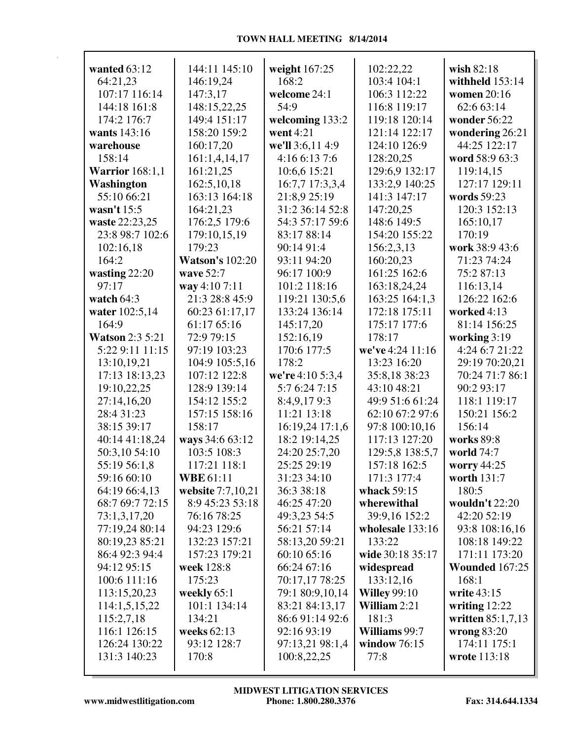| wanted 63:12           | 144:11 145:10          | weight 167:25    | 102:22,22           | wish 82:18            |
|------------------------|------------------------|------------------|---------------------|-----------------------|
| 64:21,23               | 146:19,24              | 168:2            | 103:4 104:1         | withheld 153:14       |
| 107:17 116:14          | 147:3,17               | welcome 24:1     | 106:3 112:22        | women 20:16           |
| 144:18 161:8           | 148:15,22,25           | 54:9             | 116:8 119:17        | 62:6 63:14            |
| 174:2 176:7            | 149:4 151:17           | welcoming 133:2  | 119:18 120:14       | wonder 56:22          |
| wants 143:16           | 158:20 159:2           | went 4:21        | 121:14 122:17       | wondering 26:21       |
| warehouse              | 160:17,20              | we'll 3:6,11 4:9 | 124:10 126:9        | 44:25 122:17          |
| 158:14                 | 161:1,4,14,17          | 4:16 6:13 7:6    | 128:20,25           | word 58:9 63:3        |
| <b>Warrior</b> 168:1,1 | 161:21,25              | 10:6,6 15:21     | 129:6,9 132:17      | 119:14,15             |
| Washington             | 162:5,10,18            | 16:7,7 17:3,3,4  | 133:2,9 140:25      | 127:17 129:11         |
| 55:10 66:21            | 163:13 164:18          | 21:8,9 25:19     | 141:3 147:17        | words 59:23           |
| wasn't 15:5            | 164:21,23              | 31:2 36:14 52:8  | 147:20,25           | 120:3 152:13          |
| waste 22:23,25         | 176:2,5 179:6          | 54:3 57:17 59:6  | 148:6 149:5         | 165:10,17             |
| 23:8 98:7 102:6        | 179:10,15,19           | 83:17 88:14      | 154:20 155:22       | 170:19                |
| 102:16,18              | 179:23                 | 90:14 91:4       | 156:2,3,13          | work 38:9 43:6        |
| 164:2                  | <b>Watson's 102:20</b> | 93:11 94:20      | 160:20,23           | 71:23 74:24           |
| wasting 22:20          | wave 52:7              | 96:17 100:9      | 161:25 162:6        | 75:2 87:13            |
| 97:17                  | way 4:10 7:11          | 101:2 118:16     | 163:18,24,24        | 116:13,14             |
| watch 64:3             | 21:3 28:8 45:9         | 119:21 130:5,6   | 163:25 164:1,3      | 126:22 162:6          |
| water 102:5,14         | 60:23 61:17,17         | 133:24 136:14    | 172:18 175:11       | worked 4:13           |
| 164:9                  | 61:17 65:16            | 145:17,20        | 175:17 177:6        | 81:14 156:25          |
| <b>Watson 2:3 5:21</b> | 72:9 79:15             | 152:16,19        | 178:17              | working 3:19          |
| 5:22 9:11 11:15        | 97:19 103:23           | 170:6 177:5      | we've 4:24 11:16    | 4:24 6:7 21:22        |
| 13:10,19,21            | 104:9 105:5,16         | 178:2            | 13:23 16:20         | 29:19 70:20,21        |
| 17:13 18:13,23         | 107:12 122:8           | we're 4:10 5:3,4 | 35:8,18 38:23       | 70:24 71:7 86:1       |
| 19:10,22,25            | 128:9 139:14           | 5:7 6:24 7:15    | 43:10 48:21         | 90:2 93:17            |
| 27:14,16,20            | 154:12 155:2           | 8:4,9,179:3      | 49:9 51:6 61:24     | 118:1 119:17          |
| 28:4 31:23             | 157:15 158:16          | 11:21 13:18      | 62:10 67:2 97:6     | 150:21 156:2          |
| 38:15 39:17            | 158:17                 | 16:19,24 17:1,6  | 97:8 100:10,16      | 156:14                |
| 40:14 41:18,24         | ways 34:6 63:12        | 18:2 19:14,25    | 117:13 127:20       | works 89:8            |
| 50:3,10 54:10          | 103:5 108:3            | 24:20 25:7,20    | 129:5,8 138:5,7     | world 74:7            |
| 55:19 56:1,8           | 117:21 118:1           | 25:25 29:19      | 157:18 162:5        | worry 44:25           |
| 59:16 60:10            | <b>WBE</b> 61:11       | 31:23 34:10      | 171:3 177:4         | worth 131:7           |
| 64:19 66:4,13          | website 7:7,10,21      | 36:3 38:18       | whack 59:15         | 180:5                 |
| 68:7 69:7 72:15        | 8:9 45:23 53:18        | 46:25 47:20      | wherewithal         | wouldn't 22:20        |
| 73:1,3,17,20           | 76:16 78:25            | 49:3,23 54:5     | 39:9,16 152:2       | 42:20 52:19           |
| 77:19,24 80:14         | 94:23 129:6            | 56:21 57:14      | wholesale 133:16    | 93:8 108:16,16        |
| 80:19,23 85:21         | 132:23 157:21          | 58:13,20 59:21   | 133:22              | 108:18 149:22         |
| 86:4 92:3 94:4         | 157:23 179:21          | 60:10 65:16      | wide 30:18 35:17    | 171:11 173:20         |
| 94:12 95:15            | week 128:8             | 66:24 67:16      | widespread          | <b>Wounded 167:25</b> |
| 100:6 111:16           | 175:23                 | 70:17,17 78:25   | 133:12,16           | 168:1                 |
| 113:15,20,23           | weekly 65:1            | 79:1 80:9,10,14  | <b>Willey 99:10</b> | write 43:15           |
| 114:1,5,15,22          | 101:1 134:14           | 83:21 84:13,17   | William 2:21        | writing $12:22$       |
| 115:2,7,18             | 134:21                 | 86:6 91:14 92:6  | 181:3               | written $85:1,7,13$   |
| 116:1 126:15           | weeks $62:13$          | 92:16 93:19      | Williams 99:7       | wrong 83:20           |
| 126:24 130:22          | 93:12 128:7            | 97:13,21 98:1,4  | window $76:15$      | 174:11 175:1          |
| 131:3 140:23           | 170:8                  | 100:8,22,25      | 77:8                | wrote 113:18          |
|                        |                        |                  |                     |                       |